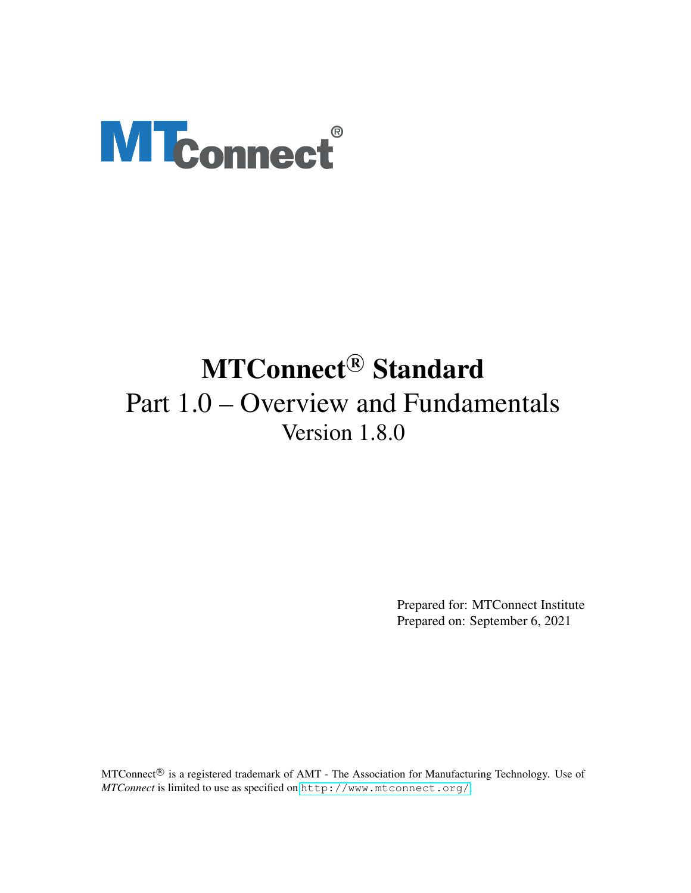# **MTconnect®**

## MTConnect<sup>®</sup> Standard Part 1.0 – Overview and Fundamentals Version 1.8.0

Prepared for: MTConnect Institute Prepared on: September 6, 2021

MTConnect<sup>®</sup> is a registered trademark of AMT - The Association for Manufacturing Technology. Use of *MTConnect* is limited to use as specified on <http://www.mtconnect.org/>.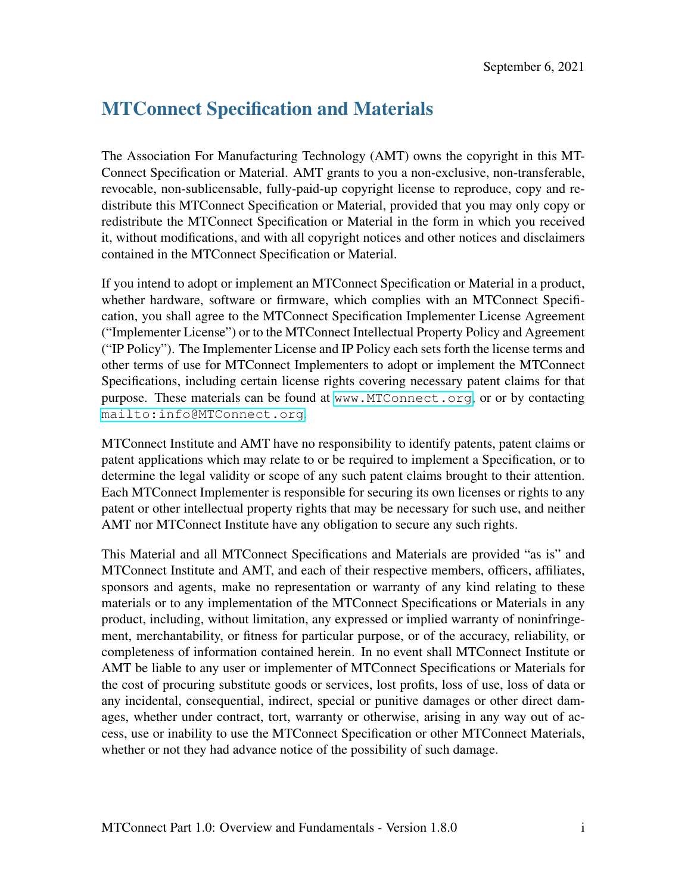## MTConnect Specification and Materials

The Association For Manufacturing Technology (AMT) owns the copyright in this MT-Connect Specification or Material. AMT grants to you a non-exclusive, non-transferable, revocable, non-sublicensable, fully-paid-up copyright license to reproduce, copy and redistribute this MTConnect Specification or Material, provided that you may only copy or redistribute the MTConnect Specification or Material in the form in which you received it, without modifications, and with all copyright notices and other notices and disclaimers contained in the MTConnect Specification or Material.

If you intend to adopt or implement an MTConnect Specification or Material in a product, whether hardware, software or firmware, which complies with an MTConnect Specification, you shall agree to the MTConnect Specification Implementer License Agreement ("Implementer License") or to the MTConnect Intellectual Property Policy and Agreement ("IP Policy"). The Implementer License and IP Policy each sets forth the license terms and other terms of use for MTConnect Implementers to adopt or implement the MTConnect Specifications, including certain license rights covering necessary patent claims for that purpose. These materials can be found at <www.MTConnect.org>, or or by contacting <mailto:info@MTConnect.org>.

MTConnect Institute and AMT have no responsibility to identify patents, patent claims or patent applications which may relate to or be required to implement a Specification, or to determine the legal validity or scope of any such patent claims brought to their attention. Each MTConnect Implementer is responsible for securing its own licenses or rights to any patent or other intellectual property rights that may be necessary for such use, and neither AMT nor MTConnect Institute have any obligation to secure any such rights.

This Material and all MTConnect Specifications and Materials are provided "as is" and MTConnect Institute and AMT, and each of their respective members, officers, affiliates, sponsors and agents, make no representation or warranty of any kind relating to these materials or to any implementation of the MTConnect Specifications or Materials in any product, including, without limitation, any expressed or implied warranty of noninfringement, merchantability, or fitness for particular purpose, or of the accuracy, reliability, or completeness of information contained herein. In no event shall MTConnect Institute or AMT be liable to any user or implementer of MTConnect Specifications or Materials for the cost of procuring substitute goods or services, lost profits, loss of use, loss of data or any incidental, consequential, indirect, special or punitive damages or other direct damages, whether under contract, tort, warranty or otherwise, arising in any way out of access, use or inability to use the MTConnect Specification or other MTConnect Materials, whether or not they had advance notice of the possibility of such damage.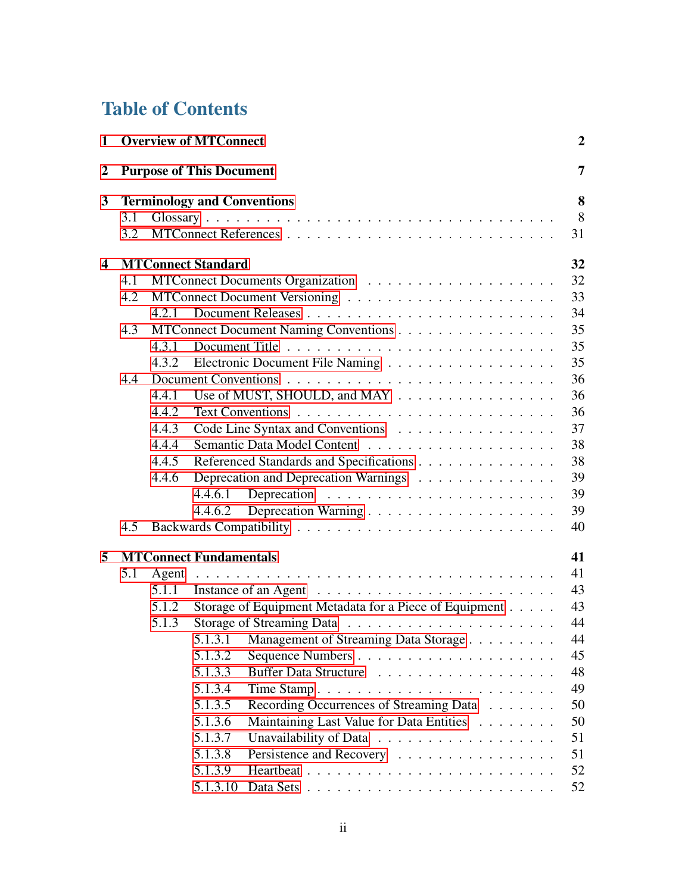## Table of Contents

| $\mathbf{1}$   |     |       | <b>Overview of MTConnect</b>                           | $\mathbf{2}$ |
|----------------|-----|-------|--------------------------------------------------------|--------------|
| $\overline{2}$ |     |       | <b>Purpose of This Document</b>                        | 7            |
| 3              |     |       | <b>Terminology and Conventions</b>                     | 8            |
|                | 3.1 |       |                                                        | 8            |
|                | 3.2 |       |                                                        | 31           |
| 4              |     |       | <b>MTConnect Standard</b>                              | 32           |
|                | 4.1 |       |                                                        | 32           |
|                | 4.2 |       |                                                        | 33           |
|                |     | 4.2.1 |                                                        | 34           |
|                | 4.3 |       | MTConnect Document Naming Conventions                  | 35           |
|                |     | 4.3.1 |                                                        | 35           |
|                |     | 4.3.2 | Electronic Document File Naming                        | 35           |
|                | 4.4 |       |                                                        | 36           |
|                |     | 4.4.1 | Use of MUST, SHOULD, and MAY                           | 36           |
|                |     | 4.4.2 |                                                        | 36           |
|                |     | 4.4.3 | Code Line Syntax and Conventions                       | 37           |
|                |     | 4.4.4 |                                                        | 38           |
|                |     | 4.4.5 | Referenced Standards and Specifications                | 38           |
|                |     | 4.4.6 | Deprecation and Deprecation Warnings                   | 39           |
|                |     |       | 4.4.6.1                                                | 39           |
|                |     |       | 4.4.6.2                                                | 39           |
|                | 4.5 |       |                                                        | 40           |
| 5              |     |       | <b>MTConnect Fundamentals</b>                          | 41           |
|                | 5.1 | Agent |                                                        | 41           |
|                |     | 5.1.1 |                                                        | 43           |
|                |     | 5.1.2 | Storage of Equipment Metadata for a Piece of Equipment | 43           |
|                |     | 5.1.3 |                                                        | 44           |
|                |     |       | 5.1.3.1 Management of Streaming Data Storage           | 44           |
|                |     |       | 5.1.3.2                                                | 45           |
|                |     |       | 5.1.3.3<br>Buffer Data Structure                       | 48           |
|                |     |       | 5.1.3.4<br>Time Stamp                                  | 49           |
|                |     |       | Recording Occurrences of Streaming Data<br>5.1.3.5     | 50           |
|                |     |       | 5.1.3.6<br>Maintaining Last Value for Data Entities    | 50           |
|                |     |       | 5.1.3.7                                                | 51           |
|                |     |       | 5.1.3.8<br>Persistence and Recovery                    | 51           |
|                |     |       | 5.1.3.9                                                | 52           |
|                |     |       | 5.1.3.10                                               | 52           |
|                |     |       |                                                        |              |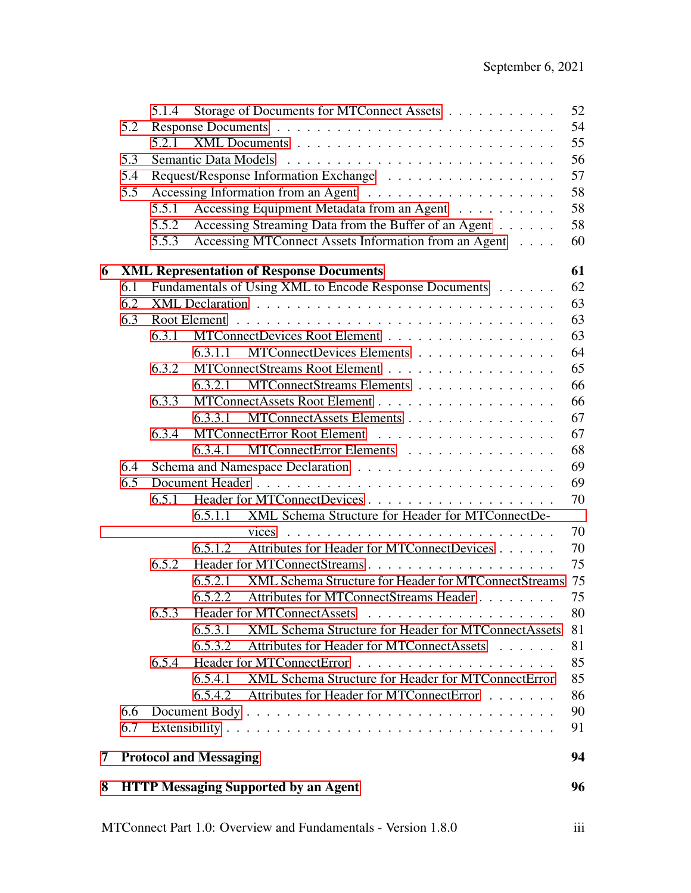|   |     | 5.1.4 |                               | Storage of Documents for MTConnect Assets              | 52 |
|---|-----|-------|-------------------------------|--------------------------------------------------------|----|
|   | 5.2 |       |                               |                                                        | 54 |
|   |     | 5.2.1 |                               |                                                        | 55 |
|   | 5.3 |       | Semantic Data Models          |                                                        | 56 |
|   | 5.4 |       |                               | Request/Response Information Exchange                  | 57 |
|   | 5.5 |       |                               |                                                        | 58 |
|   |     | 5.5.1 |                               | Accessing Equipment Metadata from an Agent             | 58 |
|   |     | 5.5.2 |                               | Accessing Streaming Data from the Buffer of an Agent   | 58 |
|   |     | 5.5.3 |                               | Accessing MTConnect Assets Information from an Agent   | 60 |
| 6 |     |       |                               | <b>XML Representation of Response Documents</b>        | 61 |
|   | 6.1 |       |                               | Fundamentals of Using XML to Encode Response Documents | 62 |
|   | 6.2 |       |                               |                                                        | 63 |
|   | 6.3 |       |                               |                                                        | 63 |
|   |     | 6.3.1 |                               | MTConnectDevices Root Element                          | 63 |
|   |     |       | 6.3.1.1                       | MTConnectDevices Elements                              | 64 |
|   |     | 6.3.2 |                               | MTConnectStreams Root Element                          | 65 |
|   |     |       | 6.3.2.1                       | MTConnectStreams Elements                              | 66 |
|   |     | 6.3.3 |                               |                                                        | 66 |
|   |     |       | 6.3.3.1                       | MTConnectAssets Elements                               | 67 |
|   |     | 6.3.4 |                               |                                                        | 67 |
|   |     |       | 6.3.4.1                       | MTConnectError Elements                                | 68 |
|   | 6.4 |       |                               |                                                        | 69 |
|   | 6.5 |       |                               |                                                        | 69 |
|   |     | 6.5.1 |                               |                                                        | 70 |
|   |     |       | 6.5.1.1                       | XML Schema Structure for Header for MTConnectDe-       |    |
|   |     |       |                               | vices                                                  | 70 |
|   |     |       | 6.5.1.2                       | Attributes for Header for MTConnectDevices             | 70 |
|   |     | 6.5.2 |                               | Header for MTConnectStreams                            | 75 |
|   |     |       | 6.5.2.1                       | XML Schema Structure for Header for MTConnectStreams   | 75 |
|   |     |       | 6.5.2.2                       | Attributes for MTConnectStreams Header                 | 75 |
|   |     | 6.5.3 |                               | <b>Header for MTConnectAssets</b><br>.                 | 80 |
|   |     |       | 6.5.3.1                       | XML Schema Structure for Header for MTConnectAssets    | 81 |
|   |     |       | 6.5.3.2                       | Attributes for Header for MTConnectAssets              | 81 |
|   |     | 6.5.4 |                               |                                                        | 85 |
|   |     |       | 6.5.4.1                       | XML Schema Structure for Header for MTConnectError     | 85 |
|   |     |       | 6.5.4.2                       | Attributes for Header for MTConnectError               | 86 |
|   | 6.6 |       |                               |                                                        | 90 |
|   | 6.7 |       |                               |                                                        | 91 |
| 7 |     |       | <b>Protocol and Messaging</b> |                                                        | 94 |
| 8 |     |       |                               | <b>HTTP Messaging Supported by an Agent</b>            | 96 |
|   |     |       |                               |                                                        |    |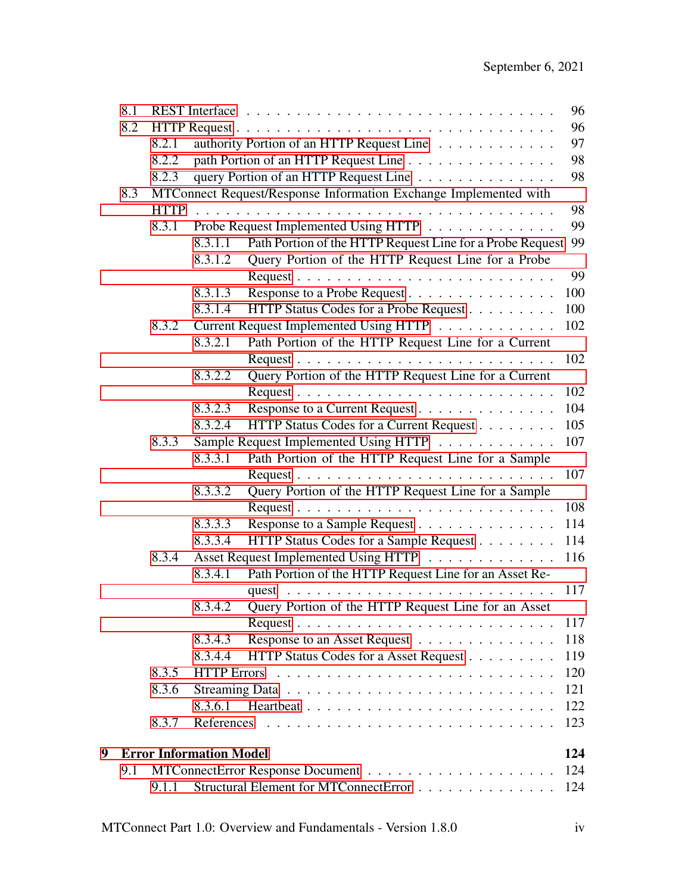|   | 8.1 |             |                                |                                                                  | 96  |
|---|-----|-------------|--------------------------------|------------------------------------------------------------------|-----|
|   | 8.2 |             |                                |                                                                  | 96  |
|   |     | 8.2.1       |                                | authority Portion of an HTTP Request Line                        | 97  |
|   |     | 8.2.2       |                                | path Portion of an HTTP Request Line                             | 98  |
|   |     | 8.2.3       |                                | query Portion of an HTTP Request Line                            | 98  |
|   | 8.3 |             |                                | MTConnect Request/Response Information Exchange Implemented with |     |
|   |     | <b>HTTP</b> |                                |                                                                  | 98  |
|   |     | 8.3.1       |                                | Probe Request Implemented Using HTTP                             | 99  |
|   |     |             | 8.3.1.1                        | Path Portion of the HTTP Request Line for a Probe Request        | 99  |
|   |     |             | 8.3.1.2                        | Query Portion of the HTTP Request Line for a Probe               |     |
|   |     |             |                                | Request                                                          | 99  |
|   |     |             | 8.3.1.3                        | Response to a Probe Request                                      | 100 |
|   |     |             | 8.3.1.4                        | HTTP Status Codes for a Probe Request                            | 100 |
|   |     | 8.3.2       |                                | Current Request Implemented Using HTTP                           | 102 |
|   |     |             | 8.3.2.1                        | Path Portion of the HTTP Request Line for a Current              |     |
|   |     |             |                                | Request                                                          | 102 |
|   |     |             | 8.3.2.2                        | Query Portion of the HTTP Request Line for a Current             |     |
|   |     |             |                                |                                                                  | 102 |
|   |     |             | 8.3.2.3                        | Response to a Current Request                                    | 104 |
|   |     |             | 8.3.2.4                        | HTTP Status Codes for a Current Request                          | 105 |
|   |     | 8.3.3       |                                | Sample Request Implemented Using HTTP                            | 107 |
|   |     |             | 8.3.3.1                        | Path Portion of the HTTP Request Line for a Sample               |     |
|   |     |             |                                |                                                                  | 107 |
|   |     |             | 8.3.3.2                        | Query Portion of the HTTP Request Line for a Sample              |     |
|   |     |             |                                |                                                                  | 108 |
|   |     |             | 8.3.3.3                        | Response to a Sample Request                                     | 114 |
|   |     |             | 8.3.3.4                        | HTTP Status Codes for a Sample Request                           | 114 |
|   |     | 8.3.4       |                                | Asset Request Implemented Using HTTP                             | 116 |
|   |     |             | 8.3.4.1                        | Path Portion of the HTTP Request Line for an Asset Re-           |     |
|   |     |             |                                | quest                                                            | 117 |
|   |     |             | 8.3.4.2                        | Query Portion of the HTTP Request Line for an Asset              |     |
|   |     |             |                                |                                                                  | 117 |
|   |     |             | 8.3.4.3                        | Response to an Asset Request                                     | 118 |
|   |     |             | 8.3.4.4                        | HTTP Status Codes for a Asset Request                            | 119 |
|   |     | 8.3.5       |                                |                                                                  | 120 |
|   |     | 8.3.6       |                                |                                                                  | 121 |
|   |     |             | 8.3.6.1                        |                                                                  | 122 |
|   |     | 8.3.7       | References                     |                                                                  | 123 |
| 9 |     |             | <b>Error Information Model</b> |                                                                  | 124 |
|   | 9.1 |             |                                |                                                                  | 124 |
|   |     | 9.1.1       |                                | Structural Element for MTConnectError                            | 124 |
|   |     |             |                                |                                                                  |     |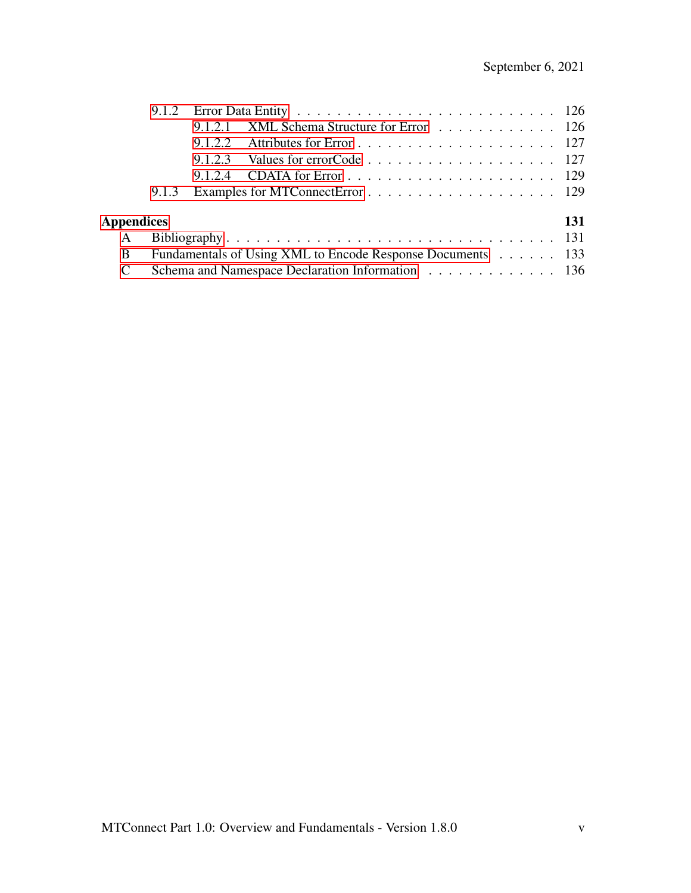|                   |       | 9.1.2.1 XML Schema Structure for Error 126                 |     |
|-------------------|-------|------------------------------------------------------------|-----|
|                   |       |                                                            |     |
|                   |       |                                                            |     |
|                   |       |                                                            |     |
|                   | 9.1.3 |                                                            |     |
| <b>Appendices</b> |       |                                                            | 131 |
| $\mathsf{A}$      |       |                                                            |     |
| B                 |       | Fundamentals of Using XML to Encode Response Documents 133 |     |
|                   |       | Schema and Namespace Declaration Information 136           |     |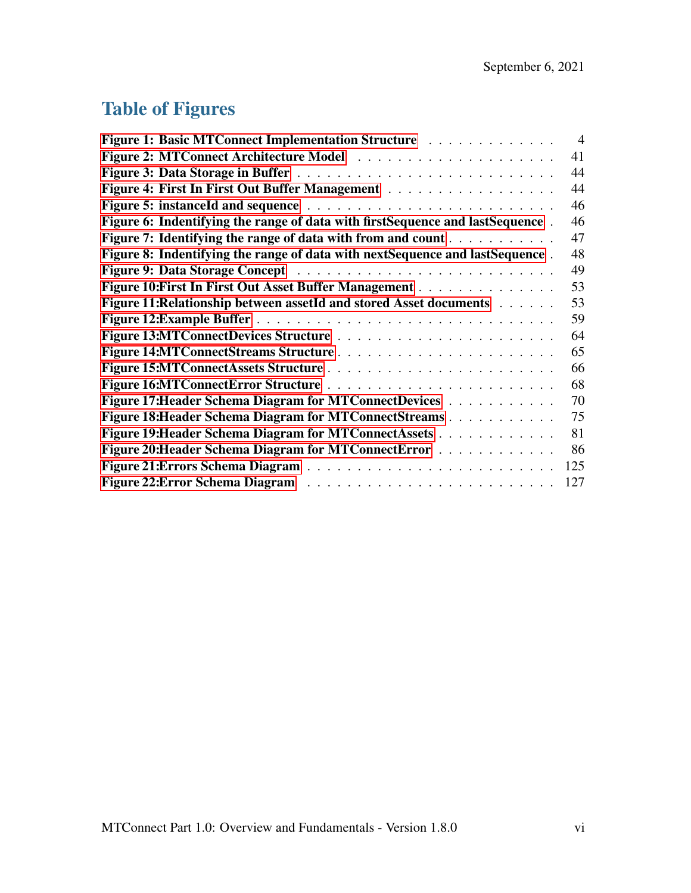## Table of Figures

| Figure 1: Basic MTConnect Implementation Structure                             | $\overline{4}$ |
|--------------------------------------------------------------------------------|----------------|
|                                                                                | 41             |
|                                                                                | 44             |
| Figure 4: First In First Out Buffer Management                                 | 44             |
|                                                                                | 46             |
| Figure 6: Indentifying the range of data with firstSequence and lastSequence.  | 46             |
| Figure 7: Identifying the range of data with from and count $\ldots$           | 47             |
| Figure 8: Indentifying the range of data with next Sequence and last Sequence. | 48             |
|                                                                                | 49             |
| <b>Figure 10: First In First Out Asset Buffer Management</b>                   | 53             |
| Figure 11: Relationship between assetId and stored Asset documents             | 53             |
|                                                                                | 59             |
|                                                                                | 64             |
| Figure 14:MTConnectStreams Structure                                           | 65             |
|                                                                                | 66             |
|                                                                                | 68             |
| Figure 17: Header Schema Diagram for MTConnect Devices                         | 70             |
| Figure 18: Header Schema Diagram for MTConnect Streams                         | 75             |
| Figure 19: Header Schema Diagram for MTConnectAssets                           | 81             |
| Figure 20: Header Schema Diagram for MTConnect Error                           | 86             |
|                                                                                | 125            |
|                                                                                | 127            |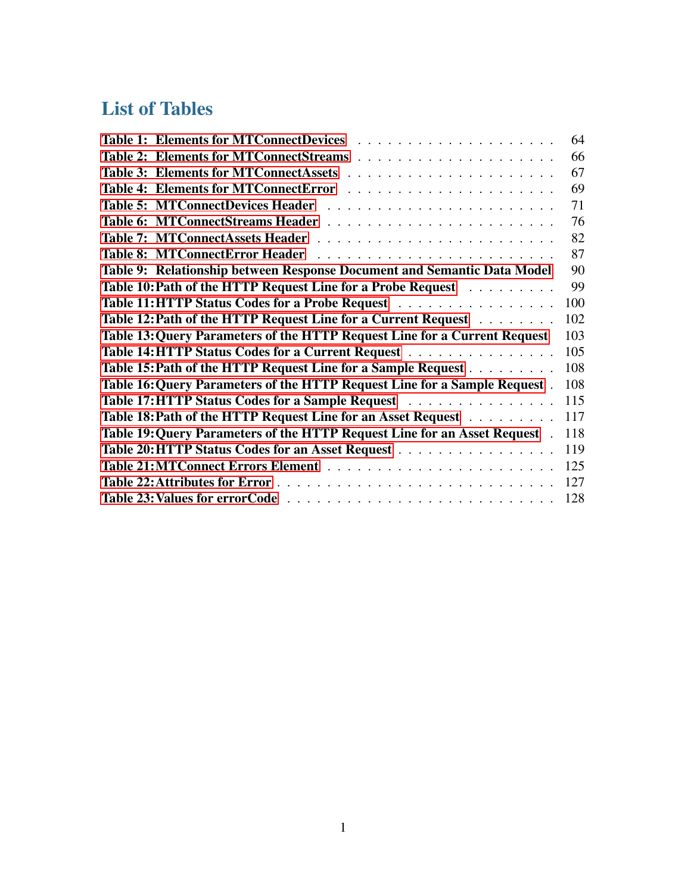## List of Tables

<span id="page-7-0"></span>

|                                                                                             | 64  |
|---------------------------------------------------------------------------------------------|-----|
|                                                                                             | 66  |
|                                                                                             | 67  |
|                                                                                             | 69  |
|                                                                                             | 71  |
|                                                                                             | 76  |
|                                                                                             | 82  |
| Table 8: MTConnectError Header                                                              | 87  |
| Table 9: Relationship between Response Document and Semantic Data Model                     | 90  |
| Table 10: Path of the HTTP Request Line for a Probe Request                                 | 99  |
| Table 11: HTTP Status Codes for a Probe Request                                             | 100 |
| Table 12: Path of the HTTP Request Line for a Current Request                               | 102 |
| Table 13: Query Parameters of the HTTP Request Line for a Current Request                   | 103 |
| Table 14: HTTP Status Codes for a Current Request                                           | 105 |
| Table 15: Path of the HTTP Request Line for a Sample Request                                | 108 |
| Table 16: Query Parameters of the HTTP Request Line for a Sample Request.                   | 108 |
| Table 17: HTTP Status Codes for a Sample Request resources in the set of the State of Table | 115 |
| Table 18: Path of the HTTP Request Line for an Asset Request                                | 117 |
| Table 19: Query Parameters of the HTTP Request Line for an Asset Request                    | 118 |
| Table 20: HTTP Status Codes for an Asset Request                                            | 119 |
|                                                                                             | 125 |
|                                                                                             | 127 |
|                                                                                             | 128 |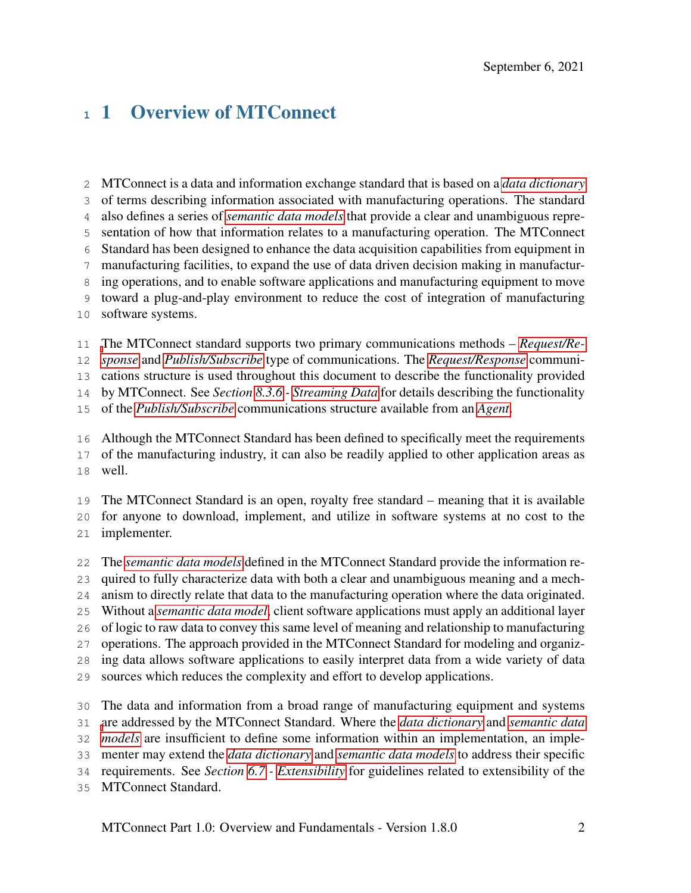## 1 Overview of MTConnect

 MTConnect is a data and information exchange standard that is based on a *[data dictionary](#page-20-0)* of terms describing information associated with manufacturing operations. The standard also defines a series of *[semantic data models](#page-32-0)* that provide a clear and unambiguous repre- sentation of how that information relates to a manufacturing operation. The MTConnect Standard has been designed to enhance the data acquisition capabilities from equipment in manufacturing facilities, to expand the use of data driven decision making in manufactur- ing operations, and to enable software applications and manufacturing equipment to move toward a plug-and-play environment to reduce the cost of integration of manufacturing software systems. [T](#page-30-0)he MTConnect standard supports two primary communications methods – *[Request/Re-](#page-30-0)*

*[sponse](#page-30-0)* and *[Publish/Subscribe](#page-29-0)* type of communications. The *[Request/Response](#page-30-0)* communi-

cations structure is used throughout this document to describe the functionality provided

by MTConnect. See *Section [8.3.6](#page-127-0) - [Streaming Data](#page-127-0)* for details describing the functionality

of the *[Publish/Subscribe](#page-29-0)* communications structure available from an *[Agent](#page-16-0)*.

 Although the MTConnect Standard has been defined to specifically meet the requirements of the manufacturing industry, it can also be readily applied to other application areas as

well.

The MTConnect Standard is an open, royalty free standard – meaning that it is available

for anyone to download, implement, and utilize in software systems at no cost to the

implementer.

The *[semantic data models](#page-32-0)* defined in the MTConnect Standard provide the information re-

quired to fully characterize data with both a clear and unambiguous meaning and a mech-

anism to directly relate that data to the manufacturing operation where the data originated.

Without a *[semantic data model](#page-32-0)*, client software applications must apply an additional layer

of logic to raw data to convey this same level of meaning and relationship to manufacturing

operations. The approach provided in the MTConnect Standard for modeling and organiz-

ing data allows software applications to easily interpret data from a wide variety of data

sources which reduces the complexity and effort to develop applications.

The data and information from a broad range of manufacturing equipment and systems

[a](#page-32-0)re addressed by the MTConnect Standard. Where the *[data dictionary](#page-20-0)* and *[semantic data](#page-32-0)*

*[models](#page-32-0)* are insufficient to define some information within an implementation, an imple-

menter may extend the *[data dictionary](#page-20-0)* and *[semantic data models](#page-32-0)* to address their specific

requirements. See *Section [6.7](#page-97-0) - [Extensibility](#page-97-0)* for guidelines related to extensibility of the

MTConnect Standard.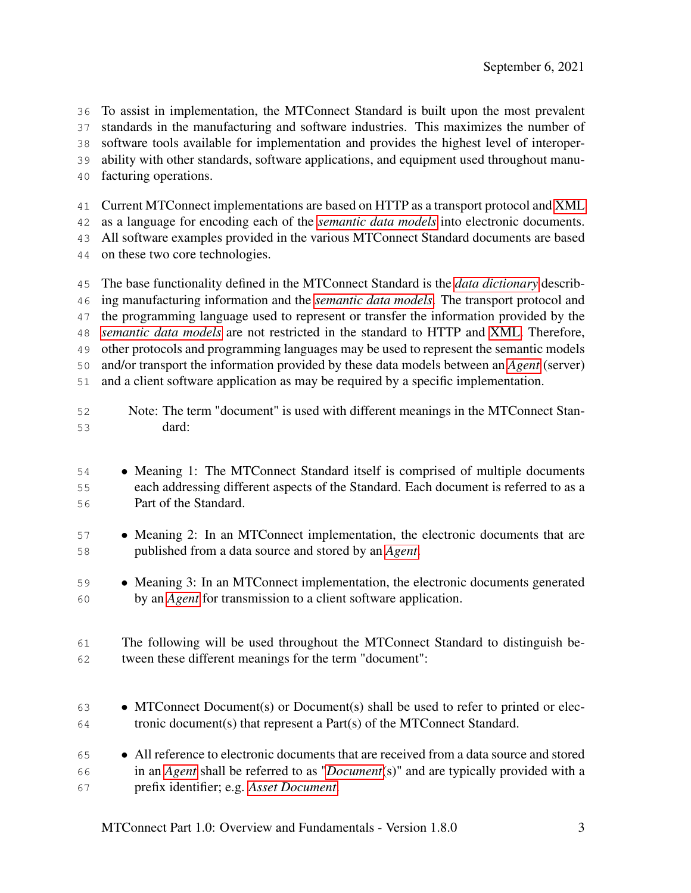To assist in implementation, the MTConnect Standard is built upon the most prevalent standards in the manufacturing and software industries. This maximizes the number of software tools available for implementation and provides the highest level of interoper- ability with other standards, software applications, and equipment used throughout manu-facturing operations.

Current MTConnect implementations are based on HTTP as a transport protocol and [XML](#page-15-0)

as a language for encoding each of the *[semantic data models](#page-32-0)* into electronic documents.

All software examples provided in the various MTConnect Standard documents are based

on these two core technologies.

 The base functionality defined in the MTConnect Standard is the *[data dictionary](#page-20-0)* describ- ing manufacturing information and the *[semantic data models](#page-32-0)*. The transport protocol and the programming language used to represent or transfer the information provided by the *[semantic data models](#page-32-0)* are not restricted in the standard to HTTP and [XML.](#page-15-0) Therefore, other protocols and programming languages may be used to represent the semantic models and/or transport the information provided by these data models between an *[Agent](#page-16-0)* (server) and a client software application as may be required by a specific implementation.

- Note: The term "document" is used with different meanings in the MTConnect Stan-dard:
- Meaning 1: The MTConnect Standard itself is comprised of multiple documents each addressing different aspects of the Standard. Each document is referred to as a Part of the Standard.
- Meaning 2: In an MTConnect implementation, the electronic documents that are published from a data source and stored by an *[Agent](#page-16-0)*.
- Meaning 3: In an MTConnect implementation, the electronic documents generated by an *[Agent](#page-16-0)* for transmission to a client software application.
- The following will be used throughout the MTConnect Standard to distinguish be-tween these different meanings for the term "document":
- MTConnect Document(s) or Document(s) shall be used to refer to printed or elec-tronic document(s) that represent a Part(s) of the MTConnect Standard.
- All reference to electronic documents that are received from a data source and stored in an *[Agent](#page-16-0)* shall be referred to as "*[Document](#page-21-0)*(s)" and are typically provided with a prefix identifier; e.g. *[Asset Document](#page-17-0)*.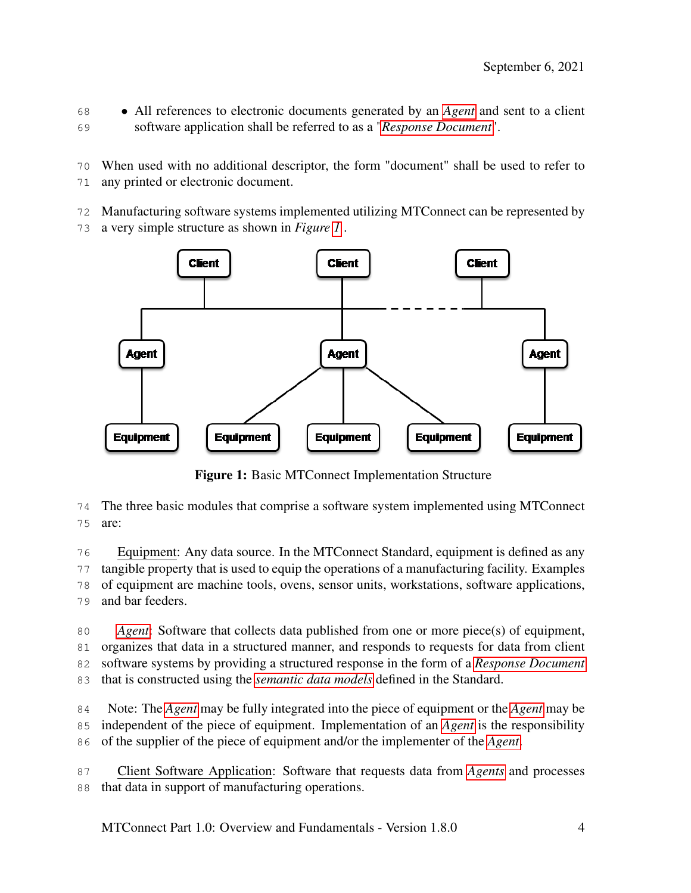• All references to electronic documents generated by an *[Agent](#page-16-0)* and sent to a client software application shall be referred to as a "*[Response Document](#page-31-0)*".

 When used with no additional descriptor, the form "document" shall be used to refer to any printed or electronic document.

Manufacturing software systems implemented utilizing MTConnect can be represented by

a very simple structure as shown in *Figure [1](#page-10-0)* .

<span id="page-10-0"></span>

Figure 1: Basic MTConnect Implementation Structure

 The three basic modules that comprise a software system implemented using MTConnect are:

 Equipment: Any data source. In the MTConnect Standard, equipment is defined as any tangible property that is used to equip the operations of a manufacturing facility. Examples of equipment are machine tools, ovens, sensor units, workstations, software applications, and bar feeders.

 *[Agent](#page-16-0)*: Software that collects data published from one or more piece(s) of equipment, organizes that data in a structured manner, and responds to requests for data from client software systems by providing a structured response in the form of a *[Response Document](#page-31-0)* that is constructed using the *[semantic data models](#page-32-0)* defined in the Standard.

 Note: The *[Agent](#page-16-0)* may be fully integrated into the piece of equipment or the *[Agent](#page-16-0)* may be independent of the piece of equipment. Implementation of an *[Agent](#page-16-0)* is the responsibility of the supplier of the piece of equipment and/or the implementer of the *[Agent](#page-16-0)*.

 Client Software Application: Software that requests data from *[Agents](#page-16-0)* and processes that data in support of manufacturing operations.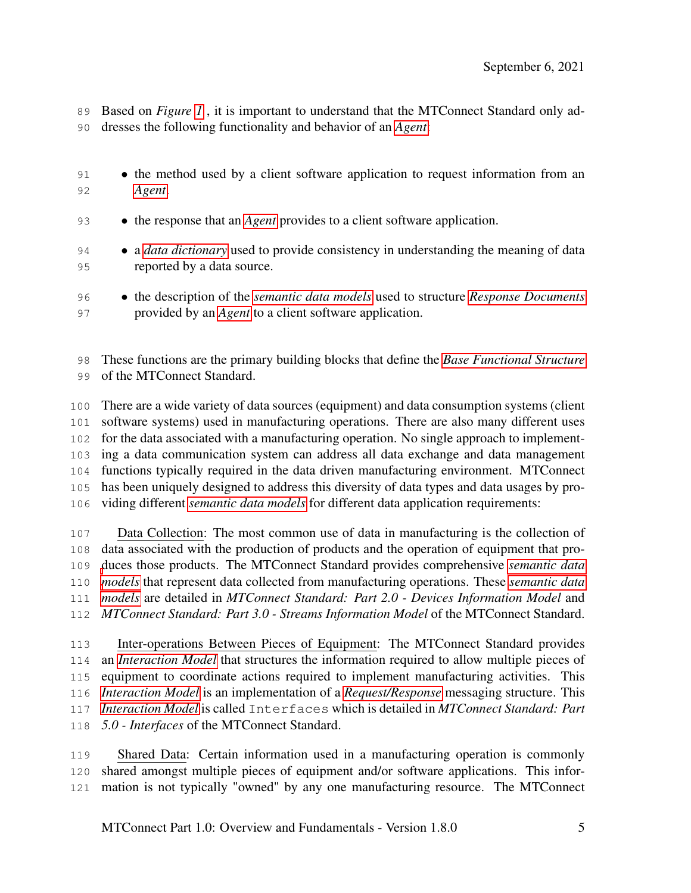Based on *Figure [1](#page-10-0)* , it is important to understand that the MTConnect Standard only ad-dresses the following functionality and behavior of an *[Agent](#page-16-0)*:

- the method used by a client software application to request information from an *[Agent](#page-16-0)*.
- the response that an *[Agent](#page-16-0)* provides to a client software application.
- a *[data dictionary](#page-20-0)* used to provide consistency in understanding the meaning of data reported by a data source.
- the description of the *[semantic data models](#page-32-0)* used to structure *[Response Documents](#page-31-0)* provided by an *[Agent](#page-16-0)* to a client software application.

 These functions are the primary building blocks that define the *[Base Functional Structure](#page-18-0)* of the MTConnect Standard.

 There are a wide variety of data sources (equipment) and data consumption systems (client software systems) used in manufacturing operations. There are also many different uses for the data associated with a manufacturing operation. No single approach to implement- ing a data communication system can address all data exchange and data management functions typically required in the data driven manufacturing environment. MTConnect has been uniquely designed to address this diversity of data types and data usages by pro-viding different *[semantic data models](#page-32-0)* for different data application requirements:

 Data Collection: The most common use of data in manufacturing is the collection of data associated with the production of products and the operation of equipment that pro- [d](#page-32-0)uces those products. The MTConnect Standard provides comprehensive *[semantic data](#page-32-0) [models](#page-32-0)* that represent data collected from manufacturing operations. These *[semantic data](#page-32-0) [models](#page-32-0)* are detailed in *MTConnect Standard: Part 2.0 - Devices Information Model* and *MTConnect Standard: Part 3.0 - Streams Information Model* of the MTConnect Standard.

 Inter-operations Between Pieces of Equipment: The MTConnect Standard provides an *[Interaction Model](#page-25-0)* that structures the information required to allow multiple pieces of equipment to coordinate actions required to implement manufacturing activities. This *[Interaction Model](#page-25-0)* is an implementation of a *[Request/Response](#page-30-0)* messaging structure. This *[Interaction Model](#page-25-0)* is called Interfaces which is detailed in *MTConnect Standard: Part 5.0 - Interfaces* of the MTConnect Standard.

 Shared Data: Certain information used in a manufacturing operation is commonly shared amongst multiple pieces of equipment and/or software applications. This infor-mation is not typically "owned" by any one manufacturing resource. The MTConnect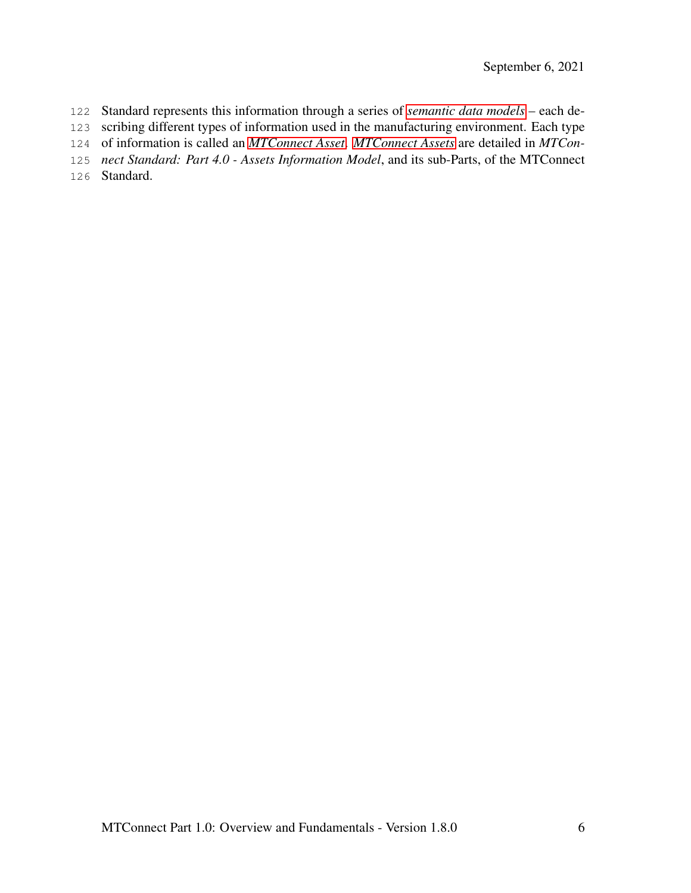- Standard represents this information through a series of *[semantic data models](#page-32-0)* each de-
- scribing different types of information used in the manufacturing environment. Each type
- of information is called an *[MTConnect Asset](#page-26-0)*. *[MTConnect Assets](#page-26-0)* are detailed in *MTCon-*
- *nect Standard: Part 4.0 Assets Information Model*, and its sub-Parts, of the MTConnect
- <span id="page-12-0"></span>Standard.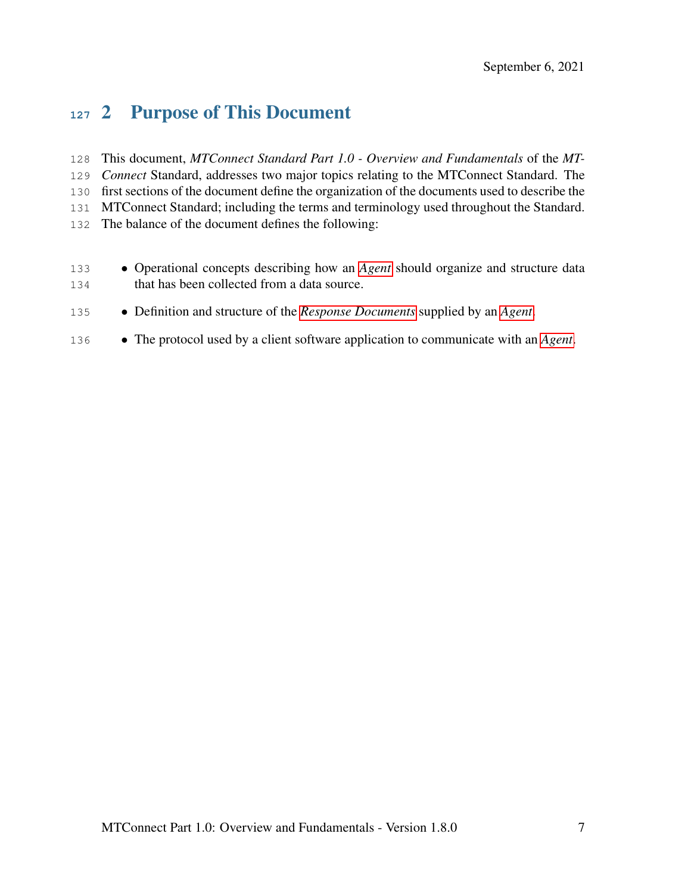## 2 Purpose of This Document

 This document, *MTConnect Standard Part 1.0 - Overview and Fundamentals* of the *MT- Connect* Standard, addresses two major topics relating to the MTConnect Standard. The first sections of the document define the organization of the documents used to describe the MTConnect Standard; including the terms and terminology used throughout the Standard. The balance of the document defines the following:

- **Operational concepts describing how an** *[Agent](#page-16-0)* **should organize and structure data** that has been collected from a data source.
- Definition and structure of the *[Response Documents](#page-31-0)* supplied by an *[Agent](#page-16-0)*.
- <span id="page-13-0"></span>• The protocol used by a client software application to communicate with an *[Agent](#page-16-0)*.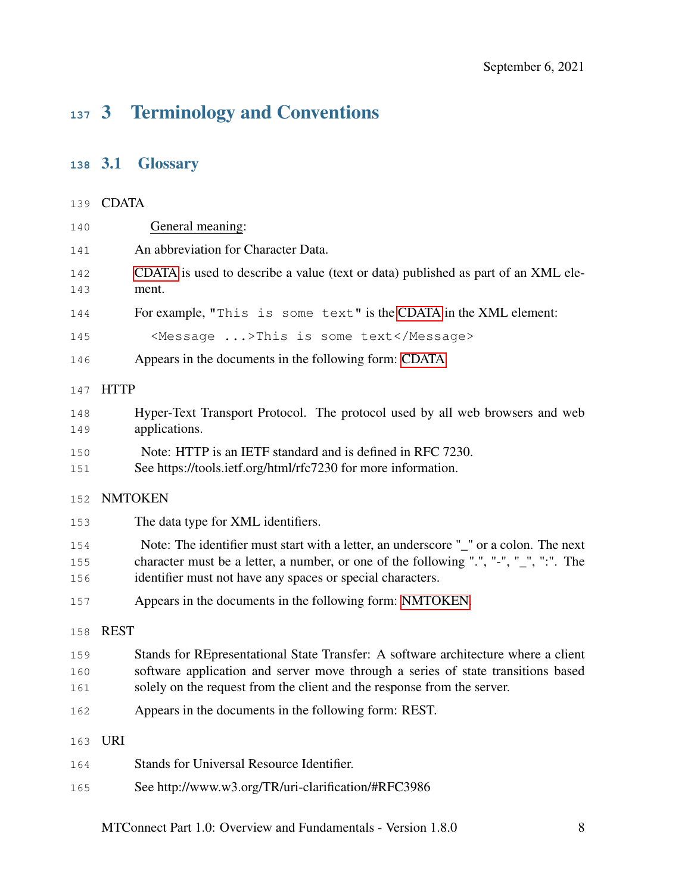## 3 Terminology and Conventions

## <span id="page-14-0"></span>3.1 Glossary

<span id="page-14-2"></span><span id="page-14-1"></span>

| 139               | <b>CDATA</b>                                                                                                                                                                                                                                 |
|-------------------|----------------------------------------------------------------------------------------------------------------------------------------------------------------------------------------------------------------------------------------------|
| 140               | General meaning:                                                                                                                                                                                                                             |
| 141               | An abbreviation for Character Data.                                                                                                                                                                                                          |
| 142<br>143        | CDATA is used to describe a value (text or data) published as part of an XML ele-<br>ment.                                                                                                                                                   |
| 144               | For example, "This is some text" is the CDATA in the XML element:                                                                                                                                                                            |
| 145               | <message>This is some text</message>                                                                                                                                                                                                         |
| 146               | Appears in the documents in the following form: CDATA                                                                                                                                                                                        |
| 147               | <b>HTTP</b>                                                                                                                                                                                                                                  |
| 148<br>149        | Hyper-Text Transport Protocol. The protocol used by all web browsers and web<br>applications.                                                                                                                                                |
| 150<br>151        | Note: HTTP is an IETF standard and is defined in RFC 7230.<br>See https://tools.ietf.org/html/rfc7230 for more information.                                                                                                                  |
| 152               | <b>NMTOKEN</b>                                                                                                                                                                                                                               |
| 153               | The data type for XML identifiers.                                                                                                                                                                                                           |
| 154<br>155<br>156 | Note: The identifier must start with a letter, an underscore "_" or a colon. The next<br>character must be a letter, a number, or one of the following ".", "-", "_", ":". The<br>identifier must not have any spaces or special characters. |
| 157               | Appears in the documents in the following form: NMTOKEN.                                                                                                                                                                                     |
| 158               | <b>REST</b>                                                                                                                                                                                                                                  |
| 159               | Stands for REpresentational State Transfer: A software architecture where a client                                                                                                                                                           |
| 160               | software application and server move through a series of state transitions based                                                                                                                                                             |
| 161               | solely on the request from the client and the response from the server.                                                                                                                                                                      |
| 162               | Appears in the documents in the following form: REST.                                                                                                                                                                                        |
| 163               | <b>URI</b>                                                                                                                                                                                                                                   |
| 164               | Stands for Universal Resource Identifier.                                                                                                                                                                                                    |
| 165               | See http://www.w3.org/TR/uri-clarification/#RFC3986                                                                                                                                                                                          |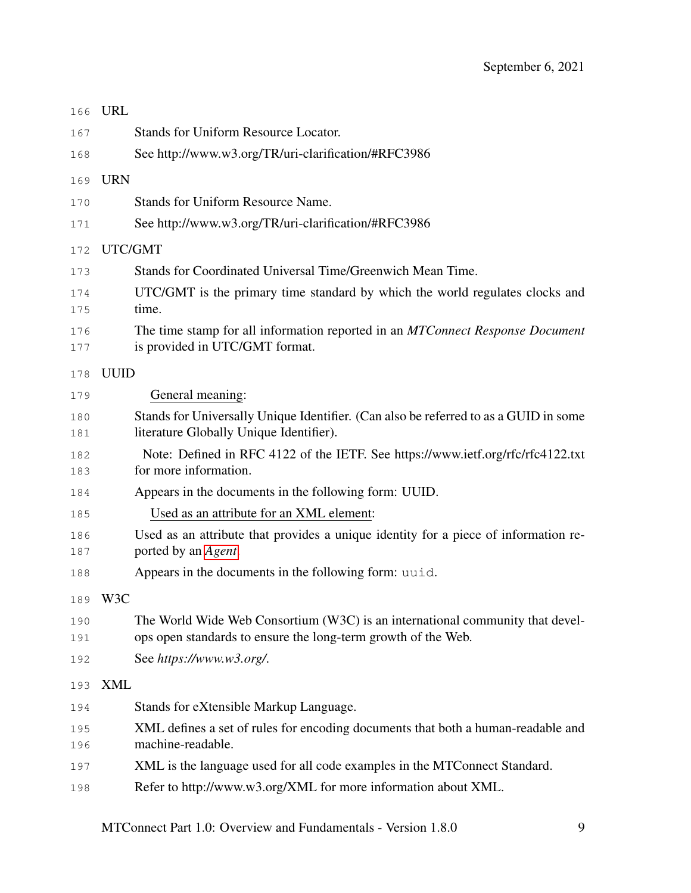<span id="page-15-0"></span>

| 166        | <b>URL</b>                                                                                                                                     |
|------------|------------------------------------------------------------------------------------------------------------------------------------------------|
| 167        | Stands for Uniform Resource Locator.                                                                                                           |
| 168        | See http://www.w3.org/TR/uri-clarification/#RFC3986                                                                                            |
| 169        | <b>URN</b>                                                                                                                                     |
| 170        | <b>Stands for Uniform Resource Name.</b>                                                                                                       |
| 171        | See http://www.w3.org/TR/uri-clarification/#RFC3986                                                                                            |
| 172        | UTC/GMT                                                                                                                                        |
| 173        | Stands for Coordinated Universal Time/Greenwich Mean Time.                                                                                     |
| 174<br>175 | UTC/GMT is the primary time standard by which the world regulates clocks and<br>time.                                                          |
| 176<br>177 | The time stamp for all information reported in an MTConnect Response Document<br>is provided in UTC/GMT format.                                |
| 178        | <b>UUID</b>                                                                                                                                    |
| 179        | General meaning:                                                                                                                               |
| 180<br>181 | Stands for Universally Unique Identifier. (Can also be referred to as a GUID in some<br>literature Globally Unique Identifier).                |
| 182<br>183 | Note: Defined in RFC 4122 of the IETF. See https://www.ietf.org/rfc/rfc4122.txt<br>for more information.                                       |
| 184        | Appears in the documents in the following form: UUID.                                                                                          |
| 185        | Used as an attribute for an XML element:                                                                                                       |
| 186<br>187 | Used as an attribute that provides a unique identity for a piece of information re-<br>ported by an <i>Agent</i> .                             |
| 188        | Appears in the documents in the following form: uuid.                                                                                          |
| 189        | W <sub>3</sub> C                                                                                                                               |
| 190<br>191 | The World Wide Web Consortium (W3C) is an international community that devel-<br>ops open standards to ensure the long-term growth of the Web. |
| 192        | See https://www.w3.org/.                                                                                                                       |
| 193        | <b>XML</b>                                                                                                                                     |
| 194        | Stands for eXtensible Markup Language.                                                                                                         |
| 195<br>196 | XML defines a set of rules for encoding documents that both a human-readable and<br>machine-readable.                                          |
| 197        | XML is the language used for all code examples in the MTConnect Standard.                                                                      |
| 198        | Refer to http://www.w3.org/XML for more information about XML.                                                                                 |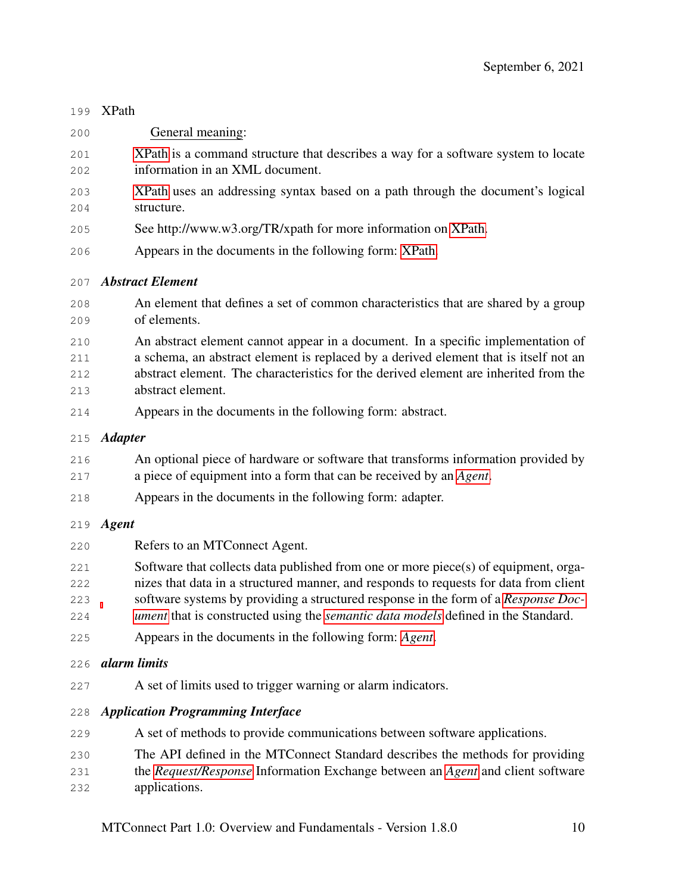#### <span id="page-16-1"></span>XPath

- General meaning:
- [XPath](#page-16-1) is a command structure that describes a way for a software system to locate information in an XML document.
- [XPath](#page-16-1) uses an addressing syntax based on a path through the document's logical structure.
- See http://www.w3.org/TR/xpath for more information on [XPath.](#page-16-1)
- Appears in the documents in the following form: [XPath.](#page-16-1)

#### *Abstract Element*

- An element that defines a set of common characteristics that are shared by a group of elements.
- An abstract element cannot appear in a document. In a specific implementation of a schema, an abstract element is replaced by a derived element that is itself not an abstract element. The characteristics for the derived element are inherited from the abstract element.
- Appears in the documents in the following form: abstract.

#### *Adapter*

- An optional piece of hardware or software that transforms information provided by a piece of equipment into a form that can be received by an *[Agent](#page-16-0)*.
- Appears in the documents in the following form: adapter.

#### <span id="page-16-0"></span>*Agent*

- Refers to an MTConnect Agent.
- Software that collects data published from one or more piece(s) of equipment, orga-
- nizes that data in a structured manner, and responds to requests for data from client
- software systems by providing a structured response in the form of a *[Response Doc-](#page-31-0)*
- *[ument](#page-31-0)* that is constructed using the *[semantic data models](#page-32-0)* defined in the Standard.
- Appears in the documents in the following form: *[Agent](#page-16-0)*.

#### *alarm limits*

A set of limits used to trigger warning or alarm indicators.

#### *Application Programming Interface*

- A set of methods to provide communications between software applications.
- The API defined in the MTConnect Standard describes the methods for providing
- the *[Request/Response](#page-30-0)* Information Exchange between an *[Agent](#page-16-0)* and client software
- applications.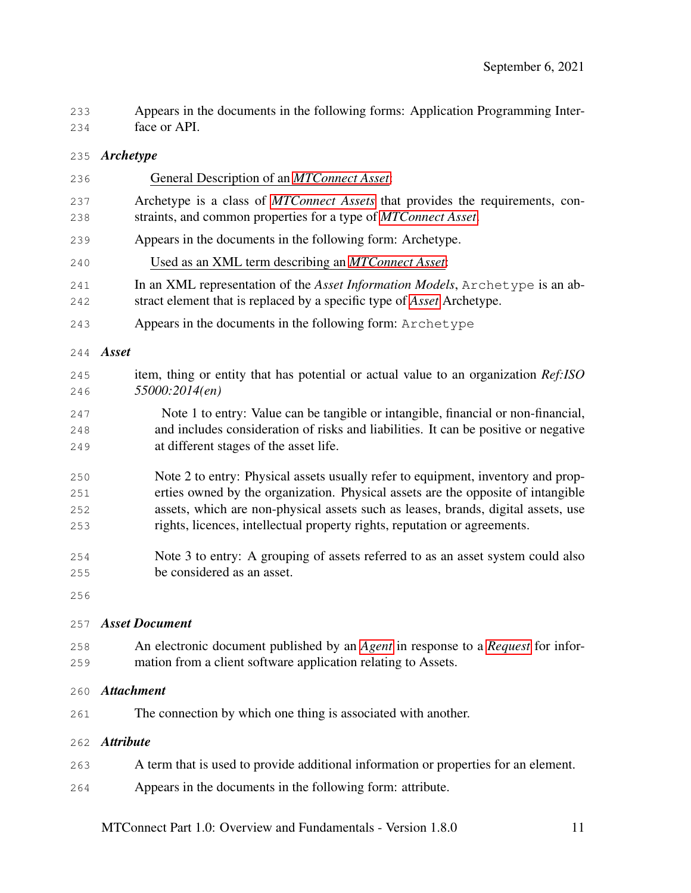Appears in the documents in the following forms: Application Programming Inter-face or API.

#### *Archetype*

<span id="page-17-1"></span>

| 236               | General Description of an MTConnect Asset:                                                                                                                                                                         |
|-------------------|--------------------------------------------------------------------------------------------------------------------------------------------------------------------------------------------------------------------|
| 237<br>238        | Archetype is a class of <i>MTConnect Assets</i> that provides the requirements, con-<br>straints, and common properties for a type of MTConnect Asset.                                                             |
| 239               | Appears in the documents in the following form: Archetype.                                                                                                                                                         |
| 240               | Used as an XML term describing an MTConnect Asset:                                                                                                                                                                 |
| 241<br>242        | In an XML representation of the Asset Information Models, Archetype is an ab-<br>stract element that is replaced by a specific type of <i>Asset</i> Archetype.                                                     |
| 243               | Appears in the documents in the following form: Archetype                                                                                                                                                          |
| 244               | Asset                                                                                                                                                                                                              |
| 245               | item, thing or entity that has potential or actual value to an organization Ref: ISO                                                                                                                               |
| 246               | 55000:2014(en)                                                                                                                                                                                                     |
| 247<br>248<br>249 | Note 1 to entry: Value can be tangible or intangible, financial or non-financial,<br>and includes consideration of risks and liabilities. It can be positive or negative<br>at different stages of the asset life. |

- Note 3 to entry: A grouping of assets referred to as an asset system could also be considered as an asset.
- 

#### <span id="page-17-0"></span>*Asset Document*

 An electronic document published by an *[Agent](#page-16-0)* in response to a *[Request](#page-30-1)* for infor-mation from a client software application relating to Assets.

#### *Attachment*

The connection by which one thing is associated with another.

#### *Attribute*

- A term that is used to provide additional information or properties for an element.
- Appears in the documents in the following form: attribute.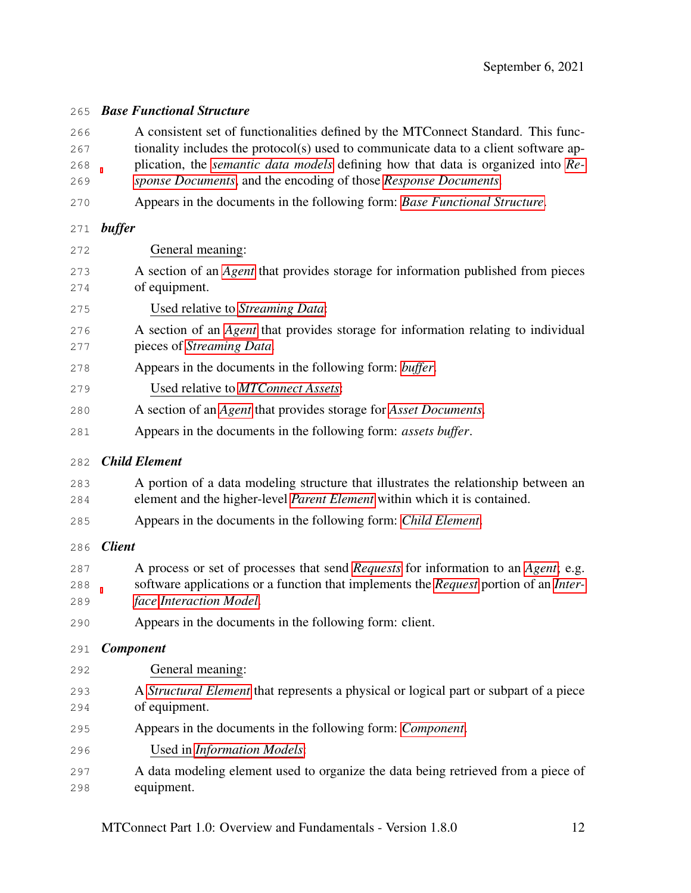#### <span id="page-18-0"></span>*Base Functional Structure*

- A consistent set of functionalities defined by the MTConnect Standard. This func-
- tionality includes the protocol(s) used to communicate data to a client software ap-
- plication, the *[semantic data models](#page-32-0)* defining how that data is organized into *[Re-](#page-31-0)*
- *[sponse Documents](#page-31-0)*, and the encoding of those *[Response Documents](#page-31-0)*.
- Appears in the documents in the following form: *[Base Functional Structure](#page-18-0)*.

#### <span id="page-18-1"></span>*buffer*

<span id="page-18-3"></span><span id="page-18-2"></span>

| 272 | General meaning:                                                                             |
|-----|----------------------------------------------------------------------------------------------|
| 273 | A section of an <i>Agent</i> that provides storage for information published from pieces     |
| 274 | of equipment.                                                                                |
| 275 | Used relative to Streaming Data:                                                             |
| 276 | A section of an <i>Agent</i> that provides storage for information relating to individual    |
| 277 | pieces of Streaming Data.                                                                    |
| 278 | Appears in the documents in the following form: buffer.                                      |
| 279 | Used relative to MTConnect Assets:                                                           |
| 280 | A section of an Agent that provides storage for Asset Documents.                             |
| 281 | Appears in the documents in the following form: assets buffer.                               |
| 282 | <b>Child Element</b>                                                                         |
| 283 | A portion of a data modeling structure that illustrates the relationship between an          |
| 284 | element and the higher-level Parent Element within which it is contained.                    |
| 285 | Appears in the documents in the following form: Child Element.                               |
| 286 | <b>Client</b>                                                                                |
| 287 | A process or set of processes that send Requests for information to an Agent; e.g.           |
| 288 | software applications or a function that implements the Request portion of an Inter-         |
| 289 | face Interaction Model.                                                                      |
| 290 | Appears in the documents in the following form: client.                                      |
| 291 | <b>Component</b>                                                                             |
| 292 | General meaning:                                                                             |
| 293 | A <i>Structural Element</i> that represents a physical or logical part or subpart of a piece |
| 294 | of equipment.                                                                                |
| 295 | Appears in the documents in the following form: Component.                                   |
| 296 | Used in <i>Information Models</i> :                                                          |
| 297 | A data modeling element used to organize the data being retrieved from a piece of            |
| 298 | equipment.                                                                                   |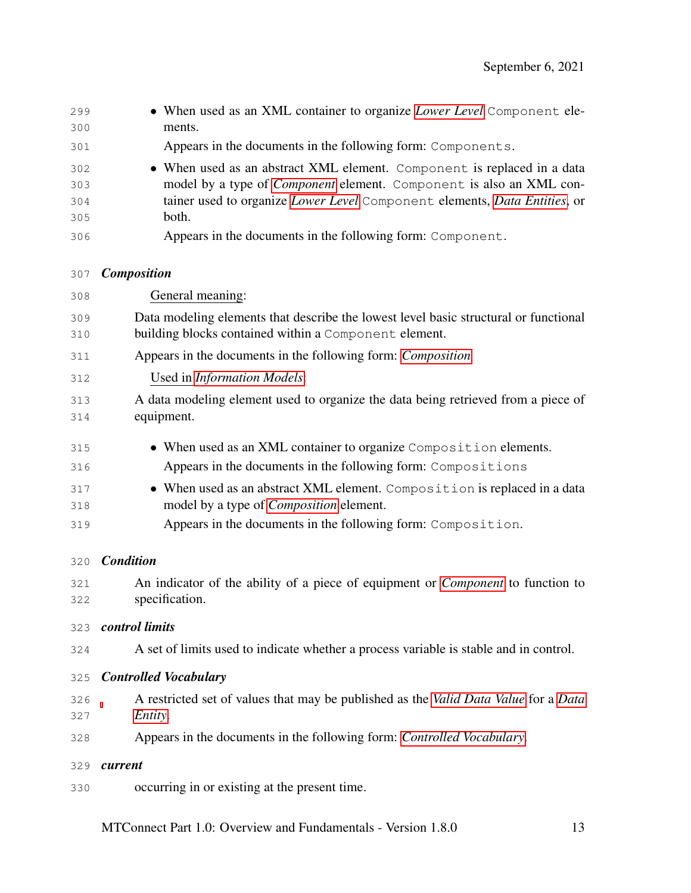<span id="page-19-2"></span><span id="page-19-1"></span><span id="page-19-0"></span>

| 299<br>300               | • When used as an XML container to organize Lower Level Component ele-<br>ments.                                                                                                                                                            |
|--------------------------|---------------------------------------------------------------------------------------------------------------------------------------------------------------------------------------------------------------------------------------------|
| 301                      | Appears in the documents in the following form: Components.                                                                                                                                                                                 |
| 302<br>303<br>304<br>305 | • When used as an abstract XML element. Component is replaced in a data<br>model by a type of <i>Component</i> element. Component is also an XML con-<br>tainer used to organize Lower Level Component elements, Data Entities, or<br>both. |
| 306                      | Appears in the documents in the following form: Component.                                                                                                                                                                                  |
| 307                      | <b>Composition</b>                                                                                                                                                                                                                          |
| 308                      | General meaning:                                                                                                                                                                                                                            |
| 309<br>310               | Data modeling elements that describe the lowest level basic structural or functional<br>building blocks contained within a Component element.                                                                                               |
| 311                      | Appears in the documents in the following form: <i>Composition</i>                                                                                                                                                                          |
| 312                      | Used in Information Models:                                                                                                                                                                                                                 |
| 313                      | A data modeling element used to organize the data being retrieved from a piece of                                                                                                                                                           |
| 314                      | equipment.                                                                                                                                                                                                                                  |
| 315                      | • When used as an XML container to organize Composition elements.                                                                                                                                                                           |
| 316                      | Appears in the documents in the following form: Compositions                                                                                                                                                                                |
| 317<br>318               | • When used as an abstract XML element. Composition is replaced in a data<br>model by a type of <i>Composition</i> element.                                                                                                                 |
| 319                      | Appears in the documents in the following form: Composition.                                                                                                                                                                                |
| 320                      | <b>Condition</b>                                                                                                                                                                                                                            |
| 321                      | An indicator of the ability of a piece of equipment or <i>Component</i> to function to                                                                                                                                                      |
| 322                      | specification.                                                                                                                                                                                                                              |
| 323                      | control limits                                                                                                                                                                                                                              |
| 324                      | A set of limits used to indicate whether a process variable is stable and in control.                                                                                                                                                       |
| 325                      | <b>Controlled Vocabulary</b>                                                                                                                                                                                                                |
| 326<br>327               | A restricted set of values that may be published as the <i>Valid Data Value</i> for a <i>Data</i><br>Entity.                                                                                                                                |
| 328                      | Appears in the documents in the following form: Controlled Vocabulary.                                                                                                                                                                      |
| 329                      | current                                                                                                                                                                                                                                     |
| 330                      | occurring in or existing at the present time.                                                                                                                                                                                               |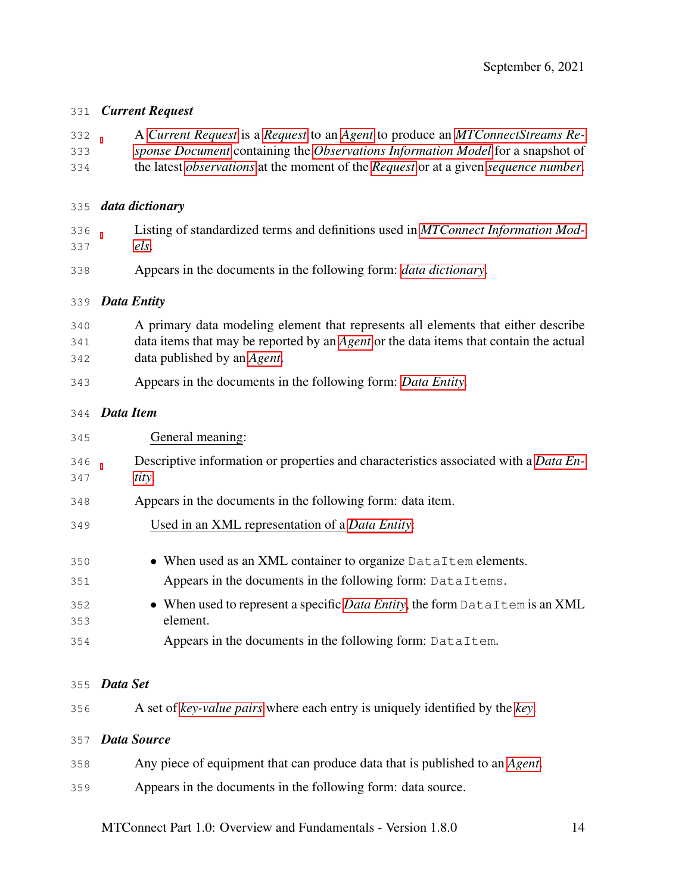#### <span id="page-20-2"></span>*Current Request*

| 332 | A Current Request is a Request to an Agent to produce an MTConnectStreams Re-                             |
|-----|-----------------------------------------------------------------------------------------------------------|
| 333 | sponse Document containing the Observations Information Model for a snapshot of                           |
| 334 | the latest <i>observations</i> at the moment of the <i>Request</i> or at a given <i>sequence number</i> . |

#### <span id="page-20-0"></span>*data dictionary*

- Listing of standardized terms and definitions used in *[MTConnect Information Mod-](#page-27-0)[els](#page-27-0)*.
- Appears in the documents in the following form: *[data dictionary](#page-20-0)*.

#### <span id="page-20-1"></span>*Data Entity*

- A primary data modeling element that represents all elements that either describe data items that may be reported by an *[Agent](#page-16-0)* or the data items that contain the actual data published by an *[Agent](#page-16-0)*.
- Appears in the documents in the following form: *[Data Entity](#page-20-1)*.

#### *Data Item*

| 345 | General meaning:                                                                                      |
|-----|-------------------------------------------------------------------------------------------------------|
| 346 | Descriptive information or properties and characteristics associated with a <i>Data En</i> -          |
| 347 | tity.                                                                                                 |
| 348 | Appears in the documents in the following form: data item.                                            |
| 349 | Used in an XML representation of a <i>Data Entity</i> :                                               |
| 350 | • When used as an XML container to organize DataItem elements.                                        |
| 351 | Appears in the documents in the following form: DataItems.                                            |
| 352 | $\bullet$ When used to represent a specific <i>Data Entity</i> , the form $\text{DataItem}$ is an XML |
| 353 | element.                                                                                              |
| 354 | Appears in the documents in the following form: DataItem.                                             |
|     |                                                                                                       |
| 355 | Data Set                                                                                              |
| 356 | A set of key-value pairs where each entry is uniquely identified by the key.                          |
| 357 | <b>Data Source</b>                                                                                    |
| 358 | Any piece of equipment that can produce data that is published to an <i>Agent</i> .                   |

<span id="page-20-3"></span>Appears in the documents in the following form: data source.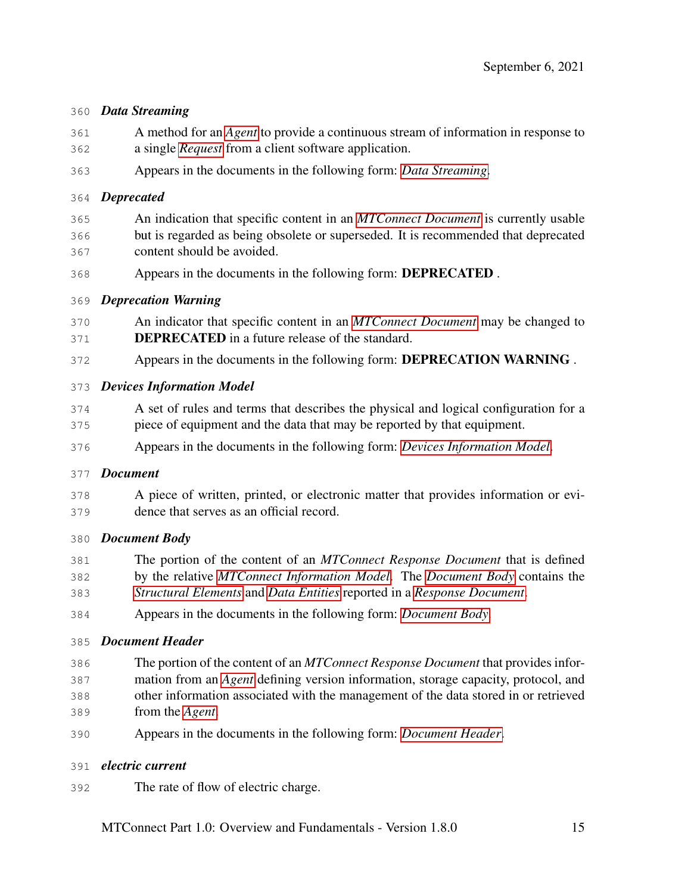#### <span id="page-21-1"></span>*Data Streaming*

- A method for an *[Agent](#page-16-0)* to provide a continuous stream of information in response to a single *[Request](#page-30-1)* from a client software application.
- Appears in the documents in the following form: *[Data Streaming](#page-21-1)*.

#### *Deprecated*

 An indication that specific content in an *[MTConnect Document](#page-27-1)* is currently usable but is regarded as being obsolete or superseded. It is recommended that deprecated content should be avoided.

Appears in the documents in the following form: DEPRECATED .

#### *Deprecation Warning*

- An indicator that specific content in an *[MTConnect Document](#page-27-1)* may be changed to **DEPRECATED** in a future release of the standard.
- 372 Appears in the documents in the following form: **DEPRECATION WARNING**.

#### <span id="page-21-2"></span>*Devices Information Model*

- A set of rules and terms that describes the physical and logical configuration for a piece of equipment and the data that may be reported by that equipment.
- Appears in the documents in the following form: *[Devices Information Model](#page-21-2)*.

#### <span id="page-21-0"></span>*Document*

 A piece of written, printed, or electronic matter that provides information or evi-dence that serves as an official record.

#### <span id="page-21-3"></span>*Document Body*

- The portion of the content of an *MTConnect Response Document* that is defined by the relative *[MTConnect Information Model](#page-27-0)*. The *[Document Body](#page-21-3)* contains the
- *[Structural Elements](#page-34-1)* and *[Data Entities](#page-20-1)* reported in a *[Response Document](#page-31-0)*.
- Appears in the documents in the following form: *[Document Body](#page-21-3)*.

#### <span id="page-21-4"></span>*Document Header*

- The portion of the content of an *MTConnect Response Document* that provides infor-
- mation from an *[Agent](#page-16-0)* defining version information, storage capacity, protocol, and other information associated with the management of the data stored in or retrieved
- from the *[Agent](#page-16-0)*.
- Appears in the documents in the following form: *[Document Header](#page-21-4)*.

#### *electric current*

The rate of flow of electric charge.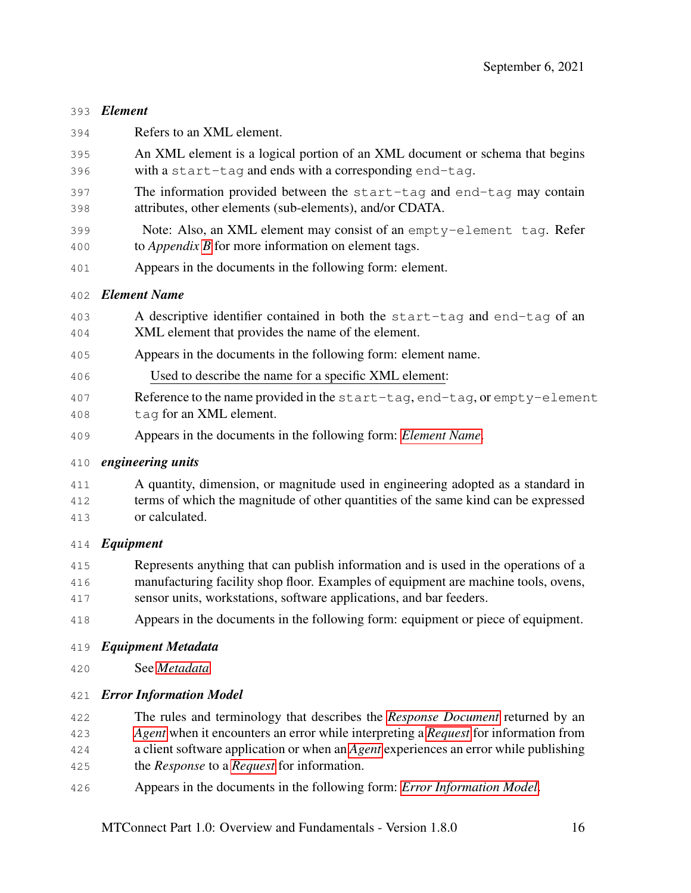#### *Element*

- Refers to an XML element.
- An XML element is a logical portion of an XML document or schema that begins with a start-tag and ends with a corresponding end-tag.
- The information provided between the start-tag and end-tag may contain attributes, other elements (sub-elements), and/or CDATA.
- Note: Also, an XML element may consist of an empty-element tag. Refer to *Appendix [B](#page-139-0)* for more information on element tags.
- Appears in the documents in the following form: element.

#### <span id="page-22-0"></span>*Element Name*

- A descriptive identifier contained in both the start-tag and end-tag of an XML element that provides the name of the element.
- Appears in the documents in the following form: element name.
- Used to describe the name for a specific XML element:
- Reference to the name provided in the start-tag, end-tag, or empty-element tag for an XML element.
- Appears in the documents in the following form: *[Element Name](#page-22-0)*.

#### *engineering units*

 A quantity, dimension, or magnitude used in engineering adopted as a standard in terms of which the magnitude of other quantities of the same kind can be expressed or calculated.

#### *Equipment*

- Represents anything that can publish information and is used in the operations of a manufacturing facility shop floor. Examples of equipment are machine tools, ovens, sensor units, workstations, software applications, and bar feeders.
- Appears in the documents in the following form: equipment or piece of equipment.
- <span id="page-22-2"></span>*Equipment Metadata*
- See *[Metadata](#page-26-2)*

#### <span id="page-22-1"></span>*Error Information Model*

- The rules and terminology that describes the *[Response Document](#page-31-0)* returned by an *[Agent](#page-16-0)* when it encounters an error while interpreting a *[Request](#page-30-1)* for information from a client software application or when an *[Agent](#page-16-0)* experiences an error while publishing the *Response* to a *[Request](#page-30-1)* for information.
- Appears in the documents in the following form: *[Error Information Model](#page-22-1)*.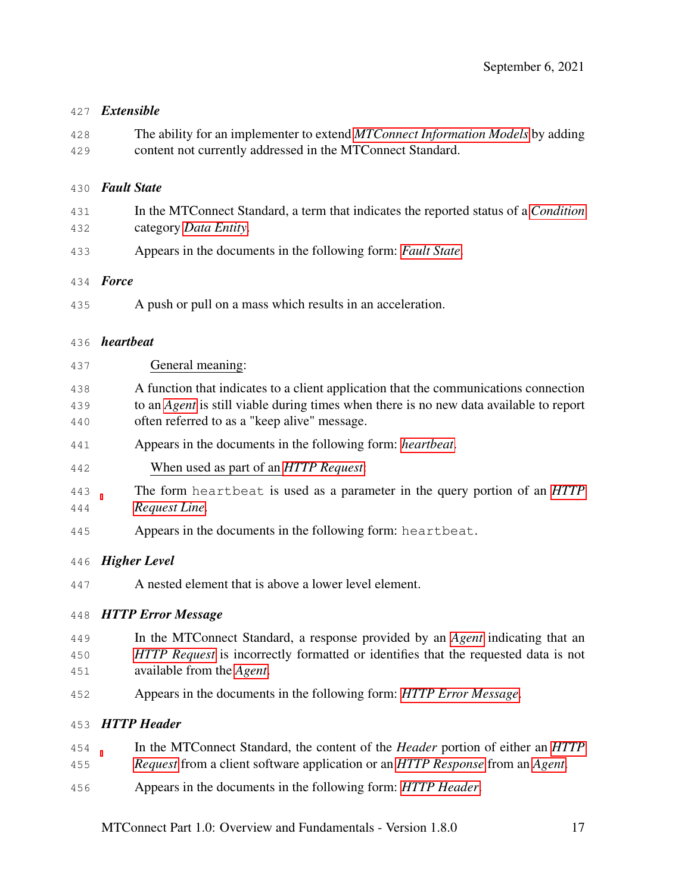#### *Extensible*

 The ability for an implementer to extend *[MTConnect Information Models](#page-27-0)* by adding content not currently addressed in the MTConnect Standard.

#### <span id="page-23-0"></span>*Fault State*

- In the MTConnect Standard, a term that indicates the reported status of a *[Condition](#page-19-2)* category *[Data Entity](#page-20-1)*.
- Appears in the documents in the following form: *[Fault State](#page-23-0)*.

#### *Force*

A push or pull on a mass which results in an acceleration.

#### <span id="page-23-1"></span>*heartbeat*

#### General meaning:

- A function that indicates to a client application that the communications connection to an *[Agent](#page-16-0)* is still viable during times when there is no new data available to report often referred to as a "keep alive" message.
- Appears in the documents in the following form: *[heartbeat](#page-23-1)*.
- When used as part of an *[HTTP Request](#page-24-0)*:
- The form heartbeat is used as a parameter in the query portion of an *[HTTP](#page-24-1) [Request Line](#page-24-1)*.
- Appears in the documents in the following form: heartbeat.

#### *Higher Level*

A nested element that is above a lower level element.

#### <span id="page-23-2"></span>*HTTP Error Message*

- In the MTConnect Standard, a response provided by an *[Agent](#page-16-0)* indicating that an *[HTTP Request](#page-24-0)* is incorrectly formatted or identifies that the requested data is not available from the *[Agent](#page-16-0)*.
- Appears in the documents in the following form: *[HTTP Error Message](#page-23-2)*.

#### <span id="page-23-3"></span>*HTTP Header*

- In the MTConnect Standard, the content of the *Header* portion of either an *[HTTP](#page-24-0)*
- *[Request](#page-24-0)* from a client software application or an *[HTTP Response](#page-24-2)* from an *[Agent](#page-16-0)*.
- Appears in the documents in the following form: *[HTTP Header](#page-23-3)*.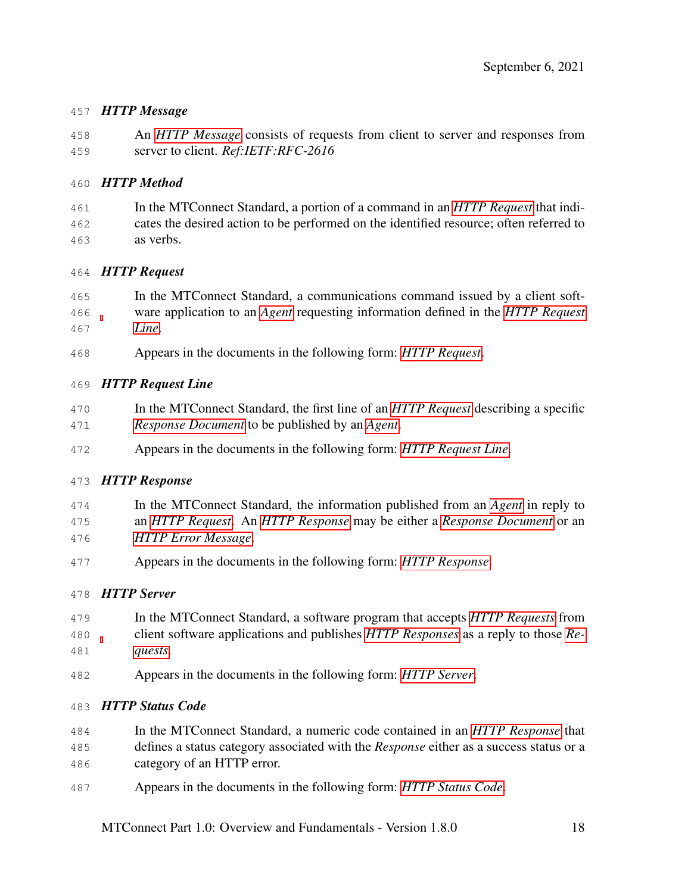#### <span id="page-24-3"></span>*HTTP Message*

 An *[HTTP Message](#page-24-3)* consists of requests from client to server and responses from server to client. *Ref:IETF:RFC-2616*

#### *HTTP Method*

 In the MTConnect Standard, a portion of a command in an *[HTTP Request](#page-24-0)* that indi- cates the desired action to be performed on the identified resource; often referred to as verbs.

#### <span id="page-24-0"></span>*HTTP Request*

- In the MTConnect Standard, a communications command issued by a client soft-ware application to an *[Agent](#page-16-0)* requesting information defined in the *[HTTP Request](#page-24-1)*
- *[Line](#page-24-1)*.
- Appears in the documents in the following form: *[HTTP Request](#page-24-0)*.

#### <span id="page-24-1"></span>*HTTP Request Line*

- In the MTConnect Standard, the first line of an *[HTTP Request](#page-24-0)* describing a specific *[Response Document](#page-31-0)* to be published by an *[Agent](#page-16-0)*.
- Appears in the documents in the following form: *[HTTP Request Line](#page-24-1)*.

#### <span id="page-24-2"></span>*HTTP Response*

- In the MTConnect Standard, the information published from an *[Agent](#page-16-0)* in reply to an *[HTTP Request](#page-24-0)*. An *[HTTP Response](#page-24-2)* may be either a *[Response Document](#page-31-0)* or an *[HTTP Error Message](#page-23-2)*.
- Appears in the documents in the following form: *[HTTP Response](#page-24-2)*.

#### <span id="page-24-4"></span>*HTTP Server*

- In the MTConnect Standard, a software program that accepts *[HTTP Requests](#page-24-0)* from client software applications and publishes *[HTTP Responses](#page-24-2)* as a reply to those *[Re-](#page-30-1)*
- *[quests](#page-30-1)*.
- Appears in the documents in the following form: *[HTTP Server](#page-24-4)*.

#### <span id="page-24-5"></span>*HTTP Status Code*

- In the MTConnect Standard, a numeric code contained in an *[HTTP Response](#page-24-2)* that defines a status category associated with the *Response* either as a success status or a category of an HTTP error.
- Appears in the documents in the following form: *[HTTP Status Code](#page-24-5)*.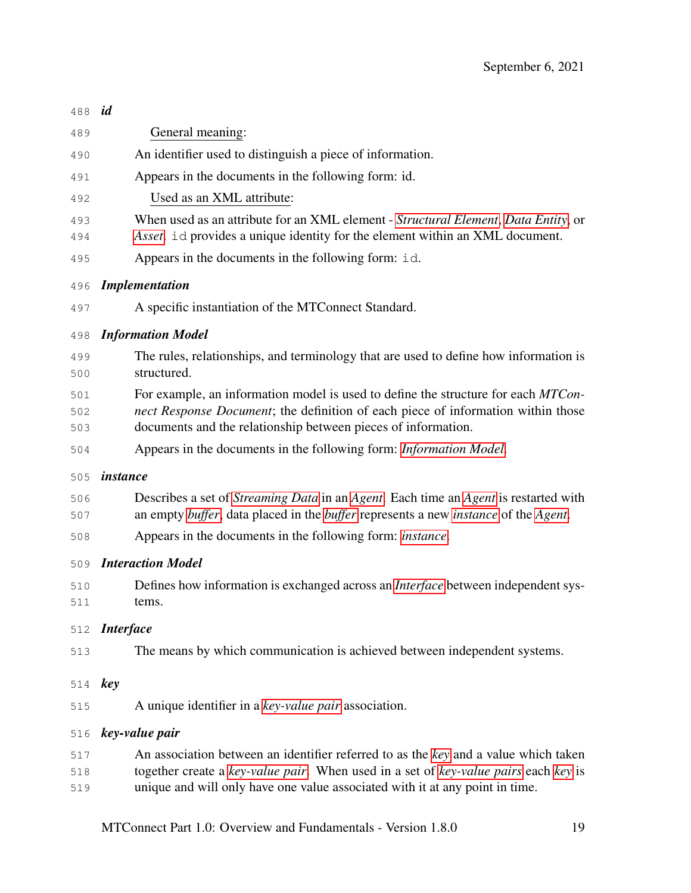<span id="page-25-5"></span><span id="page-25-4"></span><span id="page-25-3"></span><span id="page-25-2"></span><span id="page-25-1"></span><span id="page-25-0"></span>

| 488               | id                                                                                                                                                                                                                                     |  |
|-------------------|----------------------------------------------------------------------------------------------------------------------------------------------------------------------------------------------------------------------------------------|--|
| 489               | General meaning:                                                                                                                                                                                                                       |  |
| 490               | An identifier used to distinguish a piece of information.                                                                                                                                                                              |  |
| 491               | Appears in the documents in the following form: id.                                                                                                                                                                                    |  |
| 492               | Used as an XML attribute:                                                                                                                                                                                                              |  |
| 493<br>494        | When used as an attribute for an XML element - Structural Element, Data Entity, or<br>Asset. id provides a unique identity for the element within an XML document.                                                                     |  |
| 495               | Appears in the documents in the following form: id.                                                                                                                                                                                    |  |
| 496               | <b>Implementation</b>                                                                                                                                                                                                                  |  |
| 497               | A specific instantiation of the MTConnect Standard.                                                                                                                                                                                    |  |
| 498               | <b>Information Model</b>                                                                                                                                                                                                               |  |
| 499<br>500        | The rules, relationships, and terminology that are used to define how information is<br>structured.                                                                                                                                    |  |
| 501<br>502<br>503 | For example, an information model is used to define the structure for each MTCon-<br>nect Response Document; the definition of each piece of information within those<br>documents and the relationship between pieces of information. |  |
| 504               | Appears in the documents in the following form: Information Model.                                                                                                                                                                     |  |
| 505               | <i>instance</i>                                                                                                                                                                                                                        |  |
| 506<br>507        | Describes a set of Streaming Data in an Agent. Each time an Agent is restarted with<br>an empty buffer, data placed in the buffer represents a new instance of the Agent.                                                              |  |
| 508               | Appears in the documents in the following form: <i>instance</i> .                                                                                                                                                                      |  |
| 509               | <b>Interaction Model</b>                                                                                                                                                                                                               |  |
| 510<br>511        | Defines how information is exchanged across an <i>Interface</i> between independent sys-<br>tems.                                                                                                                                      |  |
| 512               | <i>Interface</i>                                                                                                                                                                                                                       |  |
| 513               | The means by which communication is achieved between independent systems.                                                                                                                                                              |  |
| 514               | <b>key</b>                                                                                                                                                                                                                             |  |
| 515               | A unique identifier in a key-value pair association.                                                                                                                                                                                   |  |
| 516               | key-value pair                                                                                                                                                                                                                         |  |
| 517               | An association between an identifier referred to as the key and a value which taken                                                                                                                                                    |  |
| 518<br>519        | together create a key-value pair. When used in a set of key-value pairs each key is<br>unique and will only have one value associated with it at any point in time.                                                                    |  |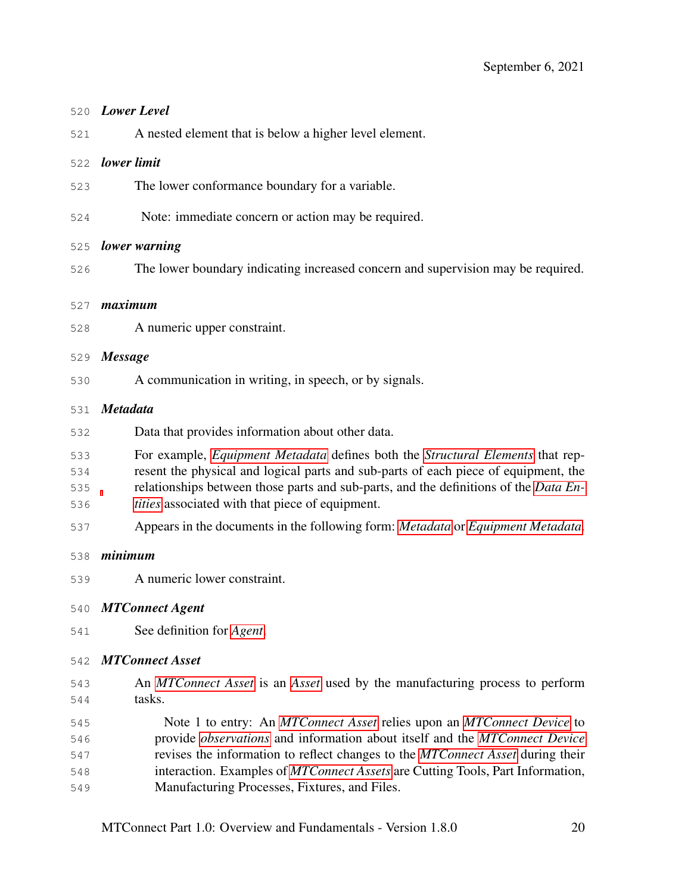#### <span id="page-26-1"></span>*Lower Level*

A nested element that is below a higher level element.

#### *lower limit*

- The lower conformance boundary for a variable.
- Note: immediate concern or action may be required.

#### *lower warning*

The lower boundary indicating increased concern and supervision may be required.

#### *maximum*

A numeric upper constraint.

#### *Message*

A communication in writing, in speech, or by signals.

#### <span id="page-26-2"></span>*Metadata*

- Data that provides information about other data.
- For example, *[Equipment Metadata](#page-22-2)* defines both the *[Structural Elements](#page-34-1)* that rep- resent the physical and logical parts and sub-parts of each piece of equipment, the relationships between those parts and sub-parts, and the definitions of the *[Data En-](#page-20-1)[tities](#page-20-1)* associated with that piece of equipment.
- Appears in the documents in the following form: *[Metadata](#page-26-2)* or *[Equipment Metadata](#page-22-2)*.

#### *minimum*

A numeric lower constraint.

#### <span id="page-26-3"></span>*MTConnect Agent*

See definition for *[Agent](#page-16-0)*.

#### <span id="page-26-0"></span>*MTConnect Asset*

- An *[MTConnect Asset](#page-26-0)* is an *[Asset](#page-17-1)* used by the manufacturing process to perform tasks.
- Note 1 to entry: An *[MTConnect Asset](#page-26-0)* relies upon an *[MTConnect Device](#page-27-2)* to provide *[observations](#page-28-2)* and information about itself and the *[MTConnect Device](#page-27-2)* revises the information to reflect changes to the *[MTConnect Asset](#page-26-0)* during their interaction. Examples of *[MTConnect Assets](#page-26-0)* are Cutting Tools, Part Information, Manufacturing Processes, Fixtures, and Files.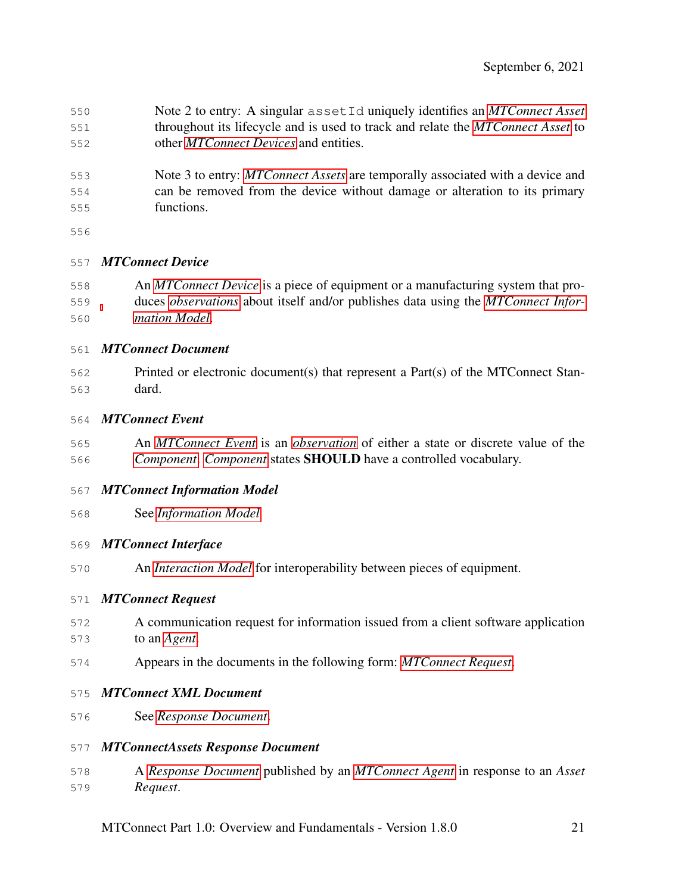- Note 2 to entry: A singular assetId uniquely identifies an *[MTConnect Asset](#page-26-0)* throughout its lifecycle and is used to track and relate the *[MTConnect Asset](#page-26-0)* to other *[MTConnect Devices](#page-27-2)* and entities.
- Note 3 to entry: *[MTConnect Assets](#page-26-0)* are temporally associated with a device and can be removed from the device without damage or alteration to its primary functions.
- 

#### <span id="page-27-2"></span>*MTConnect Device*

- An *[MTConnect Device](#page-27-2)* is a piece of equipment or a manufacturing system that pro- duces *[observations](#page-28-2)* about itself and/or publishes data using the *[MTConnect Infor-](#page-27-0)[mation Model](#page-27-0)*.
- <span id="page-27-1"></span>*MTConnect Document*
- Printed or electronic document(s) that represent a Part(s) of the MTConnect Stan-dard.
- <span id="page-27-3"></span>*MTConnect Event*
- An *[MTConnect Event](#page-27-3)* is an *[observation](#page-28-2)* of either a state or discrete value of the *[Component](#page-18-3)*. *[Component](#page-18-3)* states SHOULD have a controlled vocabulary.
- <span id="page-27-0"></span>*MTConnect Information Model*
- See *[Information Model](#page-25-2)*
- *MTConnect Interface*
- An *[Interaction Model](#page-25-0)* for interoperability between pieces of equipment.

#### <span id="page-27-4"></span>*MTConnect Request*

- A communication request for information issued from a client software application to an *[Agent](#page-16-0)*.
- Appears in the documents in the following form: *[MTConnect Request](#page-27-4)*.

#### *MTConnect XML Document*

See *[Response Document](#page-31-0)*.

#### *MTConnectAssets Response Document*

 A *[Response Document](#page-31-0)* published by an *[MTConnect Agent](#page-26-3)* in response to an *Asset Request*.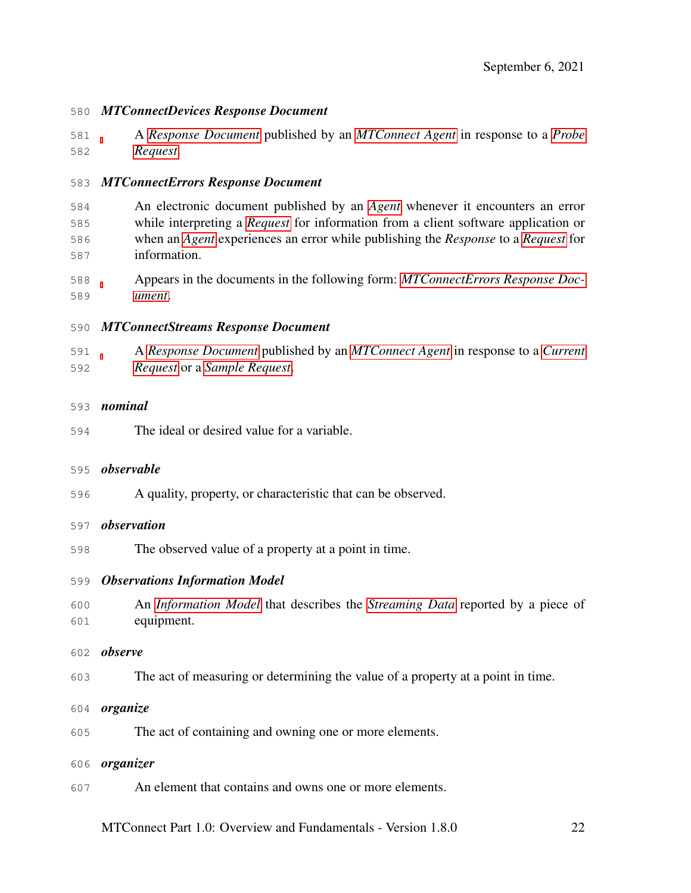#### <span id="page-28-4"></span>*MTConnectDevices Response Document*

 A *[Response Document](#page-31-0)* published by an *[MTConnect Agent](#page-26-3)* in response to a *[Probe](#page-29-2) [Request](#page-29-2)*.

#### <span id="page-28-3"></span>*MTConnectErrors Response Document*

- An electronic document published by an *[Agent](#page-16-0)* whenever it encounters an error while interpreting a *[Request](#page-30-1)* for information from a client software application or when an *[Agent](#page-16-0)* experiences an error while publishing the *Response* to a *[Request](#page-30-1)* for information.
- Appears in the documents in the following form: *[MTConnectErrors Response Doc-](#page-28-3)[ument](#page-28-3)*.

#### <span id="page-28-0"></span>*MTConnectStreams Response Document*

 A *[Response Document](#page-31-0)* published by an *[MTConnect Agent](#page-26-3)* in response to a *[Current](#page-20-2) [Request](#page-20-2)* or a *[Sample Request](#page-32-1)*.

#### *nominal*

The ideal or desired value for a variable.

#### *observable*

A quality, property, or characteristic that can be observed.

#### <span id="page-28-2"></span>*observation*

The observed value of a property at a point in time.

#### <span id="page-28-1"></span>*Observations Information Model*

 An *[Information Model](#page-25-2)* that describes the *[Streaming Data](#page-34-0)* reported by a piece of equipment.

#### *observe*

- The act of measuring or determining the value of a property at a point in time.
- *organize*
- The act of containing and owning one or more elements.

#### *organizer*

An element that contains and owns one or more elements.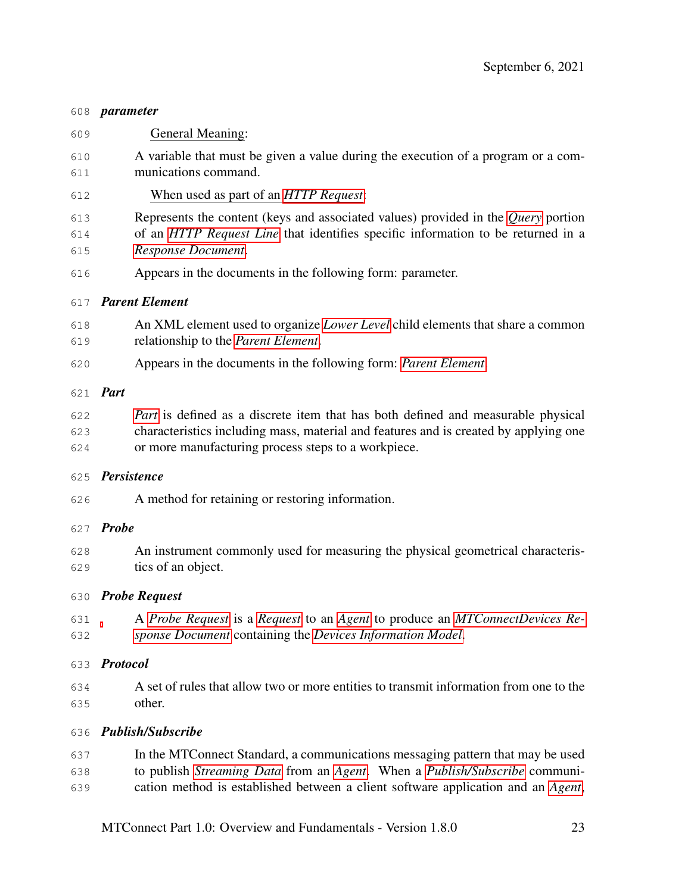#### *parameter*

- General Meaning:
- A variable that must be given a value during the execution of a program or a com-munications command.
- When used as part of an *[HTTP Request](#page-24-0)*:
- Represents the content (keys and associated values) provided in the *[Query](#page-30-2)* portion
- of an *[HTTP Request Line](#page-24-1)* that identifies specific information to be returned in a *[Response Document](#page-31-0)*.
- Appears in the documents in the following form: parameter.

#### <span id="page-29-1"></span>*Parent Element*

- An XML element used to organize *[Lower Level](#page-26-1)* child elements that share a common relationship to the *[Parent Element](#page-29-1)*.
- Appears in the documents in the following form: *[Parent Element](#page-29-1)*.

#### <span id="page-29-3"></span>*Part*

 *[Part](#page-29-3)* is defined as a discrete item that has both defined and measurable physical characteristics including mass, material and features and is created by applying one or more manufacturing process steps to a workpiece.

#### *Persistence*

A method for retaining or restoring information.

#### *Probe*

 An instrument commonly used for measuring the physical geometrical characteris-tics of an object.

#### <span id="page-29-2"></span>*Probe Request*

 A *[Probe Request](#page-29-2)* is a *[Request](#page-30-1)* to an *[Agent](#page-16-0)* to produce an *[MTConnectDevices Re-](#page-28-4)[sponse Document](#page-28-4)* containing the *[Devices Information Model](#page-21-2)*.

#### *Protocol*

 A set of rules that allow two or more entities to transmit information from one to the other.

#### <span id="page-29-0"></span>*Publish/Subscribe*

- In the MTConnect Standard, a communications messaging pattern that may be used to publish *[Streaming Data](#page-34-0)* from an *[Agent](#page-16-0)*. When a *[Publish/Subscribe](#page-29-0)* communi-
- cation method is established between a client software application and an *[Agent](#page-16-0)*,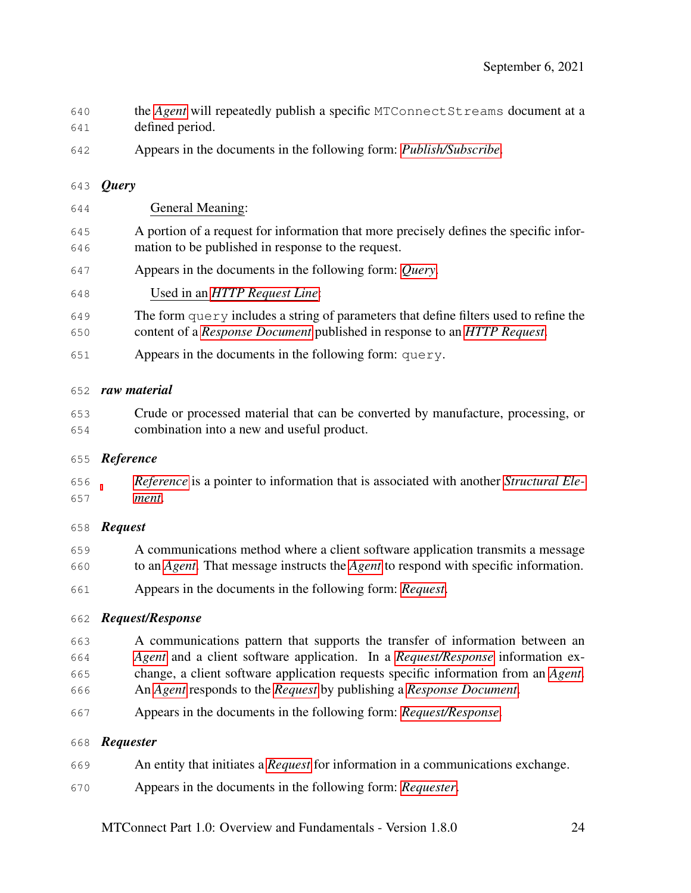- the *[Agent](#page-16-0)* will repeatedly publish a specific MTConnectStreams document at a defined period.
- Appears in the documents in the following form: *[Publish/Subscribe](#page-29-0)*.

#### <span id="page-30-2"></span>*Query*

 General Meaning: A portion of a request for information that more precisely defines the specific infor- mation to be published in response to the request. Appears in the documents in the following form: *[Query](#page-30-2)*. Used in an *[HTTP Request Line](#page-24-1)*: The form query includes a string of parameters that define filters used to refine the content of a *[Response Document](#page-31-0)* published in response to an *[HTTP Request](#page-24-0)*. Appears in the documents in the following form: query.

#### *raw material*

 Crude or processed material that can be converted by manufacture, processing, or combination into a new and useful product.

#### <span id="page-30-3"></span>*Reference*

 *[Reference](#page-30-3)* is a pointer to information that is associated with another *[Structural Ele-](#page-34-1)[ment](#page-34-1)*.

#### <span id="page-30-1"></span>*Request*

- A communications method where a client software application transmits a message to an *[Agent](#page-16-0)*. That message instructs the *[Agent](#page-16-0)* to respond with specific information.
- Appears in the documents in the following form: *[Request](#page-30-1)*.

#### <span id="page-30-0"></span>*Request/Response*

- A communications pattern that supports the transfer of information between an *[Agent](#page-16-0)* and a client software application. In a *[Request/Response](#page-30-0)* information ex-change, a client software application requests specific information from an *[Agent](#page-16-0)*.
- An *[Agent](#page-16-0)* responds to the *[Request](#page-30-1)* by publishing a *[Response Document](#page-31-0)*.
- Appears in the documents in the following form: *[Request/Response](#page-30-0)*.

#### <span id="page-30-4"></span>*Requester*

- An entity that initiates a *[Request](#page-30-1)* for information in a communications exchange.
- Appears in the documents in the following form: *[Requester](#page-30-4)*.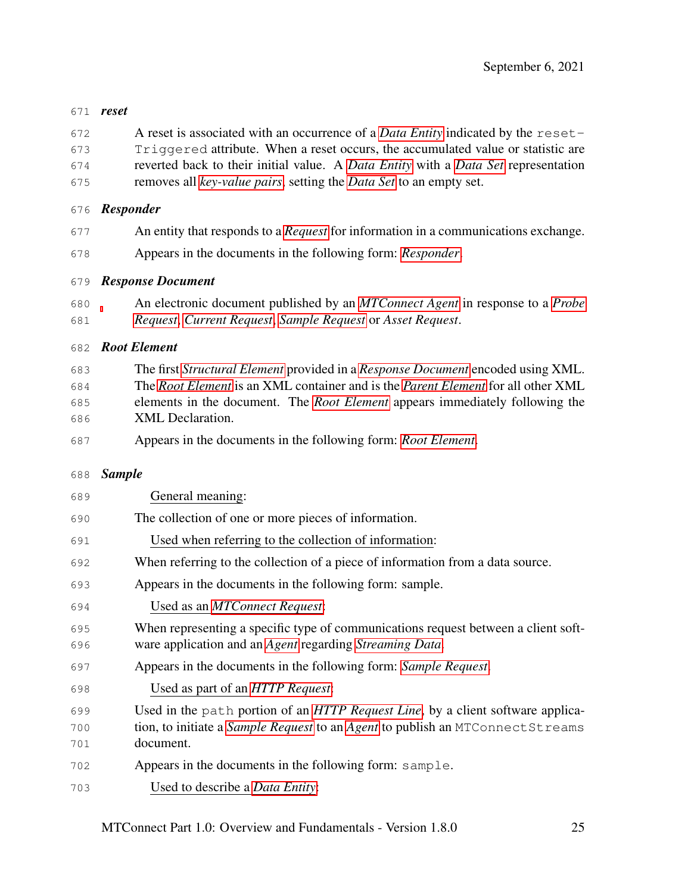#### *reset*

- A reset is associated with an occurrence of a *[Data Entity](#page-20-1)* indicated by the reset- Triggered attribute. When a reset occurs, the accumulated value or statistic are reverted back to their initial value. A *[Data Entity](#page-20-1)* with a *[Data Set](#page-20-3)* representation
- removes all *[key-value pairs](#page-25-3)*, setting the *[Data Set](#page-20-3)* to an empty set.

#### <span id="page-31-1"></span>*Responder*

- An entity that responds to a *[Request](#page-30-1)* for information in a communications exchange.
- Appears in the documents in the following form: *[Responder](#page-31-1)*.

#### <span id="page-31-0"></span>*Response Document*

 An electronic document published by an *[MTConnect Agent](#page-26-3)* in response to a *[Probe](#page-29-2) [Request](#page-29-2)*, *[Current Request](#page-20-2)*, *[Sample Request](#page-32-1)* or *Asset Request*.

#### <span id="page-31-2"></span>*Root Element*

 The first *[Structural Element](#page-34-1)* provided in a *[Response Document](#page-31-0)* encoded using XML. The *[Root Element](#page-31-2)* is an XML container and is the *[Parent Element](#page-29-1)* for all other XML elements in the document. The *[Root Element](#page-31-2)* appears immediately following the XML Declaration. Appears in the documents in the following form: *[Root Element](#page-31-2)*.

## <span id="page-31-3"></span>*Sample*

| 689               | General meaning:                                                                                                                                                                             |
|-------------------|----------------------------------------------------------------------------------------------------------------------------------------------------------------------------------------------|
| 690               | The collection of one or more pieces of information.                                                                                                                                         |
| 691               | Used when referring to the collection of information:                                                                                                                                        |
| 692               | When referring to the collection of a piece of information from a data source.                                                                                                               |
| 693               | Appears in the documents in the following form: sample.                                                                                                                                      |
| 694               | Used as an <i>MTConnect Request</i> :                                                                                                                                                        |
| 695<br>696        | When representing a specific type of communications request between a client soft-<br>ware application and an Agent regarding Streaming Data.                                                |
| 697               | Appears in the documents in the following form: Sample Request.                                                                                                                              |
| 698               | Used as part of an HTTP Request:                                                                                                                                                             |
| 699<br>700<br>701 | Used in the path portion of an HTTP Request Line, by a client software applica-<br>tion, to initiate a <i>Sample Request</i> to an <i>Agent</i> to publish an MTConnect Streams<br>document. |
| 702               | Appears in the documents in the following form: sample.                                                                                                                                      |
| 703               | Used to describe a <i>Data Entity</i> :                                                                                                                                                      |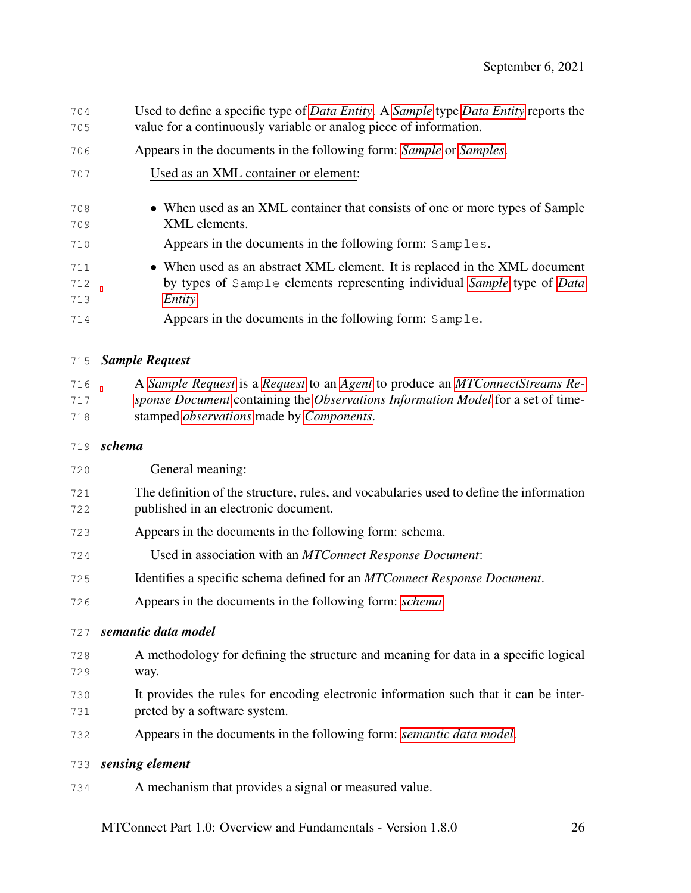- Used to define a specific type of *[Data Entity](#page-20-1)*. A *[Sample](#page-31-3)* type *[Data Entity](#page-20-1)* reports the value for a continuously variable or analog piece of information.
- Appears in the documents in the following form: *[Sample](#page-31-3)* or *[Samples](#page-31-3)*.
- Used as an XML container or element:
- When used as an XML container that consists of one or more types of Sample XML elements. Appears in the documents in the following form: Samples. • When used as an abstract XML element. It is replaced in the XML document by types of Sample elements representing individual *[Sample](#page-31-3)* type of *[Data](#page-20-1) [Entity](#page-20-1)*. Appears in the documents in the following form: Sample.
- <span id="page-32-1"></span>*Sample Request*

 A *[Sample Request](#page-32-1)* is a *[Request](#page-30-1)* to an *[Agent](#page-16-0)* to produce an *[MTConnectStreams Re-](#page-28-0) [sponse Document](#page-28-0)* containing the *[Observations Information Model](#page-28-1)* for a set of time-stamped *[observations](#page-28-2)* made by *[Components](#page-18-3)*.

- <span id="page-32-2"></span>*schema*
- General meaning:
- The definition of the structure, rules, and vocabularies used to define the information published in an electronic document.
- Appears in the documents in the following form: schema.
- Used in association with an *MTConnect Response Document*:
- Identifies a specific schema defined for an *MTConnect Response Document*.
- Appears in the documents in the following form: *[schema](#page-32-2)*.

#### <span id="page-32-0"></span>*semantic data model*

- A methodology for defining the structure and meaning for data in a specific logical way.
- It provides the rules for encoding electronic information such that it can be inter-preted by a software system.
- Appears in the documents in the following form: *[semantic data model](#page-32-0)*.

#### <span id="page-32-3"></span>*sensing element*

A mechanism that provides a signal or measured value.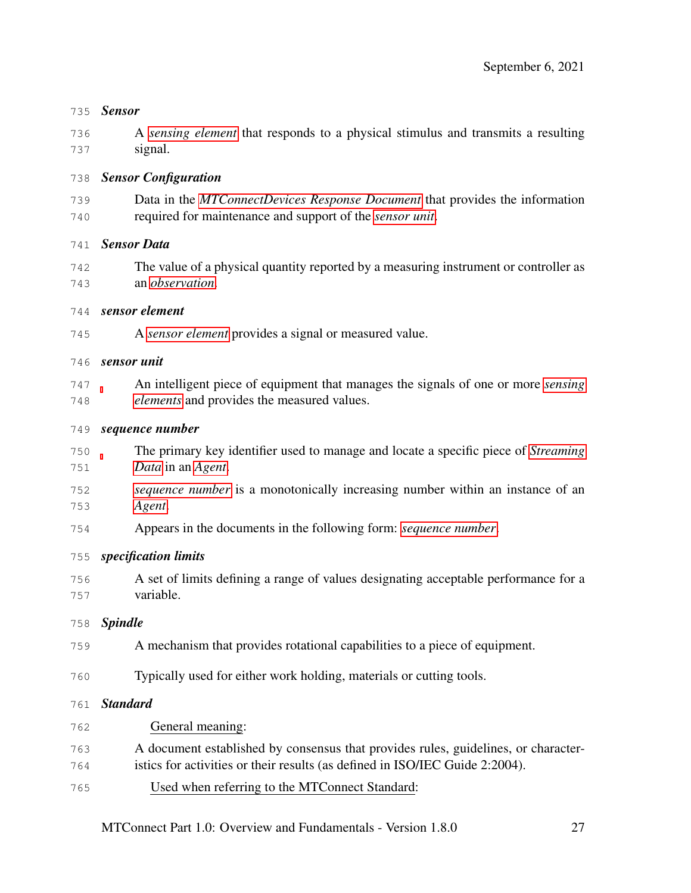## <span id="page-33-2"></span><span id="page-33-1"></span><span id="page-33-0"></span> A *[sensing element](#page-32-3)* that responds to a physical stimulus and transmits a resulting signal. *Sensor Configuration* Data in the *[MTConnectDevices Response Document](#page-28-4)* that provides the information required for maintenance and support of the *[sensor unit](#page-33-1)*. *Sensor Data* The value of a physical quantity reported by a measuring instrument or controller as an *[observation](#page-28-2)*. *sensor element* A *[sensor element](#page-33-2)* provides a signal or measured value. *sensor unit* An intelligent piece of equipment that manages the signals of one or more *[sensing](#page-32-3) [elements](#page-32-3)* and provides the measured values. *sequence number* The primary key identifier used to manage and locate a specific piece of *[Streaming](#page-34-0) [Data](#page-34-0)* in an *[Agent](#page-16-0)*. *[sequence number](#page-33-0)* is a monotonically increasing number within an instance of an *[Agent](#page-16-0)*. Appears in the documents in the following form: *[sequence number](#page-33-0)*. *specification limits* A set of limits defining a range of values designating acceptable performance for a variable. *Spindle* A mechanism that provides rotational capabilities to a piece of equipment. Typically used for either work holding, materials or cutting tools. *Standard* General meaning: A document established by consensus that provides rules, guidelines, or character- istics for activities or their results (as defined in ISO/IEC Guide 2:2004). Used when referring to the MTConnect Standard:

*Sensor*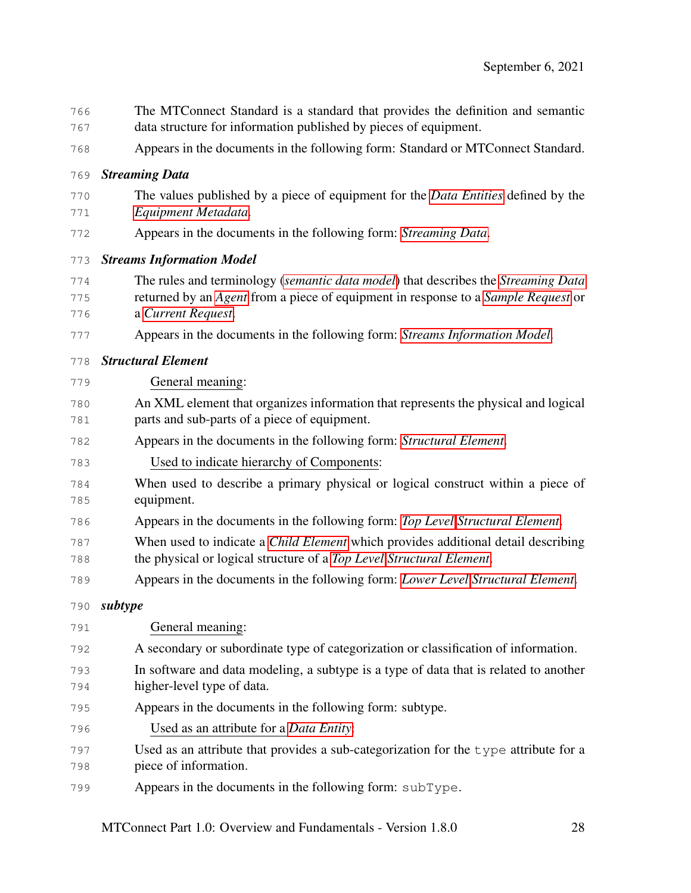<span id="page-34-2"></span><span id="page-34-1"></span><span id="page-34-0"></span>

| 766<br>767        | The MTConnect Standard is a standard that provides the definition and semantic<br>data structure for information published by pieces of equipment.                                           |
|-------------------|----------------------------------------------------------------------------------------------------------------------------------------------------------------------------------------------|
| 768               | Appears in the documents in the following form: Standard or MTConnect Standard.                                                                                                              |
| 769               | <b>Streaming Data</b>                                                                                                                                                                        |
| 770<br>771        | The values published by a piece of equipment for the <i>Data Entities</i> defined by the<br>Equipment Metadata.                                                                              |
| 772               | Appears in the documents in the following form: Streaming Data.                                                                                                                              |
| 773               | <b>Streams Information Model</b>                                                                                                                                                             |
| 774<br>775<br>776 | The rules and terminology (semantic data model) that describes the Streaming Data<br>returned by an Agent from a piece of equipment in response to a Sample Request or<br>a Current Request. |
| 777               | Appears in the documents in the following form: Streams Information Model.                                                                                                                   |
| 778               | <b>Structural Element</b>                                                                                                                                                                    |
| 779               | General meaning:                                                                                                                                                                             |
| 780<br>781        | An XML element that organizes information that represents the physical and logical<br>parts and sub-parts of a piece of equipment.                                                           |
| 782               | Appears in the documents in the following form: Structural Element.                                                                                                                          |
| 783               | Used to indicate hierarchy of Components:                                                                                                                                                    |
| 784<br>785        | When used to describe a primary physical or logical construct within a piece of<br>equipment.                                                                                                |
| 786               | Appears in the documents in the following form: Top Level Structural Element.                                                                                                                |
| 787<br>788        | When used to indicate a <i>Child Element</i> which provides additional detail describing<br>the physical or logical structure of a Top Level Structural Element.                             |
| 789               | Appears in the documents in the following form: Lower Level Structural Element.                                                                                                              |
| 790               | subtype                                                                                                                                                                                      |
| 791               | General meaning:                                                                                                                                                                             |
| 792               | A secondary or subordinate type of categorization or classification of information.                                                                                                          |
| 793<br>794        | In software and data modeling, a subtype is a type of data that is related to another<br>higher-level type of data.                                                                          |
| 795               | Appears in the documents in the following form: subtype.                                                                                                                                     |
| 796               | Used as an attribute for a <i>Data Entity</i> :                                                                                                                                              |
| 797<br>798        | Used as an attribute that provides a sub-categorization for the type attribute for a<br>piece of information.                                                                                |
| 799               | Appears in the documents in the following form: subType.                                                                                                                                     |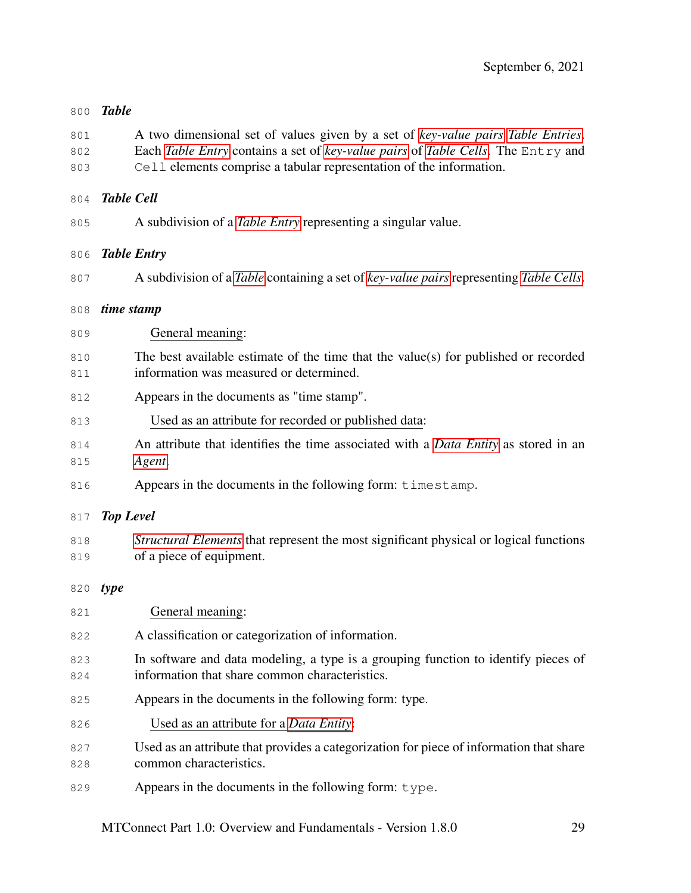<span id="page-35-3"></span><span id="page-35-2"></span><span id="page-35-1"></span><span id="page-35-0"></span>

| 800 | <b>Table</b>                                                                                 |
|-----|----------------------------------------------------------------------------------------------|
| 801 | A two dimensional set of values given by a set of key-value pairs Table Entries.             |
| 802 | Each Table Entry contains a set of key-value pairs of Table Cells. The Entry and             |
| 803 | Cell elements comprise a tabular representation of the information.                          |
| 804 | <b>Table Cell</b>                                                                            |
| 805 | A subdivision of a <i>Table Entry</i> representing a singular value.                         |
| 806 | <b>Table Entry</b>                                                                           |
| 807 | A subdivision of a Table containing a set of key-value pairs representing Table Cells.       |
| 808 | time stamp                                                                                   |
| 809 | General meaning:                                                                             |
| 810 | The best available estimate of the time that the value(s) for published or recorded          |
| 811 | information was measured or determined.                                                      |
| 812 | Appears in the documents as "time stamp".                                                    |
| 813 | Used as an attribute for recorded or published data:                                         |
| 814 | An attribute that identifies the time associated with a <i>Data Entity</i> as stored in an   |
| 815 | Agent.                                                                                       |
| 816 | Appears in the documents in the following form: timestamp.                                   |
| 817 | <b>Top Level</b>                                                                             |
| 818 | <i>Structural Elements</i> that represent the most significant physical or logical functions |
| 819 | of a piece of equipment.                                                                     |
| 820 | type                                                                                         |
| 821 | General meaning:                                                                             |
| 822 | A classification or categorization of information.                                           |
| 823 | In software and data modeling, a type is a grouping function to identify pieces of           |
| 824 | information that share common characteristics.                                               |
| 825 | Appears in the documents in the following form: type.                                        |
| 826 | Used as an attribute for a <i>Data Entity</i> :                                              |
| 827 | Used as an attribute that provides a categorization for piece of information that share      |
| 828 | common characteristics.                                                                      |
| 829 | Appears in the documents in the following form: type.                                        |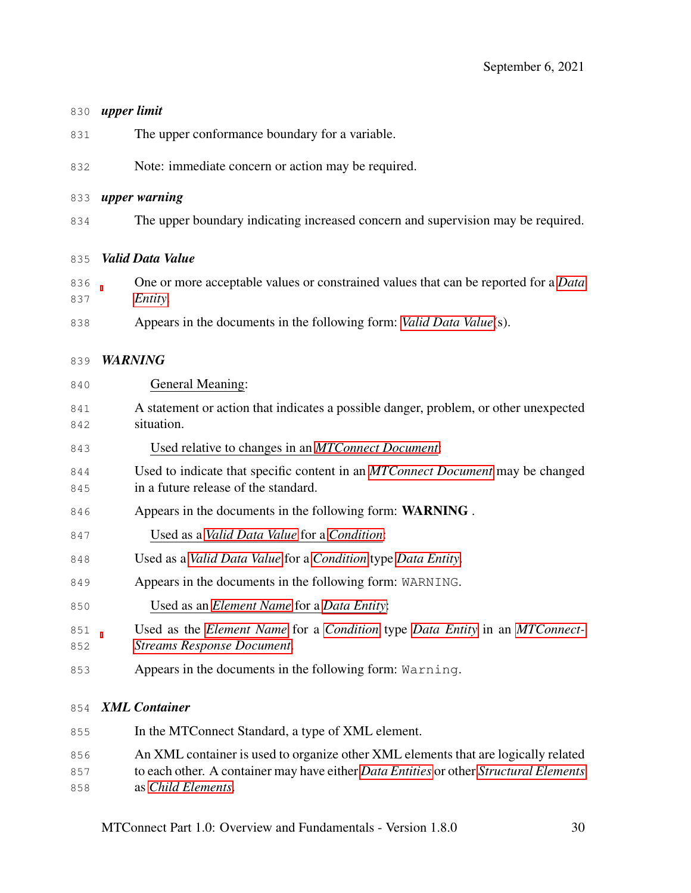<span id="page-36-0"></span>

| 830        | upper limit                                                                                                                                                                 |
|------------|-----------------------------------------------------------------------------------------------------------------------------------------------------------------------------|
| 831        | The upper conformance boundary for a variable.                                                                                                                              |
| 832        | Note: immediate concern or action may be required.                                                                                                                          |
| 833        | upper warning                                                                                                                                                               |
| 834        | The upper boundary indicating increased concern and supervision may be required.                                                                                            |
| 835        | <b>Valid Data Value</b>                                                                                                                                                     |
| 836<br>837 | One or more acceptable values or constrained values that can be reported for a Data<br>Entity.                                                                              |
| 838        | Appears in the documents in the following form: <i>Valid Data Value(s)</i> .                                                                                                |
| 839        | <b>WARNING</b>                                                                                                                                                              |
| 840        | General Meaning:                                                                                                                                                            |
| 841<br>842 | A statement or action that indicates a possible danger, problem, or other unexpected<br>situation.                                                                          |
| 843        | Used relative to changes in an MTConnect Document:                                                                                                                          |
| 844<br>845 | Used to indicate that specific content in an MTConnect Document may be changed<br>in a future release of the standard.                                                      |
| 846        | Appears in the documents in the following form: WARNING.                                                                                                                    |
| 847        | Used as a Valid Data Value for a Condition:                                                                                                                                 |
| 848        | Used as a Valid Data Value for a Condition type Data Entity.                                                                                                                |
| 849        | Appears in the documents in the following form: WARNING.                                                                                                                    |
| 850        | Used as an Element Name for a Data Entity:                                                                                                                                  |
| 851<br>852 | Used as the <i>Element Name</i> for a <i>Condition</i> type <i>Data Entity</i> in an <i>MTConnect</i> -<br><b>Streams Response Document.</b>                                |
| 853        | Appears in the documents in the following form: Warning.                                                                                                                    |
| 854        | <b>XML</b> Container                                                                                                                                                        |
| 855        | In the MTConnect Standard, a type of XML element.                                                                                                                           |
| 856<br>857 | An XML container is used to organize other XML elements that are logically related<br>to each other. A container may have either Data Entities or other Structural Elements |

as *[Child Elements](#page-18-0)*.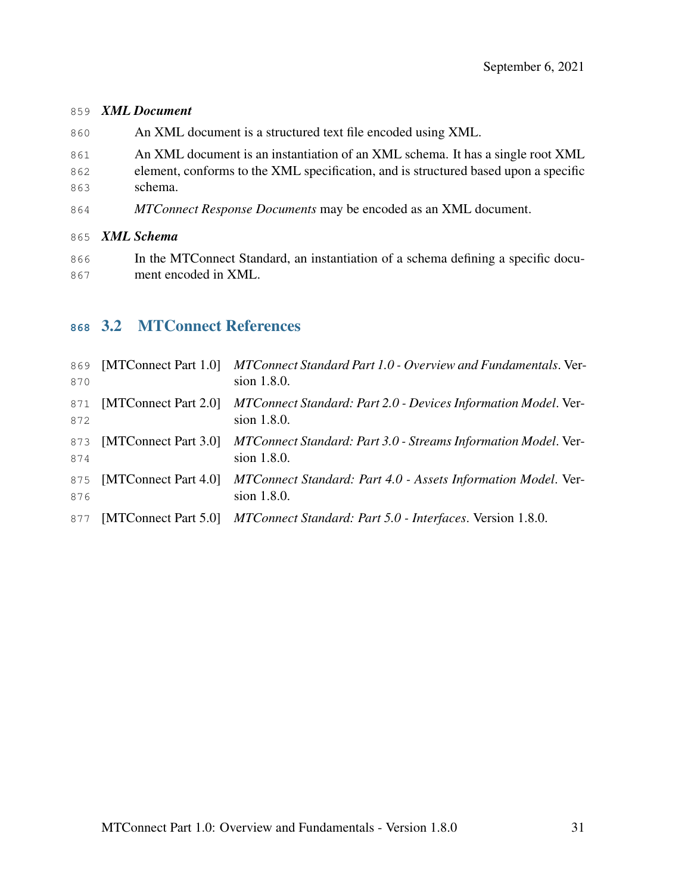#### <span id="page-37-1"></span>*XML Document*

- An XML document is a structured text file encoded using XML.
- 861 An XML document is an instantiation of an XML schema. It has a single root XML element, conforms to the XML specification, and is structured based upon a specific schema.
- *MTConnect Response Documents* may be encoded as an XML document.
- *XML Schema*
- In the MTConnect Standard, an instantiation of a schema defining a specific docu-ment encoded in XML.

### 3.2 MTConnect References

<span id="page-37-0"></span>

| 869<br>870 | [MTConnect Part 1.0] | MTConnect Standard Part 1.0 - Overview and Fundamentals. Ver-<br>sion 1.8.0.  |
|------------|----------------------|-------------------------------------------------------------------------------|
| 871<br>872 | [MTConnect Part 2.0] | MTConnect Standard: Part 2.0 - Devices Information Model. Ver-<br>sion 1.8.0. |
| 873<br>874 | [MTConnect Part 3.0] | MTConnect Standard: Part 3.0 - Streams Information Model. Ver-<br>sion 1.8.0. |
| 875<br>876 | [MTConnect Part 4.0] | MTConnect Standard: Part 4.0 - Assets Information Model. Ver-<br>sion 1.8.0.  |
| 877        | [MTConnect Part 5.0] | <i>MTConnect Standard: Part 5.0 - Interfaces. Version 1.8.0.</i>              |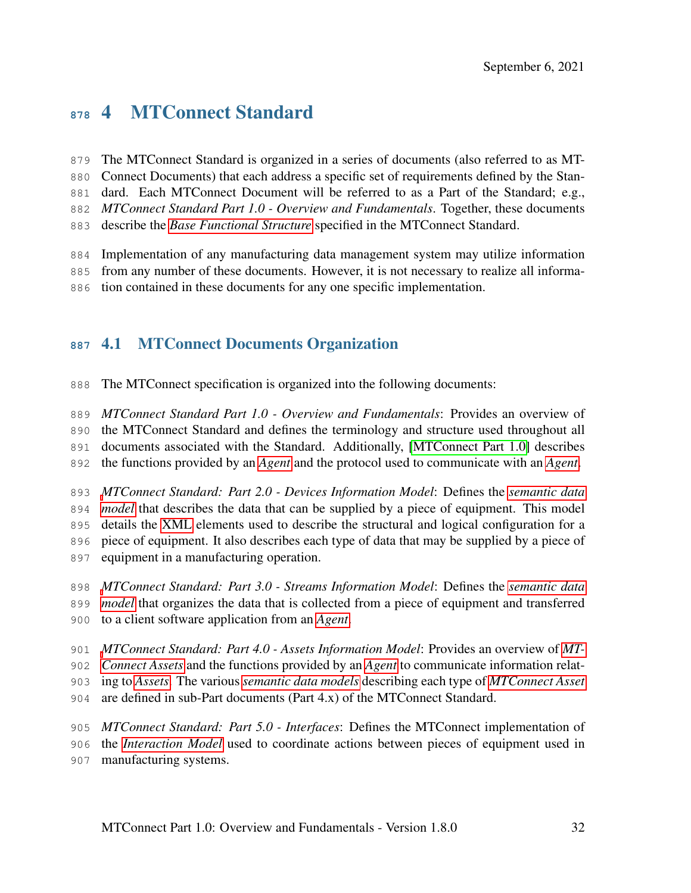# 4 MTConnect Standard

- The MTConnect Standard is organized in a series of documents (also referred to as MT-
- Connect Documents) that each address a specific set of requirements defined by the Stan-
- dard. Each MTConnect Document will be referred to as a Part of the Standard; e.g.,
- *MTConnect Standard Part 1.0 Overview and Fundamentals*. Together, these documents
- describe the *[Base Functional Structure](#page-18-1)* specified in the MTConnect Standard.
- Implementation of any manufacturing data management system may utilize information
- from any number of these documents. However, it is not necessary to realize all informa-
- tion contained in these documents for any one specific implementation.

# 4.1 MTConnect Documents Organization

The MTConnect specification is organized into the following documents:

 *MTConnect Standard Part 1.0 - Overview and Fundamentals*: Provides an overview of the MTConnect Standard and defines the terminology and structure used throughout all documents associated with the Standard. Additionally, [\[MTConnect Part 1.0\]](#page-37-0) describes

- the functions provided by an *[Agent](#page-16-0)* and the protocol used to communicate with an *[Agent](#page-16-0)*.
- *[M](#page-32-0)TConnect Standard: Part 2.0 Devices Information Model*: Defines the *[semantic data](#page-32-0) [model](#page-32-0)* that describes the data that can be supplied by a piece of equipment. This model details the [XML](#page-15-0) elements used to describe the structural and logical configuration for a piece of equipment. It also describes each type of data that may be supplied by a piece of equipment in a manufacturing operation.
- *[M](#page-32-0)TConnect Standard: Part 3.0 Streams Information Model*: Defines the *[semantic data](#page-32-0) [model](#page-32-0)* that organizes the data that is collected from a piece of equipment and transferred to a client software application from an *[Agent](#page-16-0)*.
- *[M](#page-26-0)TConnect Standard: Part 4.0 Assets Information Model*: Provides an overview of *[MT-](#page-26-0)*
- *[Connect Assets](#page-26-0)* and the functions provided by an *[Agent](#page-16-0)* to communicate information relat-
- ing to *[Assets](#page-17-0)*. The various *[semantic data models](#page-32-0)* describing each type of *[MTConnect Asset](#page-26-0)*
- are defined in sub-Part documents (Part 4.x) of the MTConnect Standard.
- *MTConnect Standard: Part 5.0 Interfaces*: Defines the MTConnect implementation of
- the *[Interaction Model](#page-25-0)* used to coordinate actions between pieces of equipment used in
- manufacturing systems.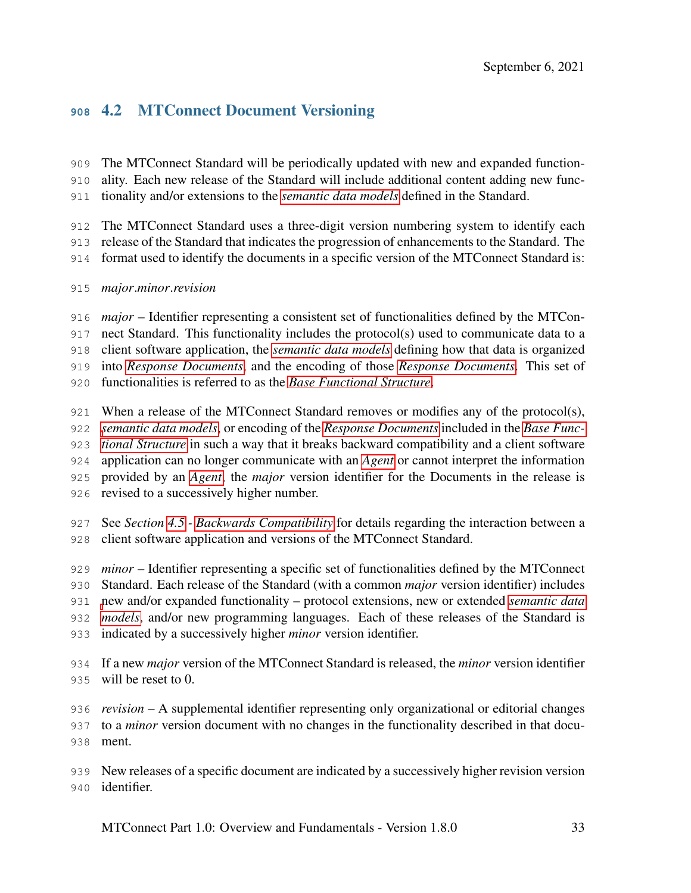# 4.2 MTConnect Document Versioning

- The MTConnect Standard will be periodically updated with new and expanded function-
- ality. Each new release of the Standard will include additional content adding new func-
- tionality and/or extensions to the *[semantic data models](#page-32-0)* defined in the Standard.
- The MTConnect Standard uses a three-digit version numbering system to identify each
- release of the Standard that indicates the progression of enhancements to the Standard. The
- format used to identify the documents in a specific version of the MTConnect Standard is:
- *major*.*minor*.*revision*
- *major* Identifier representing a consistent set of functionalities defined by the MTCon- nect Standard. This functionality includes the protocol(s) used to communicate data to a client software application, the *[semantic data models](#page-32-0)* defining how that data is organized
- into *[Response Documents](#page-31-0)*, and the encoding of those *[Response Documents](#page-31-0)*. This set of
- functionalities is referred to as the *[Base Functional Structure](#page-18-1)*.
- When a release of the MTConnect Standard removes or modifies any of the protocol(s), *[semantic data models](#page-32-0)*, or encoding of the *[Response Documents](#page-31-0)* included in the *[Base Func-](#page-18-1) [tional Structure](#page-18-1)* in such a way that it breaks backward compatibility and a client software application can no longer communicate with an *[Agent](#page-16-0)* or cannot interpret the information provided by an *[Agent](#page-16-0)*, the *major* version identifier for the Documents in the release is
- revised to a successively higher number.
- See *Section [4.5](#page-46-0) - [Backwards Compatibility](#page-46-0)* for details regarding the interaction between a client software application and versions of the MTConnect Standard.
- *minor* Identifier representing a specific set of functionalities defined by the MTConnect Standard. Each release of the Standard (with a common *major* version identifier) includes [n](#page-32-0)ew and/or expanded functionality – protocol extensions, new or extended *[semantic data](#page-32-0) [models](#page-32-0)*, and/or new programming languages. Each of these releases of the Standard is indicated by a successively higher *minor* version identifier.
- If a new *major* version of the MTConnect Standard is released, the *minor* version identifier will be reset to 0.
- *revision* A supplemental identifier representing only organizational or editorial changes
- to a *minor* version document with no changes in the functionality described in that docu-ment.
- New releases of a specific document are indicated by a successively higher revision version identifier.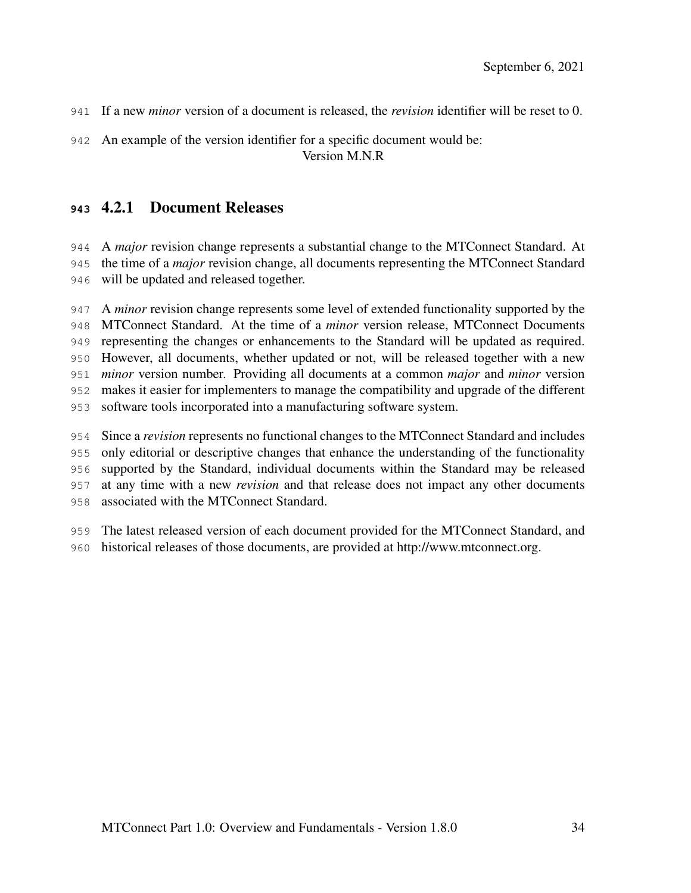If a new *minor* version of a document is released, the *revision* identifier will be reset to 0.

 An example of the version identifier for a specific document would be: Version M.N.R

### 4.2.1 Document Releases

 A *major* revision change represents a substantial change to the MTConnect Standard. At the time of a *major* revision change, all documents representing the MTConnect Standard will be updated and released together.

 A *minor* revision change represents some level of extended functionality supported by the MTConnect Standard. At the time of a *minor* version release, MTConnect Documents representing the changes or enhancements to the Standard will be updated as required. However, all documents, whether updated or not, will be released together with a new *minor* version number. Providing all documents at a common *major* and *minor* version makes it easier for implementers to manage the compatibility and upgrade of the different software tools incorporated into a manufacturing software system.

 Since a *revision* represents no functional changes to the MTConnect Standard and includes only editorial or descriptive changes that enhance the understanding of the functionality supported by the Standard, individual documents within the Standard may be released at any time with a new *revision* and that release does not impact any other documents associated with the MTConnect Standard.

 The latest released version of each document provided for the MTConnect Standard, and historical releases of those documents, are provided at http://www.mtconnect.org.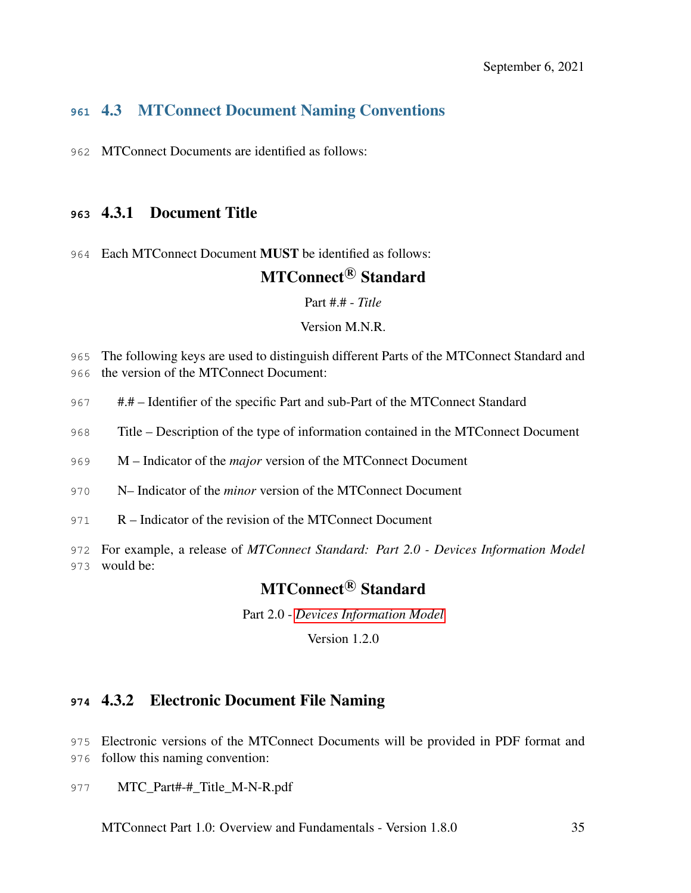# 4.3 MTConnect Document Naming Conventions

MTConnect Documents are identified as follows:

### 4.3.1 Document Title

Each MTConnect Document MUST be identified as follows:

# MTConnect<sup>®</sup> Standard

Part #.# - *Title*

Version M.N.R.

- The following keys are used to distinguish different Parts of the MTConnect Standard and the version of the MTConnect Document:
- #.# Identifier of the specific Part and sub-Part of the MTConnect Standard
- Title Description of the type of information contained in the MTConnect Document
- M Indicator of the *major* version of the MTConnect Document
- N– Indicator of the *minor* version of the MTConnect Document
- R Indicator of the revision of the MTConnect Document
- For example, a release of *MTConnect Standard: Part 2.0 Devices Information Model* would be:

# MTConnect<sup>®</sup> Standard

Part 2.0 - *[Devices Information Model](#page-21-0)*

Version 1.2.0

### 4.3.2 Electronic Document File Naming

- Electronic versions of the MTConnect Documents will be provided in PDF format and
- follow this naming convention:
- MTC\_Part#-#\_Title\_M-N-R.pdf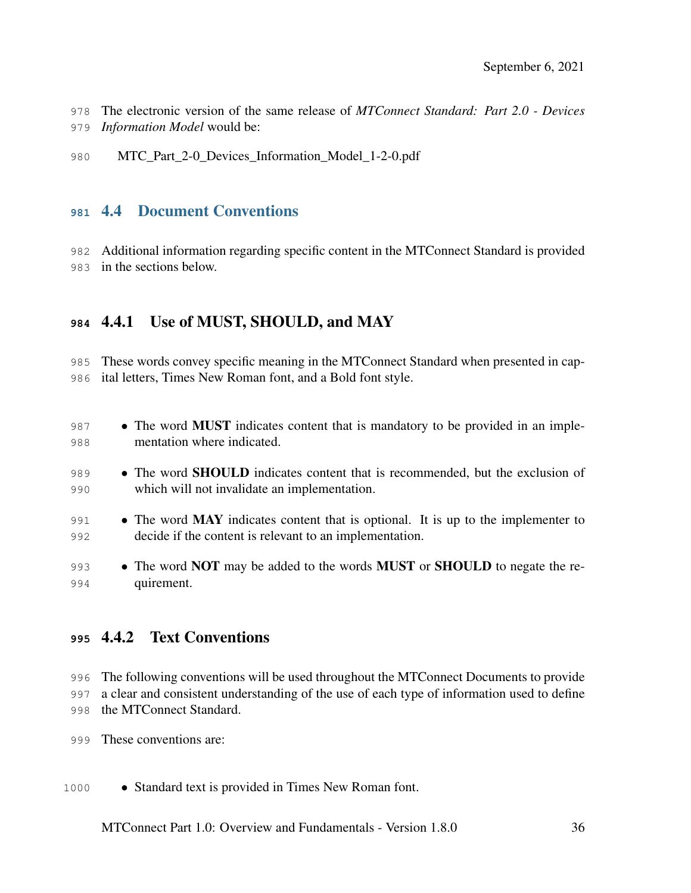The electronic version of the same release of *MTConnect Standard: Part 2.0 - Devices*

- *Information Model* would be:
- MTC\_Part\_2-0\_Devices\_Information\_Model\_1-2-0.pdf

### 4.4 Document Conventions

 Additional information regarding specific content in the MTConnect Standard is provided in the sections below.

# 4.4.1 Use of MUST, SHOULD, and MAY

 These words convey specific meaning in the MTConnect Standard when presented in cap-ital letters, Times New Roman font, and a Bold font style.

- The word MUST indicates content that is mandatory to be provided in an imple-mentation where indicated.
- 989 The word **SHOULD** indicates content that is recommended, but the exclusion of which will not invalidate an implementation.
- The word MAY indicates content that is optional. It is up to the implementer to decide if the content is relevant to an implementation.
- The word **NOT** may be added to the words **MUST** or **SHOULD** to negate the re-quirement.

# 4.4.2 Text Conventions

 The following conventions will be used throughout the MTConnect Documents to provide a clear and consistent understanding of the use of each type of information used to define the MTConnect Standard.

These conventions are:

1000 • Standard text is provided in Times New Roman font.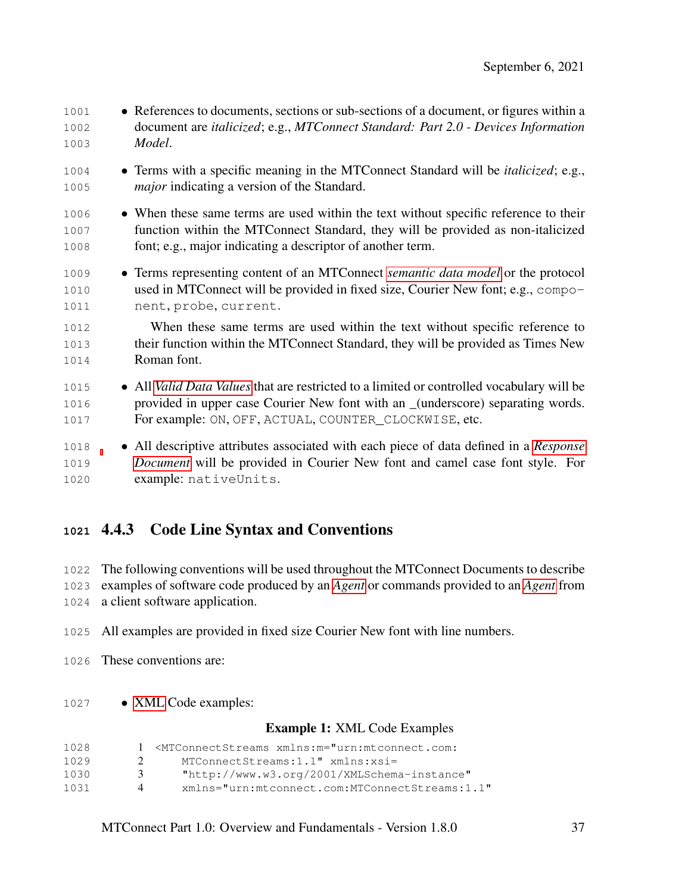| 1001 | • References to documents, sections or sub-sections of a document, or figures within a           |
|------|--------------------------------------------------------------------------------------------------|
| 1002 | document are <i>italicized</i> ; e.g., MTConnect Standard: Part 2.0 - Devices Information        |
| 1003 | Model.                                                                                           |
| 1004 | • Terms with a specific meaning in the MTConnect Standard will be <i>italicized</i> ; e.g.,      |
| 1005 | <i>major</i> indicating a version of the Standard.                                               |
| 1006 | • When these same terms are used within the text without specific reference to their             |
| 1007 | function within the MTConnect Standard, they will be provided as non-italicized                  |
| 1008 | font; e.g., major indicating a descriptor of another term.                                       |
| 1009 | • Terms representing content of an MTConnect <i>semantic data model</i> or the protocol          |
| 1010 | used in MTConnect will be provided in fixed size, Courier New font; e.g., compo-                 |
| 1011 | nent, probe, current.                                                                            |
| 1012 | When these same terms are used within the text without specific reference to                     |
| 1013 | their function within the MTConnect Standard, they will be provided as Times New                 |
| 1014 | Roman font.                                                                                      |
| 1015 | • All <i>Valid Data Values</i> that are restricted to a limited or controlled vocabulary will be |
| 1016 | provided in upper case Courier New font with an _(underscore) separating words.                  |
| 1017 | For example: ON, OFF, ACTUAL, COUNTER_CLOCKWISE, etc.                                            |
| 1018 | • All descriptive attributes associated with each piece of data defined in a Response            |
| 1019 | Document will be provided in Courier New font and camel case font style. For                     |
| 1020 | example: nativeUnits.                                                                            |

# 4.4.3 Code Line Syntax and Conventions

 The following conventions will be used throughout the MTConnect Documents to describe examples of software code produced by an *[Agent](#page-16-0)* or commands provided to an *[Agent](#page-16-0)* from a client software application.

- All examples are provided in fixed size Courier New font with line numbers.
- These conventions are:
- 1027 [XML](#page-15-0) Code examples:

#### Example 1: XML Code Examples

| 1028 |   | <mtconnectstreams xmlns:m="urn:mtconnect.com:&lt;/th&gt;&lt;/tr&gt;&lt;tr&gt;&lt;td&gt;1029&lt;/td&gt;&lt;td&gt;&lt;math&gt;2 -&lt;/math&gt;&lt;/td&gt;&lt;td&gt;&lt;math&gt;MTConnectStreams:1.1" xmlns:xsi="&lt;/math"></mtconnectstreams> |
|------|---|----------------------------------------------------------------------------------------------------------------------------------------------------------------------------------------------------------------------------------------------|
| 1030 | 3 | "http://www.w3.org/2001/XMLSchema-instance"                                                                                                                                                                                                  |
| 1031 | 4 | xmlns="urn:mtconnect.com:MTConnectStreams:1.1"                                                                                                                                                                                               |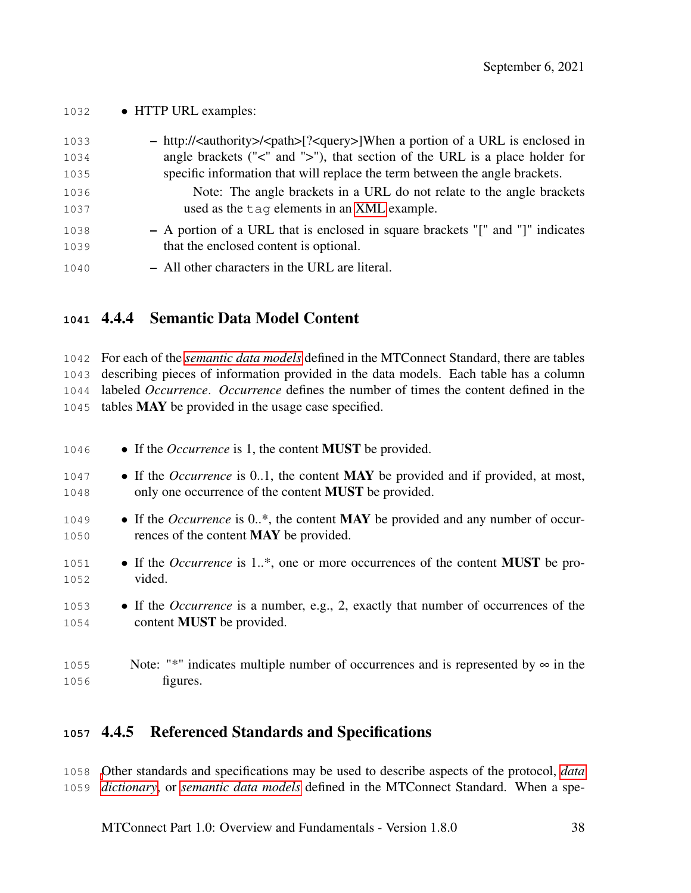1032 • HTTP URL examples:

| 1033 | - http:// <authority>/<path>[?<query>]When a portion of a URL is enclosed in</query></path></authority> |
|------|---------------------------------------------------------------------------------------------------------|
| 1034 | angle brackets (" $\lt$ " and " $\gt$ "), that section of the URL is a place holder for                 |
| 1035 | specific information that will replace the term between the angle brackets.                             |
| 1036 | Note: The angle brackets in a URL do not relate to the angle brackets                                   |
| 1037 | used as the tag elements in an XML example.                                                             |
| 1038 | - A portion of a URL that is enclosed in square brackets "[" and "]" indicates                          |
| 1039 | that the enclosed content is optional.                                                                  |
| 1040 | - All other characters in the URL are literal.                                                          |

# 4.4.4 Semantic Data Model Content

 For each of the *[semantic data models](#page-32-0)* defined in the MTConnect Standard, there are tables describing pieces of information provided in the data models. Each table has a column labeled *Occurrence*. *Occurrence* defines the number of times the content defined in the tables MAY be provided in the usage case specified.

| 1046 | • If the <i>Occurrence</i> is 1, the content <b>MUST</b> be provided.                          |
|------|------------------------------------------------------------------------------------------------|
| 1047 | • If the <i>Occurrence</i> is 01, the content <b>MAY</b> be provided and if provided, at most, |
| 1048 | only one occurrence of the content <b>MUST</b> be provided.                                    |
| 1049 | • If the <i>Occurrence</i> is 0*, the content <b>MAY</b> be provided and any number of occur-  |
| 1050 | rences of the content <b>MAY</b> be provided.                                                  |
| 1051 | • If the <i>Occurrence</i> is 1.*, one or more occurrences of the content <b>MUST</b> be pro-  |
| 1052 | vided.                                                                                         |
| 1053 | • If the <i>Occurrence</i> is a number, e.g., 2, exactly that number of occurrences of the     |
| 1054 | content <b>MUST</b> be provided.                                                               |
| 1055 | Note: "*" indicates multiple number of occurrences and is represented by $\infty$ in the       |
| 1056 | figures.                                                                                       |

### 4.4.5 Referenced Standards and Specifications

 [O](#page-20-1)ther standards and specifications may be used to describe aspects of the protocol, *[data](#page-20-1) [dictionary](#page-20-1)*, or *[semantic data models](#page-32-0)* defined in the MTConnect Standard. When a spe-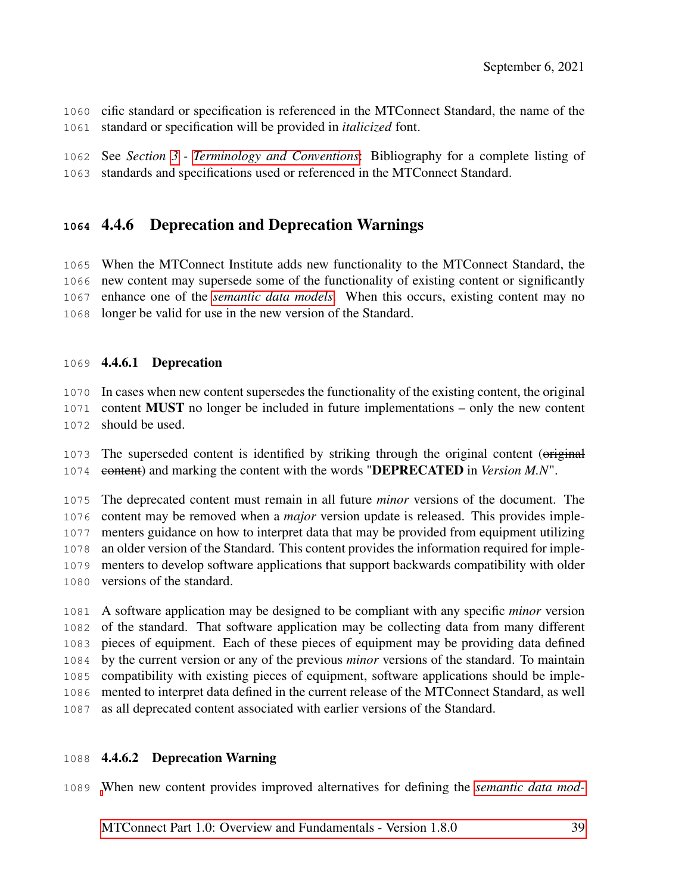cific standard or specification is referenced in the MTConnect Standard, the name of the standard or specification will be provided in *italicized* font.

 See *Section [3](#page-13-0) - [Terminology and Conventions](#page-13-0)*: Bibliography for a complete listing of standards and specifications used or referenced in the MTConnect Standard.

### 4.4.6 Deprecation and Deprecation Warnings

 When the MTConnect Institute adds new functionality to the MTConnect Standard, the new content may supersede some of the functionality of existing content or significantly enhance one of the *[semantic data models](#page-32-0)*. When this occurs, existing content may no longer be valid for use in the new version of the Standard.

#### 4.4.6.1 Deprecation

 In cases when new content supersedes the functionality of the existing content, the original content MUST no longer be included in future implementations – only the new content should be used.

 The superseded content is identified by striking through the original content (original content) and marking the content with the words "DEPRECATED in *Version M.N*".

 The deprecated content must remain in all future *minor* versions of the document. The content may be removed when a *major* version update is released. This provides imple- menters guidance on how to interpret data that may be provided from equipment utilizing an older version of the Standard. This content provides the information required for imple- menters to develop software applications that support backwards compatibility with older versions of the standard.

 A software application may be designed to be compliant with any specific *minor* version of the standard. That software application may be collecting data from many different pieces of equipment. Each of these pieces of equipment may be providing data defined by the current version or any of the previous *minor* versions of the standard. To maintain compatibility with existing pieces of equipment, software applications should be imple- mented to interpret data defined in the current release of the MTConnect Standard, as well as all deprecated content associated with earlier versions of the Standard.

#### 4.4.6.2 Deprecation Warning

[W](#page-32-0)hen new content provides improved alternatives for defining the *[semantic data mod-](#page-32-0)*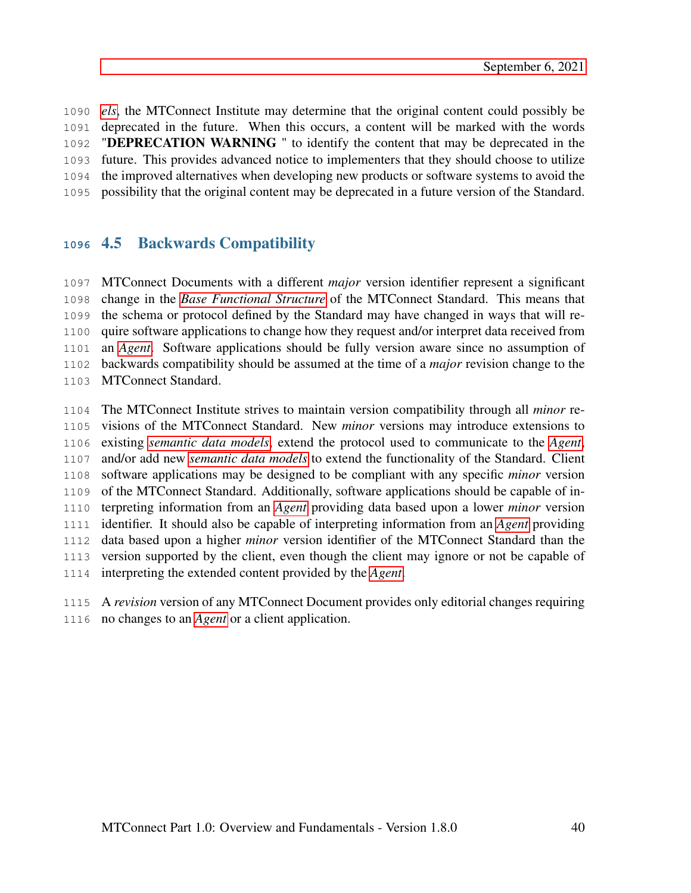*[els](#page-32-0)*, the MTConnect Institute may determine that the original content could possibly be deprecated in the future. When this occurs, a content will be marked with the words "DEPRECATION WARNING " to identify the content that may be deprecated in the future. This provides advanced notice to implementers that they should choose to utilize the improved alternatives when developing new products or software systems to avoid the possibility that the original content may be deprecated in a future version of the Standard.

### <span id="page-46-0"></span>4.5 Backwards Compatibility

 MTConnect Documents with a different *major* version identifier represent a significant change in the *[Base Functional Structure](#page-18-1)* of the MTConnect Standard. This means that the schema or protocol defined by the Standard may have changed in ways that will re- quire software applications to change how they request and/or interpret data received from an *[Agent](#page-16-0)*. Software applications should be fully version aware since no assumption of backwards compatibility should be assumed at the time of a *major* revision change to the MTConnect Standard.

 The MTConnect Institute strives to maintain version compatibility through all *minor* re- visions of the MTConnect Standard. New *minor* versions may introduce extensions to existing *[semantic data models](#page-32-0)*, extend the protocol used to communicate to the *[Agent](#page-16-0)*, and/or add new *[semantic data models](#page-32-0)* to extend the functionality of the Standard. Client software applications may be designed to be compliant with any specific *minor* version of the MTConnect Standard. Additionally, software applications should be capable of in- terpreting information from an *[Agent](#page-16-0)* providing data based upon a lower *minor* version identifier. It should also be capable of interpreting information from an *[Agent](#page-16-0)* providing data based upon a higher *minor* version identifier of the MTConnect Standard than the version supported by the client, even though the client may ignore or not be capable of interpreting the extended content provided by the *[Agent](#page-16-0)*.

 A *revision* version of any MTConnect Document provides only editorial changes requiring no changes to an *[Agent](#page-16-0)* or a client application.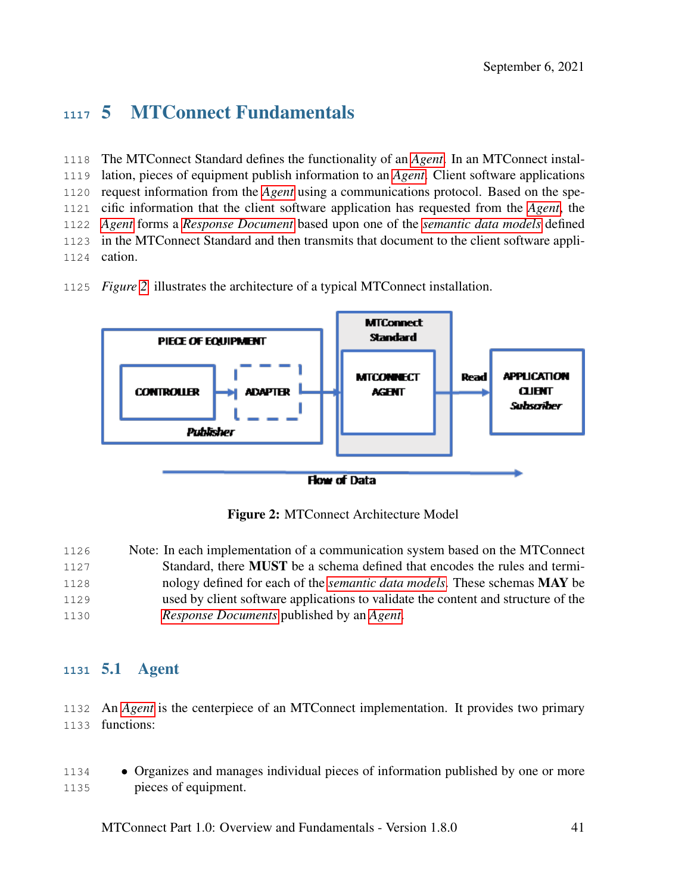# 5 MTConnect Fundamentals

 The MTConnect Standard defines the functionality of an *[Agent](#page-16-0)*. In an MTConnect instal- lation, pieces of equipment publish information to an *[Agent](#page-16-0)*. Client software applications request information from the *[Agent](#page-16-0)* using a communications protocol. Based on the spe- cific information that the client software application has requested from the *[Agent](#page-16-0)*, the *[Agent](#page-16-0)* forms a *[Response Document](#page-31-0)* based upon one of the *[semantic data models](#page-32-0)* defined in the MTConnect Standard and then transmits that document to the client software appli-cation.



<span id="page-47-0"></span>

Figure 2: MTConnect Architecture Model

| 1126 | Note: In each implementation of a communication system based on the MTConnect            |
|------|------------------------------------------------------------------------------------------|
| 1127 | Standard, there MUST be a schema defined that encodes the rules and termi-               |
| 1128 | nology defined for each of the <i>semantic data models</i> . These schemas <b>MAY</b> be |
| 1129 | used by client software applications to validate the content and structure of the        |
| 1130 | <i>Response Documents</i> published by an <i>Agent</i> .                                 |

### 5.1 Agent

 An *[Agent](#page-16-0)* is the centerpiece of an MTConnect implementation. It provides two primary functions:

 • Organizes and manages individual pieces of information published by one or more pieces of equipment.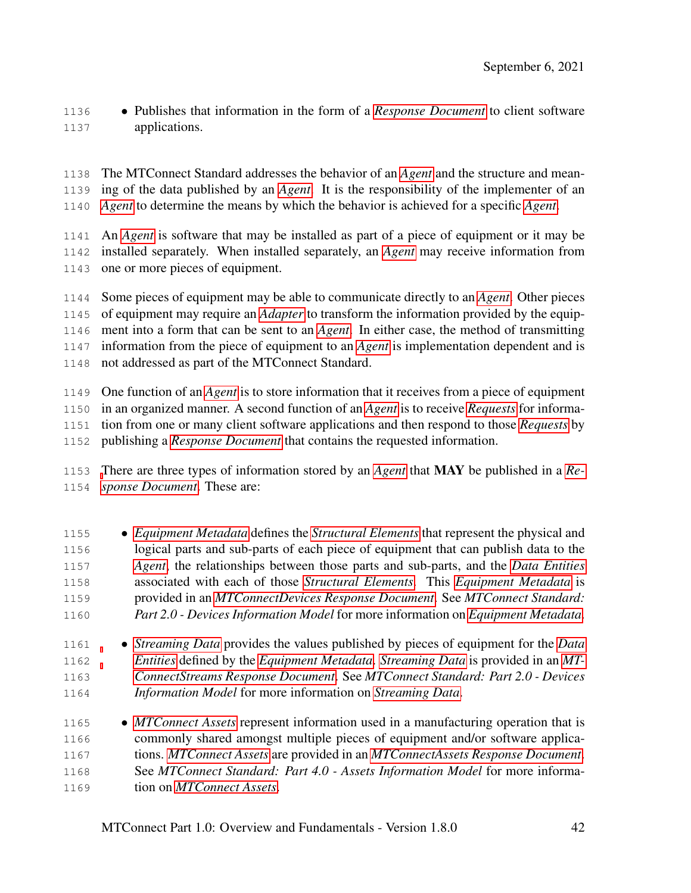• Publishes that information in the form of a *[Response Document](#page-31-0)* to client software applications.

 The MTConnect Standard addresses the behavior of an *[Agent](#page-16-0)* and the structure and mean- ing of the data published by an *[Agent](#page-16-0)*. It is the responsibility of the implementer of an *[Agent](#page-16-0)* to determine the means by which the behavior is achieved for a specific *[Agent](#page-16-0)*.

 An *[Agent](#page-16-0)* is software that may be installed as part of a piece of equipment or it may be installed separately. When installed separately, an *[Agent](#page-16-0)* may receive information from one or more pieces of equipment.

 Some pieces of equipment may be able to communicate directly to an *[Agent](#page-16-0)*. Other pieces of equipment may require an *[Adapter](#page-16-1)* to transform the information provided by the equip- ment into a form that can be sent to an *[Agent](#page-16-0)*. In either case, the method of transmitting information from the piece of equipment to an *[Agent](#page-16-0)* is implementation dependent and is not addressed as part of the MTConnect Standard.

- One function of an *[Agent](#page-16-0)* is to store information that it receives from a piece of equipment in an organized manner. A second function of an *[Agent](#page-16-0)* is to receive *[Requests](#page-30-0)* for informa- tion from one or many client software applications and then respond to those *[Requests](#page-30-0)* by publishing a *[Response Document](#page-31-0)* that contains the requested information.
- [T](#page-31-0)here are three types of information stored by an *[Agent](#page-16-0)* that MAY be published in a *[Re-](#page-31-0)[sponse Document](#page-31-0)*. These are:
- *[Equipment Metadata](#page-22-1)* defines the *[Structural Elements](#page-34-0)* that represent the physical and logical parts and sub-parts of each piece of equipment that can publish data to the *[Agent](#page-16-0)*, the relationships between those parts and sub-parts, and the *[Data Entities](#page-20-0)* associated with each of those *[Structural Elements](#page-34-0)*. This *[Equipment Metadata](#page-22-1)* is provided in an *[MTConnectDevices Response Document](#page-28-1)*. See *MTConnect Standard: Part 2.0 - Devices Information Model* for more information on *[Equipment Metadata](#page-22-1)*.
- *[Streaming Data](#page-34-1)* provides the values published by pieces of equipment for the *[Data](#page-20-0) [Entities](#page-20-0)* defined by the *[Equipment Metadata](#page-22-1)*. *[Streaming Data](#page-34-1)* is provided in an *[MT-](#page-28-0) [ConnectStreams Response Document](#page-28-0)*. See *MTConnect Standard: Part 2.0 - Devices Information Model* for more information on *[Streaming Data](#page-34-1)*.
- *[MTConnect Assets](#page-26-0)* represent information used in a manufacturing operation that is commonly shared amongst multiple pieces of equipment and/or software applica- tions. *[MTConnect Assets](#page-26-0)* are provided in an *[MTConnectAssets Response Document](#page-27-1)*. See *MTConnect Standard: Part 4.0 - Assets Information Model* for more informa-tion on *[MTConnect Assets](#page-26-0)*.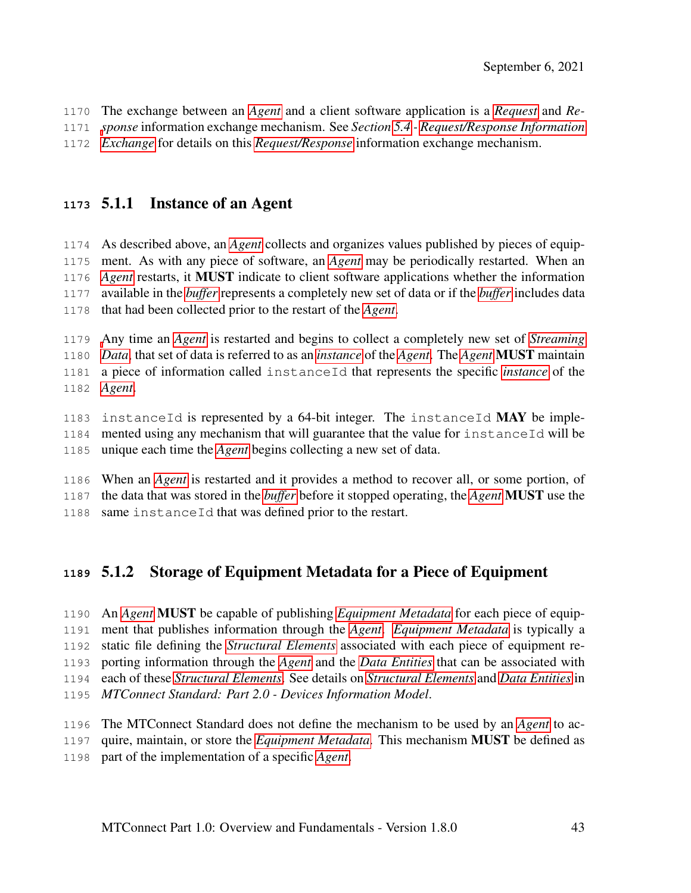The exchange between an *[Agent](#page-16-0)* and a client software application is a *[Request](#page-30-0)* and *Re-*

*[s](#page-63-0)ponse* information exchange mechanism. See *Section [5.4](#page-63-0) - [Request/Response Information](#page-63-0)*

<span id="page-49-0"></span>*[Exchange](#page-63-0)* for details on this *[Request/Response](#page-30-1)* information exchange mechanism.

# 5.1.1 Instance of an Agent

 As described above, an *[Agent](#page-16-0)* collects and organizes values published by pieces of equip- ment. As with any piece of software, an *[Agent](#page-16-0)* may be periodically restarted. When an *[Agent](#page-16-0)* restarts, it MUST indicate to client software applications whether the information available in the *[buffer](#page-18-2)* represents a completely new set of data or if the *[buffer](#page-18-2)* includes data that had been collected prior to the restart of the *[Agent](#page-16-0)*.

 [A](#page-34-1)ny time an *[Agent](#page-16-0)* is restarted and begins to collect a completely new set of *[Streaming](#page-34-1) [Data](#page-34-1)*, that set of data is referred to as an *[instance](#page-25-1)* of the *[Agent](#page-16-0)*. The *[Agent](#page-16-0)* MUST maintain a piece of information called instanceId that represents the specific *[instance](#page-25-1)* of the *[Agent](#page-16-0)*.

1183 instanceId is represented by a 64-bit integer. The instanceId  $\text{MAX}$  be imple- mented using any mechanism that will guarantee that the value for instanceId will be unique each time the *[Agent](#page-16-0)* begins collecting a new set of data.

 When an *[Agent](#page-16-0)* is restarted and it provides a method to recover all, or some portion, of the data that was stored in the *[buffer](#page-18-2)* before it stopped operating, the *[Agent](#page-16-0)* MUST use the same instanceId that was defined prior to the restart.

# 5.1.2 Storage of Equipment Metadata for a Piece of Equipment

 An *[Agent](#page-16-0)* MUST be capable of publishing *[Equipment Metadata](#page-22-1)* for each piece of equip- ment that publishes information through the *[Agent](#page-16-0)*. *[Equipment Metadata](#page-22-1)* is typically a static file defining the *[Structural Elements](#page-34-0)* associated with each piece of equipment re-

 porting information through the *[Agent](#page-16-0)* and the *[Data Entities](#page-20-0)* that can be associated with each of these *[Structural Elements](#page-34-0)*. See details on *[Structural Elements](#page-34-0)* and *[Data Entities](#page-20-0)* in

*MTConnect Standard: Part 2.0 - Devices Information Model*.

The MTConnect Standard does not define the mechanism to be used by an *[Agent](#page-16-0)* to ac-

 quire, maintain, or store the *[Equipment Metadata](#page-22-1)*. This mechanism MUST be defined as part of the implementation of a specific *[Agent](#page-16-0)*.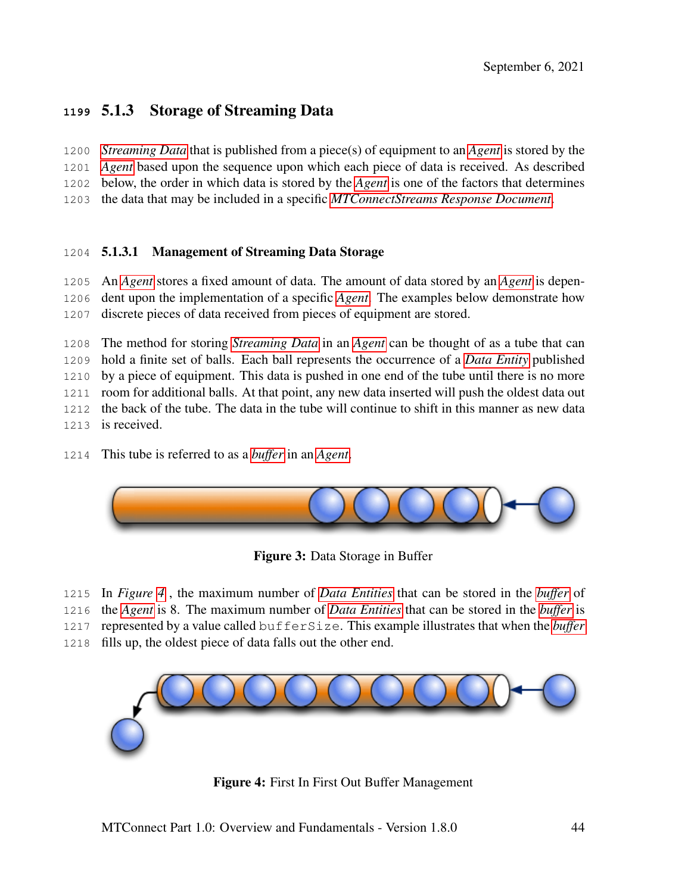# 5.1.3 Storage of Streaming Data

 *[Streaming Data](#page-34-1)* that is published from a piece(s) of equipment to an *[Agent](#page-16-0)* is stored by the *[Agent](#page-16-0)* based upon the sequence upon which each piece of data is received. As described below, the order in which data is stored by the *[Agent](#page-16-0)* is one of the factors that determines the data that may be included in a specific *[MTConnectStreams Response Document](#page-28-0)*.

#### 5.1.3.1 Management of Streaming Data Storage

 An *[Agent](#page-16-0)* stores a fixed amount of data. The amount of data stored by an *[Agent](#page-16-0)* is depen- dent upon the implementation of a specific *[Agent](#page-16-0)*. The examples below demonstrate how discrete pieces of data received from pieces of equipment are stored.

 The method for storing *[Streaming Data](#page-34-1)* in an *[Agent](#page-16-0)* can be thought of as a tube that can hold a finite set of balls. Each ball represents the occurrence of a *[Data Entity](#page-20-0)* published by a piece of equipment. This data is pushed in one end of the tube until there is no more room for additional balls. At that point, any new data inserted will push the oldest data out the back of the tube. The data in the tube will continue to shift in this manner as new data is received.

This tube is referred to as a *[buffer](#page-18-2)* in an *[Agent](#page-16-0)*.



Figure 3: Data Storage in Buffer

- In *Figure [4](#page-50-0)* , the maximum number of *[Data Entities](#page-20-0)* that can be stored in the *[buffer](#page-18-2)* of
- the *[Agent](#page-16-0)* is 8. The maximum number of *[Data Entities](#page-20-0)* that can be stored in the *[buffer](#page-18-2)* is
- represented by a value called bufferSize. This example illustrates that when the *[buffer](#page-18-2)*
- fills up, the oldest piece of data falls out the other end.

<span id="page-50-0"></span>

Figure 4: First In First Out Buffer Management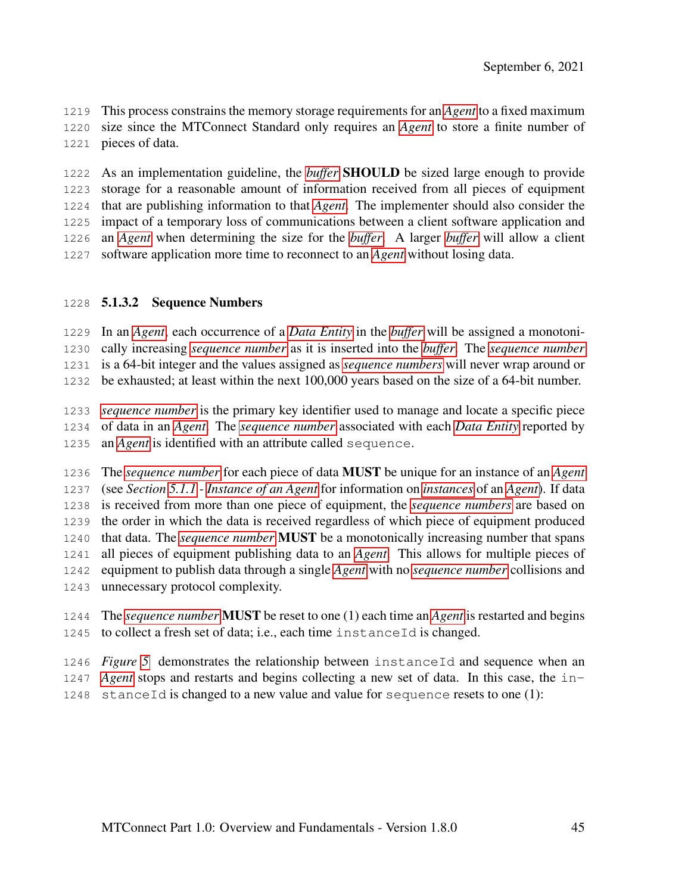This process constrains the memory storage requirements for an *[Agent](#page-16-0)* to a fixed maximum size since the MTConnect Standard only requires an *[Agent](#page-16-0)* to store a finite number of pieces of data.

 As an implementation guideline, the *[buffer](#page-18-2)* SHOULD be sized large enough to provide storage for a reasonable amount of information received from all pieces of equipment that are publishing information to that *[Agent](#page-16-0)*. The implementer should also consider the impact of a temporary loss of communications between a client software application and an *[Agent](#page-16-0)* when determining the size for the *[buffer](#page-18-2)*. A larger *[buffer](#page-18-2)* will allow a client software application more time to reconnect to an *[Agent](#page-16-0)* without losing data.

#### 5.1.3.2 Sequence Numbers

In an *[Agent](#page-16-0)*, each occurrence of a *[Data Entity](#page-20-0)* in the *[buffer](#page-18-2)* will be assigned a monotoni-

cally increasing *[sequence number](#page-33-0)* as it is inserted into the *[buffer](#page-18-2)*. The *[sequence number](#page-33-0)*

is a 64-bit integer and the values assigned as *[sequence numbers](#page-33-0)* will never wrap around or

be exhausted; at least within the next 100,000 years based on the size of a 64-bit number.

 *[sequence number](#page-33-0)* is the primary key identifier used to manage and locate a specific piece of data in an *[Agent](#page-16-0)*. The *[sequence number](#page-33-0)* associated with each *[Data Entity](#page-20-0)* reported by an *[Agent](#page-16-0)* is identified with an attribute called sequence.

 The *[sequence number](#page-33-0)* for each piece of data MUST be unique for an instance of an *[Agent](#page-16-0)* (see *Section [5.1.1](#page-49-0) - [Instance of an Agent](#page-49-0)* for information on *[instances](#page-25-1)* of an *[Agent](#page-16-0)*). If data is received from more than one piece of equipment, the *[sequence numbers](#page-33-0)* are based on the order in which the data is received regardless of which piece of equipment produced that data. The *[sequence number](#page-33-0)* MUST be a monotonically increasing number that spans all pieces of equipment publishing data to an *[Agent](#page-16-0)*. This allows for multiple pieces of equipment to publish data through a single *[Agent](#page-16-0)* with no *[sequence number](#page-33-0)* collisions and unnecessary protocol complexity.

 The *[sequence number](#page-33-0)* MUST be reset to one (1) each time an *[Agent](#page-16-0)* is restarted and begins 1245 to collect a fresh set of data; i.e., each time instanceId is changed.

 *Figure [5](#page-52-0)* demonstrates the relationship between instanceId and sequence when an *[Agent](#page-16-0)* stops and restarts and begins collecting a new set of data. In this case, the in-

1248 stanceId is changed to a new value and value for sequence resets to one (1):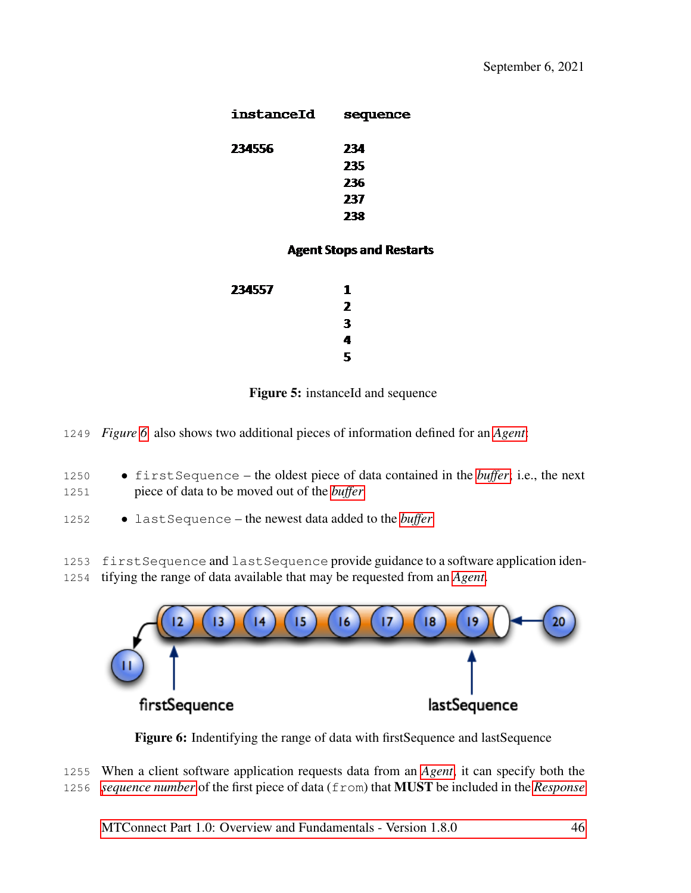<span id="page-52-0"></span>

| instanceId | sequence |
|------------|----------|
| 234556     | 234      |
|            | 235      |
|            | 236      |
|            | 237      |
|            | 238      |

#### **Agent Stops and Restarts**

| 234557 | 1 |
|--------|---|
|        | 2 |
|        | 3 |
|        | 4 |
|        | 5 |

Figure 5: instanceId and sequence

*Figure [6](#page-52-1)* also shows two additional pieces of information defined for an *[Agent](#page-16-0)*:

- firstSequence the oldest piece of data contained in the *[buffer](#page-18-2)*; i.e., the next piece of data to be moved out of the *[buffer](#page-18-2)*
- lastSequence the newest data added to the *[buffer](#page-18-2)*

 firstSequence and lastSequence provide guidance to a software application iden-tifying the range of data available that may be requested from an *[Agent](#page-16-0)*.

<span id="page-52-1"></span>

Figure 6: Indentifying the range of data with firstSequence and lastSequence

 When a client software application requests data from an *[Agent](#page-16-0)*, it can specify both the *[sequence number](#page-33-0)* of the first piece of data (from) that MUST be included in the *[Response](#page-31-0)*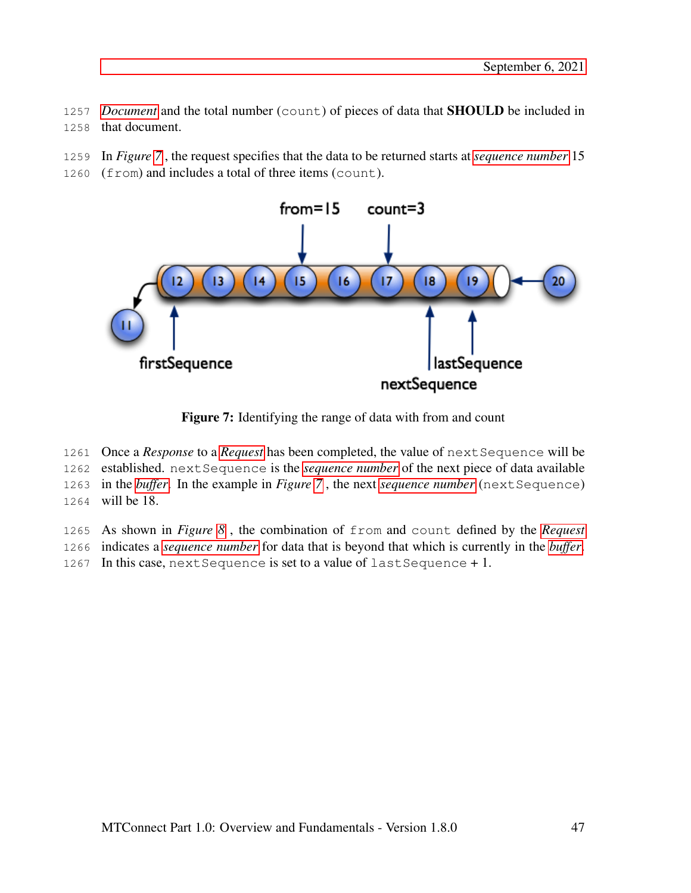- *[Document](#page-31-0)* and the total number (count) of pieces of data that **SHOULD** be included in that document.
- In *Figure [7](#page-53-0)* , the request specifies that the data to be returned starts at *[sequence number](#page-33-0)* 15
- (from) and includes a total of three items (count).

<span id="page-53-0"></span>

Figure 7: Identifying the range of data with from and count

1261 Once a *Response* to a *[Request](#page-30-0)* has been completed, the value of next Sequence will be

established. nextSequence is the *[sequence number](#page-33-0)* of the next piece of data available

in the *[buffer](#page-18-2)*. In the example in *Figure [7](#page-53-0)* , the next *[sequence number](#page-33-0)* (nextSequence)

will be 18.

As shown in *Figure [8](#page-54-0)* , the combination of from and count defined by the *[Request](#page-30-0)*

- indicates a *[sequence number](#page-33-0)* for data that is beyond that which is currently in the *[buffer](#page-18-2)*.
- 1267 In this case, next Sequence is set to a value of  $lastSequence + 1$ .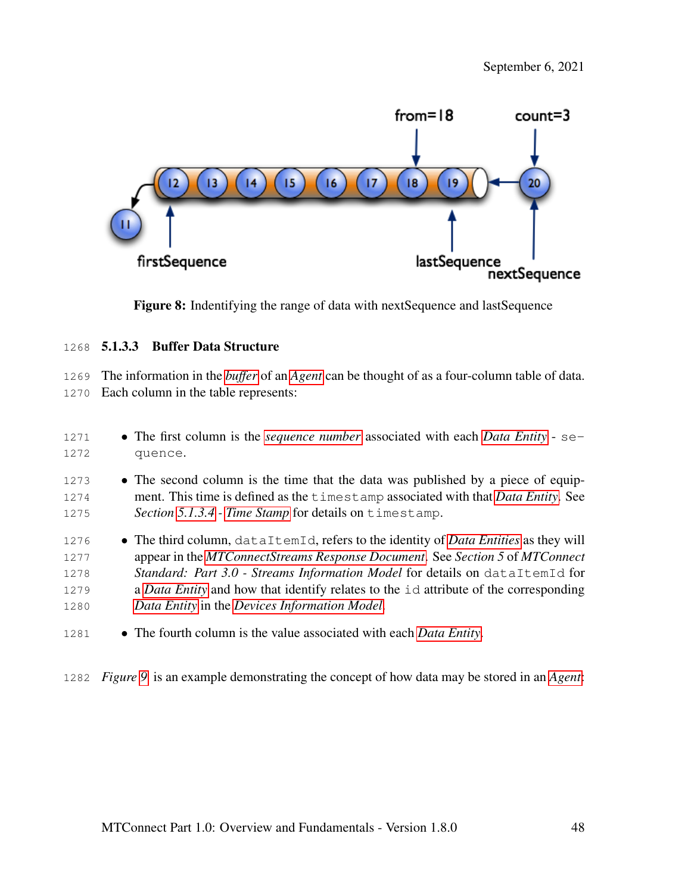<span id="page-54-0"></span>

Figure 8: Indentifying the range of data with next Sequence and last Sequence

#### 5.1.3.3 Buffer Data Structure

 The information in the *[buffer](#page-18-2)* of an *[Agent](#page-16-0)* can be thought of as a four-column table of data. Each column in the table represents:

- The first column is the *[sequence number](#page-33-0)* associated with each *[Data Entity](#page-20-0)* se-quence.
- The second column is the time that the data was published by a piece of equip- ment. This time is defined as the timestamp associated with that *[Data Entity](#page-20-0)*. See *Section [5.1.3.4](#page-55-0) - [Time Stamp](#page-55-0)* for details on timestamp.
- The third column, dataItemId, refers to the identity of *[Data Entities](#page-20-0)* as they will appear in the *[MTConnectStreams Response Document](#page-28-0)*. See *Section 5* of *MTConnect Standard: Part 3.0 - Streams Information Model* for details on dataItemId for a *[Data Entity](#page-20-0)* and how that identify relates to the id attribute of the corresponding *[Data Entity](#page-20-0)* in the *[Devices Information Model](#page-21-0)*.
- The fourth column is the value associated with each *[Data Entity](#page-20-0)*.

*Figure [9](#page-55-1)* is an example demonstrating the concept of how data may be stored in an *[Agent](#page-16-0)*: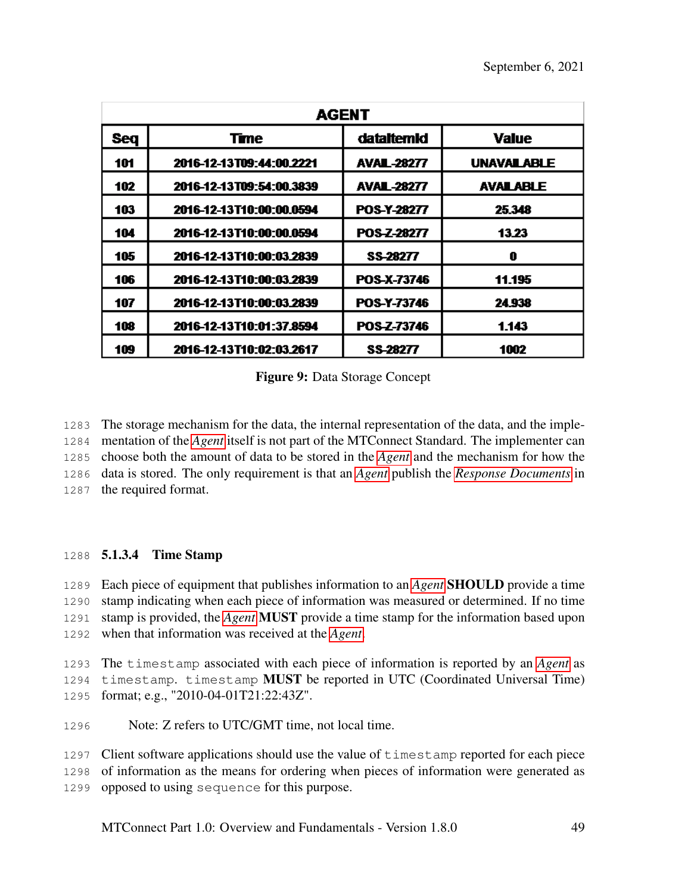<span id="page-55-1"></span>

| <b>AGENT</b> |                                 |                   |                    |
|--------------|---------------------------------|-------------------|--------------------|
| <b>Seq</b>   | <b>Time</b>                     | dataitemid        | <b>Value</b>       |
| 101          | 2016-12-13T09:44:00.2221        | <b>AVAL-28277</b> | <b>UNAVAILABLE</b> |
| 102          | 2016-12-13T09:54:00.3839        | <b>AVAL-28277</b> | <b>AVAILABLE</b>   |
| 103          | 2016-12-13T10:00:00.0594        | POS-Y-28277       | 25.348             |
| 104          | 2016-12-13T10:00:00.0594        | POS-Z-28277       | 13.23              |
| 105          | <b>2016-12-13T10:00:03.2839</b> | <b>SS-28277</b>   | 0                  |
| 106          | 2016-12-13T10:00:03.2839        | POS-X-73746       | 11.195             |
| 107          | <b>2016-12-13T10:00:03.2839</b> | POS-Y-73746       | 24.938             |
| 108          | 2016-12-13T10:01:37.8594        | POS-Z-73746       | 1.143              |
| 109          | <b>2016-12-13T10:02:03.2617</b> | <b>SS-28277</b>   | 1002               |

Figure 9: Data Storage Concept

 The storage mechanism for the data, the internal representation of the data, and the imple- mentation of the *[Agent](#page-16-0)* itself is not part of the MTConnect Standard. The implementer can choose both the amount of data to be stored in the *[Agent](#page-16-0)* and the mechanism for how the data is stored. The only requirement is that an *[Agent](#page-16-0)* publish the *[Response Documents](#page-31-0)* in

<span id="page-55-0"></span>the required format.

#### 5.1.3.4 Time Stamp

 Each piece of equipment that publishes information to an *[Agent](#page-16-0)* SHOULD provide a time stamp indicating when each piece of information was measured or determined. If no time stamp is provided, the *[Agent](#page-16-0)* MUST provide a time stamp for the information based upon when that information was received at the *[Agent](#page-16-0)*.

 The timestamp associated with each piece of information is reported by an *[Agent](#page-16-0)* as timestamp. timestamp MUST be reported in UTC (Coordinated Universal Time) format; e.g., "2010-04-01T21:22:43Z".

Note: Z refers to UTC/GMT time, not local time.

Client software applications should use the value of timestamp reported for each piece

of information as the means for ordering when pieces of information were generated as

opposed to using sequence for this purpose.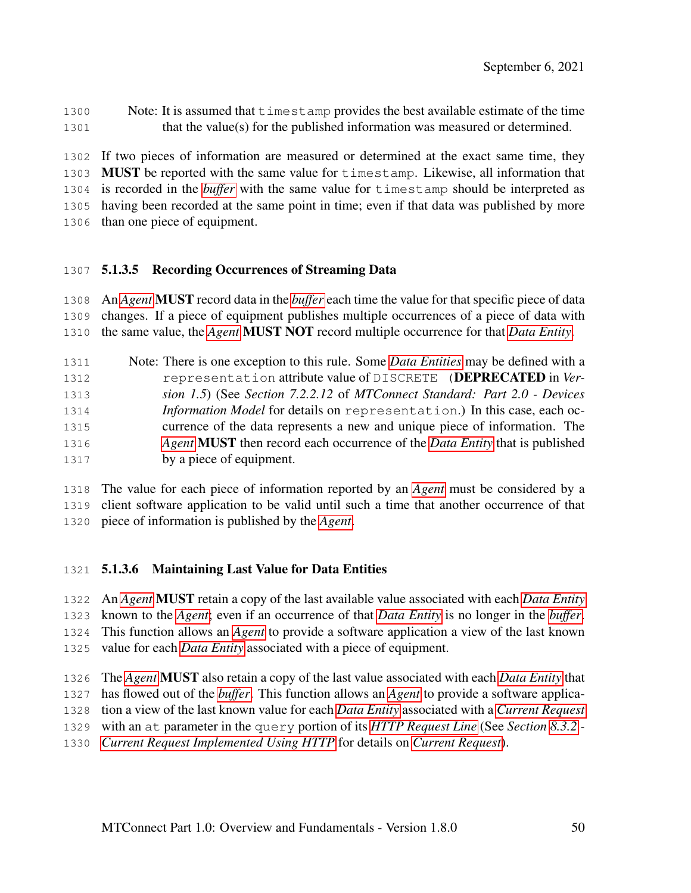Note: It is assumed that timestamp provides the best available estimate of the time that the value(s) for the published information was measured or determined.

 If two pieces of information are measured or determined at the exact same time, they **MUST** be reported with the same value for timestamp. Likewise, all information that is recorded in the *[buffer](#page-18-2)* with the same value for timestamp should be interpreted as having been recorded at the same point in time; even if that data was published by more than one piece of equipment.

#### 5.1.3.5 Recording Occurrences of Streaming Data

 An *[Agent](#page-16-0)* MUST record data in the *[buffer](#page-18-2)* each time the value for that specific piece of data changes. If a piece of equipment publishes multiple occurrences of a piece of data with the same value, the *[Agent](#page-16-0)* MUST NOT record multiple occurrence for that *[Data Entity](#page-20-0)*.

 Note: There is one exception to this rule. Some *[Data Entities](#page-20-0)* may be defined with a representation attribute value of DISCRETE (DEPRECATED in *Ver- sion 1.5*) (See *Section 7.2.2.12* of *MTConnect Standard: Part 2.0 - Devices Information Model* for details on representation.) In this case, each oc- currence of the data represents a new and unique piece of information. The *[Agent](#page-16-0)* MUST then record each occurrence of the *[Data Entity](#page-20-0)* that is published 1317 by a piece of equipment.

 The value for each piece of information reported by an *[Agent](#page-16-0)* must be considered by a client software application to be valid until such a time that another occurrence of that piece of information is published by the *[Agent](#page-16-0)*.

#### 5.1.3.6 Maintaining Last Value for Data Entities

 An *[Agent](#page-16-0)* MUST retain a copy of the last available value associated with each *[Data Entity](#page-20-0)* known to the *[Agent](#page-16-0)*; even if an occurrence of that *[Data Entity](#page-20-0)* is no longer in the *[buffer](#page-18-2)*. This function allows an *[Agent](#page-16-0)* to provide a software application a view of the last known value for each *[Data Entity](#page-20-0)* associated with a piece of equipment.

 The *[Agent](#page-16-0)* MUST also retain a copy of the last value associated with each *[Data Entity](#page-20-0)* that has flowed out of the *[buffer](#page-18-2)*. This function allows an *[Agent](#page-16-0)* to provide a software applica-

- tion a view of the last known value for each *[Data Entity](#page-20-0)* associated with a *[Current Request](#page-20-2)*
- with an at parameter in the query portion of its *[HTTP Request Line](#page-24-0)* (See *Section [8.3.2](#page-108-0) -*
- *[Current Request Implemented Using HTTP](#page-108-0)* for details on *[Current Request](#page-20-2)*).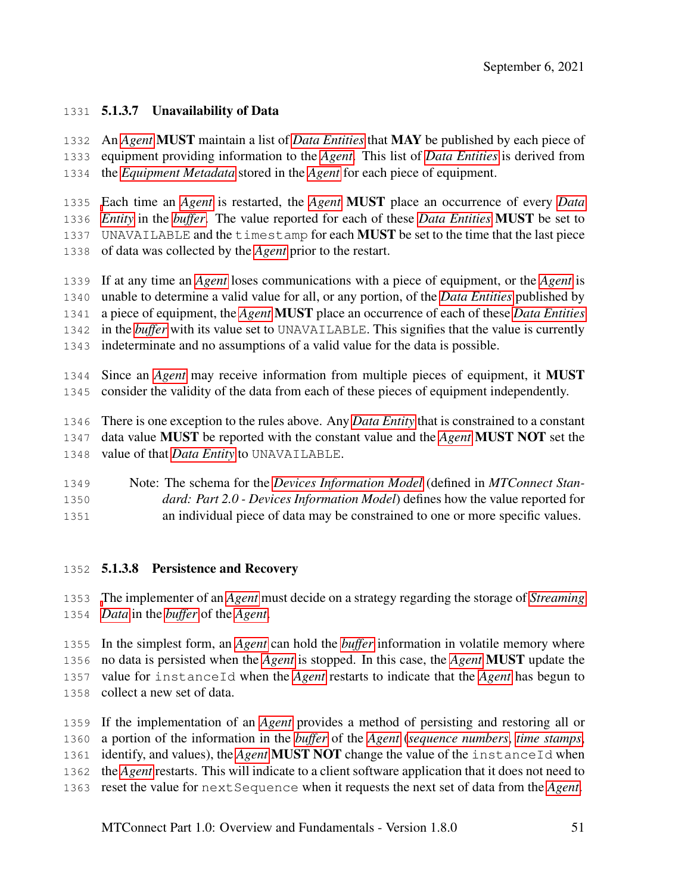#### 5.1.3.7 Unavailability of Data

 An *[Agent](#page-16-0)* MUST maintain a list of *[Data Entities](#page-20-0)* that MAY be published by each piece of equipment providing information to the *[Agent](#page-16-0)*. This list of *[Data Entities](#page-20-0)* is derived from the *[Equipment Metadata](#page-22-1)* stored in the *[Agent](#page-16-0)* for each piece of equipment.

 [E](#page-20-0)ach time an *[Agent](#page-16-0)* is restarted, the *[Agent](#page-16-0)* MUST place an occurrence of every *[Data](#page-20-0) [Entity](#page-20-0)* in the *[buffer](#page-18-2)*. The value reported for each of these *[Data Entities](#page-20-0)* MUST be set to 1337 UNAVAILABLE and the timestamp for each **MUST** be set to the time that the last piece of data was collected by the *[Agent](#page-16-0)* prior to the restart.

 If at any time an *[Agent](#page-16-0)* loses communications with a piece of equipment, or the *[Agent](#page-16-0)* is unable to determine a valid value for all, or any portion, of the *[Data Entities](#page-20-0)* published by a piece of equipment, the *[Agent](#page-16-0)* MUST place an occurrence of each of these *[Data Entities](#page-20-0)* in the *[buffer](#page-18-2)* with its value set to UNAVAILABLE. This signifies that the value is currently indeterminate and no assumptions of a valid value for the data is possible.

 Since an *[Agent](#page-16-0)* may receive information from multiple pieces of equipment, it MUST consider the validity of the data from each of these pieces of equipment independently.

 There is one exception to the rules above. Any *[Data Entity](#page-20-0)* that is constrained to a constant data value MUST be reported with the constant value and the *[Agent](#page-16-0)* MUST NOT set the value of that *[Data Entity](#page-20-0)* to UNAVAILABLE.

#### Note: The schema for the *[Devices Information Model](#page-21-0)* (defined in *MTConnect Stan- dard: Part 2.0 - Devices Information Model*) defines how the value reported for an individual piece of data may be constrained to one or more specific values.

#### 5.1.3.8 Persistence and Recovery

 [T](#page-34-1)he implementer of an *[Agent](#page-16-0)* must decide on a strategy regarding the storage of *[Streaming](#page-34-1) [Data](#page-34-1)* in the *[buffer](#page-18-2)* of the *[Agent](#page-16-0)*.

 In the simplest form, an *[Agent](#page-16-0)* can hold the *[buffer](#page-18-2)* information in volatile memory where no data is persisted when the *[Agent](#page-16-0)* is stopped. In this case, the *[Agent](#page-16-0)* MUST update the value for instanceId when the *[Agent](#page-16-0)* restarts to indicate that the *[Agent](#page-16-0)* has begun to collect a new set of data.

 If the implementation of an *[Agent](#page-16-0)* provides a method of persisting and restoring all or a portion of the information in the *[buffer](#page-18-2)* of the *[Agent](#page-16-0)* (*[sequence numbers](#page-33-0)*, *[time stamps](#page-35-0)*, identify, and values), the *[Agent](#page-16-0)* MUST NOT change the value of the instanceId when the *[Agent](#page-16-0)* restarts. This will indicate to a client software application that it does not need to reset the value for nextSequence when it requests the next set of data from the *[Agent](#page-16-0)*.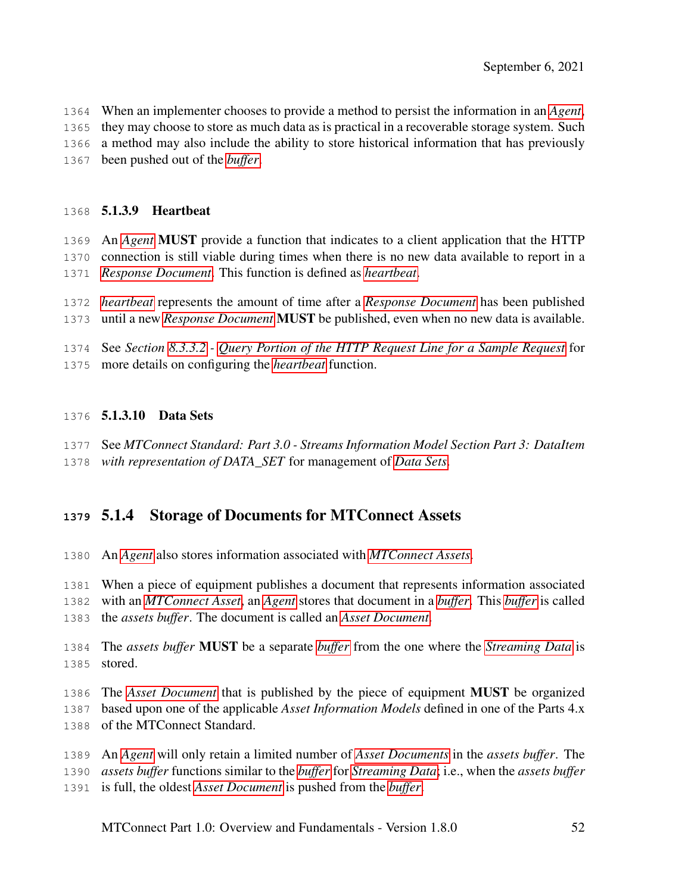When an implementer chooses to provide a method to persist the information in an *[Agent](#page-16-0)*,

- they may choose to store as much data as is practical in a recoverable storage system. Such
- a method may also include the ability to store historical information that has previously

been pushed out of the *[buffer](#page-18-2)*.

#### 5.1.3.9 Heartbeat

An *[Agent](#page-16-0)* MUST provide a function that indicates to a client application that the HTTP

- connection is still viable during times when there is no new data available to report in a *[Response Document](#page-31-0)*. This function is defined as *[heartbeat](#page-23-0)*.
- *[heartbeat](#page-23-0)* represents the amount of time after a *[Response Document](#page-31-0)* has been published until a new *[Response Document](#page-31-0)* MUST be published, even when no new data is available.
- See *Section [8.3.3.2](#page-114-0) - [Query Portion of the HTTP Request Line for a Sample Request](#page-114-0)* for
- more details on configuring the *[heartbeat](#page-23-0)* function.

#### 5.1.3.10 Data Sets

 See *MTConnect Standard: Part 3.0 - Streams Information Model Section Part 3: DataItem with representation of DATA\_SET* for management of *[Data Sets](#page-20-3)*.

# 5.1.4 Storage of Documents for MTConnect Assets

An *[Agent](#page-16-0)* also stores information associated with *[MTConnect Assets](#page-26-0)*.

When a piece of equipment publishes a document that represents information associated

with an *[MTConnect Asset](#page-26-0)*, an *[Agent](#page-16-0)* stores that document in a *[buffer](#page-18-2)*. This *[buffer](#page-18-2)* is called

the *assets buffer*. The document is called an *[Asset Document](#page-17-1)*.

- The *assets buffer* MUST be a separate *[buffer](#page-18-2)* from the one where the *[Streaming Data](#page-34-1)* is stored.
- The *[Asset Document](#page-17-1)* that is published by the piece of equipment MUST be organized

based upon one of the applicable *Asset Information Models* defined in one of the Parts 4.x

- of the MTConnect Standard.
- An *[Agent](#page-16-0)* will only retain a limited number of *[Asset Documents](#page-17-1)* in the *assets buffer*. The
- *assets buffer* functions similar to the *[buffer](#page-18-2)* for *[Streaming Data](#page-34-1)*; i.e., when the *assets buffer*
- is full, the oldest *[Asset Document](#page-17-1)* is pushed from the *[buffer](#page-18-2)*.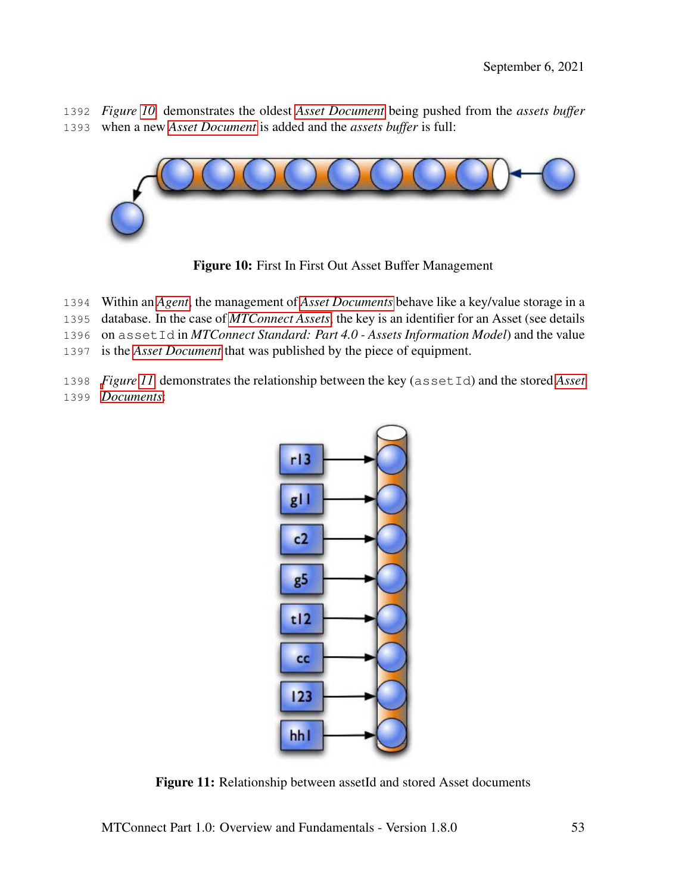*Figure [10](#page-59-0)* demonstrates the oldest *[Asset Document](#page-17-1)* being pushed from the *assets buffer* when a new *[Asset Document](#page-17-1)* is added and the *assets buffer* is full:

<span id="page-59-0"></span>

Figure 10: First In First Out Asset Buffer Management

- Within an *[Agent](#page-16-0)*, the management of *[Asset Documents](#page-17-1)* behave like a key/value storage in a
- database. In the case of *[MTConnect Assets](#page-26-0)*, the key is an identifier for an Asset (see details
- on assetId in *MTConnect Standard: Part 4.0 Assets Information Model*) and the value
- is the *[Asset Document](#page-17-1)* that was published by the piece of equipment.
- <span id="page-59-1"></span> *[F](#page-17-1)igure [11](#page-59-1)* demonstrates the relationship between the key (assetId) and the stored *[Asset](#page-17-1) [Documents](#page-17-1)*:



Figure 11: Relationship between assetId and stored Asset documents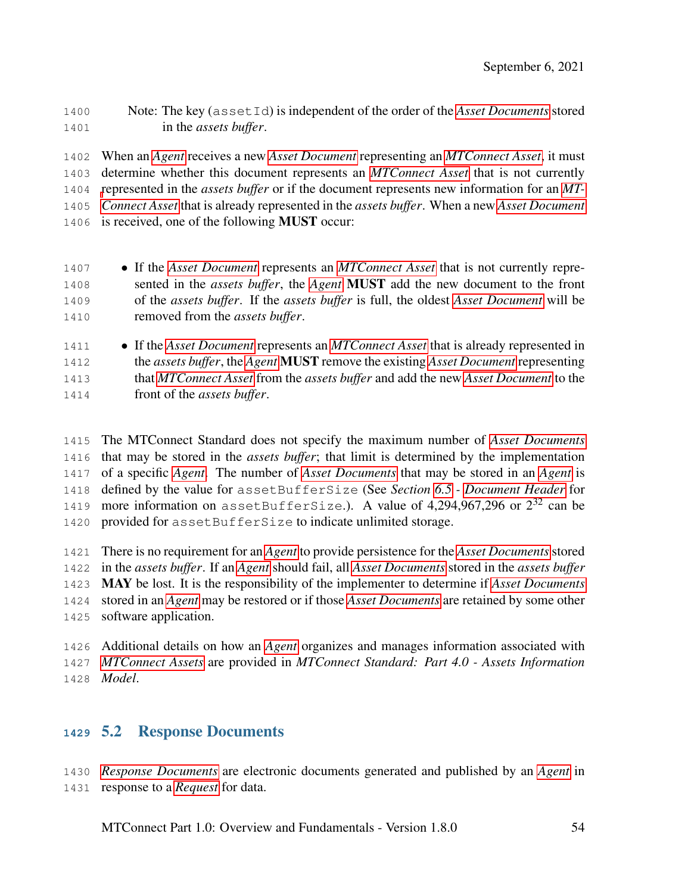Note: The key (assetId) is independent of the order of the *[Asset Documents](#page-17-1)* stored in the *assets buffer*.

 When an *[Agent](#page-16-0)* receives a new *[Asset Document](#page-17-1)* representing an *[MTConnect Asset](#page-26-0)*, it must determine whether this document represents an *[MTConnect Asset](#page-26-0)* that is not currently [r](#page-26-0)epresented in the *assets buffer* or if the document represents new information for an *[MT-](#page-26-0) [Connect Asset](#page-26-0)* that is already represented in the *assets buffer*. When a new *[Asset Document](#page-17-1)* is received, one of the following MUST occur:

- If the *[Asset Document](#page-17-1)* represents an *[MTConnect Asset](#page-26-0)* that is not currently repre- sented in the *assets buffer*, the *[Agent](#page-16-0)* MUST add the new document to the front of the *assets buffer*. If the *assets buffer* is full, the oldest *[Asset Document](#page-17-1)* will be removed from the *assets buffer*.
- If the *[Asset Document](#page-17-1)* represents an *[MTConnect Asset](#page-26-0)* that is already represented in the *assets buffer*, the *[Agent](#page-16-0)* MUST remove the existing *[Asset Document](#page-17-1)* representing that *[MTConnect Asset](#page-26-0)* from the *assets buffer* and add the new *[Asset Document](#page-17-1)* to the front of the *assets buffer*.
- The MTConnect Standard does not specify the maximum number of *[Asset Documents](#page-17-1)* that may be stored in the *assets buffer*; that limit is determined by the implementation of a specific *[Agent](#page-16-0)*. The number of *[Asset Documents](#page-17-1)* that may be stored in an *[Agent](#page-16-0)* is defined by the value for assetBufferSize (See *Section [6.5](#page-75-0) - [Document Header](#page-75-0)* for 1419 more information on assetBufferSize.). A value of 4,294,967,296 or  $2^{32}$  can be provided for assetBufferSize to indicate unlimited storage.
- There is no requirement for an *[Agent](#page-16-0)* to provide persistence for the *[Asset Documents](#page-17-1)* stored in the *assets buffer*. If an *[Agent](#page-16-0)* should fail, all *[Asset Documents](#page-17-1)* stored in the *assets buffer* MAY be lost. It is the responsibility of the implementer to determine if *[Asset Documents](#page-17-1)* stored in an *[Agent](#page-16-0)* may be restored or if those *[Asset Documents](#page-17-1)* are retained by some other software application.
- Additional details on how an *[Agent](#page-16-0)* organizes and manages information associated with *[MTConnect Assets](#page-26-0)* are provided in *MTConnect Standard: Part 4.0 - Assets Information Model*.
- 

### 5.2 Response Documents

 *[Response Documents](#page-31-0)* are electronic documents generated and published by an *[Agent](#page-16-0)* in response to a *[Request](#page-30-0)* for data.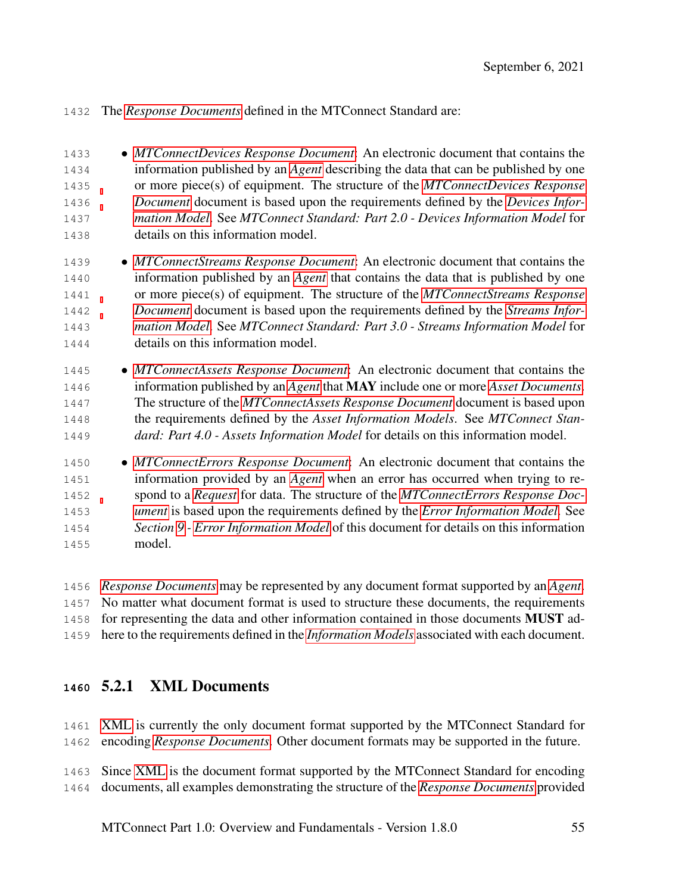The *[Response Documents](#page-31-0)* defined in the MTConnect Standard are:

 • *[MTConnectDevices Response Document](#page-28-1)*: An electronic document that contains the information published by an *[Agent](#page-16-0)* describing the data that can be published by one or more piece(s) of equipment. The structure of the *[MTConnectDevices Response](#page-28-1) [Document](#page-28-1)* document is based upon the requirements defined by the *[Devices Infor-](#page-21-0) [mation Model](#page-21-0)*. See *MTConnect Standard: Part 2.0 - Devices Information Model* for details on this information model.

- *[MTConnectStreams Response Document](#page-28-0)*: An electronic document that contains the information published by an *[Agent](#page-16-0)* that contains the data that is published by one or more piece(s) of equipment. The structure of the *[MTConnectStreams Response](#page-28-0) [Document](#page-28-0)* document is based upon the requirements defined by the *[Streams Infor-](#page-34-2) [mation Model](#page-34-2)*. See *MTConnect Standard: Part 3.0 - Streams Information Model* for details on this information model.
- *[MTConnectAssets Response Document](#page-27-1)*: An electronic document that contains the information published by an *[Agent](#page-16-0)* that MAY include one or more *[Asset Documents](#page-17-1)*. The structure of the *[MTConnectAssets Response Document](#page-27-1)* document is based upon the requirements defined by the *Asset Information Models*. See *MTConnect Stan-dard: Part 4.0 - Assets Information Model* for details on this information model.
- *[MTConnectErrors Response Document](#page-28-2)*: An electronic document that contains the information provided by an *[Agent](#page-16-0)* when an error has occurred when trying to re- spond to a *[Request](#page-30-0)* for data. The structure of the *[MTConnectErrors Response Doc-](#page-28-2) [ument](#page-28-2)* is based upon the requirements defined by the *[Error Information Model](#page-22-2)*. See *Section [9](#page-129-0) - [Error Information Model](#page-129-0)* of this document for details on this information model.

 *[Response Documents](#page-31-0)* may be represented by any document format supported by an *[Agent](#page-16-0)*. No matter what document format is used to structure these documents, the requirements for representing the data and other information contained in those documents MUST ad-here to the requirements defined in the *[Information Models](#page-25-2)* associated with each document.

# <span id="page-61-0"></span>5.2.1 XML Documents

 [XML](#page-15-0) is currently the only document format supported by the MTConnect Standard for encoding *[Response Documents](#page-31-0)*. Other document formats may be supported in the future.

 Since [XML](#page-15-0) is the document format supported by the MTConnect Standard for encoding documents, all examples demonstrating the structure of the *[Response Documents](#page-31-0)* provided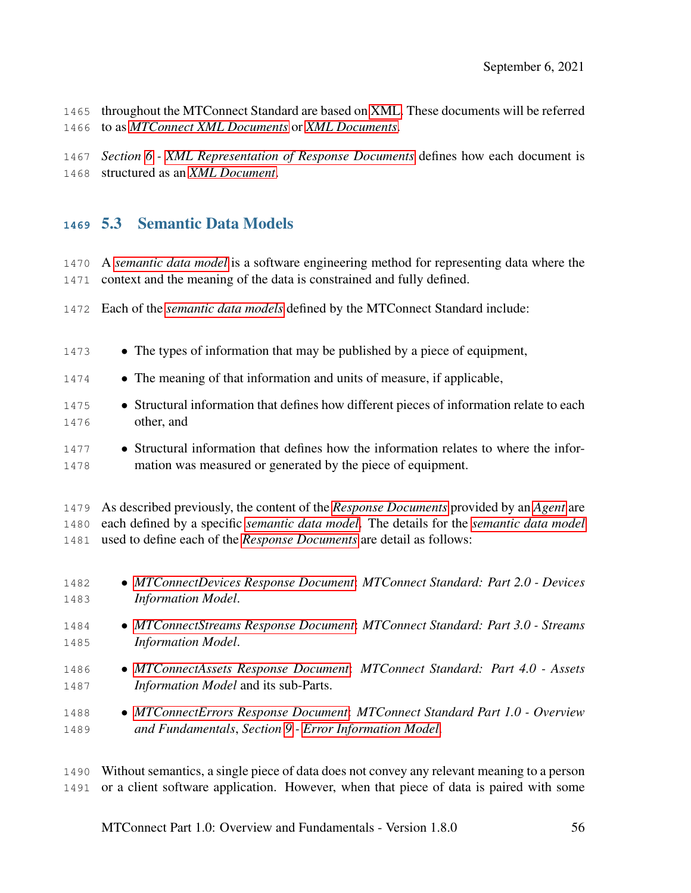throughout the MTConnect Standard are based on [XML.](#page-15-0) These documents will be referred to as *[MTConnect XML Documents](#page-27-2)* or *[XML Documents](#page-37-1)*.

 *Section [6](#page-66-0) - [XML Representation of Response Documents](#page-66-0)* defines how each document is structured as an *[XML Document](#page-37-1)*.

### 5.3 Semantic Data Models

 A *[semantic data model](#page-32-0)* is a software engineering method for representing data where the context and the meaning of the data is constrained and fully defined.

- Each of the *[semantic data models](#page-32-0)* defined by the MTConnect Standard include:
- The types of information that may be published by a piece of equipment, • The meaning of that information and units of measure, if applicable, • Structural information that defines how different pieces of information relate to each other, and • Structural information that defines how the information relates to where the infor- mation was measured or generated by the piece of equipment. As described previously, the content of the *[Response Documents](#page-31-0)* provided by an *[Agent](#page-16-0)* are each defined by a specific *[semantic data model](#page-32-0)*. The details for the *[semantic data model](#page-32-0)* used to define each of the *[Response Documents](#page-31-0)* are detail as follows: • *[MTConnectDevices Response Document](#page-28-1)*: *MTConnect Standard: Part 2.0 - Devices Information Model*. • *[MTConnectStreams Response Document](#page-28-0)*: *MTConnect Standard: Part 3.0 - Streams Information Model*. • *[MTConnectAssets Response Document](#page-27-1)*: *MTConnect Standard: Part 4.0 - Assets Information Model* and its sub-Parts. • *[MTConnectErrors Response Document](#page-28-2)*: *MTConnect Standard Part 1.0 - Overview and Fundamentals*, *Section [9](#page-129-0) - [Error Information Model](#page-129-0)*.

 Without semantics, a single piece of data does not convey any relevant meaning to a person or a client software application. However, when that piece of data is paired with some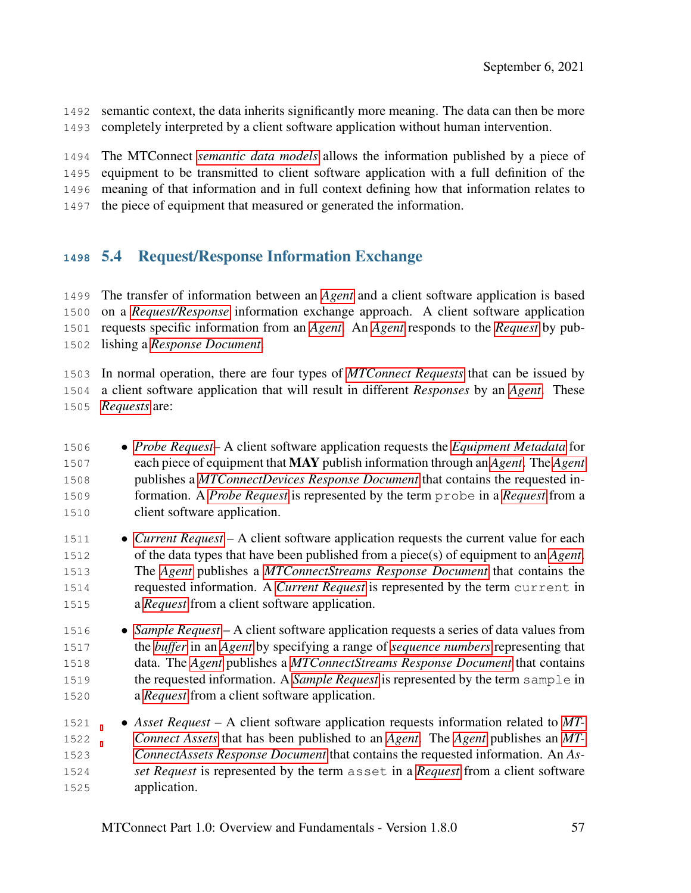semantic context, the data inherits significantly more meaning. The data can then be more completely interpreted by a client software application without human intervention.

 The MTConnect *[semantic data models](#page-32-0)* allows the information published by a piece of equipment to be transmitted to client software application with a full definition of the meaning of that information and in full context defining how that information relates to the piece of equipment that measured or generated the information.

# <span id="page-63-0"></span>5.4 Request/Response Information Exchange

 The transfer of information between an *[Agent](#page-16-0)* and a client software application is based on a *[Request/Response](#page-30-1)* information exchange approach. A client software application requests specific information from an *[Agent](#page-16-0)*. An *[Agent](#page-16-0)* responds to the *[Request](#page-30-0)* by pub-lishing a *[Response Document](#page-31-0)*.

 In normal operation, there are four types of *[MTConnect Requests](#page-27-3)* that can be issued by a client software application that will result in different *Responses* by an *[Agent](#page-16-0)*. These *[Requests](#page-30-0)* are:

- *[Probe Request](#page-29-0)* A client software application requests the *[Equipment Metadata](#page-22-1)* for each piece of equipment that MAY publish information through an *[Agent](#page-16-0)*. The *[Agent](#page-16-0)* publishes a *[MTConnectDevices Response Document](#page-28-1)* that contains the requested in- formation. A *[Probe Request](#page-29-0)* is represented by the term probe in a *[Request](#page-30-0)* from a client software application.
- *[Current Request](#page-20-2)* A client software application requests the current value for each of the data types that have been published from a piece(s) of equipment to an *[Agent](#page-16-0)*. The *[Agent](#page-16-0)* publishes a *[MTConnectStreams Response Document](#page-28-0)* that contains the requested information. A *[Current Request](#page-20-2)* is represented by the term current in a *[Request](#page-30-0)* from a client software application.
- *[Sample Request](#page-32-1)* A client software application requests a series of data values from the *[buffer](#page-18-2)* in an *[Agent](#page-16-0)* by specifying a range of *[sequence numbers](#page-33-0)* representing that data. The *[Agent](#page-16-0)* publishes a *[MTConnectStreams Response Document](#page-28-0)* that contains the requested information. A *[Sample Request](#page-32-1)* is represented by the term sample in a *[Request](#page-30-0)* from a client software application.
- *Asset Request* A client software application requests information related to *[MT-](#page-26-0) [Connect Assets](#page-26-0)* that has been published to an *[Agent](#page-16-0)*. The *[Agent](#page-16-0)* publishes an *[MT-](#page-27-1) [ConnectAssets Response Document](#page-27-1)* that contains the requested information. An *As- set Request* is represented by the term asset in a *[Request](#page-30-0)* from a client software application.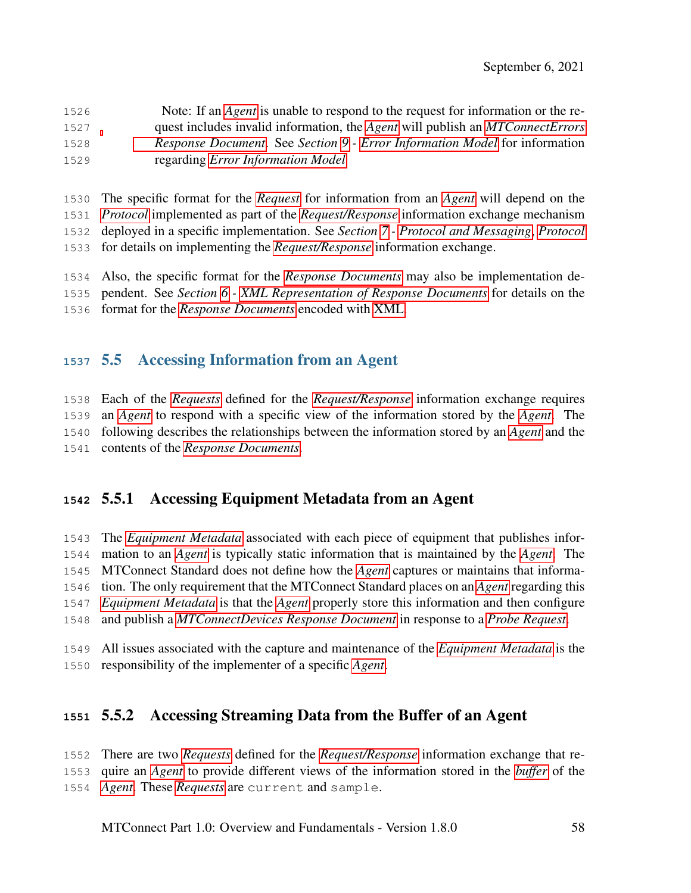Note: If an *[Agent](#page-16-0)* is unable to respond to the request for information or the re- quest includes invalid information, the *[Agent](#page-16-0)* will publish an *[MTConnectErrors](#page-28-2) [Response Document](#page-28-2)*. See *Section [9](#page-129-0) - [Error Information Model](#page-129-0)* for information regarding *[Error Information Model](#page-22-2)*

 The specific format for the *[Request](#page-30-0)* for information from an *[Agent](#page-16-0)* will depend on the *[Protocol](#page-29-1)* implemented as part of the *[Request/Response](#page-30-1)* information exchange mechanism deployed in a specific implementation. See *Section [7](#page-99-0) - [Protocol and Messaging](#page-99-0)*, *[Protocol](#page-29-1)* for details on implementing the *[Request/Response](#page-30-1)* information exchange.

Also, the specific format for the *[Response Documents](#page-31-0)* may also be implementation de-

 pendent. See *Section [6](#page-66-0) - [XML Representation of Response Documents](#page-66-0)* for details on the format for the *[Response Documents](#page-31-0)* encoded with [XML.](#page-15-0)

### 5.5 Accessing Information from an Agent

 Each of the *[Requests](#page-30-0)* defined for the *[Request/Response](#page-30-1)* information exchange requires an *[Agent](#page-16-0)* to respond with a specific view of the information stored by the *[Agent](#page-16-0)*. The following describes the relationships between the information stored by an *[Agent](#page-16-0)* and the contents of the *[Response Documents](#page-31-0)*.

### 5.5.1 Accessing Equipment Metadata from an Agent

 The *[Equipment Metadata](#page-22-1)* associated with each piece of equipment that publishes infor- mation to an *[Agent](#page-16-0)* is typically static information that is maintained by the *[Agent](#page-16-0)*. The MTConnect Standard does not define how the *[Agent](#page-16-0)* captures or maintains that informa- tion. The only requirement that the MTConnect Standard places on an *[Agent](#page-16-0)* regarding this *[Equipment Metadata](#page-22-1)* is that the *[Agent](#page-16-0)* properly store this information and then configure and publish a *[MTConnectDevices Response Document](#page-28-1)* in response to a *[Probe Request](#page-29-0)*.

 All issues associated with the capture and maintenance of the *[Equipment Metadata](#page-22-1)* is the responsibility of the implementer of a specific *[Agent](#page-16-0)*.

# 5.5.2 Accessing Streaming Data from the Buffer of an Agent

#### There are two *[Requests](#page-30-0)* defined for the *[Request/Response](#page-30-1)* information exchange that re-

quire an *[Agent](#page-16-0)* to provide different views of the information stored in the *[buffer](#page-18-2)* of the

*[Agent](#page-16-0)*. These *[Requests](#page-30-0)* are current and sample.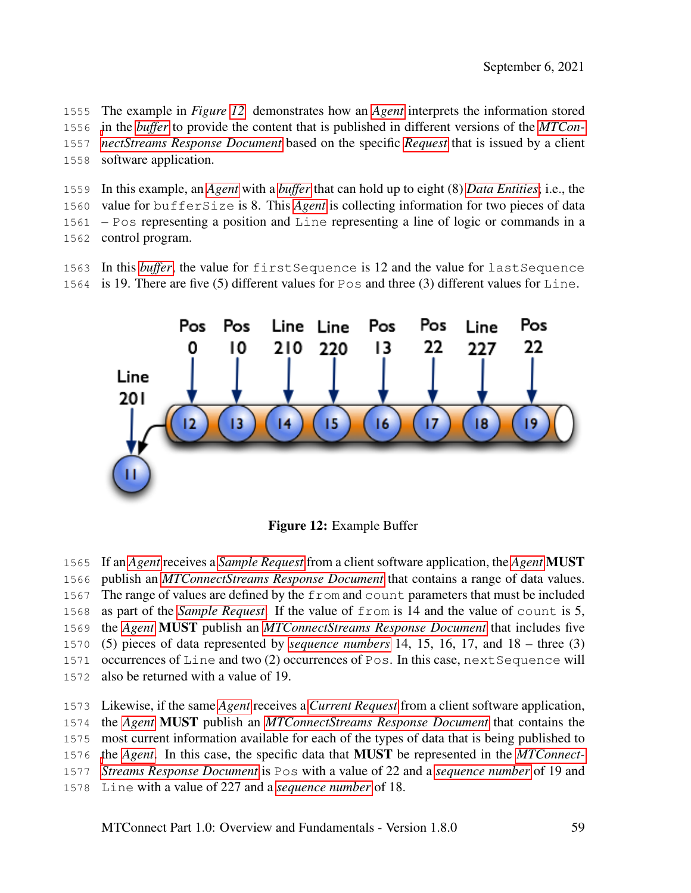The example in *Figure [12](#page-65-0)* demonstrates how an *[Agent](#page-16-0)* interprets the information stored [i](#page-28-0)n the *[buffer](#page-18-2)* to provide the content that is published in different versions of the *[MTCon-](#page-28-0) [nectStreams Response Document](#page-28-0)* based on the specific *[Request](#page-30-0)* that is issued by a client software application.

 In this example, an *[Agent](#page-16-0)* with a *[buffer](#page-18-2)* that can hold up to eight (8) *[Data Entities](#page-20-0)*; i.e., the value for bufferSize is 8. This *[Agent](#page-16-0)* is collecting information for two pieces of data – Pos representing a position and Line representing a line of logic or commands in a control program.

 In this *[buffer](#page-18-2)*, the value for firstSequence is 12 and the value for lastSequence is 19. There are five (5) different values for Pos and three (3) different values for Line.

<span id="page-65-0"></span>

Figure 12: Example Buffer

If an *[Agent](#page-16-0)* receives a *[Sample Request](#page-32-1)* from a client software application, the *[Agent](#page-16-0)* MUST

publish an *[MTConnectStreams Response Document](#page-28-0)* that contains a range of data values.

 The range of values are defined by the from and count parameters that must be included as part of the *[Sample Request](#page-32-1)*. If the value of from is 14 and the value of count is 5,

the *[Agent](#page-16-0)* MUST publish an *[MTConnectStreams Response Document](#page-28-0)* that includes five

(5) pieces of data represented by *[sequence numbers](#page-33-0)* 14, 15, 16, 17, and 18 – three (3)

1571 occurrences of Line and two (2) occurrences of Pos. In this case, next Sequence will

also be returned with a value of 19.

 Likewise, if the same *[Agent](#page-16-0)* receives a *[Current Request](#page-20-2)* from a client software application, the *[Agent](#page-16-0)* MUST publish an *[MTConnectStreams Response Document](#page-28-0)* that contains the most current information available for each of the types of data that is being published to

[t](#page-28-0)he *[Agent](#page-16-0)*. In this case, the specific data that MUST be represented in the *[MTConnect-](#page-28-0)*

*[Streams Response Document](#page-28-0)* is Pos with a value of 22 and a *[sequence number](#page-33-0)* of 19 and

Line with a value of 227 and a *[sequence number](#page-33-0)* of 18.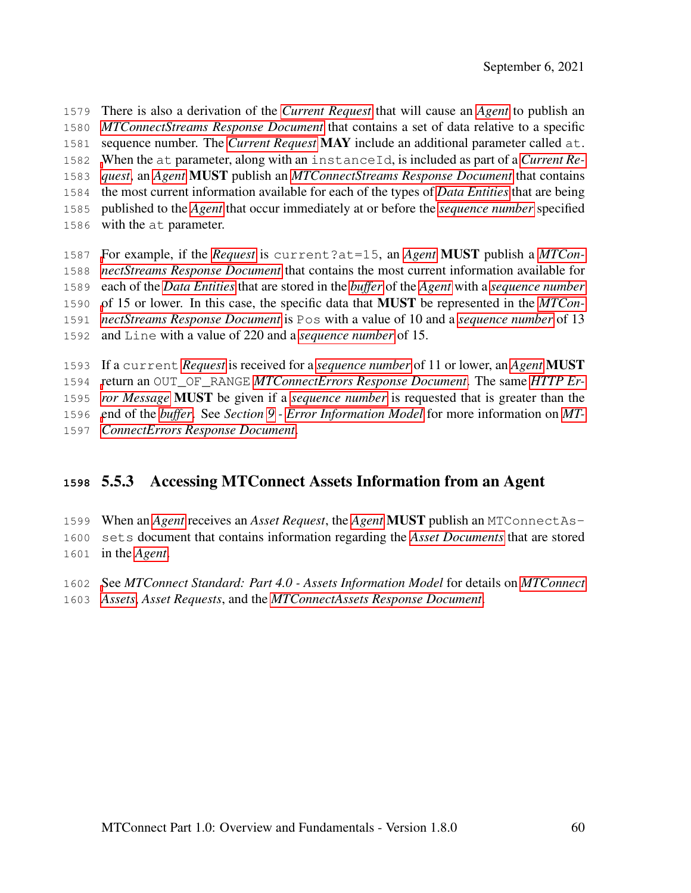There is also a derivation of the *[Current Request](#page-20-2)* that will cause an *[Agent](#page-16-0)* to publish an *[MTConnectStreams Response Document](#page-28-0)* that contains a set of data relative to a specific sequence number. The *[Current Request](#page-20-2)* MAY include an additional parameter called at. [W](#page-20-2)hen the at parameter, along with an instanceId, is included as part of a *[Current Re-](#page-20-2) [quest](#page-20-2)*, an *[Agent](#page-16-0)* MUST publish an *[MTConnectStreams Response Document](#page-28-0)* that contains the most current information available for each of the types of *[Data Entities](#page-20-0)* that are being published to the *[Agent](#page-16-0)* that occur immediately at or before the *[sequence number](#page-33-0)* specified with the at parameter. [F](#page-28-0)or example, if the *[Request](#page-30-0)* is current?at=15, an *[Agent](#page-16-0)* MUST publish a *[MTCon-](#page-28-0)*

 *[nectStreams Response Document](#page-28-0)* that contains the most current information available for each of the *[Data Entities](#page-20-0)* that are stored in the *[buffer](#page-18-2)* of the *[Agent](#page-16-0)* with a *[sequence number](#page-33-0)* [o](#page-28-0)f 15 or lower. In this case, the specific data that MUST be represented in the *[MTCon-](#page-28-0) [nectStreams Response Document](#page-28-0)* is Pos with a value of 10 and a *[sequence number](#page-33-0)* of 13 and Line with a value of 220 and a *[sequence number](#page-33-0)* of 15.

 If a current *[Request](#page-30-0)* is received for a *[sequence number](#page-33-0)* of 11 or lower, an *[Agent](#page-16-0)* MUST [r](#page-23-1)eturn an OUT\_OF\_RANGE *[MTConnectErrors Response Document](#page-28-2)*. The same *[HTTP Er-](#page-23-1) [ror Message](#page-23-1)* MUST be given if a *[sequence number](#page-33-0)* is requested that is greater than the [e](#page-28-2)nd of the *[buffer](#page-18-2)*. See *Section [9](#page-129-0) - [Error Information Model](#page-129-0)* for more information on *[MT-](#page-28-2)[ConnectErrors Response Document](#page-28-2)*.

# 5.5.3 Accessing MTConnect Assets Information from an Agent

When an *[Agent](#page-16-0)* receives an *Asset Request*, the *[Agent](#page-16-0)* MUST publish an MTConnectAs-

- sets document that contains information regarding the *[Asset Documents](#page-17-1)* that are stored in the *[Agent](#page-16-0)*.
- <span id="page-66-0"></span> [S](#page-26-0)ee *MTConnect Standard: Part 4.0 - Assets Information Model* for details on *[MTConnect](#page-26-0) [Assets](#page-26-0)*, *Asset Requests*, and the *[MTConnectAssets Response Document](#page-27-1)*.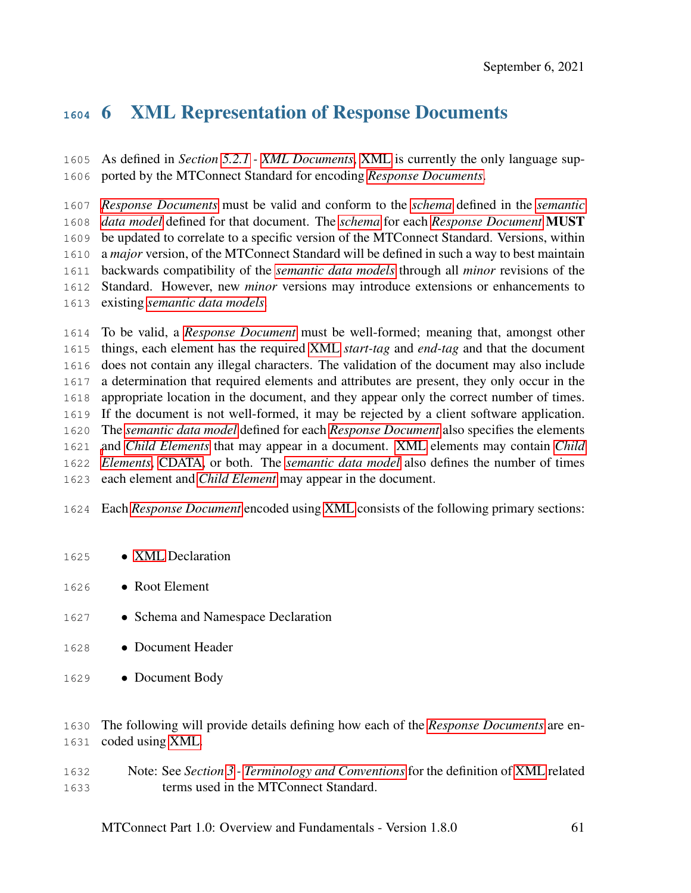# 6 XML Representation of Response Documents

 As defined in *Section [5.2.1](#page-61-0) - [XML Documents](#page-61-0)*, [XML](#page-15-0) is currently the only language sup-ported by the MTConnect Standard for encoding *[Response Documents](#page-31-0)*.

 *[Response Documents](#page-31-0)* must be valid and conform to the *[schema](#page-32-2)* defined in the *[semantic](#page-32-0) [data model](#page-32-0)* defined for that document. The *[schema](#page-32-2)* for each *[Response Document](#page-31-0)* MUST be updated to correlate to a specific version of the MTConnect Standard. Versions, within a *major* version, of the MTConnect Standard will be defined in such a way to best maintain backwards compatibility of the *[semantic data models](#page-32-0)* through all *minor* revisions of the Standard. However, new *minor* versions may introduce extensions or enhancements to existing *[semantic data models](#page-32-0)*.

 To be valid, a *[Response Document](#page-31-0)* must be well-formed; meaning that, amongst other things, each element has the required [XML](#page-15-0) *start-tag* and *end-tag* and that the document does not contain any illegal characters. The validation of the document may also include a determination that required elements and attributes are present, they only occur in the appropriate location in the document, and they appear only the correct number of times. If the document is not well-formed, it may be rejected by a client software application. The *[semantic data model](#page-32-0)* defined for each *[Response Document](#page-31-0)* also specifies the elements [a](#page-18-0)nd *[Child Elements](#page-18-0)* that may appear in a document. [XML](#page-15-0) elements may contain *[Child](#page-18-0) [Elements](#page-18-0)*, [CDATA,](#page-14-0) or both. The *[semantic data model](#page-32-0)* also defines the number of times each element and *[Child Element](#page-18-0)* may appear in the document.

Each *[Response Document](#page-31-0)* encoded using [XML](#page-15-0) consists of the following primary sections:

- [XML](#page-15-0) Declaration
- Root Element
- 1627 Schema and Namespace Declaration
- Document Header
- Document Body

 The following will provide details defining how each of the *[Response Documents](#page-31-0)* are en-coded using [XML.](#page-15-0)

 Note: See *Section [3](#page-13-0) - [Terminology and Conventions](#page-13-0)* for the definition of [XML](#page-15-0) related terms used in the MTConnect Standard.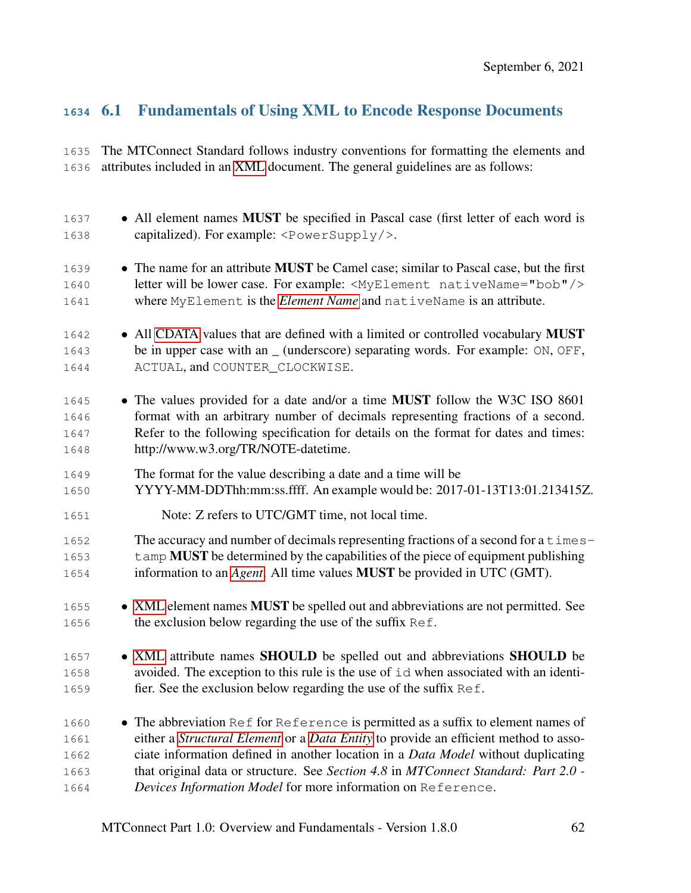# 6.1 Fundamentals of Using XML to Encode Response Documents

| 1635 The MTConnect Standard follows industry conventions for formatting the elements and |
|------------------------------------------------------------------------------------------|
| 1636 attributes included in an XML document. The general guidelines are as follows:      |

| 1637 | • All element names MUST be specified in Pascal case (first letter of each word is           |
|------|----------------------------------------------------------------------------------------------|
| 1638 | capitalized). For example: $\langle PowerSupply \rangle$ .                                   |
| 1639 | • The name for an attribute <b>MUST</b> be Camel case; similar to Pascal case, but the first |
| 1640 | letter will be lower case. For example: <myelement nativename="bob"></myelement>             |
| 1641 | where MyElement is the <i>Element Name</i> and nativeName is an attribute.                   |
| 1642 | • All CDATA values that are defined with a limited or controlled vocabulary MUST             |
| 1643 | be in upper case with an _ (underscore) separating words. For example: ON, OFF,              |
| 1644 | ACTUAL, and COUNTER_CLOCKWISE.                                                               |
| 1645 | • The values provided for a date and/or a time MUST follow the W3C ISO 8601                  |
| 1646 | format with an arbitrary number of decimals representing fractions of a second.              |
| 1647 | Refer to the following specification for details on the format for dates and times:          |
| 1648 | http://www.w3.org/TR/NOTE-datetime.                                                          |
| 1649 | The format for the value describing a date and a time will be                                |
| 1650 | YYYY-MM-DDThh:mm:ss.ffff. An example would be: 2017-01-13T13:01.213415Z.                     |
| 1651 | Note: Z refers to UTC/GMT time, not local time.                                              |
| 1652 | The accuracy and number of decimals representing fractions of a second for a $\times$ imes   |
| 1653 | t amp <b>MUST</b> be determined by the capabilities of the piece of equipment publishing     |
| 1654 | information to an <i>Agent</i> . All time values <b>MUST</b> be provided in UTC (GMT).       |
| 1655 | • XML element names MUST be spelled out and abbreviations are not permitted. See             |
| 1656 | the exclusion below regarding the use of the suffix Ref.                                     |
| 1657 | • XML attribute names SHOULD be spelled out and abbreviations SHOULD be                      |
| 1658 | avoided. The exception to this rule is the use of id when associated with an identi-         |
| 1659 | fier. See the exclusion below regarding the use of the suffix Ref.                           |
| 1660 | • The abbreviation Ref for Reference is permitted as a suffix to element names of            |
| 1661 | either a Structural Element or a Data Entity to provide an efficient method to asso-         |
| 1662 | ciate information defined in another location in a Data Model without duplicating            |
| 1663 | that original data or structure. See Section 4.8 in MTConnect Standard: Part 2.0 -           |
| 1664 | Devices Information Model for more information on Reference.                                 |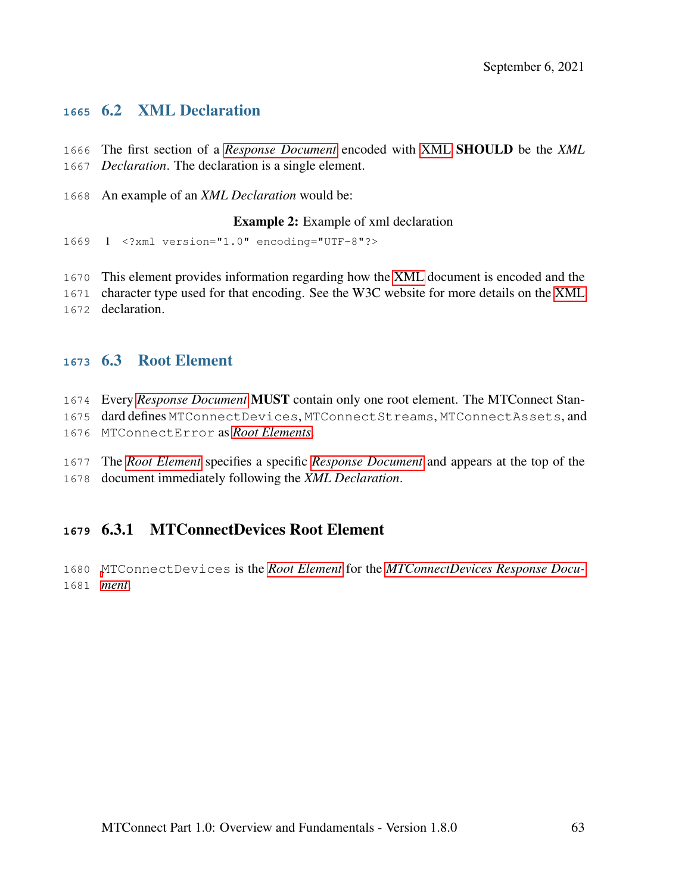### 6.2 XML Declaration

 The first section of a *[Response Document](#page-31-0)* encoded with [XML](#page-15-0) SHOULD be the *XML Declaration*. The declaration is a single element.

An example of an *XML Declaration* would be:

Example 2: Example of xml declaration

1 <?xml version="1.0" encoding="UTF-8"?>

This element provides information regarding how the [XML](#page-15-0) document is encoded and the

 character type used for that encoding. See the W3C website for more details on the [XML](#page-15-0) declaration.

#### 6.3 Root Element

 Every *[Response Document](#page-31-0)* MUST contain only one root element. The MTConnect Stan-dard defines MTConnectDevices, MTConnectStreams, MTConnectAssets, and

MTConnectError as *[Root Elements](#page-31-1)*.

 The *[Root Element](#page-31-1)* specifies a specific *[Response Document](#page-31-0)* and appears at the top of the document immediately following the *XML Declaration*.

### 6.3.1 MTConnectDevices Root Element

 [M](#page-28-1)TConnectDevices is the *[Root Element](#page-31-1)* for the *[MTConnectDevices Response Docu-](#page-28-1)[ment](#page-28-1)*.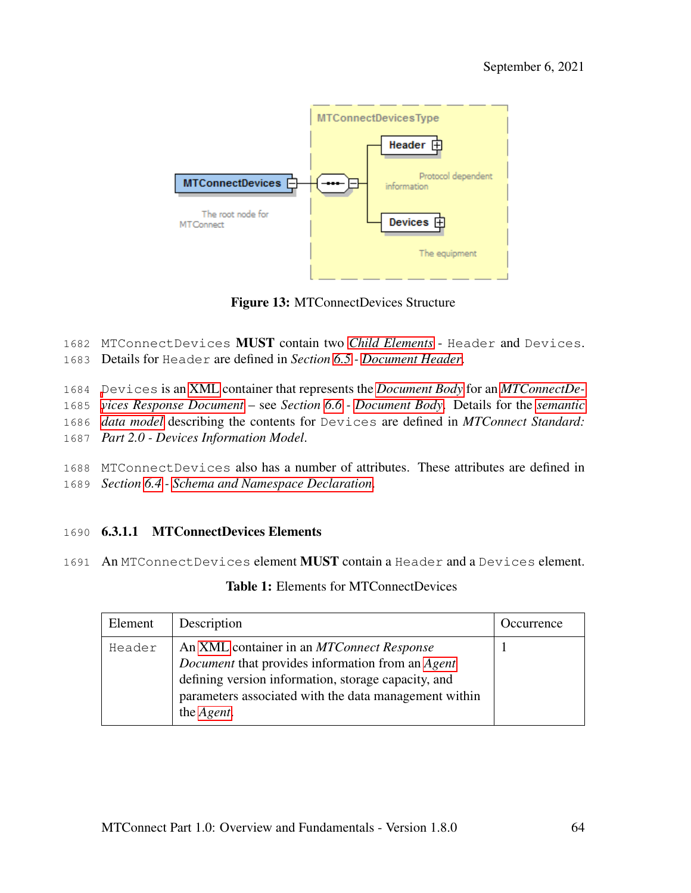

Figure 13: MTConnectDevices Structure

1682 MTConnectDevices MUST contain two *[Child Elements](#page-18-0)* - Header and Devices.

1683 Details for Header are defined in *Section [6.5](#page-75-0) - [Document Header](#page-75-0)*.

1684 [D](#page-28-1)evices is an [XML](#page-15-0) container that represents the *[Document Body](#page-21-1)* for an *[MTConnectDe-](#page-28-1)*

1685 *[vices Response Document](#page-28-1)* – see *Section [6.6](#page-96-0) - [Document Body](#page-96-0)*. Details for the *[semantic](#page-32-0)*

1686 *[data model](#page-32-0)* describing the contents for Devices are defined in *MTConnect Standard:*

1687 *Part 2.0 - Devices Information Model*.

1688 MTConnectDevices also has a number of attributes. These attributes are defined in 1689 *Section [6.4](#page-75-1) - [Schema and Namespace Declaration](#page-75-1)*.

### 1690 6.3.1.1 MTConnectDevices Elements

<span id="page-70-0"></span>1691 An MTConnectDevices element **MUST** contain a Header and a Devices element.

#### Table 1: Elements for MTConnectDevices

| Element | Description                                                                                                                                                                                                                                       | Occurrence |
|---------|---------------------------------------------------------------------------------------------------------------------------------------------------------------------------------------------------------------------------------------------------|------------|
| Header  | An XML container in an MTConnect Response<br><i>Document</i> that provides information from an <i>Agent</i><br>defining version information, storage capacity, and<br>parameters associated with the data management within<br>the <i>Agent</i> . |            |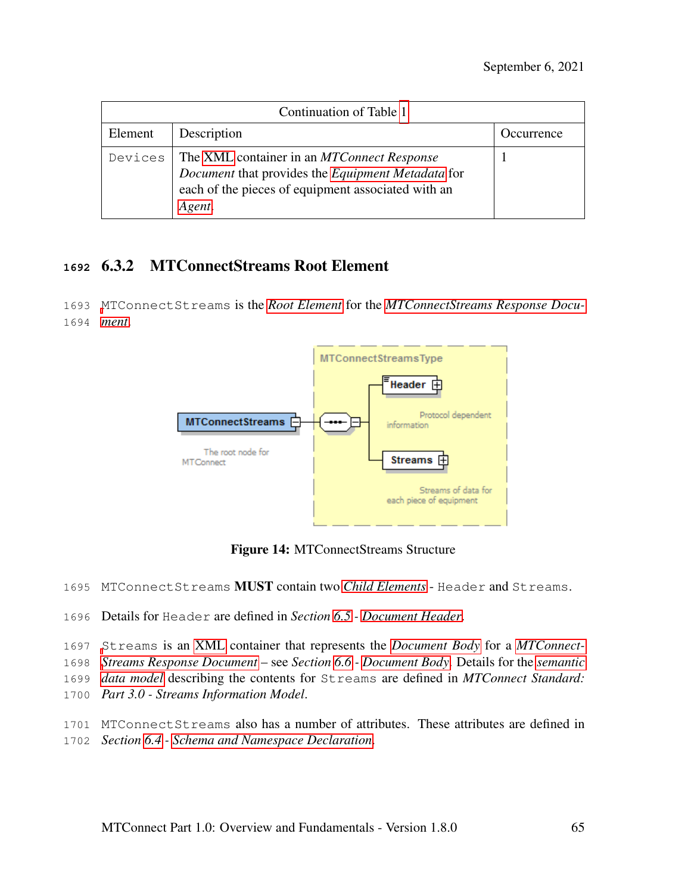| Continuation of Table 1 |                                                                                                                                                                 |            |  |
|-------------------------|-----------------------------------------------------------------------------------------------------------------------------------------------------------------|------------|--|
| Element                 | Description                                                                                                                                                     | Occurrence |  |
| Devices                 | The XML container in an MTConnect Response<br>Document that provides the Equipment Metadata for<br>each of the pieces of equipment associated with an<br>Agent. |            |  |

# **<sup>1692</sup>** 6.3.2 MTConnectStreams Root Element

1693 [M](#page-28-0)TConnectStreams is the *[Root Element](#page-31-1)* for the *[MTConnectStreams Response Docu-](#page-28-0)*1694 *[ment](#page-28-0)*.



Figure 14: MTConnectStreams Structure

- 1695 MTConnectStreams MUST contain two *[Child Elements](#page-18-0)* Header and Streams.
- 1696 Details for Header are defined in *Section [6.5](#page-75-0) - [Document Header](#page-75-0)*.

1697 [S](#page-28-0)treams is an [XML](#page-15-0) container that represents the *[Document Body](#page-21-1)* for a *[MTConnect-](#page-28-0)*

- 1698 *[Streams Response Document](#page-28-0)* see *Section [6.6](#page-96-0) - [Document Body](#page-96-0)*. Details for the *[semantic](#page-32-0)*
- 1699 *[data model](#page-32-0)* describing the contents for Streams are defined in *MTConnect Standard:*
- 1700 *Part 3.0 Streams Information Model*.
- 1701 MTConnectStreams also has a number of attributes. These attributes are defined in
- 1702 *Section [6.4](#page-75-1) - [Schema and Namespace Declaration](#page-75-1)*.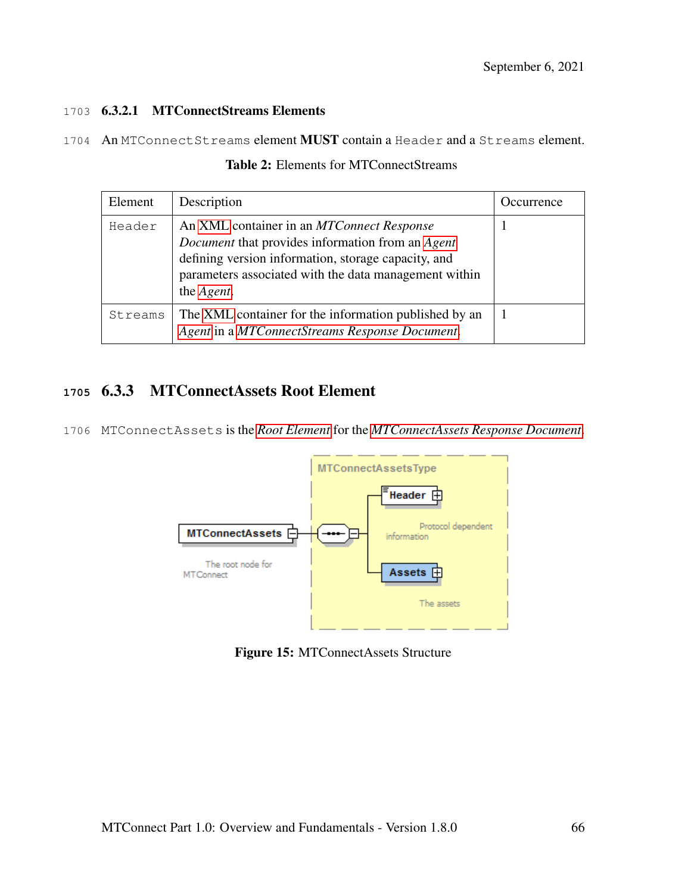#### 1703 6.3.2.1 MTConnectStreams Elements

1704 An MTConnectStreams element MUST contain a Header and a Streams element.

| Element | Description                                                                                                                                                                                                                                | Occurrence |
|---------|--------------------------------------------------------------------------------------------------------------------------------------------------------------------------------------------------------------------------------------------|------------|
| Header  | An XML container in an <i>MTConnect Response</i><br>Document that provides information from an Agent<br>defining version information, storage capacity, and<br>parameters associated with the data management within<br>the <i>Agent</i> . |            |
| Streams | The XML container for the information published by an<br>Agent in a MTConnectStreams Response Document.                                                                                                                                    | 1          |

#### Table 2: Elements for MTConnectStreams

# **<sup>1705</sup>** 6.3.3 MTConnectAssets Root Element

1706 MTConnectAssets is the *[Root Element](#page-31-0)* for the *[MTConnectAssets Response Document](#page-27-0)*.



Figure 15: MTConnectAssets Structure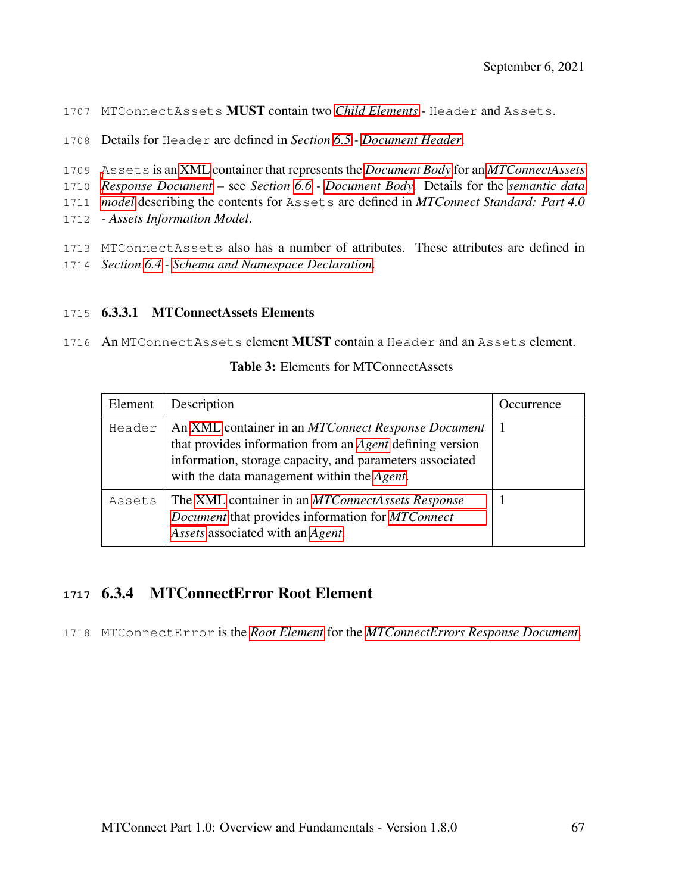- 1707 MTConnectAssets MUST contain two *[Child Elements](#page-18-0)* Header and Assets.
- 1708 Details for Header are defined in *Section [6.5](#page-75-0) - [Document Header](#page-75-0)*.
- 1709 [A](#page-27-0)ssets is an [XML](#page-15-0) container that represents the *[Document Body](#page-21-0)* for an *[MTConnectAssets](#page-27-0)*

1710 *[Response Document](#page-27-0)* – see *Section [6.6](#page-96-0) - [Document Body](#page-96-0)*. Details for the *[semantic data](#page-32-0)*

1711 *[model](#page-32-0)* describing the contents for Assets are defined in *MTConnect Standard: Part 4.0*

1712 *- Assets Information Model*.

1713 MTConnectAssets also has a number of attributes. These attributes are defined in 1714 *Section [6.4](#page-75-1) - [Schema and Namespace Declaration](#page-75-1)*.

#### 1715 6.3.3.1 MTConnectAssets Elements

1716 An MTConnectAssets element MUST contain a Header and an Assets element.

#### Table 3: Elements for MTConnectAssets

| Element | Description                                                                                                                                                                                                                                    | Occurrence |
|---------|------------------------------------------------------------------------------------------------------------------------------------------------------------------------------------------------------------------------------------------------|------------|
| Header  | An XML container in an <i>MTConnect Response Document</i><br>that provides information from an <i>Agent</i> defining version<br>information, storage capacity, and parameters associated<br>with the data management within the <i>Agent</i> . |            |
| Assets  | The XML container in an <i>MTConnectAssets Response</i><br>Document that provides information for MTConnect<br>Assets associated with an Agent.                                                                                                |            |

### **<sup>1717</sup>** 6.3.4 MTConnectError Root Element

1718 MTConnectError is the *[Root Element](#page-31-0)* for the *[MTConnectErrors Response Document](#page-28-1)*.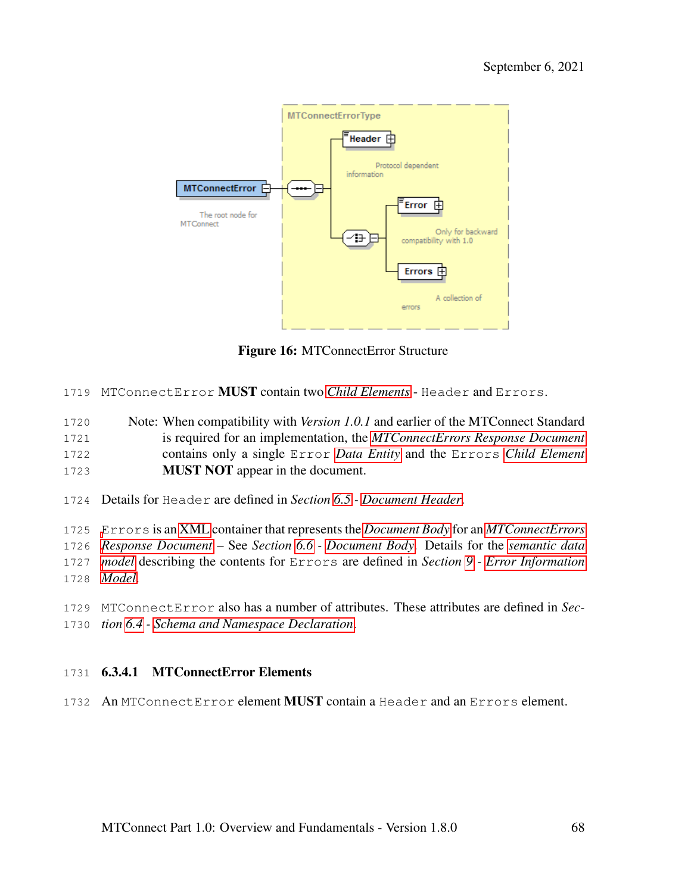

Figure 16: MTConnectError Structure

- MTConnectError MUST contain two *[Child Elements](#page-18-0)* Header and Errors.
- Note: When compatibility with *Version 1.0.1* and earlier of the MTConnect Standard is required for an implementation, the *[MTConnectErrors Response Document](#page-28-1)* contains only a single Error *[Data Entity](#page-20-0)* and the Errors *[Child Element](#page-18-0)* MUST NOT appear in the document.
- Details for Header are defined in *Section [6.5](#page-75-0) - [Document Header](#page-75-0)*.
- [E](#page-28-1)rrors is an [XML](#page-15-0) container that represents the *[Document Body](#page-21-0)* for an *[MTConnectErrors](#page-28-1)*
- *[Response Document](#page-28-1)* See *Section [6.6](#page-96-0) - [Document Body](#page-96-0)*. Details for the *[semantic data](#page-32-0)*
- *[model](#page-32-0)* describing the contents for Errors are defined in *Section [9](#page-129-0) - [Error Information](#page-129-0)*
- *[Model](#page-129-0)*.
- MTConnectError also has a number of attributes. These attributes are defined in *Sec-*
- *tion [6.4](#page-75-1) - [Schema and Namespace Declaration](#page-75-1)*.

#### 6.3.4.1 MTConnectError Elements

1732 An MTConnectError element MUST contain a Header and an Errors element.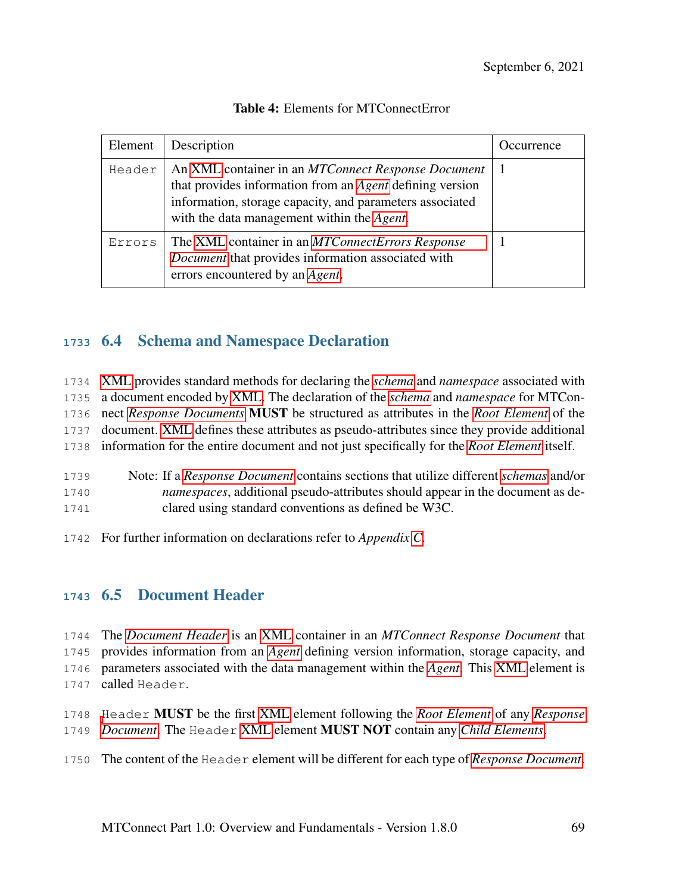| Element | Description                                                                                                                                                                                                                             | <b>Occurrence</b> |
|---------|-----------------------------------------------------------------------------------------------------------------------------------------------------------------------------------------------------------------------------------------|-------------------|
| Header  | An XML container in an MTConnect Response Document<br>that provides information from an <i>Agent</i> defining version<br>information, storage capacity, and parameters associated<br>with the data management within the <i>Agent</i> . |                   |
| Errors  | The XML container in an <i>MTConnectErrors Response</i><br>Document that provides information associated with<br>errors encountered by an <i>Agent</i> .                                                                                |                   |

#### Table 4: Elements for MTConnectError

# <span id="page-75-1"></span>6.4 Schema and Namespace Declaration

|      | 1734 XML provides standard methods for declaring the <i>schema</i> and <i>namespace</i> associated with |
|------|---------------------------------------------------------------------------------------------------------|
|      | 1735 a document encoded by XML. The declaration of the <i>schema</i> and <i>namespace</i> for MTCon-    |
|      | 1736 nect Response Documents MUST be structured as attributes in the Root Element of the                |
|      | 1737 document. XML defines these attributes as pseudo-attributes since they provide additional          |
|      | 1738 information for the entire document and not just specifically for the <i>Root Element</i> itself.  |
| 1739 | Note: If a <i>Response Document</i> contains sections that utilize different <i>schemas</i> and/or      |
| 1740 | <i>namespaces</i> , additional pseudo-attributes should appear in the document as de-                   |
| 1741 | clared using standard conventions as defined be W3C.                                                    |

<span id="page-75-0"></span>For further information on declarations refer to *Appendix [C](#page-142-0)*.

### 6.5 Document Header

- The *[Document Header](#page-21-1)* is an [XML](#page-15-0) container in an *MTConnect Response Document* that provides information from an *[Agent](#page-16-0)* defining version information, storage capacity, and parameters associated with the data management within the *[Agent](#page-16-0)*. This [XML](#page-15-0) element is
- called Header.
- [H](#page-31-1)eader MUST be the first [XML](#page-15-0) element following the *[Root Element](#page-31-0)* of any *[Response](#page-31-1) [Document](#page-31-1)*. The Header [XML](#page-15-0) element MUST NOT contain any *[Child Elements](#page-18-0)*.
- The content of the Header element will be different for each type of *[Response Document](#page-31-1)*.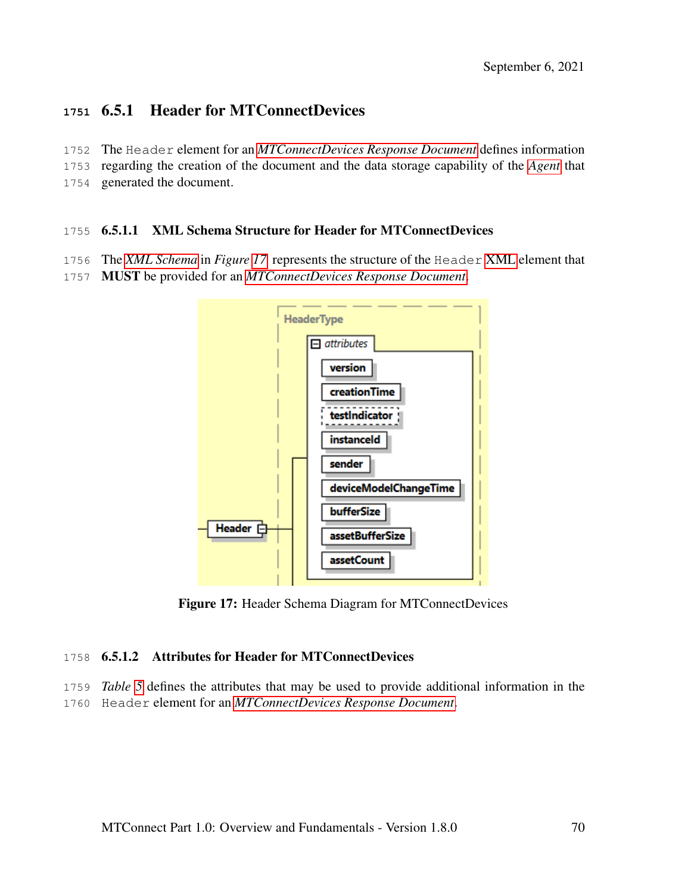# 6.5.1 Header for MTConnectDevices

- The Header element for an *[MTConnectDevices Response Document](#page-28-2)* defines information
- regarding the creation of the document and the data storage capability of the *[Agent](#page-16-0)* that
- generated the document.

#### 6.5.1.1 XML Schema Structure for Header for MTConnectDevices

- The *[XML Schema](#page-37-0)* in *Figure [17](#page-76-0)* represents the structure of the Header [XML](#page-15-0) element that
- <span id="page-76-0"></span>MUST be provided for an *[MTConnectDevices Response Document](#page-28-2)*.



Figure 17: Header Schema Diagram for MTConnectDevices

#### 6.5.1.2 Attributes for Header for MTConnectDevices

<span id="page-76-1"></span> *Table [5](#page-76-1)* defines the attributes that may be used to provide additional information in the Header element for an *[MTConnectDevices Response Document](#page-28-2)*.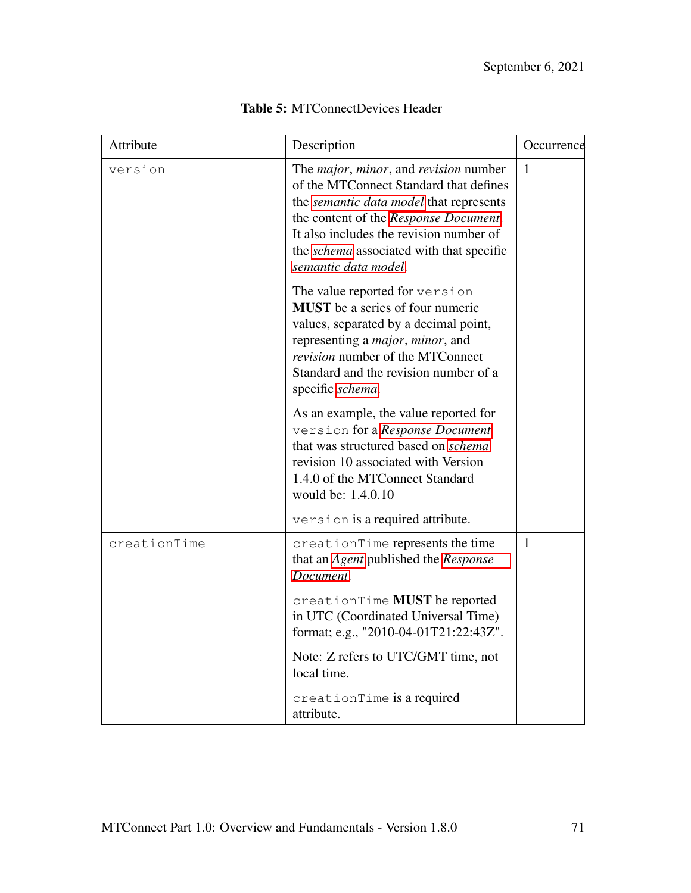| Attribute    | Description                                                                                                                                                                                                                                                                                                      | Occurrence   |
|--------------|------------------------------------------------------------------------------------------------------------------------------------------------------------------------------------------------------------------------------------------------------------------------------------------------------------------|--------------|
| version      | The <i>major</i> , <i>minor</i> , and <i>revision</i> number<br>of the MTConnect Standard that defines<br>the semantic data model that represents<br>the content of the Response Document.<br>It also includes the revision number of<br>the <i>schema</i> associated with that specific<br>semantic data model. | 1            |
|              | The value reported for version<br><b>MUST</b> be a series of four numeric<br>values, separated by a decimal point,<br>representing a <i>major</i> , <i>minor</i> , and<br>revision number of the MTConnect<br>Standard and the revision number of a<br>specific schema.                                          |              |
|              | As an example, the value reported for<br>version for a Response Document<br>that was structured based on schema<br>revision 10 associated with Version<br>1.4.0 of the MTConnect Standard<br>would be: 1.4.0.10                                                                                                  |              |
|              | version is a required attribute.                                                                                                                                                                                                                                                                                 |              |
| creationTime | creationTime represents the time<br>that an Agent published the Response<br>Document.                                                                                                                                                                                                                            | $\mathbf{1}$ |
|              | creationTime <b>MUST</b> be reported<br>in UTC (Coordinated Universal Time)<br>format; e.g., "2010-04-01T21:22:43Z".                                                                                                                                                                                             |              |
|              | Note: Z refers to UTC/GMT time, not<br>local time.                                                                                                                                                                                                                                                               |              |
|              | creationTime is a required<br>attribute.                                                                                                                                                                                                                                                                         |              |

# Table 5: MTConnectDevices Header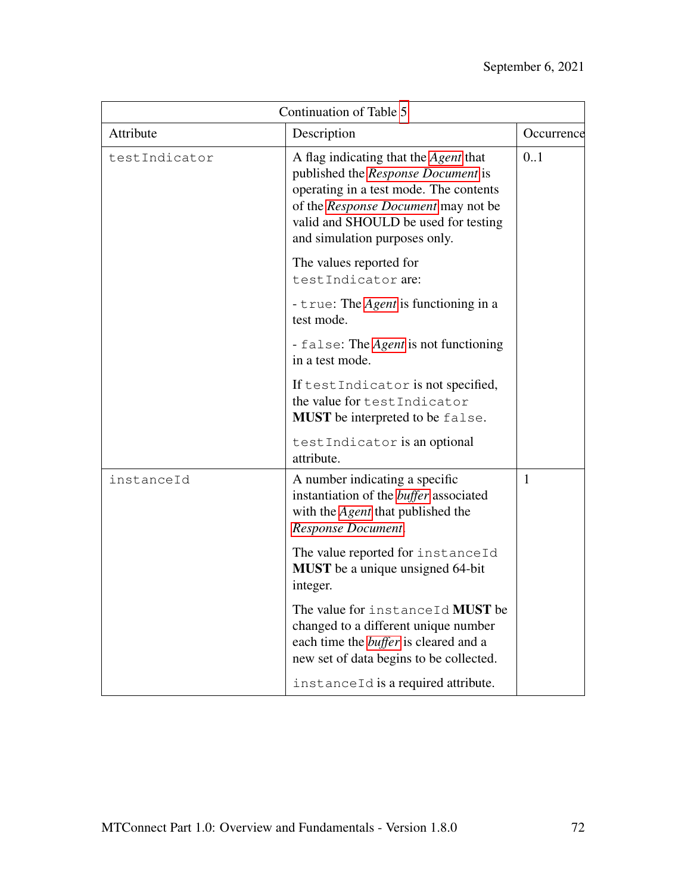| Continuation of Table 5 |                                                                                                                                                                                                                                              |              |
|-------------------------|----------------------------------------------------------------------------------------------------------------------------------------------------------------------------------------------------------------------------------------------|--------------|
| Attribute               | Description                                                                                                                                                                                                                                  | Occurrence   |
| testIndicator           | A flag indicating that the <i>Agent</i> that<br>published the Response Document is<br>operating in a test mode. The contents<br>of the Response Document may not be<br>valid and SHOULD be used for testing<br>and simulation purposes only. | 0.1          |
|                         | The values reported for<br>testIndicator are:                                                                                                                                                                                                |              |
|                         | - true: The <i>Agent</i> is functioning in a<br>test mode.                                                                                                                                                                                   |              |
|                         | - false: The <i>Agent</i> is not functioning<br>in a test mode.                                                                                                                                                                              |              |
|                         | If test Indicator is not specified,<br>the value for testIndicator<br><b>MUST</b> be interpreted to be false.                                                                                                                                |              |
|                         | testIndicator is an optional<br>attribute.                                                                                                                                                                                                   |              |
| instanceId              | A number indicating a specific<br>instantiation of the <i>buffer</i> associated<br>with the <i>Agent</i> that published the<br>Response Document.                                                                                            | $\mathbf{1}$ |
|                         | The value reported for instanceId<br><b>MUST</b> be a unique unsigned 64-bit<br>integer.                                                                                                                                                     |              |
|                         | The value for instanceId MUST be<br>changed to a different unique number<br>each time the <i>buffer</i> is cleared and a<br>new set of data begins to be collected.                                                                          |              |
|                         | instanceId is a required attribute.                                                                                                                                                                                                          |              |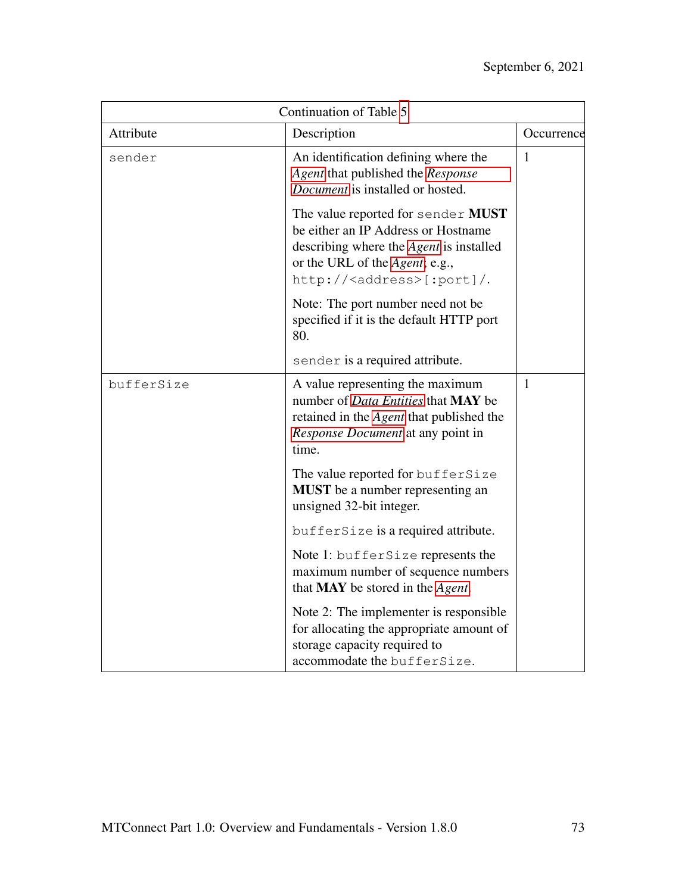| Continuation of Table 5 |                                                                                                                                                                                                               |              |
|-------------------------|---------------------------------------------------------------------------------------------------------------------------------------------------------------------------------------------------------------|--------------|
| Attribute               | Description                                                                                                                                                                                                   | Occurrence   |
| sender                  | An identification defining where the<br>Agent that published the Response<br>Document is installed or hosted.                                                                                                 | 1            |
|                         | The value reported for sender MUST<br>be either an IP Address or Hostname<br>describing where the <i>Agent</i> is installed<br>or the URL of the <i>Agent</i> ; e.g.,<br>http:// <address>[:port]/.</address> |              |
|                         | Note: The port number need not be<br>specified if it is the default HTTP port<br>80.                                                                                                                          |              |
|                         | sender is a required attribute.                                                                                                                                                                               |              |
| bufferSize              | A value representing the maximum<br>number of <i>Data Entities</i> that <b>MAY</b> be<br>retained in the <i>Agent</i> that published the<br>Response Document at any point in<br>time.                        | $\mathbf{1}$ |
|                         | The value reported for bufferSize<br><b>MUST</b> be a number representing an<br>unsigned 32-bit integer.                                                                                                      |              |
|                         | bufferSize is a required attribute.                                                                                                                                                                           |              |
|                         | Note 1: bufferSize represents the<br>maximum number of sequence numbers<br>that <b>MAY</b> be stored in the <i>Agent</i> .                                                                                    |              |
|                         | Note 2: The implementer is responsible<br>for allocating the appropriate amount of<br>storage capacity required to<br>accommodate the bufferSize.                                                             |              |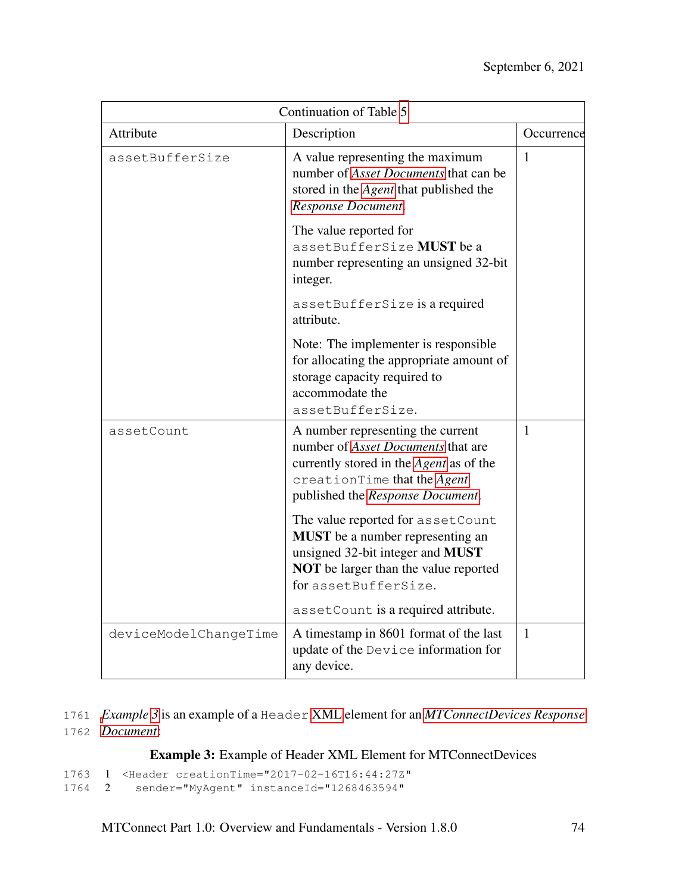| Continuation of Table 5 |                                                                                                                                                                                              |              |  |
|-------------------------|----------------------------------------------------------------------------------------------------------------------------------------------------------------------------------------------|--------------|--|
| Attribute               | Description                                                                                                                                                                                  | Occurrence   |  |
| assetBufferSize         | A value representing the maximum<br>number of Asset Documents that can be<br>stored in the <i>Agent</i> that published the<br>Response Document.                                             | 1            |  |
|                         | The value reported for<br>assetBufferSize MUST be a<br>number representing an unsigned 32-bit<br>integer.                                                                                    |              |  |
|                         | assetBufferSize is a required<br>attribute.                                                                                                                                                  |              |  |
|                         | Note: The implementer is responsible<br>for allocating the appropriate amount of<br>storage capacity required to<br>accommodate the<br>assetBufferSize.                                      |              |  |
| assetCount              | A number representing the current<br>number of Asset Documents that are<br>currently stored in the <i>Agent</i> as of the<br>creationTime that the Agent<br>published the Response Document. | $\mathbf{1}$ |  |
|                         | The value reported for assetCount<br><b>MUST</b> be a number representing an<br>unsigned 32-bit integer and MUST<br><b>NOT</b> be larger than the value reported<br>for assetBufferSize.     |              |  |
|                         | assetCount is a required attribute.                                                                                                                                                          |              |  |
| deviceModelChangeTime   | A timestamp in 8601 format of the last<br>update of the Device information for<br>any device.                                                                                                | $\mathbf{1}$ |  |

1761 *[E](#page-28-2)xample [3](#page-80-0)* is an example of a Header [XML](#page-15-0) element for an *[MTConnectDevices Response](#page-28-2)* 1762 *[Document](#page-28-2)*:

<span id="page-80-0"></span>Example 3: Example of Header XML Element for MTConnectDevices

1763 1 <Header creationTime="2017-02-16T16:44:27Z"

sender="MyAgent" instanceId="1268463594"

MTConnect Part 1.0: Overview and Fundamentals - Version 1.8.0 74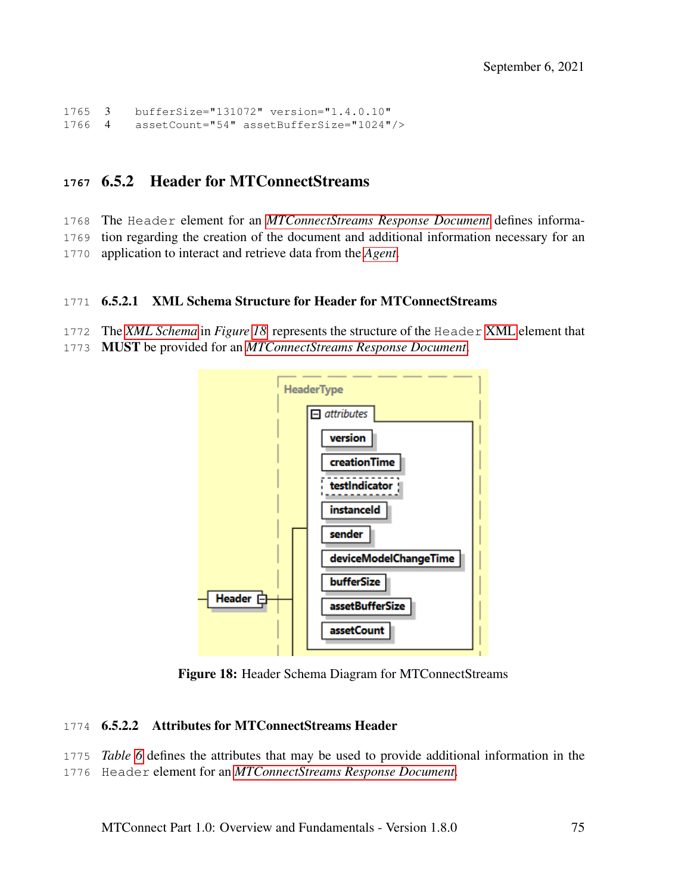```
1765 3 bufferSize="131072" version="1.4.0.10"
1766 4 assetCount="54" assetBufferSize="1024"/>
```
# 6.5.2 Header for MTConnectStreams

 The Header element for an *[MTConnectStreams Response Document](#page-28-0)* defines informa-tion regarding the creation of the document and additional information necessary for an

application to interact and retrieve data from the *[Agent](#page-16-0)*.

#### 6.5.2.1 XML Schema Structure for Header for MTConnectStreams

The *[XML Schema](#page-37-0)* in *Figure [18](#page-81-0)* represents the structure of the Header [XML](#page-15-0) element that

<span id="page-81-0"></span>MUST be provided for an *[MTConnectStreams Response Document](#page-28-0)*.



Figure 18: Header Schema Diagram for MTConnectStreams

#### 6.5.2.2 Attributes for MTConnectStreams Header

<span id="page-81-1"></span> *Table [6](#page-81-1)* defines the attributes that may be used to provide additional information in the Header element for an *[MTConnectStreams Response Document](#page-28-0)*.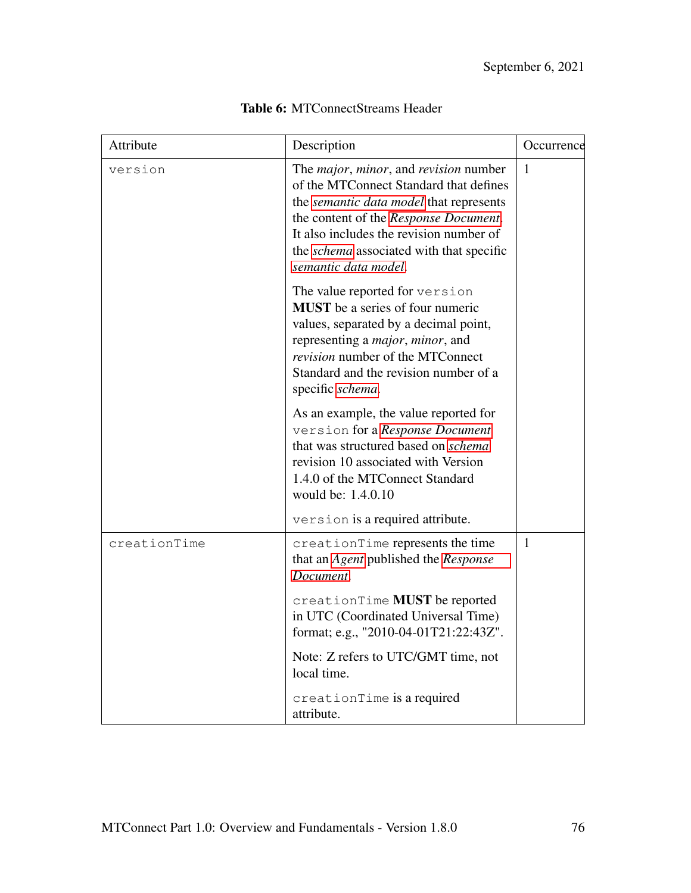| Attribute    | Description                                                                                                                                                                                                                                                                                                      | Occurrence   |
|--------------|------------------------------------------------------------------------------------------------------------------------------------------------------------------------------------------------------------------------------------------------------------------------------------------------------------------|--------------|
| version      | The <i>major</i> , <i>minor</i> , and <i>revision</i> number<br>of the MTConnect Standard that defines<br>the semantic data model that represents<br>the content of the Response Document.<br>It also includes the revision number of<br>the <i>schema</i> associated with that specific<br>semantic data model. | 1            |
|              | The value reported for version<br><b>MUST</b> be a series of four numeric<br>values, separated by a decimal point,<br>representing a <i>major</i> , <i>minor</i> , and<br>revision number of the MTConnect<br>Standard and the revision number of a<br>specific schema.                                          |              |
|              | As an example, the value reported for<br>version for a Response Document<br>that was structured based on schema<br>revision 10 associated with Version<br>1.4.0 of the MTConnect Standard<br>would be: 1.4.0.10                                                                                                  |              |
|              | version is a required attribute.                                                                                                                                                                                                                                                                                 |              |
| creationTime | creationTime represents the time<br>that an Agent published the Response<br>Document.                                                                                                                                                                                                                            | $\mathbf{1}$ |
|              | creationTime <b>MUST</b> be reported<br>in UTC (Coordinated Universal Time)<br>format; e.g., "2010-04-01T21:22:43Z".                                                                                                                                                                                             |              |
|              | Note: Z refers to UTC/GMT time, not<br>local time.                                                                                                                                                                                                                                                               |              |
|              | creationTime is a required<br>attribute.                                                                                                                                                                                                                                                                         |              |

# Table 6: MTConnectStreams Header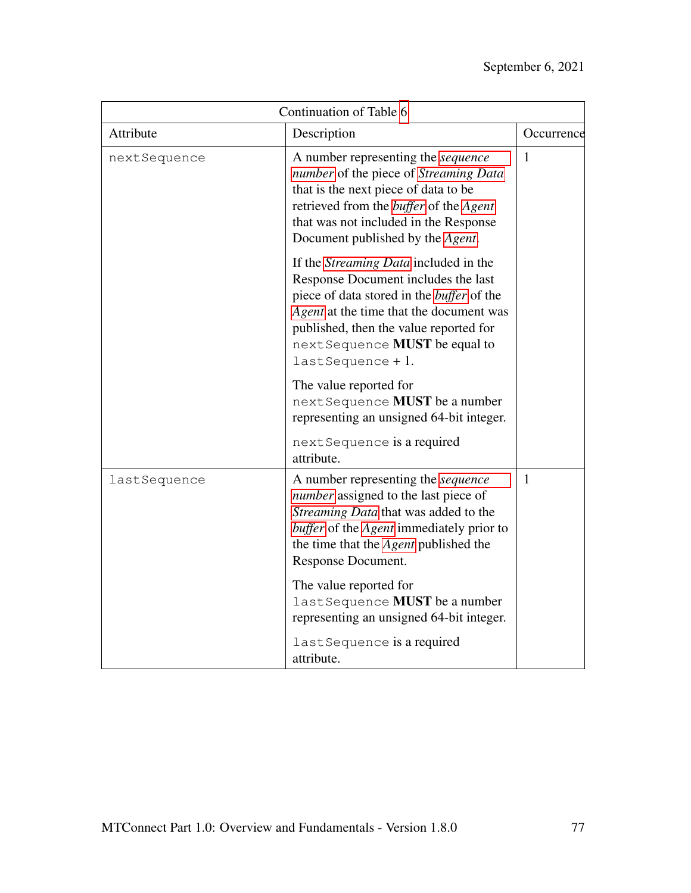| Continuation of Table 6 |                                                                                                                                                                                                                                                                                       |              |
|-------------------------|---------------------------------------------------------------------------------------------------------------------------------------------------------------------------------------------------------------------------------------------------------------------------------------|--------------|
| Attribute               | Description                                                                                                                                                                                                                                                                           | Occurrence   |
| nextSequence            | A number representing the <i>sequence</i><br>number of the piece of Streaming Data<br>that is the next piece of data to be<br>retrieved from the <i>buffer</i> of the <i>Agent</i><br>that was not included in the Response<br>Document published by the <i>Agent</i> .               | 1            |
|                         | If the <i>Streaming Data</i> included in the<br>Response Document includes the last<br>piece of data stored in the <i>buffer</i> of the<br>Agent at the time that the document was<br>published, then the value reported for<br>next Sequence MUST be equal to<br>$lastSequence + 1.$ |              |
|                         | The value reported for<br>nextSequence MUST be a number<br>representing an unsigned 64-bit integer.                                                                                                                                                                                   |              |
|                         | next Sequence is a required<br>attribute.                                                                                                                                                                                                                                             |              |
| lastSequence            | A number representing the <i>sequence</i><br><i>number</i> assigned to the last piece of<br>Streaming Data that was added to the<br>buffer of the Agent immediately prior to<br>the time that the Agent published the<br>Response Document.                                           | $\mathbf{1}$ |
|                         | The value reported for<br>lastSequence MUST be a number<br>representing an unsigned 64-bit integer.                                                                                                                                                                                   |              |
|                         | last Sequence is a required<br>attribute.                                                                                                                                                                                                                                             |              |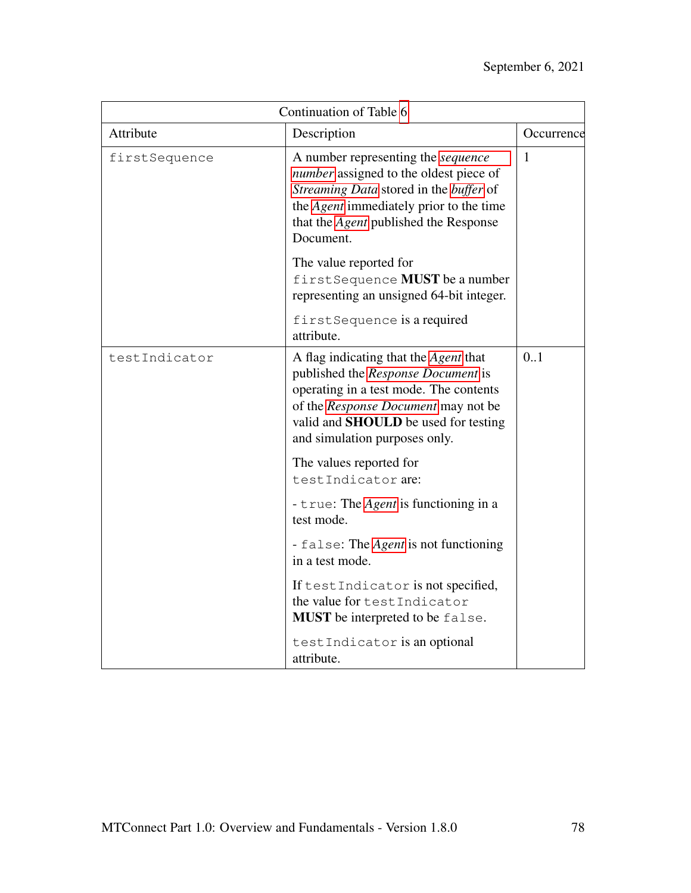| Continuation of Table 6 |                                                                                                                                                                                                                                                     |              |
|-------------------------|-----------------------------------------------------------------------------------------------------------------------------------------------------------------------------------------------------------------------------------------------------|--------------|
| Attribute               | Description                                                                                                                                                                                                                                         | Occurrence   |
| firstSequence           | A number representing the <i>sequence</i><br>number assigned to the oldest piece of<br>Streaming Data stored in the buffer of<br>the <i>Agent</i> immediately prior to the time<br>that the <i>Agent</i> published the Response<br>Document.        | $\mathbf{1}$ |
|                         | The value reported for<br>firstSequence <b>MUST</b> be a number<br>representing an unsigned 64-bit integer.                                                                                                                                         |              |
|                         | firstSequence is a required<br>attribute.                                                                                                                                                                                                           |              |
| testIndicator           | A flag indicating that the <i>Agent</i> that<br>published the Response Document is<br>operating in a test mode. The contents<br>of the Response Document may not be<br>valid and <b>SHOULD</b> be used for testing<br>and simulation purposes only. | 0.1          |
|                         | The values reported for<br>testIndicator are:                                                                                                                                                                                                       |              |
|                         | - true: The <i>Agent</i> is functioning in a<br>test mode.                                                                                                                                                                                          |              |
|                         | - false: The <i>Agent</i> is not functioning<br>in a test mode.                                                                                                                                                                                     |              |
|                         | If test Indicator is not specified,<br>the value for testIndicator<br><b>MUST</b> be interpreted to be false.                                                                                                                                       |              |
|                         | testIndicator is an optional<br>attribute.                                                                                                                                                                                                          |              |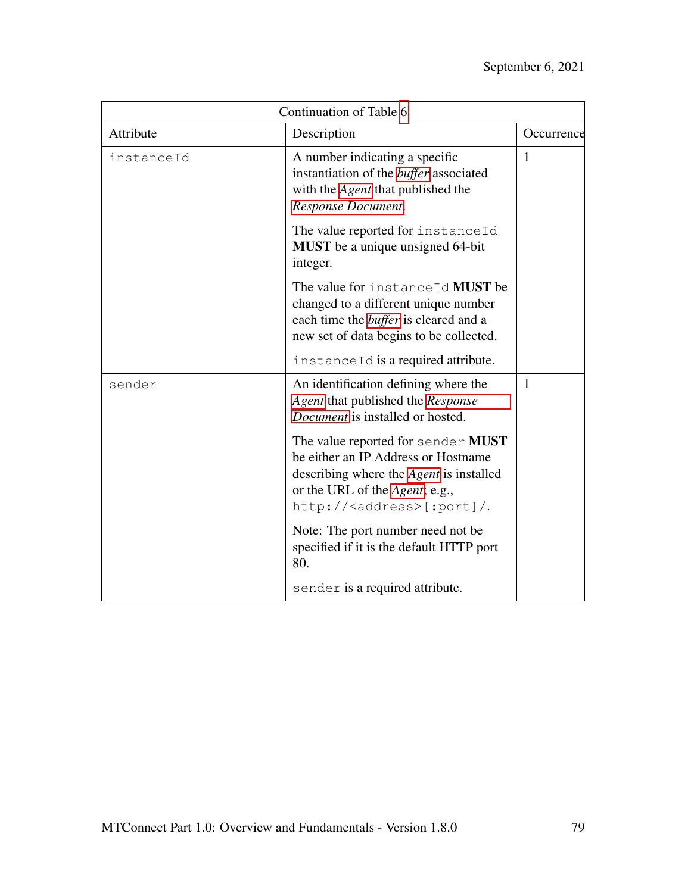| Continuation of Table 6 |                                                                                                                                                                                                               |              |
|-------------------------|---------------------------------------------------------------------------------------------------------------------------------------------------------------------------------------------------------------|--------------|
| Attribute               | Description                                                                                                                                                                                                   | Occurrence   |
| instanceId              | A number indicating a specific<br>instantiation of the <i>buffer</i> associated<br>with the <i>Agent</i> that published the<br>Response Document.                                                             | $\mathbf{1}$ |
|                         | The value reported for instanceId<br><b>MUST</b> be a unique unsigned 64-bit<br>integer.                                                                                                                      |              |
|                         | The value for instance Id MUST be<br>changed to a different unique number<br>each time the <i>buffer</i> is cleared and a<br>new set of data begins to be collected.                                          |              |
|                         | instanceId is a required attribute.                                                                                                                                                                           |              |
| sender                  | An identification defining where the<br>Agent that published the Response<br>Document is installed or hosted.                                                                                                 | $\mathbf{1}$ |
|                         | The value reported for sender MUST<br>be either an IP Address or Hostname<br>describing where the <i>Agent</i> is installed<br>or the URL of the <i>Agent</i> ; e.g.,<br>http:// <address>[:port]/.</address> |              |
|                         | Note: The port number need not be<br>specified if it is the default HTTP port<br>80.                                                                                                                          |              |
|                         | sender is a required attribute.                                                                                                                                                                               |              |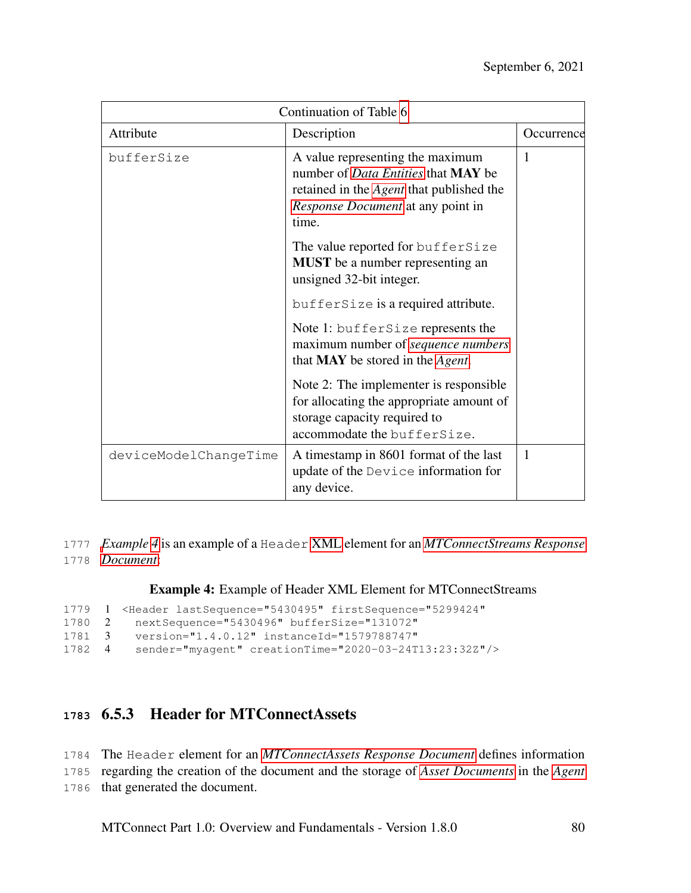| Continuation of Table 6 |                                                                                                                                                                                               |              |  |
|-------------------------|-----------------------------------------------------------------------------------------------------------------------------------------------------------------------------------------------|--------------|--|
| Attribute               | Description                                                                                                                                                                                   | Occurrence   |  |
| bufferSize              | A value representing the maximum<br>number of <i>Data Entities</i> that <b>MAY</b> be<br>retained in the <i>Agent</i> that published the<br><i>Response Document</i> at any point in<br>time. | 1            |  |
|                         | The value reported for bufferSize<br><b>MUST</b> be a number representing an<br>unsigned 32-bit integer.                                                                                      |              |  |
|                         | bufferSize is a required attribute.                                                                                                                                                           |              |  |
|                         | Note 1: bufferSize represents the<br>maximum number of sequence numbers<br>that <b>MAY</b> be stored in the <i>Agent</i> .                                                                    |              |  |
|                         | Note 2: The implementer is responsible<br>for allocating the appropriate amount of<br>storage capacity required to<br>accommodate the bufferSize.                                             |              |  |
| deviceModelChangeTime   | A timestamp in 8601 format of the last<br>update of the Device information for<br>any device.                                                                                                 | $\mathbf{1}$ |  |

1777 *[E](#page-28-0)xample [4](#page-86-0)* is an example of a Header [XML](#page-15-0) element for an *[MTConnectStreams Response](#page-28-0)* 1778 *[Document](#page-28-0)*:

#### <span id="page-86-0"></span>Example 4: Example of Header XML Element for MTConnectStreams

```
1779 1 <Header lastSequence="5430495" firstSequence="5299424"
1780 2 nextSequence="5430496" bufferSize="131072"
1781 3 version="1.4.0.12" instanceId="1579788747"
1782 4 sender="myagent" creationTime="2020-03-24T13:23:32Z"/>
```
# **<sup>1783</sup>** 6.5.3 Header for MTConnectAssets

1784 The Header element for an *[MTConnectAssets Response Document](#page-27-0)* defines information 1785 regarding the creation of the document and the storage of *[Asset Documents](#page-17-0)* in the *[Agent](#page-16-0)*

1786 that generated the document.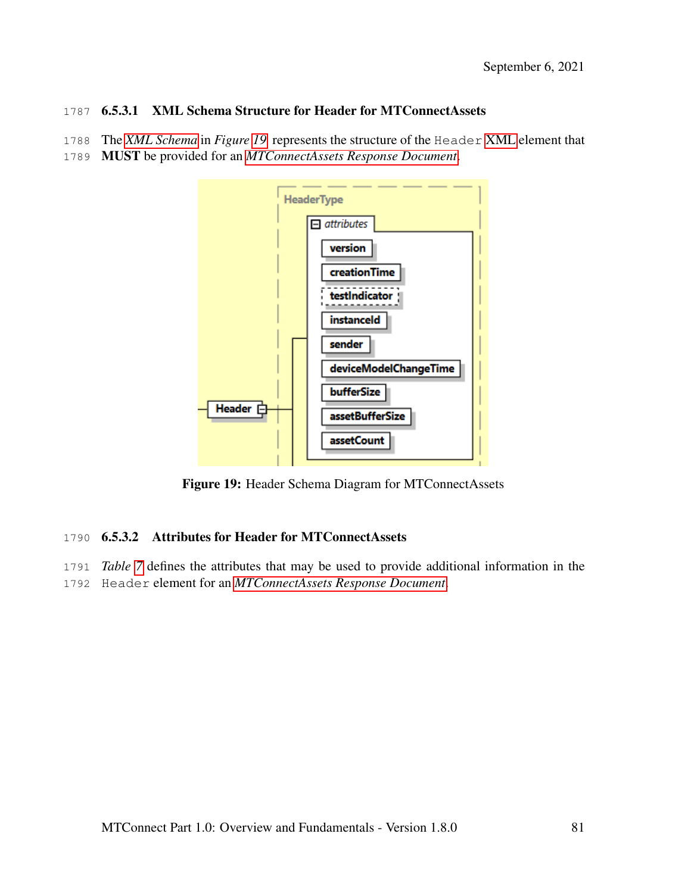#### 6.5.3.1 XML Schema Structure for Header for MTConnectAssets

- The *[XML Schema](#page-37-0)* in *Figure [19](#page-87-0)* represents the structure of the Header [XML](#page-15-0) element that
- <span id="page-87-0"></span>MUST be provided for an *[MTConnectAssets Response Document](#page-27-0)*.



Figure 19: Header Schema Diagram for MTConnectAssets

#### 6.5.3.2 Attributes for Header for MTConnectAssets

<span id="page-87-1"></span> *Table [7](#page-87-1)* defines the attributes that may be used to provide additional information in the Header element for an *[MTConnectAssets Response Document](#page-27-0)*.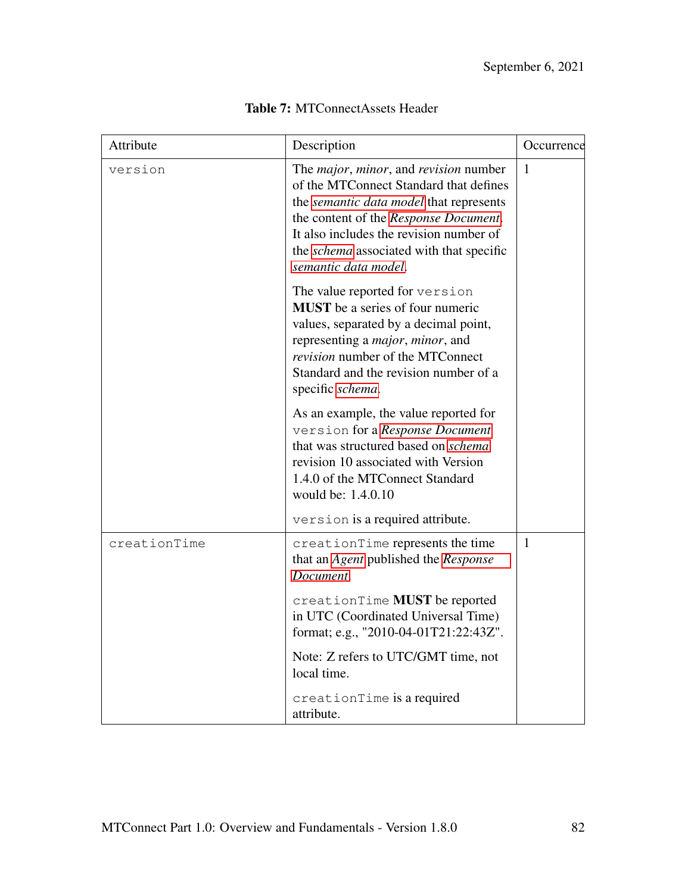| Attribute    | Description                                                                                                                                                                                                                                                                                               | Occurrence   |
|--------------|-----------------------------------------------------------------------------------------------------------------------------------------------------------------------------------------------------------------------------------------------------------------------------------------------------------|--------------|
| version      | The <i>major</i> , <i>minor</i> , and <i>revision</i> number<br>of the MTConnect Standard that defines<br>the semantic data model that represents<br>the content of the Response Document.<br>It also includes the revision number of<br>the schema associated with that specific<br>semantic data model. | $\mathbf{1}$ |
|              | The value reported for version<br><b>MUST</b> be a series of four numeric<br>values, separated by a decimal point,<br>representing a <i>major</i> , <i>minor</i> , and<br>revision number of the MTConnect<br>Standard and the revision number of a<br>specific schema.                                   |              |
|              | As an example, the value reported for<br>version for a Response Document<br>that was structured based on schema<br>revision 10 associated with Version<br>1.4.0 of the MTConnect Standard<br>would be: 1.4.0.10                                                                                           |              |
|              | version is a required attribute.                                                                                                                                                                                                                                                                          |              |
| creationTime | creationTime represents the time<br>that an Agent published the Response<br>Document.                                                                                                                                                                                                                     | $\mathbf{1}$ |
|              | creationTime MUST be reported<br>in UTC (Coordinated Universal Time)<br>format; e.g., "2010-04-01T21:22:43Z".                                                                                                                                                                                             |              |
|              | Note: Z refers to UTC/GMT time, not<br>local time.                                                                                                                                                                                                                                                        |              |
|              | creationTime is a required<br>attribute.                                                                                                                                                                                                                                                                  |              |

## Table 7: MTConnectAssets Header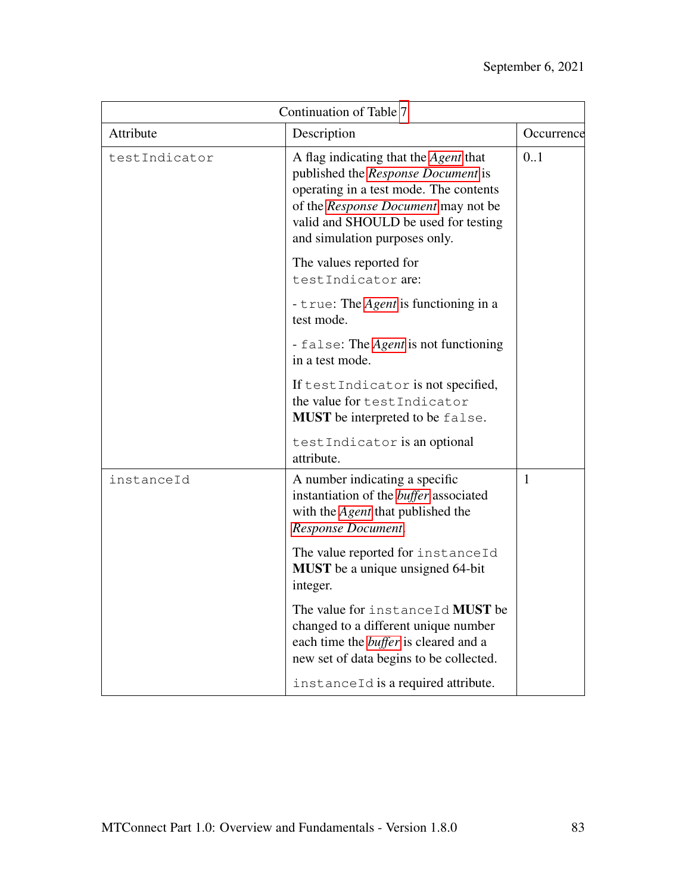| Continuation of Table 7 |                                                                                                                                                                                                                                              |              |  |
|-------------------------|----------------------------------------------------------------------------------------------------------------------------------------------------------------------------------------------------------------------------------------------|--------------|--|
| Attribute               | Description                                                                                                                                                                                                                                  | Occurrence   |  |
| testIndicator           | A flag indicating that the <i>Agent</i> that<br>published the Response Document is<br>operating in a test mode. The contents<br>of the Response Document may not be<br>valid and SHOULD be used for testing<br>and simulation purposes only. | 0.1          |  |
|                         | The values reported for<br>testIndicator are:                                                                                                                                                                                                |              |  |
|                         | - true: The <i>Agent</i> is functioning in a<br>test mode.                                                                                                                                                                                   |              |  |
|                         | - false: The <i>Agent</i> is not functioning<br>in a test mode.                                                                                                                                                                              |              |  |
|                         | If test Indicator is not specified,<br>the value for testIndicator<br><b>MUST</b> be interpreted to be false.                                                                                                                                |              |  |
|                         | testIndicator is an optional<br>attribute.                                                                                                                                                                                                   |              |  |
| instanceId              | A number indicating a specific<br>instantiation of the <i>buffer</i> associated<br>with the <i>Agent</i> that published the<br>Response Document.                                                                                            | $\mathbf{1}$ |  |
|                         | The value reported for instanceId<br><b>MUST</b> be a unique unsigned 64-bit<br>integer.                                                                                                                                                     |              |  |
|                         | The value for instanceId MUST be<br>changed to a different unique number<br>each time the <i>buffer</i> is cleared and a<br>new set of data begins to be collected.                                                                          |              |  |
|                         | instanceId is a required attribute.                                                                                                                                                                                                          |              |  |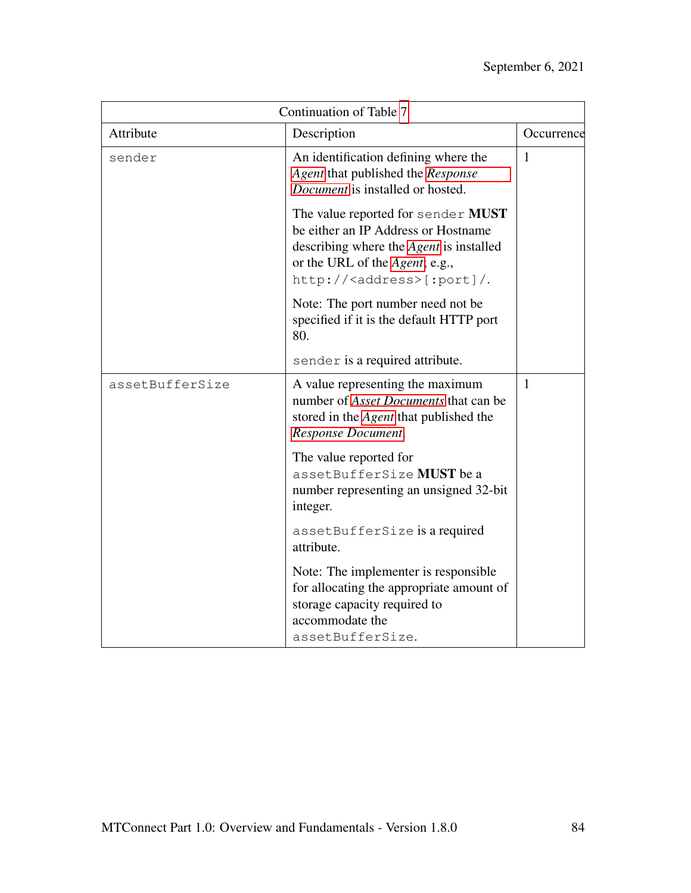| Continuation of Table 7 |                                                                                                                                                                                                       |              |  |
|-------------------------|-------------------------------------------------------------------------------------------------------------------------------------------------------------------------------------------------------|--------------|--|
| Attribute               | Description                                                                                                                                                                                           | Occurrence   |  |
| sender                  | An identification defining where the<br>Agent that published the Response<br><i>Document</i> is installed or hosted.                                                                                  | 1            |  |
|                         | The value reported for sender MUST<br>be either an IP Address or Hostname<br>describing where the <i>Agent</i> is installed<br>or the URL of the Agent; e.g.,<br>http:// <address>[:port]/.</address> |              |  |
|                         | Note: The port number need not be<br>specified if it is the default HTTP port<br>80.                                                                                                                  |              |  |
|                         | sender is a required attribute.                                                                                                                                                                       |              |  |
| assetBufferSize         | A value representing the maximum<br>number of <i>Asset Documents</i> that can be<br>stored in the Agent that published the<br>Response Document.                                                      | $\mathbf{1}$ |  |
|                         | The value reported for<br>assetBufferSize MUST be a<br>number representing an unsigned 32-bit<br>integer.                                                                                             |              |  |
|                         | assetBufferSize is a required<br>attribute.                                                                                                                                                           |              |  |
|                         | Note: The implementer is responsible.<br>for allocating the appropriate amount of<br>storage capacity required to<br>accommodate the<br>assetBufferSize.                                              |              |  |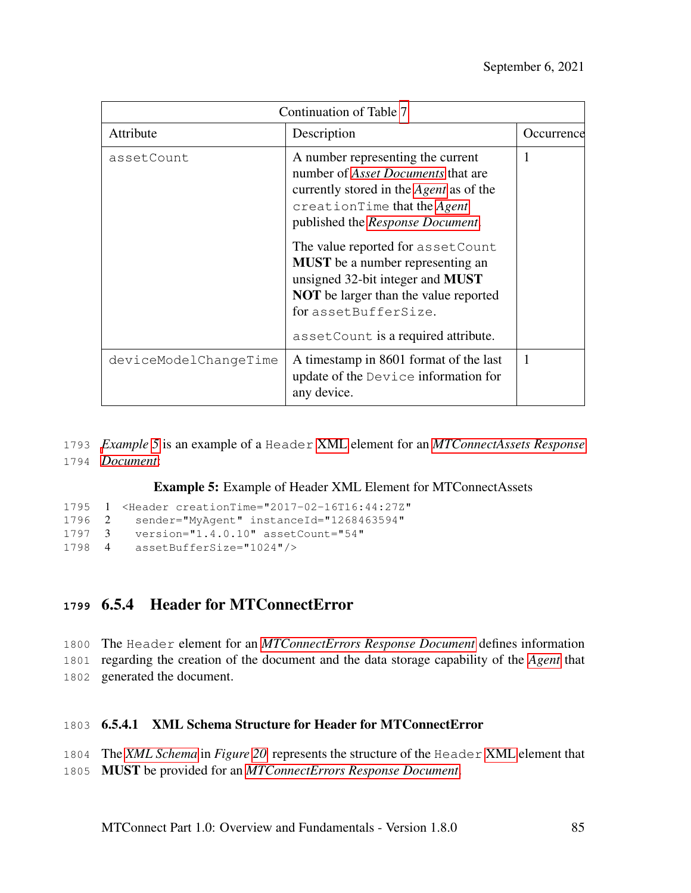| Continuation of Table 7 |                                                                                                                                                                                                                                                                                                                                                                                                                                           |                |
|-------------------------|-------------------------------------------------------------------------------------------------------------------------------------------------------------------------------------------------------------------------------------------------------------------------------------------------------------------------------------------------------------------------------------------------------------------------------------------|----------------|
| Attribute               | Description                                                                                                                                                                                                                                                                                                                                                                                                                               | Occurrence     |
| assetCount              | A number representing the current<br>number of <i>Asset Documents</i> that are<br>currently stored in the <i>Agent</i> as of the<br>creationTime that the Agent<br>published the Response Document.<br>The value reported for asset Count<br><b>MUST</b> be a number representing an<br>unsigned 32-bit integer and MUST<br><b>NOT</b> be larger than the value reported<br>for asset BufferSize.<br>asset Count is a required attribute. | 1              |
| deviceModelChangeTime   | A timestamp in 8601 format of the last<br>update of the Device information for<br>any device.                                                                                                                                                                                                                                                                                                                                             | $\overline{1}$ |

1793 *[E](#page-27-0)xample [5](#page-91-0)* is an example of a Header [XML](#page-15-0) element for an *[MTConnectAssets Response](#page-27-0)* 1794 *[Document](#page-27-0)*:

Example 5: Example of Header XML Element for MTConnectAssets

```
1795 1 <Header creationTime="2017-02-16T16:44:27Z"
1796 2 sender="MyAgent" instanceId="1268463594"
```

```
1797 3 version="1.4.0.10" assetCount="54"
```

```
1798 4 assetBufferSize="1024"/>
```
## **<sup>1799</sup>** 6.5.4 Header for MTConnectError

1800 The Header element for an *[MTConnectErrors Response Document](#page-28-1)* defines information 1801 regarding the creation of the document and the data storage capability of the *[Agent](#page-16-0)* that 1802 generated the document.

#### 1803 6.5.4.1 XML Schema Structure for Header for MTConnectError

1804 The *[XML Schema](#page-37-0)* in *Figure [20](#page-92-0)* represents the structure of the Header [XML](#page-15-0) element that

1805 MUST be provided for an *[MTConnectErrors Response Document](#page-28-1)*.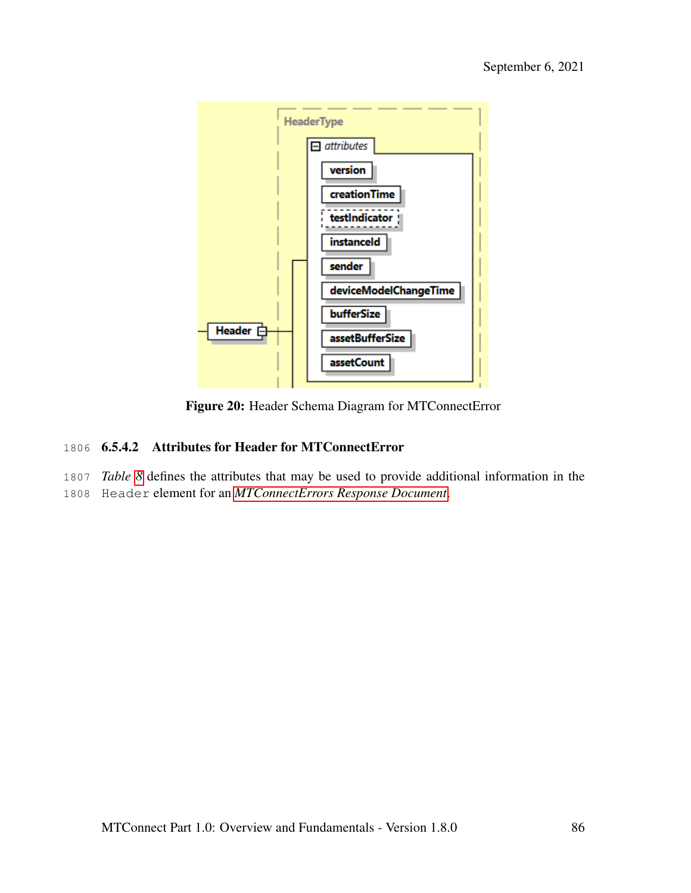<span id="page-92-0"></span>

Figure 20: Header Schema Diagram for MTConnectError

## 1806 6.5.4.2 Attributes for Header for MTConnectError

- 1807 *Table [8](#page-92-1)* defines the attributes that may be used to provide additional information in the
- <span id="page-92-1"></span>1808 Header element for an *[MTConnectErrors Response Document](#page-28-1)*.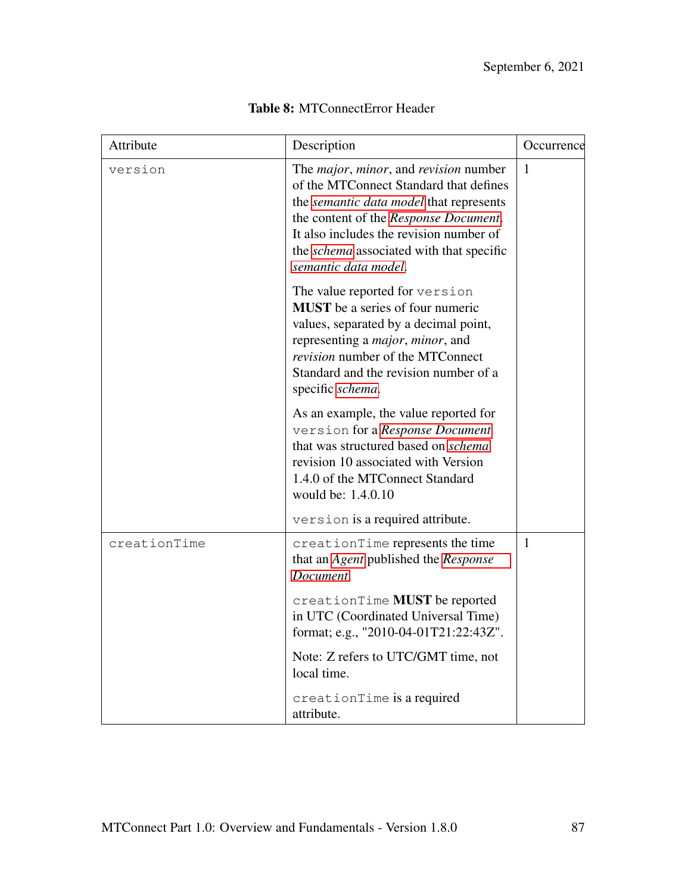| Attribute    | Description                                                                                                                                                                                                                                                                                                      | Occurrence   |
|--------------|------------------------------------------------------------------------------------------------------------------------------------------------------------------------------------------------------------------------------------------------------------------------------------------------------------------|--------------|
| version      | The <i>major</i> , <i>minor</i> , and <i>revision</i> number<br>of the MTConnect Standard that defines<br>the semantic data model that represents<br>the content of the Response Document.<br>It also includes the revision number of<br>the <i>schema</i> associated with that specific<br>semantic data model. | 1            |
|              | The value reported for version<br><b>MUST</b> be a series of four numeric<br>values, separated by a decimal point,<br>representing a <i>major</i> , <i>minor</i> , and<br>revision number of the MTConnect<br>Standard and the revision number of a<br>specific schema.                                          |              |
|              | As an example, the value reported for<br>version for a Response Document<br>that was structured based on schema<br>revision 10 associated with Version<br>1.4.0 of the MTConnect Standard<br>would be: 1.4.0.10                                                                                                  |              |
|              | version is a required attribute.                                                                                                                                                                                                                                                                                 |              |
| creationTime | creationTime represents the time<br>that an Agent published the Response<br>Document.                                                                                                                                                                                                                            | $\mathbf{1}$ |
|              | creationTime <b>MUST</b> be reported<br>in UTC (Coordinated Universal Time)<br>format; e.g., "2010-04-01T21:22:43Z".                                                                                                                                                                                             |              |
|              | Note: Z refers to UTC/GMT time, not<br>local time.                                                                                                                                                                                                                                                               |              |
|              | creationTime is a required<br>attribute.                                                                                                                                                                                                                                                                         |              |

# Table 8: MTConnectError Header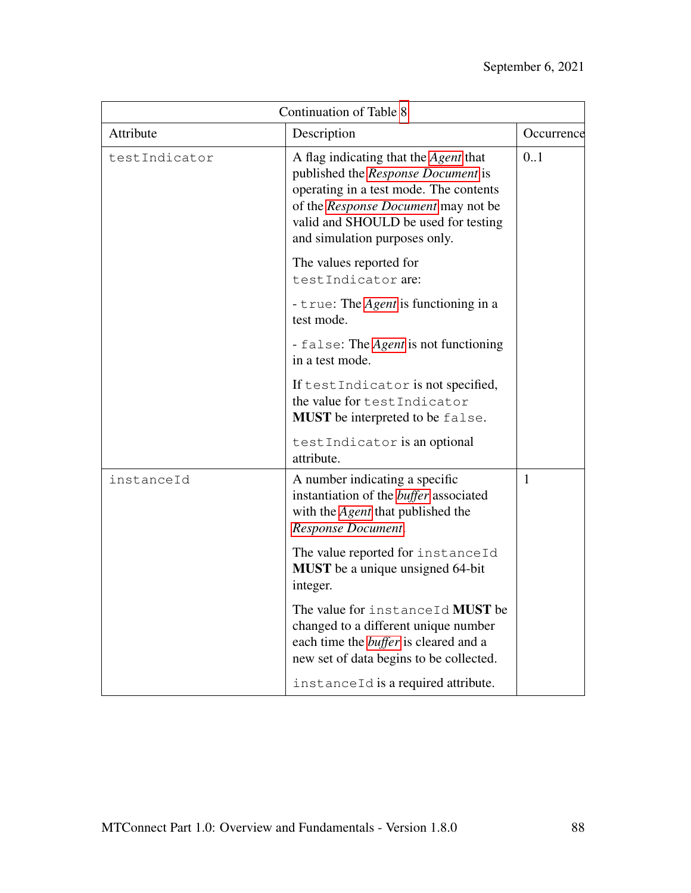| Continuation of Table 8 |                                                                                                                                                                                                                                              |              |  |
|-------------------------|----------------------------------------------------------------------------------------------------------------------------------------------------------------------------------------------------------------------------------------------|--------------|--|
| Attribute               | Description                                                                                                                                                                                                                                  | Occurrence   |  |
| testIndicator           | A flag indicating that the <i>Agent</i> that<br>published the Response Document is<br>operating in a test mode. The contents<br>of the Response Document may not be<br>valid and SHOULD be used for testing<br>and simulation purposes only. | 0.1          |  |
|                         | The values reported for<br>testIndicator are:                                                                                                                                                                                                |              |  |
|                         | - true: The <i>Agent</i> is functioning in a<br>test mode.                                                                                                                                                                                   |              |  |
|                         | - false: The <i>Agent</i> is not functioning<br>in a test mode.                                                                                                                                                                              |              |  |
|                         | If test Indicator is not specified,<br>the value for testIndicator<br><b>MUST</b> be interpreted to be false.                                                                                                                                |              |  |
|                         | testIndicator is an optional<br>attribute.                                                                                                                                                                                                   |              |  |
| instanceId              | A number indicating a specific<br>instantiation of the <i>buffer</i> associated<br>with the <i>Agent</i> that published the<br>Response Document.                                                                                            | $\mathbf{1}$ |  |
|                         | The value reported for instanceId<br><b>MUST</b> be a unique unsigned 64-bit<br>integer.                                                                                                                                                     |              |  |
|                         | The value for instanceId MUST be<br>changed to a different unique number<br>each time the <i>buffer</i> is cleared and a<br>new set of data begins to be collected.                                                                          |              |  |
|                         | instanceId is a required attribute.                                                                                                                                                                                                          |              |  |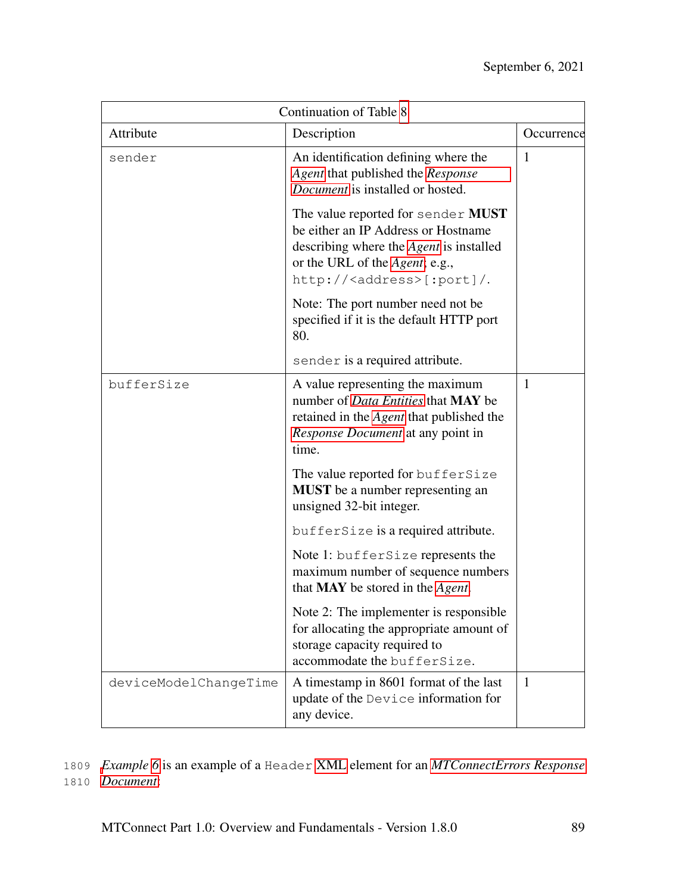| Continuation of Table 8 |                                                                                                                                                                                                               |            |  |
|-------------------------|---------------------------------------------------------------------------------------------------------------------------------------------------------------------------------------------------------------|------------|--|
| Attribute               | Description                                                                                                                                                                                                   | Occurrence |  |
| sender                  | An identification defining where the<br>Agent that published the Response<br>Document is installed or hosted.                                                                                                 | 1          |  |
|                         | The value reported for sender MUST<br>be either an IP Address or Hostname<br>describing where the <i>Agent</i> is installed<br>or the URL of the <i>Agent</i> ; e.g.,<br>http:// <address>[:port]/.</address> |            |  |
|                         | Note: The port number need not be<br>specified if it is the default HTTP port<br>80.                                                                                                                          |            |  |
|                         | sender is a required attribute.                                                                                                                                                                               |            |  |
| bufferSize              | A value representing the maximum<br>number of <i>Data Entities</i> that <b>MAY</b> be<br>retained in the <i>Agent</i> that published the<br>Response Document at any point in<br>time.                        | 1          |  |
|                         | The value reported for bufferSize<br><b>MUST</b> be a number representing an<br>unsigned 32-bit integer.                                                                                                      |            |  |
|                         | bufferSize is a required attribute.                                                                                                                                                                           |            |  |
|                         | Note 1: bufferSize represents the<br>maximum number of sequence numbers<br>that MAY be stored in the Agent.                                                                                                   |            |  |
|                         | Note 2: The implementer is responsible<br>for allocating the appropriate amount of<br>storage capacity required to<br>accommodate the bufferSize.                                                             |            |  |
| deviceModelChangeTime   | A timestamp in 8601 format of the last<br>update of the Device information for<br>any device.                                                                                                                 | 1          |  |

1809 *[E](#page-28-1)xample [6](#page-95-0)* is an example of a Header [XML](#page-15-0) element for an *[MTConnectErrors Response](#page-28-1)* 1810 *[Document](#page-28-1)*:

<span id="page-95-0"></span>MTConnect Part 1.0: Overview and Fundamentals - Version 1.8.0 89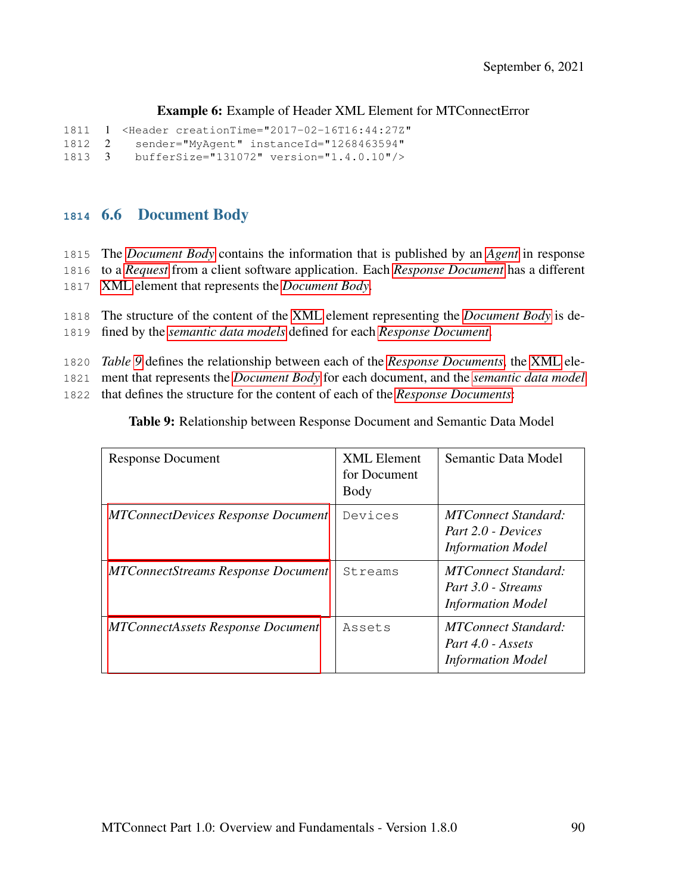#### Example 6: Example of Header XML Element for MTConnectError

```
1811 1 <Header creationTime="2017-02-16T16:44:27Z"
1812 2 sender="MyAgent" instanceId="1268463594"
1813 3 bufferSize="131072" version="1.4.0.10"/>
```
#### <span id="page-96-0"></span>**<sup>1814</sup>** 6.6 Document Body

- 1815 The *[Document Body](#page-21-0)* contains the information that is published by an *[Agent](#page-16-0)* in response
- 1816 to a *[Request](#page-30-0)* from a client software application. Each *[Response Document](#page-31-1)* has a different
- 1817 [XML](#page-15-0) element that represents the *[Document Body](#page-21-0)*.
- 1818 The structure of the content of the [XML](#page-15-0) element representing the *[Document Body](#page-21-0)* is de-
- 1819 fined by the *[semantic data models](#page-32-0)* defined for each *[Response Document](#page-31-1)*.
- 1820 *Table [9](#page-96-1)* defines the relationship between each of the *[Response Documents](#page-31-1)*, the [XML](#page-15-0) ele-
- 1821 ment that represents the *[Document Body](#page-21-0)* for each document, and the *[semantic data model](#page-32-0)*
- 1822 that defines the structure for the content of each of the *[Response Documents](#page-31-1)*:

<span id="page-96-1"></span>Table 9: Relationship between Response Document and Semantic Data Model

| Response Document                         | XML Element<br>for Document<br>Body | Semantic Data Model                                                           |
|-------------------------------------------|-------------------------------------|-------------------------------------------------------------------------------|
| <b>MTConnectDevices Response Document</b> | Devices                             | <b>MTConnect Standard:</b><br>Part 2.0 - Devices<br><b>Information Model</b>  |
| <b>MTConnectStreams Response Document</b> | Streams                             | <b>MTConnect Standard:</b><br>Part 3.0 - Streams<br><b>Information Model</b>  |
| <b>MTConnectAssets Response Document</b>  | Assets                              | <b>MTConnect Standard:</b><br>Part $4.0$ - Assets<br><b>Information Model</b> |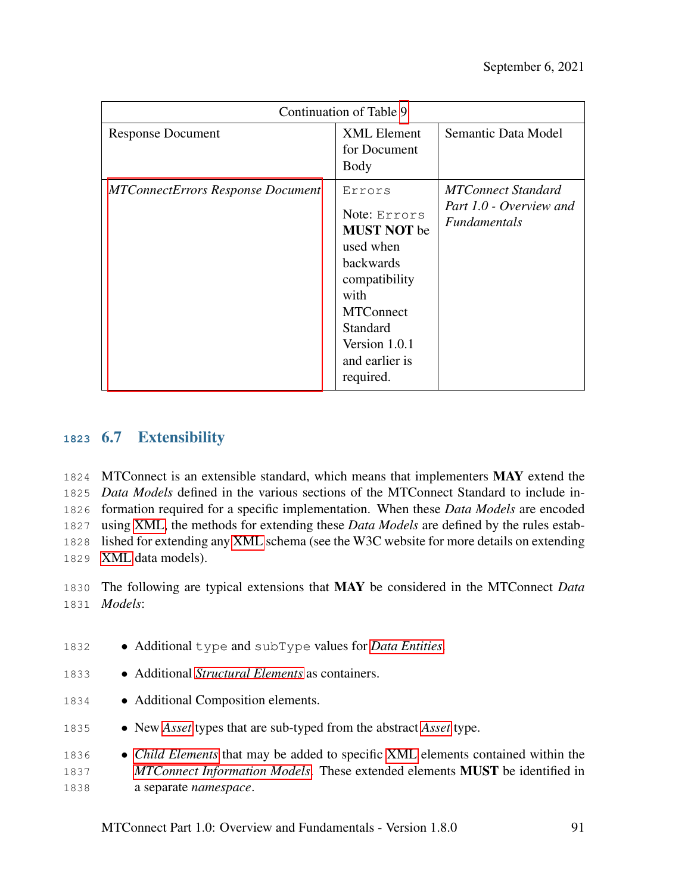|                                          | Continuation of Table 9                                                                                                                                                                |                                                                             |
|------------------------------------------|----------------------------------------------------------------------------------------------------------------------------------------------------------------------------------------|-----------------------------------------------------------------------------|
| <b>Response Document</b>                 | <b>XML</b> Element<br>for Document<br>Body                                                                                                                                             | Semantic Data Model                                                         |
| <b>MTConnectErrors Response Document</b> | Errors<br>Note: Errors<br><b>MUST NOT</b> be<br>used when<br><b>backwards</b><br>compatibility<br>with<br><b>MTConnect</b><br>Standard<br>Version 1.0.1<br>and earlier is<br>required. | <b>MTConnect Standard</b><br>Part 1.0 - Overview and<br><i>Fundamentals</i> |

# **<sup>1823</sup>** 6.7 Extensibility

1824 MTConnect is an extensible standard, which means that implementers MAY extend the *Data Models* defined in the various sections of the MTConnect Standard to include in- formation required for a specific implementation. When these *Data Models* are encoded using [XML,](#page-15-0) the methods for extending these *Data Models* are defined by the rules estab- lished for extending any [XML](#page-15-0) schema (see the W3C website for more details on extending [XML](#page-15-0) data models).

1830 The following are typical extensions that MAY be considered in the MTConnect *Data* 1831 *Models*:

- 1832 Additional type and subType values for *[Data Entities](#page-20-0)*.
- 1833 Additional *[Structural Elements](#page-34-1)* as containers.
- 1834 Additional Composition elements.
- 1835 New *[Asset](#page-17-1)* types that are sub-typed from the abstract *[Asset](#page-17-1)* type.
- 1836 *[Child Elements](#page-18-0)* that may be added to specific [XML](#page-15-0) elements contained within the 1837 *[MTConnect Information Models](#page-27-1)*. These extended elements MUST be identified in 1838 a separate *namespace*.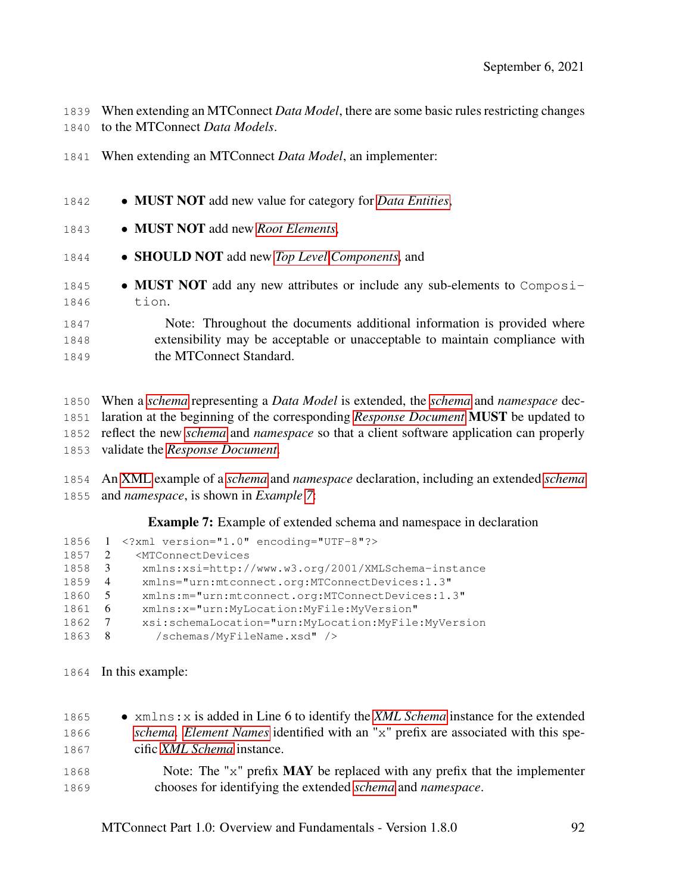When extending an MTConnect *Data Model*, there are some basic rules restricting changes to the MTConnect *Data Models*.

- When extending an MTConnect *Data Model*, an implementer:
- MUST NOT add new value for category for *[Data Entities](#page-20-0)*,
- MUST NOT add new *[Root Elements](#page-31-0)*,
- SHOULD NOT add new *[Top Level](#page-35-0) [Components](#page-18-2)*, and
- 1845 MUST NOT add any new attributes or include any sub-elements to Composi-tion.

 Note: Throughout the documents additional information is provided where extensibility may be acceptable or unacceptable to maintain compliance with the MTConnect Standard.

- When a *[schema](#page-32-1)* representing a *Data Model* is extended, the *[schema](#page-32-1)* and *namespace* dec- laration at the beginning of the corresponding *[Response Document](#page-31-1)* MUST be updated to reflect the new *[schema](#page-32-1)* and *namespace* so that a client software application can properly validate the *[Response Document](#page-31-1)*.
- An [XML](#page-15-0) example of a *[schema](#page-32-1)* and *namespace* declaration, including an extended *[schema](#page-32-1)* and *namespace*, is shown in *Example [7](#page-98-0)*:

<span id="page-98-0"></span>Example 7: Example of extended schema and namespace in declaration

```
1856 1 <?xml version="1.0" encoding="UTF-8"?>
1857 2 <MTConnectDevices
1858 3 xmlns:xsi=http://www.w3.org/2001/XMLSchema-instance
1859 4 xmlns="urn:mtconnect.org:MTConnectDevices:1.3"<br>1860 5 xmlns:m="urn:mtconnect.org:MTConnectDevices:1.
            1860 5 xmlns:m="urn:mtconnect.org:MTConnectDevices:1.3"
1861 6 xmlns:x="urn:MyLocation:MyFile:MyVersion"
1862 7 xsi:schemaLocation="urn:MyLocation:MyFile:MyVersion
1863 8 /schemas/MyFileName.xsd" />
```
- In this example:
- xmlns:x is added in Line 6 to identify the *[XML Schema](#page-37-0)* instance for the extended *[schema](#page-32-1)*. *[Element Names](#page-22-0)* identified with an "x" prefix are associated with this spe- cific *[XML Schema](#page-37-0)* instance. 1868 Note: The "x" prefix **MAY** be replaced with any prefix that the implementer chooses for identifying the extended *[schema](#page-32-1)* and *namespace*.

MTConnect Part 1.0: Overview and Fundamentals - Version 1.8.0 92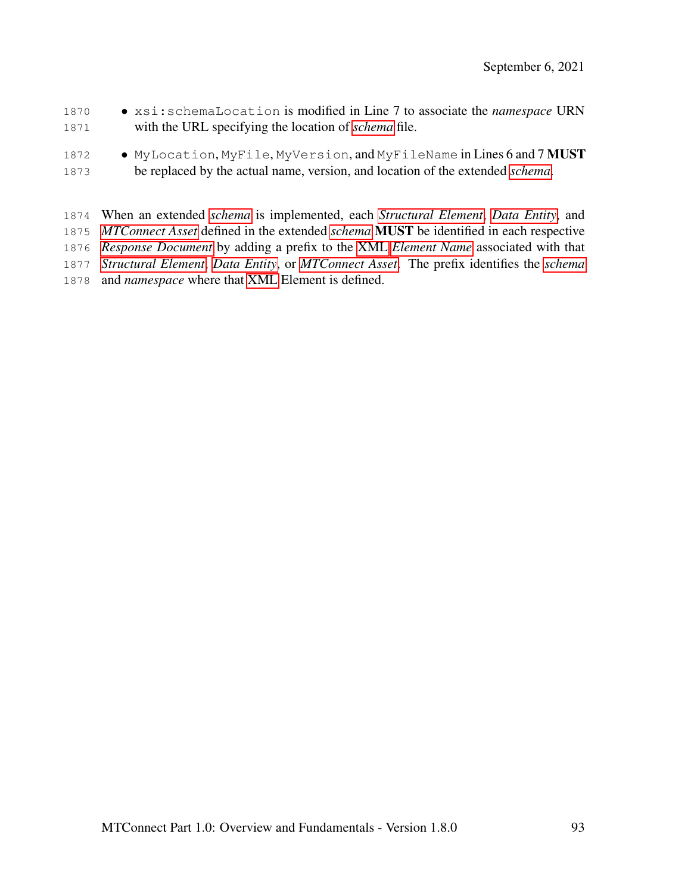- xsi:schemaLocation is modified in Line 7 to associate the *namespace* URN with the URL specifying the location of *[schema](#page-32-1)* file.
- 1872 MyLocation, MyFile, MyVersion, and MyFileName in Lines 6 and 7 MUST be replaced by the actual name, version, and location of the extended *[schema](#page-32-1)*.

 When an extended *[schema](#page-32-1)* is implemented, each *[Structural Element](#page-34-1)*, *[Data Entity](#page-20-0)*, and *[MTConnect Asset](#page-26-0)* defined in the extended *[schema](#page-32-1)* MUST be identified in each respective *[Response Document](#page-31-1)* by adding a prefix to the [XML](#page-15-0) *[Element Name](#page-22-0)* associated with that *[Structural Element](#page-34-1)*, *[Data Entity](#page-20-0)*, or *[MTConnect Asset](#page-26-0)*. The prefix identifies the *[schema](#page-32-1)* and *namespace* where that [XML](#page-15-0) Element is defined.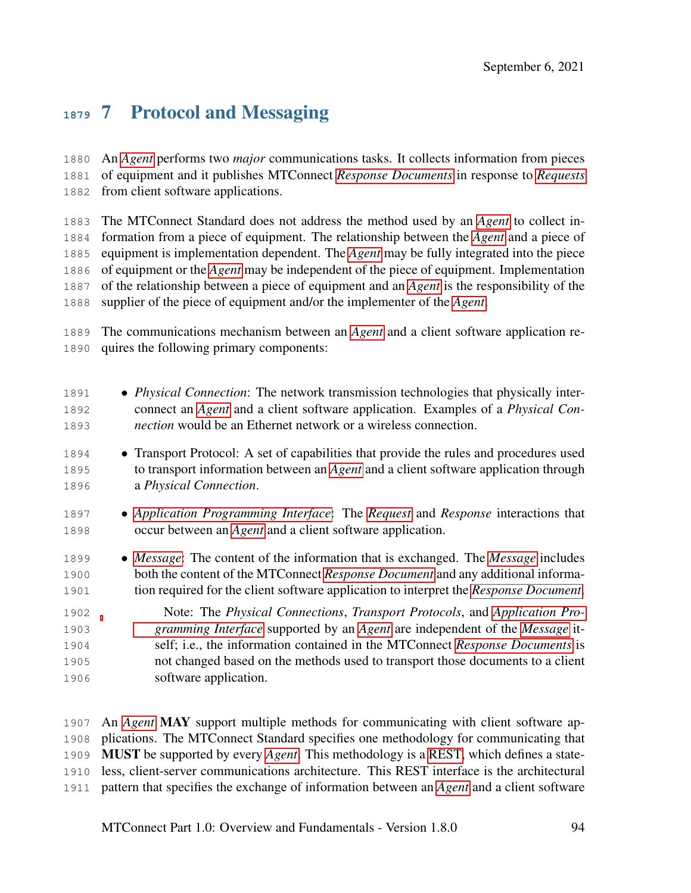# 7 Protocol and Messaging

 An *[Agent](#page-16-0)* performs two *major* communications tasks. It collects information from pieces of equipment and it publishes MTConnect *[Response Documents](#page-31-1)* in response to *[Requests](#page-30-0)* from client software applications.

 The MTConnect Standard does not address the method used by an *[Agent](#page-16-0)* to collect in- formation from a piece of equipment. The relationship between the *[Agent](#page-16-0)* and a piece of equipment is implementation dependent. The *[Agent](#page-16-0)* may be fully integrated into the piece of equipment or the *[Agent](#page-16-0)* may be independent of the piece of equipment. Implementation of the relationship between a piece of equipment and an *[Agent](#page-16-0)* is the responsibility of the supplier of the piece of equipment and/or the implementer of the *[Agent](#page-16-0)*.

 The communications mechanism between an *[Agent](#page-16-0)* and a client software application re-quires the following primary components:

- *Physical Connection*: The network transmission technologies that physically inter- connect an *[Agent](#page-16-0)* and a client software application. Examples of a *Physical Con- nection* would be an Ethernet network or a wireless connection. • Transport Protocol: A set of capabilities that provide the rules and procedures used to transport information between an *[Agent](#page-16-0)* and a client software application through a *Physical Connection*. • *[Application Programming Interface](#page-16-1)*: The *[Request](#page-30-0)* and *Response* interactions that occur between an *[Agent](#page-16-0)* and a client software application. • *[Message](#page-26-1)*: The content of the information that is exchanged. The *[Message](#page-26-1)* includes both the content of the MTConnect *[Response Document](#page-31-1)* and any additional informa- tion required for the client software application to interpret the *[Response Document](#page-31-1)*. Note: The *Physical Connections*, *Transport Protocols*, and *[Application Pro-](#page-16-1) [gramming Interface](#page-16-1)* supported by an *[Agent](#page-16-0)* are independent of the *[Message](#page-26-1)* it- self; i.e., the information contained in the MTConnect *[Response Documents](#page-31-1)* is not changed based on the methods used to transport those documents to a client software application.
- An *[Agent](#page-16-0)* MAY support multiple methods for communicating with client software ap- plications. The MTConnect Standard specifies one methodology for communicating that MUST be supported by every *[Agent](#page-16-0)*. This methodology is a [REST,](#page-14-0) which defines a state- less, client-server communications architecture. This REST interface is the architectural pattern that specifies the exchange of information between an *[Agent](#page-16-0)* and a client software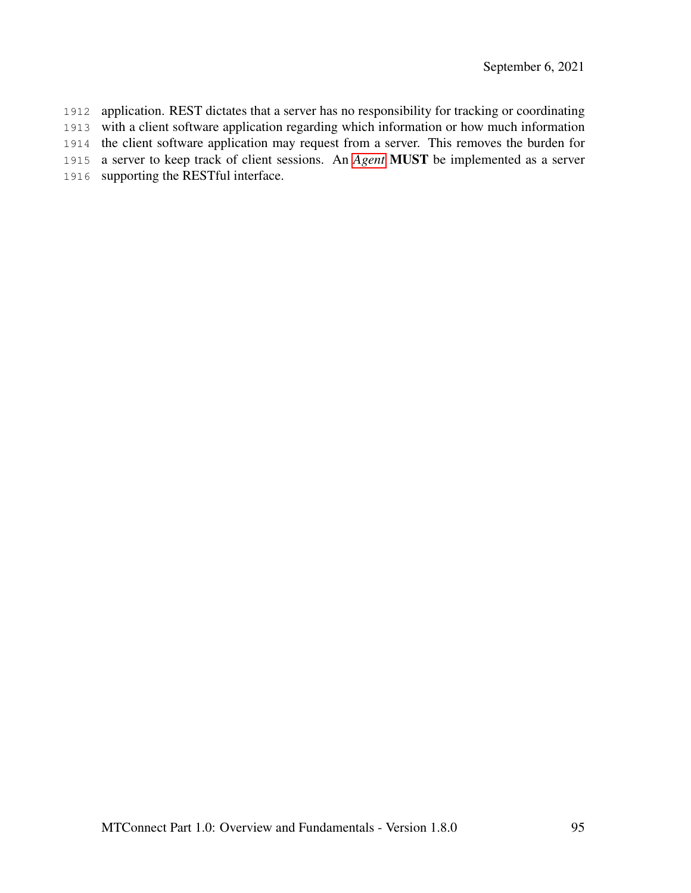application. REST dictates that a server has no responsibility for tracking or coordinating with a client software application regarding which information or how much information the client software application may request from a server. This removes the burden for a server to keep track of client sessions. An *[Agent](#page-16-0)* MUST be implemented as a server supporting the RESTful interface.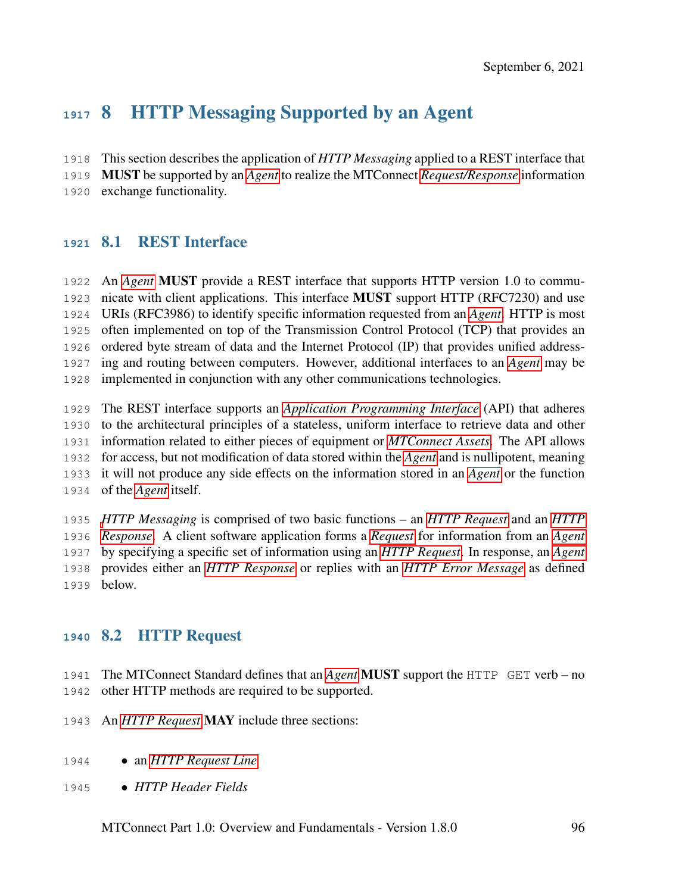# 8 HTTP Messaging Supported by an Agent

This section describes the application of *HTTP Messaging* applied to a REST interface that

MUST be supported by an *[Agent](#page-16-0)* to realize the MTConnect *[Request/Response](#page-30-1)* information

exchange functionality.

## 8.1 REST Interface

 An *[Agent](#page-16-0)* MUST provide a REST interface that supports HTTP version 1.0 to commu- nicate with client applications. This interface MUST support HTTP (RFC7230) and use URIs (RFC3986) to identify specific information requested from an *[Agent](#page-16-0)*. HTTP is most often implemented on top of the Transmission Control Protocol (TCP) that provides an ordered byte stream of data and the Internet Protocol (IP) that provides unified address- ing and routing between computers. However, additional interfaces to an *[Agent](#page-16-0)* may be implemented in conjunction with any other communications technologies.

 The REST interface supports an *[Application Programming Interface](#page-16-1)* (API) that adheres to the architectural principles of a stateless, uniform interface to retrieve data and other information related to either pieces of equipment or *[MTConnect Assets](#page-26-0)*. The API allows for access, but not modification of data stored within the *[Agent](#page-16-0)* and is nullipotent, meaning it will not produce any side effects on the information stored in an *[Agent](#page-16-0)* or the function of the *[Agent](#page-16-0)* itself.

 *[H](#page-24-1)TTP Messaging* is comprised of two basic functions – an *[HTTP Request](#page-24-0)* and an *[HTTP](#page-24-1) [Response](#page-24-1)*. A client software application forms a *[Request](#page-30-0)* for information from an *[Agent](#page-16-0)* by specifying a specific set of information using an *[HTTP Request](#page-24-0)*. In response, an *[Agent](#page-16-0)* provides either an *[HTTP Response](#page-24-1)* or replies with an *[HTTP Error Message](#page-23-0)* as defined below.

## 8.2 HTTP Request

 The MTConnect Standard defines that an *[Agent](#page-16-0)* MUST support the HTTP GET verb – no other HTTP methods are required to be supported.

- An *[HTTP Request](#page-24-0)* MAY include three sections:
- an *[HTTP Request Line](#page-24-2)*
- *HTTP Header Fields*

MTConnect Part 1.0: Overview and Fundamentals - Version 1.8.0 96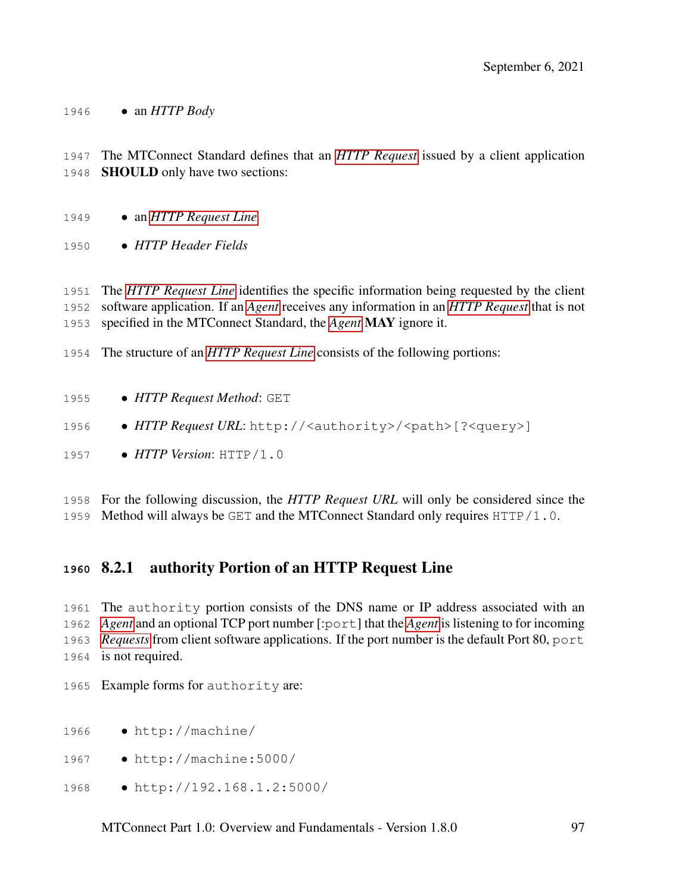• an *HTTP Body*

 The MTConnect Standard defines that an *[HTTP Request](#page-24-0)* issued by a client application SHOULD only have two sections:

- an *[HTTP Request Line](#page-24-2)*
- *HTTP Header Fields*

 The *[HTTP Request Line](#page-24-2)* identifies the specific information being requested by the client software application. If an *[Agent](#page-16-0)* receives any information in an *[HTTP Request](#page-24-0)* that is not specified in the MTConnect Standard, the *[Agent](#page-16-0)* MAY ignore it.

- The structure of an *[HTTP Request Line](#page-24-2)* consists of the following portions:
- *HTTP Request Method*: GET 1956 • *HTTP Request URL*: http://<authority>/<path>[?<query>] • *HTTP Version*: HTTP/1.0

 For the following discussion, the *HTTP Request URL* will only be considered since the Method will always be GET and the MTConnect Standard only requires HTTP/1.0.

## 8.2.1 authority Portion of an HTTP Request Line

 The authority portion consists of the DNS name or IP address associated with an *[Agent](#page-16-0)* and an optional TCP port number [:port] that the *[Agent](#page-16-0)* is listening to for incoming *[Requests](#page-30-0)* from client software applications. If the port number is the default Port 80, port is not required.

Example forms for authority are:

- http://machine/
- http://machine:5000/
- 1968 http://192.168.1.2:5000/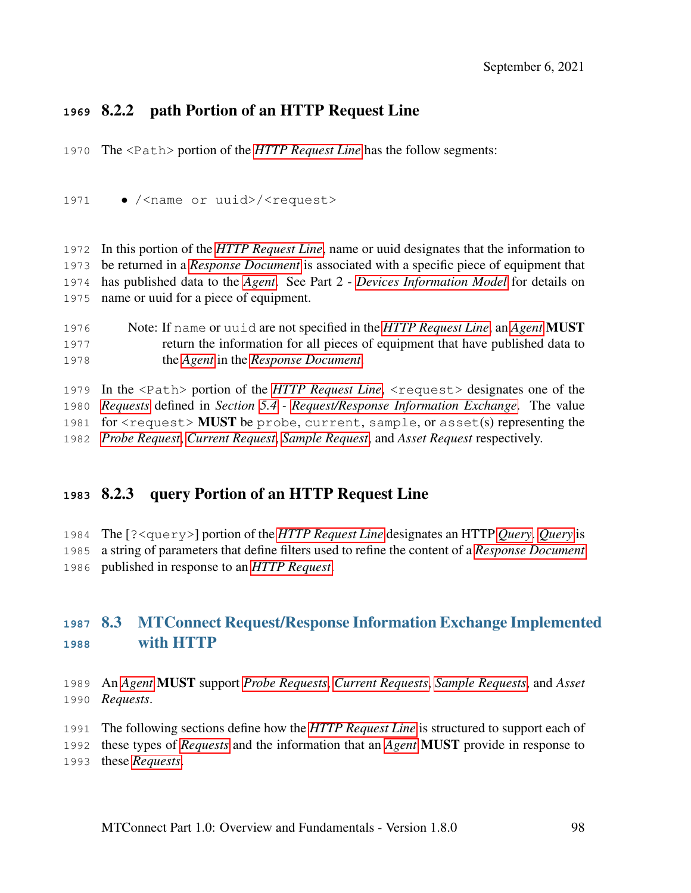# 8.2.2 path Portion of an HTTP Request Line

The <Path> portion of the *[HTTP Request Line](#page-24-2)* has the follow segments:

1971 • /<name or uuid>/<request>

 In this portion of the *[HTTP Request Line](#page-24-2)*, name or uuid designates that the information to be returned in a *[Response Document](#page-31-1)* is associated with a specific piece of equipment that has published data to the *[Agent](#page-16-0)*. See Part 2 - *[Devices Information Model](#page-21-2)* for details on name or uuid for a piece of equipment.

 Note: If name or uuid are not specified in the *[HTTP Request Line](#page-24-2)*, an *[Agent](#page-16-0)* MUST return the information for all pieces of equipment that have published data to the *[Agent](#page-16-0)* in the *[Response Document](#page-31-1)*.

 In the <Path> portion of the *[HTTP Request Line](#page-24-2)*, <request> designates one of the *[Requests](#page-30-0)* defined in *Section [5.4](#page-63-0) - [Request/Response Information Exchange](#page-63-0)*. The value 1981 for  $\langle$  request> MUST be probe, current, sample, or asset(s) representing the *[Probe Request](#page-29-0)*, *[Current Request](#page-20-1)*, *[Sample Request](#page-32-2)*, and *Asset Request* respectively.

## 8.2.3 query Portion of an HTTP Request Line

 The [?<query>] portion of the *[HTTP Request Line](#page-24-2)* designates an HTTP *[Query](#page-30-2)*. *[Query](#page-30-2)* is a string of parameters that define filters used to refine the content of a *[Response Document](#page-31-1)* published in response to an *[HTTP Request](#page-24-0)*.

# 8.3 MTConnect Request/Response Information Exchange Implemented with HTTP

- An *[Agent](#page-16-0)* MUST support *[Probe Requests](#page-29-0)*, *[Current Requests](#page-20-1)*, *[Sample Requests](#page-32-2)*, and *Asset Requests*.
- The following sections define how the *[HTTP Request Line](#page-24-2)* is structured to support each of
- these types of *[Requests](#page-30-0)* and the information that an *[Agent](#page-16-0)* MUST provide in response to
- these *[Requests](#page-30-0)*.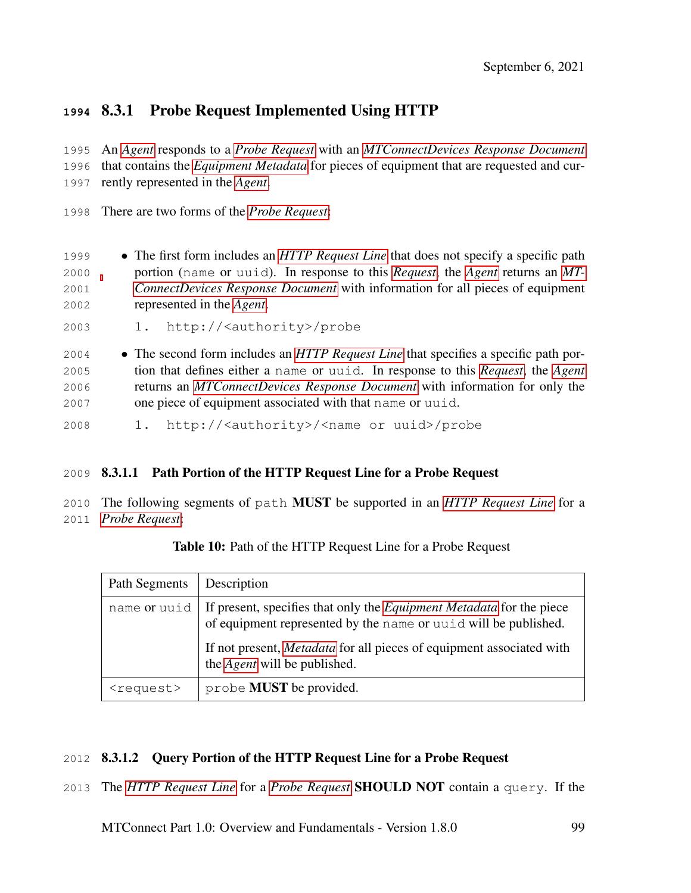# 8.3.1 Probe Request Implemented Using HTTP

 An *[Agent](#page-16-0)* responds to a *[Probe Request](#page-29-0)* with an *[MTConnectDevices Response Document](#page-28-2)* that contains the *[Equipment Metadata](#page-22-1)* for pieces of equipment that are requested and cur-rently represented in the *[Agent](#page-16-0)*.

- There are two forms of the *[Probe Request](#page-29-0)*:
- 1999 The first form includes an *[HTTP Request Line](#page-24-2)* that does not specify a specific path portion (name or uuid). In response to this *[Request](#page-30-0)*, the *[Agent](#page-16-0)* returns an *[MT-](#page-28-2) [ConnectDevices Response Document](#page-28-2)* with information for all pieces of equipment represented in the *[Agent](#page-16-0)*.
- 1. http://<authority>/probe
- The second form includes an *[HTTP Request Line](#page-24-2)* that specifies a specific path por- tion that defines either a name or uuid. In response to this *[Request](#page-30-0)*, the *[Agent](#page-16-0)* returns an *[MTConnectDevices Response Document](#page-28-2)* with information for only the one piece of equipment associated with that name or uuid.
- 1. http://<authority>/<name or uuid>/probe

#### 8.3.1.1 Path Portion of the HTTP Request Line for a Probe Request

 The following segments of path MUST be supported in an *[HTTP Request Line](#page-24-2)* for a *[Probe Request](#page-29-0)*:

| Path Segments       | Description                                                                                                                                                   |
|---------------------|---------------------------------------------------------------------------------------------------------------------------------------------------------------|
|                     | name or unid   If present, specifies that only the <i>Equipment Metadata</i> for the piece<br>of equipment represented by the name or unid will be published. |
|                     | If not present, Metadata for all pieces of equipment associated with<br>the <i>Agent</i> will be published.                                                   |
| <request></request> | probe <b>MUST</b> be provided.                                                                                                                                |

#### Table 10: Path of the HTTP Request Line for a Probe Request

#### 8.3.1.2 Query Portion of the HTTP Request Line for a Probe Request

The *[HTTP Request Line](#page-24-2)* for a *[Probe Request](#page-29-0)* SHOULD NOT contain a query. If the

MTConnect Part 1.0: Overview and Fundamentals - Version 1.8.0 99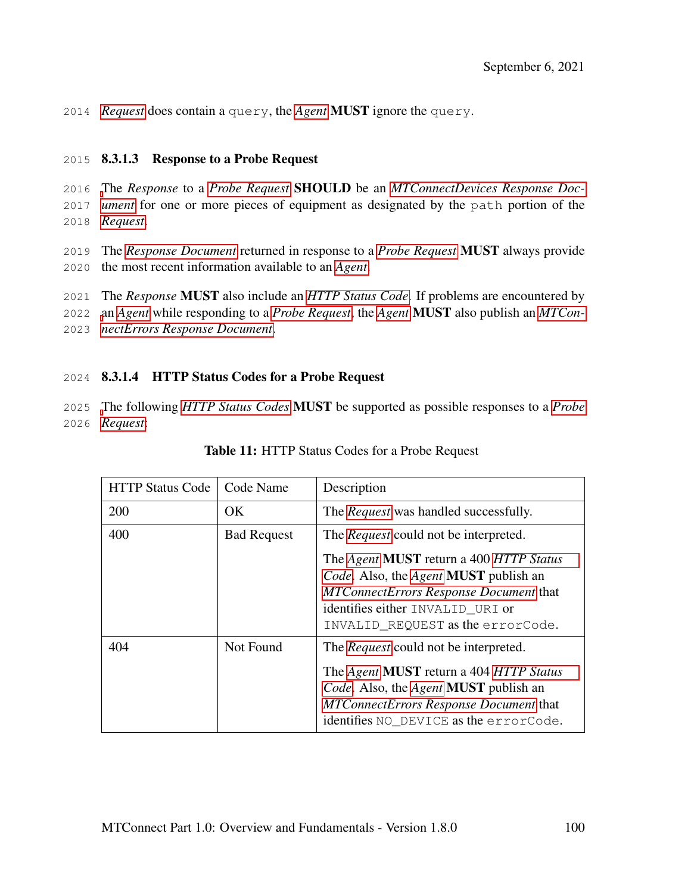2014 *[Request](#page-30-0)* does contain a query, the *[Agent](#page-16-0)* MUST ignore the query.

#### 2015 8.3.1.3 Response to a Probe Request

2016 [T](#page-28-2)he *Response* to a *[Probe Request](#page-29-0)* SHOULD be an *[MTConnectDevices Response Doc-](#page-28-2)*2017 *[ument](#page-28-2)* for one or more pieces of equipment as designated by the path portion of the 2018 *[Request](#page-30-0)*.

2019 The *[Response Document](#page-31-1)* returned in response to a *[Probe Request](#page-29-0)* MUST always provide 2020 the most recent information available to an *[Agent](#page-16-0)*.

2021 The *Response* MUST also include an *[HTTP Status Code](#page-24-3)*. If problems are encountered by

2022 [a](#page-28-1)n *[Agent](#page-16-0)* while responding to a *[Probe Request](#page-29-0)*, the *[Agent](#page-16-0)* MUST also publish an *[MTCon-](#page-28-1)*

2023 *[nectErrors Response Document](#page-28-1)*.

#### 2024 8.3.1.4 HTTP Status Codes for a Probe Request

2025 [T](#page-29-0)he following *[HTTP Status Codes](#page-24-3)* MUST be supported as possible responses to a *[Probe](#page-29-0)* 2026 *[Request](#page-29-0)*:

<span id="page-106-0"></span>

| <b>HTTP Status Code</b> | Code Name          | Description                                                                                                                                                                                                                                                              |
|-------------------------|--------------------|--------------------------------------------------------------------------------------------------------------------------------------------------------------------------------------------------------------------------------------------------------------------------|
| 200                     | <b>OK</b>          | The Request was handled successfully.                                                                                                                                                                                                                                    |
| 400                     | <b>Bad Request</b> | The <i>Request</i> could not be interpreted.<br>The Agent <b>MUST</b> return a 400 HTTP Status<br>Code. Also, the Agent <b>MUST</b> publish an<br><b>MTConnectErrors Response Document that</b><br>identifies either INVALID URI or<br>INVALID REQUEST as the errorCode. |
| 404                     | Not Found          | The <i>Request</i> could not be interpreted.<br>The Agent <b>MUST</b> return a 404 HTTP Status<br><i>Code.</i> Also, the <i>Agent</i> <b>MUST</b> publish an<br>MTConnectErrors Response Document that<br>identifies NO DEVICE as the errorCode.                         |

| Table 11: HTTP Status Codes for a Probe Request |  |  |  |  |  |  |
|-------------------------------------------------|--|--|--|--|--|--|
|-------------------------------------------------|--|--|--|--|--|--|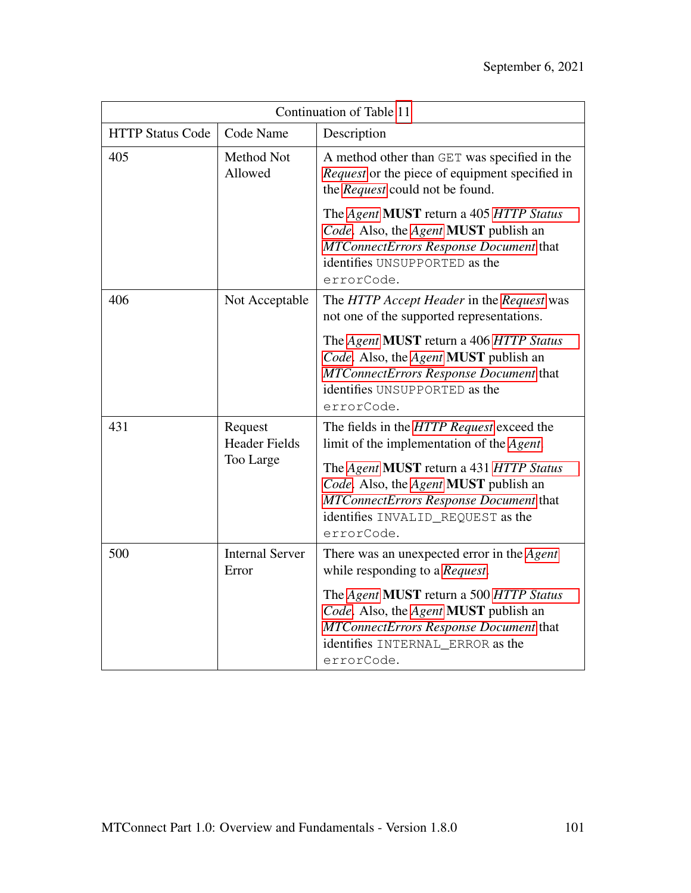| Continuation of Table 11 |                                 |                                                                                                                                                                                      |  |  |  |
|--------------------------|---------------------------------|--------------------------------------------------------------------------------------------------------------------------------------------------------------------------------------|--|--|--|
| <b>HTTP Status Code</b>  | Code Name                       | Description                                                                                                                                                                          |  |  |  |
| 405                      | Method Not<br>Allowed           | A method other than GET was specified in the<br><i>Request</i> or the piece of equipment specified in<br>the Request could not be found.                                             |  |  |  |
|                          |                                 | The Agent <b>MUST</b> return a 405 HTTP Status<br>Code. Also, the Agent MUST publish an<br>MTConnectErrors Response Document that<br>identifies UNSUPPORTED as the<br>errorCode.     |  |  |  |
| 406                      | Not Acceptable                  | The HTTP Accept Header in the Request was<br>not one of the supported representations.                                                                                               |  |  |  |
|                          |                                 | The Agent MUST return a 406 HTTP Status<br>Code. Also, the Agent MUST publish an<br>MTConnectErrors Response Document that<br>identifies UNSUPPORTED as the<br>errorCode.            |  |  |  |
| 431                      | Request<br><b>Header Fields</b> | The fields in the HTTP Request exceed the<br>limit of the implementation of the Agent.                                                                                               |  |  |  |
|                          | Too Large                       | The Agent MUST return a 431 HTTP Status<br>Code. Also, the Agent <b>MUST</b> publish an<br>MTConnectErrors Response Document that<br>identifies INVALID_REQUEST as the<br>errorCode. |  |  |  |
| 500                      | <b>Internal Server</b><br>Error | There was an unexpected error in the Agent<br>while responding to a Request.                                                                                                         |  |  |  |
|                          |                                 | The Agent <b>MUST</b> return a 500 HTTP Status<br>Code. Also, the Agent MUST publish an<br>MTConnectErrors Response Document that<br>identifies INTERNAL_ERROR as the<br>errorCode.  |  |  |  |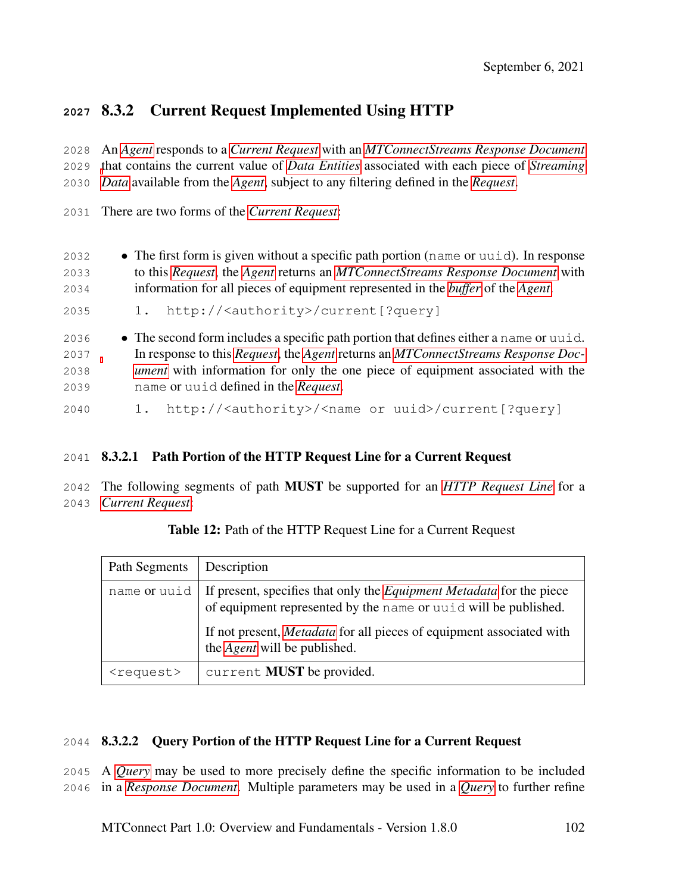# <span id="page-108-0"></span>8.3.2 Current Request Implemented Using HTTP

 An *[Agent](#page-16-0)* responds to a *[Current Request](#page-20-0)* with an *[MTConnectStreams Response Document](#page-28-0)* [t](#page-34-0)hat contains the current value of *[Data Entities](#page-20-1)* associated with each piece of *[Streaming](#page-34-0) [Data](#page-34-0)* available from the *[Agent](#page-16-0)*, subject to any filtering defined in the *[Request](#page-30-0)*.

- There are two forms of the *[Current Request](#page-20-0)*:
- The first form is given without a specific path portion (name or uuid). In response to this *[Request](#page-30-0)*, the *[Agent](#page-16-0)* returns an *[MTConnectStreams Response Document](#page-28-0)* with information for all pieces of equipment represented in the *[buffer](#page-18-0)* of the *[Agent](#page-16-0)*.
- 1. http://<authority>/current[?query]
- The second form includes a specific path portion that defines either a name or uuid. In response to this *[Request](#page-30-0)*, the *[Agent](#page-16-0)* returns an *[MTConnectStreams Response Doc-](#page-28-0) [ument](#page-28-0)* with information for only the one piece of equipment associated with the name or uuid defined in the *[Request](#page-30-0)*.
- 1. http://<authority>/<name or uuid>/current[?query]

### 8.3.2.1 Path Portion of the HTTP Request Line for a Current Request

 The following segments of path MUST be supported for an *[HTTP Request Line](#page-24-0)* for a *[Current Request](#page-20-0)*:

| Path Segments       | Description                                                                                                                                                   |
|---------------------|---------------------------------------------------------------------------------------------------------------------------------------------------------------|
|                     | name or unid   If present, specifies that only the <i>Equipment Metadata</i> for the piece<br>of equipment represented by the name or unid will be published. |
|                     | If not present, Metadata for all pieces of equipment associated with<br>the <i>Agent</i> will be published.                                                   |
| <request></request> | current <b>MUST</b> be provided.                                                                                                                              |

Table 12: Path of the HTTP Request Line for a Current Request

### 8.3.2.2 Query Portion of the HTTP Request Line for a Current Request

 A *[Query](#page-30-1)* may be used to more precisely define the specific information to be included in a *[Response Document](#page-31-0)*. Multiple parameters may be used in a *[Query](#page-30-1)* to further refine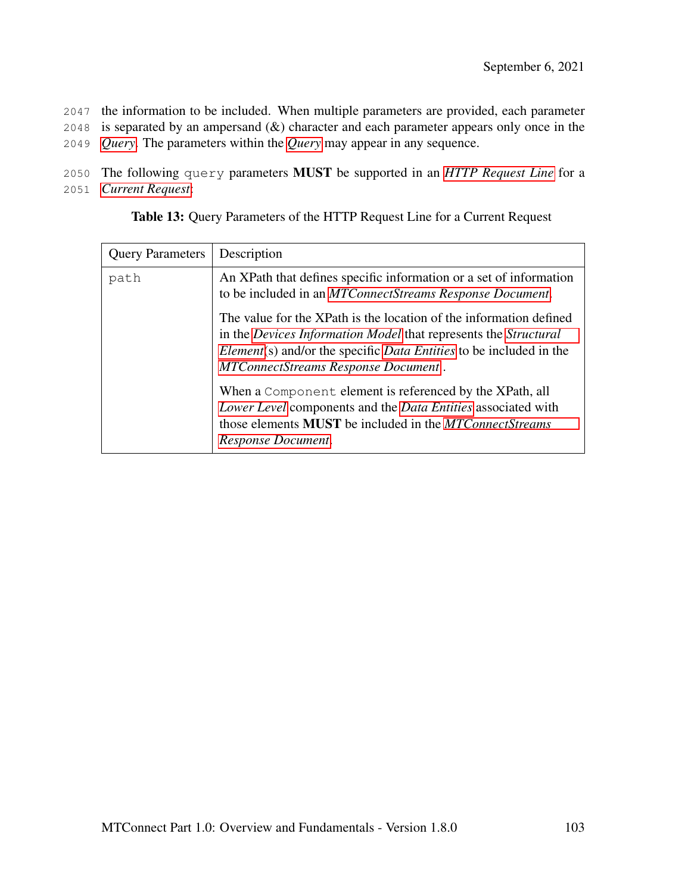2047 the information to be included. When multiple parameters are provided, each parameter 2048 is separated by an ampersand  $(\&)$  character and each parameter appears only once in the 2049 *[Query](#page-30-1)*. The parameters within the *[Query](#page-30-1)* may appear in any sequence.

2050 The following query parameters MUST be supported in an *[HTTP Request Line](#page-24-0)* for a 2051 *[Current Request](#page-20-0)*:

| <b>Query Parameters</b> | Description                                                                                                                                                                                                                                                       |  |
|-------------------------|-------------------------------------------------------------------------------------------------------------------------------------------------------------------------------------------------------------------------------------------------------------------|--|
| path                    | An XPath that defines specific information or a set of information<br>to be included in an MTConnectStreams Response Document.                                                                                                                                    |  |
|                         | The value for the XPath is the location of the information defined<br>in the Devices Information Model that represents the Structural<br><i>Element</i> (s) and/or the specific <i>Data Entities</i> to be included in the<br>MTConnectStreams Response Document. |  |
|                         | When a Component element is referenced by the XPath, all<br>Lower Level components and the Data Entities associated with<br>those elements <b>MUST</b> be included in the <i>MTConnectStreams</i><br>Response Document.                                           |  |

<span id="page-109-0"></span>Table 13: Query Parameters of the HTTP Request Line for a Current Request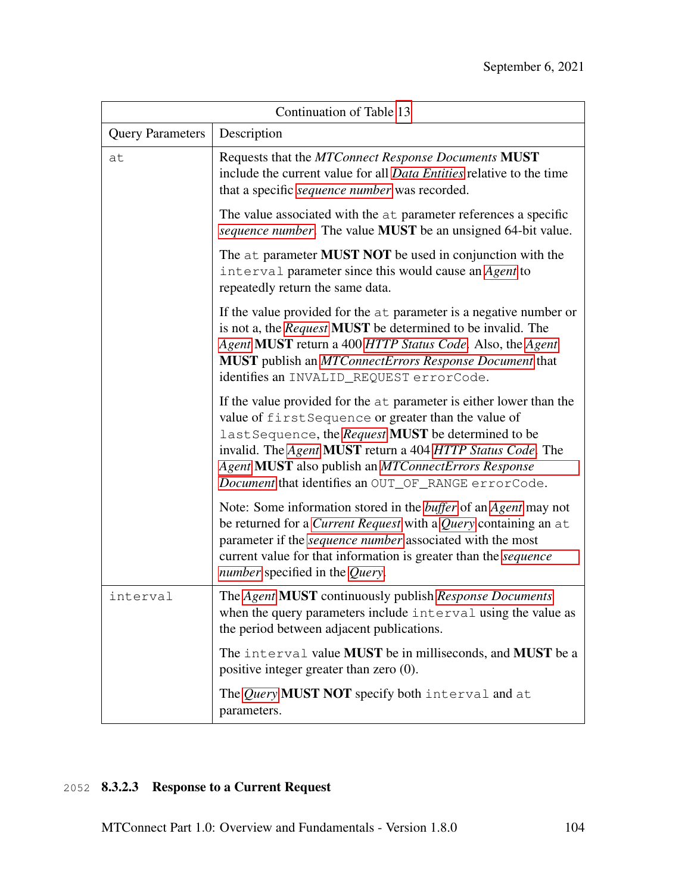| Continuation of Table 13 |                                                                                                                                                                                                                                                                                                                                                              |  |
|--------------------------|--------------------------------------------------------------------------------------------------------------------------------------------------------------------------------------------------------------------------------------------------------------------------------------------------------------------------------------------------------------|--|
| <b>Query Parameters</b>  | Description                                                                                                                                                                                                                                                                                                                                                  |  |
| at                       | Requests that the MTConnect Response Documents MUST<br>include the current value for all <i>Data Entities</i> relative to the time<br>that a specific <i>sequence number</i> was recorded.                                                                                                                                                                   |  |
|                          | The value associated with the at parameter references a specific<br>sequence number. The value MUST be an unsigned 64-bit value.                                                                                                                                                                                                                             |  |
|                          | The at parameter MUST NOT be used in conjunction with the<br>interval parameter since this would cause an Agent to<br>repeatedly return the same data.                                                                                                                                                                                                       |  |
|                          | If the value provided for the at parameter is a negative number or<br>is not a, the Request MUST be determined to be invalid. The<br>Agent MUST return a 400 HTTP Status Code. Also, the Agent<br><b>MUST</b> publish an <i>MTConnectErrors Response Document</i> that<br>identifies an INVALID_REQUEST errorCode.                                           |  |
|                          | If the value provided for the at parameter is either lower than the<br>value of firstSequence or greater than the value of<br>lastSequence, the Request MUST be determined to be<br>invalid. The Agent MUST return a 404 HTTP Status Code. The<br>Agent MUST also publish an MTConnectErrors Response<br>Document that identifies an OUT_OF_RANGE errorCode. |  |
|                          | Note: Some information stored in the <i>buffer</i> of an <i>Agent</i> may not<br>be returned for a Current Request with a Query containing an at<br>parameter if the <i>sequence number</i> associated with the most<br>current value for that information is greater than the sequence<br>number specified in the Query.                                    |  |
| interval                 | The Agent MUST continuously publish Response Documents<br>when the query parameters include interval using the value as<br>the period between adjacent publications.                                                                                                                                                                                         |  |
|                          | The interval value MUST be in milliseconds, and MUST be a<br>positive integer greater than zero $(0)$ .                                                                                                                                                                                                                                                      |  |
|                          | The Query MUST NOT specify both interval and at<br>parameters.                                                                                                                                                                                                                                                                                               |  |

# 2052 8.3.2.3 Response to a Current Request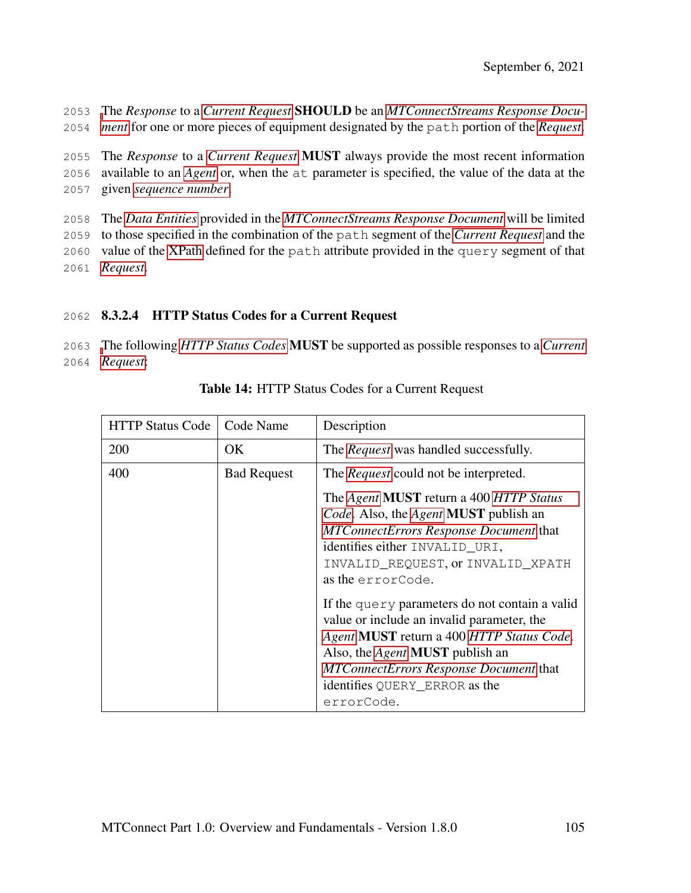2053 [T](#page-28-0)he *Response* to a *[Current Request](#page-20-0)* SHOULD be an *[MTConnectStreams Response Docu-](#page-28-0)*2054 *[ment](#page-28-0)* for one or more pieces of equipment designated by the path portion of the *[Request](#page-30-0)*.

2055 The *Response* to a *[Current Request](#page-20-0)* MUST always provide the most recent information 2056 available to an *[Agent](#page-16-0)* or, when the at parameter is specified, the value of the data at the 2057 given *[sequence number](#page-33-0)*.

2058 The *[Data Entities](#page-20-1)* provided in the *[MTConnectStreams Response Document](#page-28-0)* will be limited 2059 to those specified in the combination of the path segment of the *[Current Request](#page-20-0)* and the

2060 value of the [XPath](#page-16-1) defined for the path attribute provided in the query segment of that 2061 *[Request](#page-30-0)*.

### 2062 8.3.2.4 HTTP Status Codes for a Current Request

2063 [T](#page-20-0)he following *[HTTP Status Codes](#page-24-1)* MUST be supported as possible responses to a *[Current](#page-20-0)* 2064 *[Request](#page-20-0)*:

<span id="page-111-0"></span>

| <b>HTTP Status Code</b> | Code Name          | Description                                                                                                                                                                                                                                                                         |
|-------------------------|--------------------|-------------------------------------------------------------------------------------------------------------------------------------------------------------------------------------------------------------------------------------------------------------------------------------|
| 200                     | <b>OK</b>          | The <i>Request</i> was handled successfully.                                                                                                                                                                                                                                        |
| 400                     | <b>Bad Request</b> | The <i>Request</i> could not be interpreted.                                                                                                                                                                                                                                        |
|                         |                    | The Agent <b>MUST</b> return a 400 HTTP Status<br>Code. Also, the Agent <b>MUST</b> publish an<br>MTConnectErrors Response Document that<br>identifies either INVALID_URI,<br>INVALID_REQUEST, or INVALID_XPATH<br>as the errorCode.                                                |
|                         |                    | If the query parameters do not contain a valid<br>value or include an invalid parameter, the<br>Agent MUST return a 400 HTTP Status Code.<br>Also, the <i>Agent</i> <b>MUST</b> publish an<br>MTConnectErrors Response Document that<br>identifies QUERY_ERROR as the<br>errorCode. |

| Table 14: HTTP Status Codes for a Current Request |  |  |  |
|---------------------------------------------------|--|--|--|
|                                                   |  |  |  |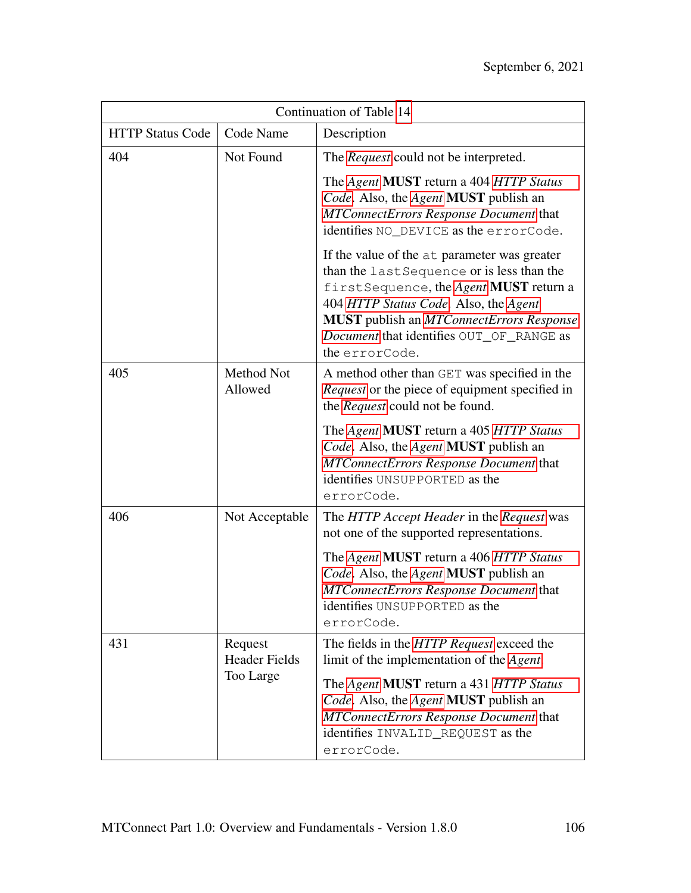| Continuation of Table 14 |                                              |                                                                                                                                                                                                                                                                                                       |  |
|--------------------------|----------------------------------------------|-------------------------------------------------------------------------------------------------------------------------------------------------------------------------------------------------------------------------------------------------------------------------------------------------------|--|
| <b>HTTP Status Code</b>  | Code Name                                    | Description                                                                                                                                                                                                                                                                                           |  |
| 404                      | Not Found                                    | The <i>Request</i> could not be interpreted.                                                                                                                                                                                                                                                          |  |
|                          |                                              | The Agent MUST return a 404 HTTP Status<br>Code. Also, the Agent MUST publish an<br>MTConnectErrors Response Document that<br>identifies NO_DEVICE as the errorCode.                                                                                                                                  |  |
|                          |                                              | If the value of the at parameter was greater<br>than the last Sequence or is less than the<br>firstSequence, the Agent MUST return a<br>404 HTTP Status Code. Also, the Agent<br><b>MUST</b> publish an <i>MTConnectErrors Response</i><br>Document that identifies OUT_OF_RANGE as<br>the errorCode. |  |
| 405                      | Method Not<br>Allowed                        | A method other than GET was specified in the<br><i>Request</i> or the piece of equipment specified in<br>the <i>Request</i> could not be found.                                                                                                                                                       |  |
|                          |                                              | The Agent MUST return a 405 HTTP Status<br>Code. Also, the Agent MUST publish an<br>MTConnectErrors Response Document that<br>identifies UNSUPPORTED as the<br>errorCode.                                                                                                                             |  |
| 406                      | Not Acceptable                               | The HTTP Accept Header in the Request was<br>not one of the supported representations.                                                                                                                                                                                                                |  |
|                          |                                              | The Agent MUST return a 406 HTTP Status<br>Code. Also, the Agent MUST publish an<br>MTConnectErrors Response Document that<br>identifies UNSUPPORTED as the<br>errorCode.                                                                                                                             |  |
| 431                      | Request<br><b>Header Fields</b><br>Too Large | The fields in the <i>HTTP Request</i> exceed the<br>limit of the implementation of the Agent.<br>The Agent MUST return a 431 HTTP Status<br>Code. Also, the Agent MUST publish an<br>MTConnectErrors Response Document that<br>identifies INVALID_REQUEST as the<br>errorCode.                        |  |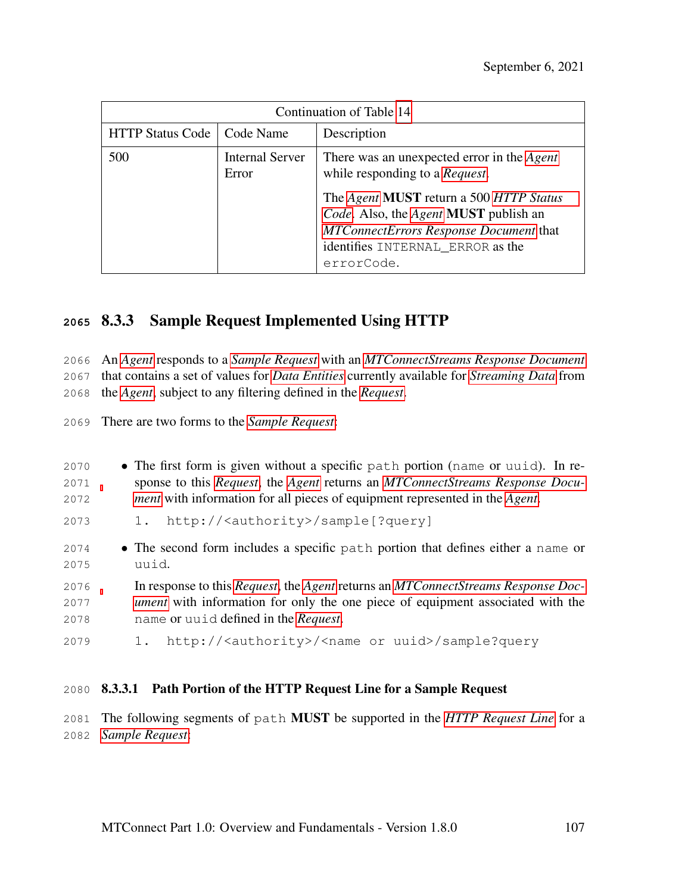| Continuation of Table 14 |                                 |                                                                                                                                                                                                                                                                                    |  |
|--------------------------|---------------------------------|------------------------------------------------------------------------------------------------------------------------------------------------------------------------------------------------------------------------------------------------------------------------------------|--|
| <b>HTTP Status Code</b>  | Description<br>Code Name        |                                                                                                                                                                                                                                                                                    |  |
| 500                      | <b>Internal Server</b><br>Error | There was an unexpected error in the Agent<br>while responding to a <i>Request</i> .<br>The Agent <b>MUST</b> return a 500 HTTP Status<br>Code. Also, the Agent <b>MUST</b> publish an<br>MTConnectErrors Response Document that<br>identifies INTERNAL_ERROR as the<br>errorCode. |  |

# 8.3.3 Sample Request Implemented Using HTTP

 An *[Agent](#page-16-0)* responds to a *[Sample Request](#page-32-0)* with an *[MTConnectStreams Response Document](#page-28-0)* that contains a set of values for *[Data Entities](#page-20-1)* currently available for *[Streaming Data](#page-34-0)* from the *[Agent](#page-16-0)*, subject to any filtering defined in the *[Request](#page-30-0)*.

There are two forms to the *[Sample Request](#page-32-0)*:

| 2070 | • The first form is given without a specific path portion (name or uuid). In re-                    |
|------|-----------------------------------------------------------------------------------------------------|
| 2071 | sponse to this <i>Request</i> , the <i>Agent</i> returns an <i>MTConnectStreams Response Docu</i> - |
| 2072 | <i>ment</i> with information for all pieces of equipment represented in the <i>Agent</i> .          |
| 2073 | http:// <authority>/sample[?query]<br/>1.</authority>                                               |
| 2074 | • The second form includes a specific path portion that defines either a name or                    |
| 2075 | uuid.                                                                                               |
| 2076 | In response to this Request, the Agent returns an MTConnectStreams Response Doc-                    |
| 2077 | <i>ument</i> with information for only the one piece of equipment associated with the               |
| 2078 | name or unid defined in the Request.                                                                |
| 2079 | http:// <authority>/<name or="" uuid="">/sample?query</name></authority>                            |

### 8.3.3.1 Path Portion of the HTTP Request Line for a Sample Request

 The following segments of path MUST be supported in the *[HTTP Request Line](#page-24-0)* for a *[Sample Request](#page-32-0)*: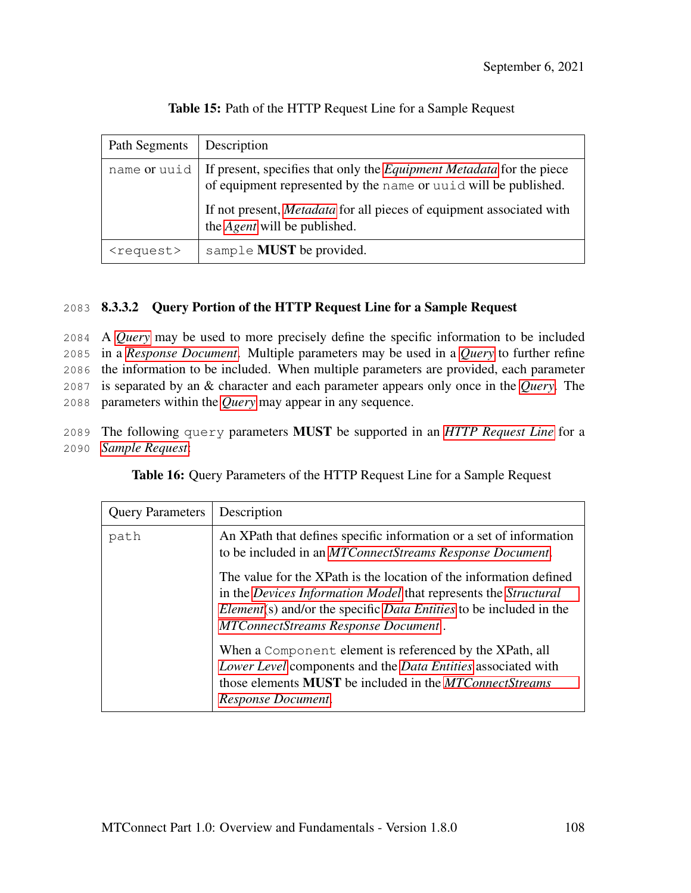| Path Segments       | Description                                                                                                                                                   |
|---------------------|---------------------------------------------------------------------------------------------------------------------------------------------------------------|
|                     | name or uuid   If present, specifies that only the <i>Equipment Metadata</i> for the piece<br>of equipment represented by the name or uuid will be published. |
|                     | If not present, Metadata for all pieces of equipment associated with<br>the <i>Agent</i> will be published.                                                   |
| <request></request> | sample <b>MUST</b> be provided.                                                                                                                               |

Table 15: Path of the HTTP Request Line for a Sample Request

### 2083 8.3.3.2 Query Portion of the HTTP Request Line for a Sample Request

 A *[Query](#page-30-1)* may be used to more precisely define the specific information to be included in a *[Response Document](#page-31-0)*. Multiple parameters may be used in a *[Query](#page-30-1)* to further refine the information to be included. When multiple parameters are provided, each parameter is separated by an & character and each parameter appears only once in the *[Query](#page-30-1)*. The parameters within the *[Query](#page-30-1)* may appear in any sequence.

2089 The following query parameters MUST be supported in an *[HTTP Request Line](#page-24-0)* for a 2090 *[Sample Request](#page-32-0)*:

<span id="page-114-0"></span>Table 16: Query Parameters of the HTTP Request Line for a Sample Request

| <b>Query Parameters</b> | Description                                                                                                                                                                                                                                                              |  |
|-------------------------|--------------------------------------------------------------------------------------------------------------------------------------------------------------------------------------------------------------------------------------------------------------------------|--|
| path                    | An XPath that defines specific information or a set of information<br>to be included in an <i>MTConnectStreams Response Document</i> .                                                                                                                                   |  |
|                         | The value for the XPath is the location of the information defined<br>in the Devices Information Model that represents the Structural<br><i>Element</i> (s) and/or the specific <i>Data Entities</i> to be included in the<br><b>MTConnectStreams Response Document.</b> |  |
|                         | When a Component element is referenced by the XPath, all<br>Lower Level components and the Data Entities associated with<br>those elements <b>MUST</b> be included in the <i>MTConnectStreams</i><br>Response Document.                                                  |  |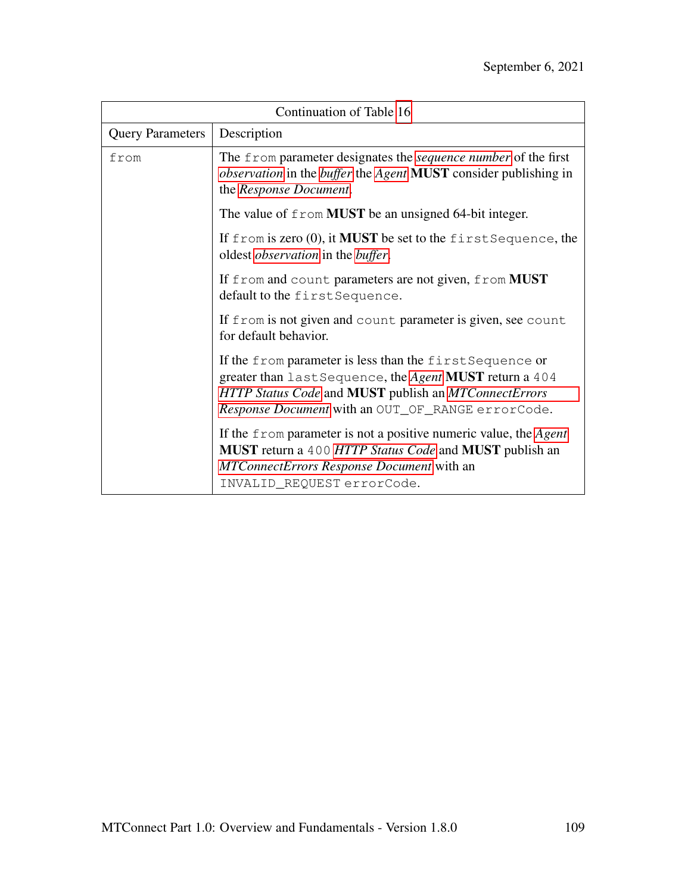|                         | Continuation of Table 16                                                                                                                                                                                                         |  |
|-------------------------|----------------------------------------------------------------------------------------------------------------------------------------------------------------------------------------------------------------------------------|--|
| <b>Query Parameters</b> | Description                                                                                                                                                                                                                      |  |
| from                    | The from parameter designates the <i>sequence number</i> of the first<br><i>observation</i> in the <i>buffer</i> the <i>Agent</i> <b>MUST</b> consider publishing in<br>the Response Document.                                   |  |
|                         | The value of from MUST be an unsigned 64-bit integer.                                                                                                                                                                            |  |
|                         | If from is zero $(0)$ , it <b>MUST</b> be set to the first Sequence, the<br>oldest <i>observation</i> in the <i>buffer</i> .                                                                                                     |  |
|                         | If from and count parameters are not given, from <b>MUST</b><br>default to the first Sequence.                                                                                                                                   |  |
|                         | If from is not given and count parameter is given, see count<br>for default behavior.                                                                                                                                            |  |
|                         | If the from parameter is less than the first Sequence or<br>greater than last Sequence, the Agent MUST return a 404<br>HTTP Status Code and MUST publish an MTConnectErrors<br>Response Document with an OUT_OF_RANGE errorCode. |  |
|                         | If the $f$ rom parameter is not a positive numeric value, the Agent<br><b>MUST</b> return a 400 HTTP Status Code and <b>MUST</b> publish an<br>MTConnectErrors Response Document with an<br>INVALID_REQUEST errorCode.           |  |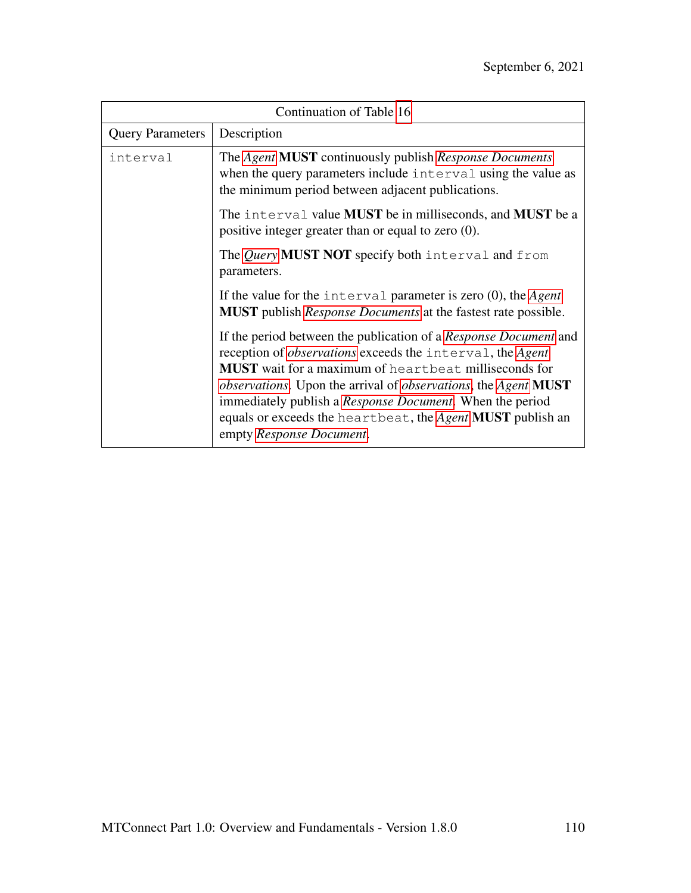|                         | Continuation of Table 16                                                                                                                                                                                                                                                                                                                                                                                                                                          |  |  |
|-------------------------|-------------------------------------------------------------------------------------------------------------------------------------------------------------------------------------------------------------------------------------------------------------------------------------------------------------------------------------------------------------------------------------------------------------------------------------------------------------------|--|--|
| <b>Query Parameters</b> | Description                                                                                                                                                                                                                                                                                                                                                                                                                                                       |  |  |
| interval                | The Agent MUST continuously publish Response Documents<br>when the query parameters include interval using the value as<br>the minimum period between adjacent publications.                                                                                                                                                                                                                                                                                      |  |  |
|                         | The interval value MUST be in milliseconds, and MUST be a<br>positive integer greater than or equal to zero (0).                                                                                                                                                                                                                                                                                                                                                  |  |  |
|                         | The Query MUST NOT specify both interval and from<br>parameters.                                                                                                                                                                                                                                                                                                                                                                                                  |  |  |
|                         | If the value for the interval parameter is zero $(0)$ , the Agent<br><b>MUST</b> publish <i>Response Documents</i> at the fastest rate possible.                                                                                                                                                                                                                                                                                                                  |  |  |
|                         | If the period between the publication of a Response Document and<br>reception of <i>observations</i> exceeds the interval, the Agent<br><b>MUST</b> wait for a maximum of heartbeat milliseconds for<br><i>observations.</i> Upon the arrival of <i>observations</i> , the <i>Agent</i> <b>MUST</b><br>immediately publish a <i>Response Document</i> . When the period<br>equals or exceeds the heartbeat, the Agent MUST publish an<br>empty Response Document. |  |  |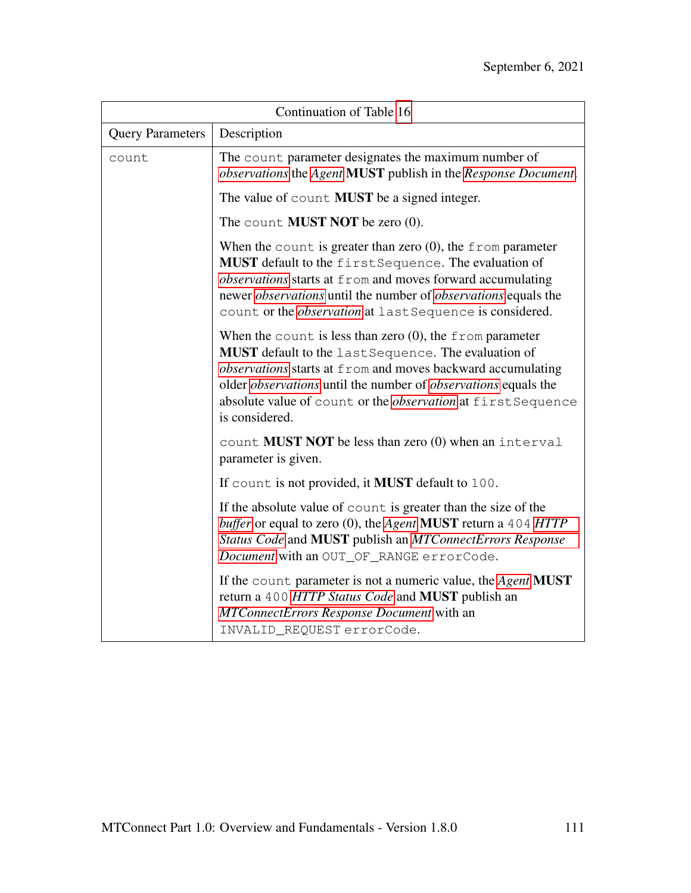| Continuation of Table 16 |                                                                                                                                                                                                                                                                                                                                                             |  |
|--------------------------|-------------------------------------------------------------------------------------------------------------------------------------------------------------------------------------------------------------------------------------------------------------------------------------------------------------------------------------------------------------|--|
| <b>Query Parameters</b>  | Description                                                                                                                                                                                                                                                                                                                                                 |  |
| count                    | The count parameter designates the maximum number of<br><i>observations</i> the Agent <b>MUST</b> publish in the Response Document.                                                                                                                                                                                                                         |  |
|                          | The value of count <b>MUST</b> be a signed integer.                                                                                                                                                                                                                                                                                                         |  |
|                          | The count <b>MUST NOT</b> be zero $(0)$ .                                                                                                                                                                                                                                                                                                                   |  |
|                          | When the count is greater than zero $(0)$ , the from parameter<br>MUST default to the first Sequence. The evaluation of<br>observations starts at from and moves forward accumulating<br>newer <i>observations</i> until the number of <i>observations</i> equals the<br>count or the <i>observation</i> at last Sequence is considered.                    |  |
|                          | When the count is less than zero $(0)$ , the from parameter<br>MUST default to the last Sequence. The evaluation of<br>observations starts at from and moves backward accumulating<br>older <i>observations</i> until the number of <i>observations</i> equals the<br>absolute value of count or the <i>observation</i> at first Sequence<br>is considered. |  |
|                          | count <b>MUST NOT</b> be less than zero $(0)$ when an interval<br>parameter is given.                                                                                                                                                                                                                                                                       |  |
|                          | If count is not provided, it <b>MUST</b> default to 100.                                                                                                                                                                                                                                                                                                    |  |
|                          | If the absolute value of count is greater than the size of the<br>buffer or equal to zero (0), the Agent <b>MUST</b> return a 404 HTTP<br>Status Code and MUST publish an MTConnectErrors Response<br>Document with an OUT_OF_RANGE errorCode.                                                                                                              |  |
|                          | If the count parameter is not a numeric value, the Agent MUST<br>return a 400 HTTP Status Code and MUST publish an<br>MTConnectErrors Response Document with an<br>INVALID_REQUEST errorCode.                                                                                                                                                               |  |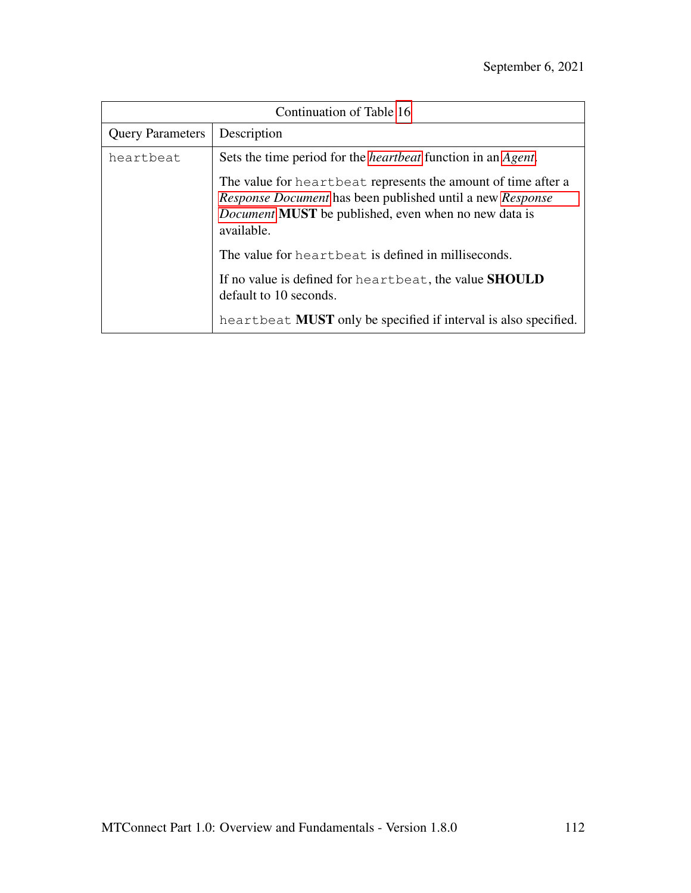| Continuation of Table 16 |                                                                                                                                                                                                                                                                                               |  |
|--------------------------|-----------------------------------------------------------------------------------------------------------------------------------------------------------------------------------------------------------------------------------------------------------------------------------------------|--|
| <b>Query Parameters</b>  | Description                                                                                                                                                                                                                                                                                   |  |
| heartbeat                | Sets the time period for the <i>heartbeat</i> function in an <i>Agent</i> .<br>The value for heartbeat represents the amount of time after a<br>Response Document has been published until a new Response<br><i>Document</i> <b>MUST</b> be published, even when no new data is<br>available. |  |
|                          | The value for heartbeat is defined in milliseconds.<br>If no value is defined for heartbeat, the value <b>SHOULD</b><br>default to 10 seconds.<br>heartbeat <b>MUST</b> only be specified if interval is also specified.                                                                      |  |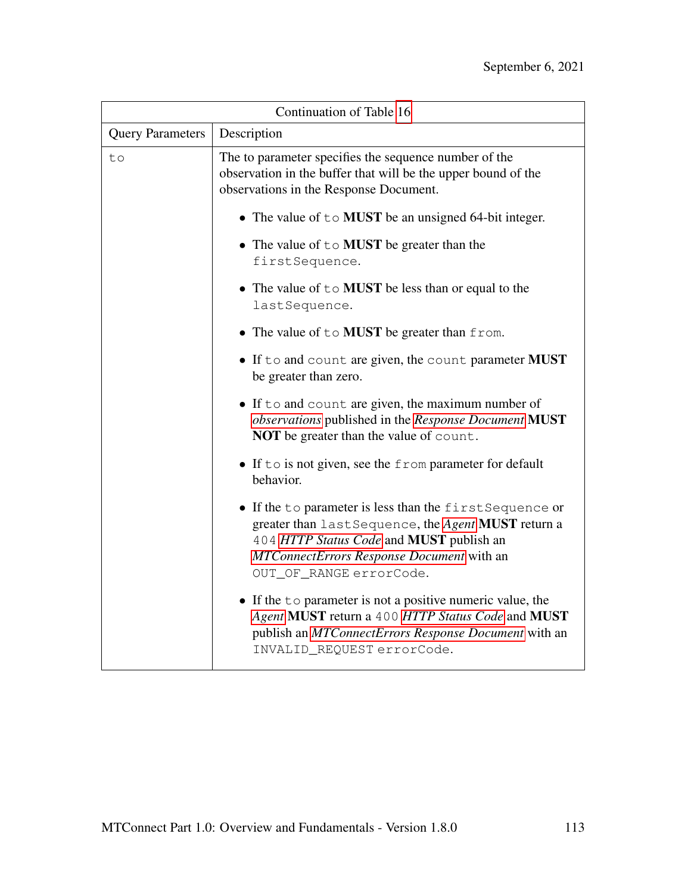|                         | Continuation of Table 16                                                                                                                                                                                                            |
|-------------------------|-------------------------------------------------------------------------------------------------------------------------------------------------------------------------------------------------------------------------------------|
| <b>Query Parameters</b> | Description                                                                                                                                                                                                                         |
| to                      | The to parameter specifies the sequence number of the<br>observation in the buffer that will be the upper bound of the<br>observations in the Response Document.                                                                    |
|                         | • The value of $\pm \circ$ MUST be an unsigned 64-bit integer.                                                                                                                                                                      |
|                         | • The value of $\pm \circ$ <b>MUST</b> be greater than the<br>firstSequence.                                                                                                                                                        |
|                         | • The value of to <b>MUST</b> be less than or equal to the<br>lastSequence.                                                                                                                                                         |
|                         | • The value of $\text{to}$ <b>MUST</b> be greater than $\text{from}$ .                                                                                                                                                              |
|                         | • If to and count are given, the count parameter MUST<br>be greater than zero.                                                                                                                                                      |
|                         | • If to and count are given, the maximum number of<br>observations published in the Response Document MUST<br><b>NOT</b> be greater than the value of count.                                                                        |
|                         | • If $\pm \circ$ is not given, see the $\pm \circ$ parameter for default<br>behavior.                                                                                                                                               |
|                         | • If the to parameter is less than the first Sequence or<br>greater than last Sequence, the Agent MUST return a<br>404 HTTP Status Code and MUST publish an<br>MTConnectErrors Response Document with an<br>OUT_OF_RANGE errorCode. |
|                         | • If the $\pm$ o parameter is not a positive numeric value, the<br>Agent MUST return a 400 HTTP Status Code and MUST<br>publish an MTConnectErrors Response Document with an<br>INVALID_REQUEST errorCode.                          |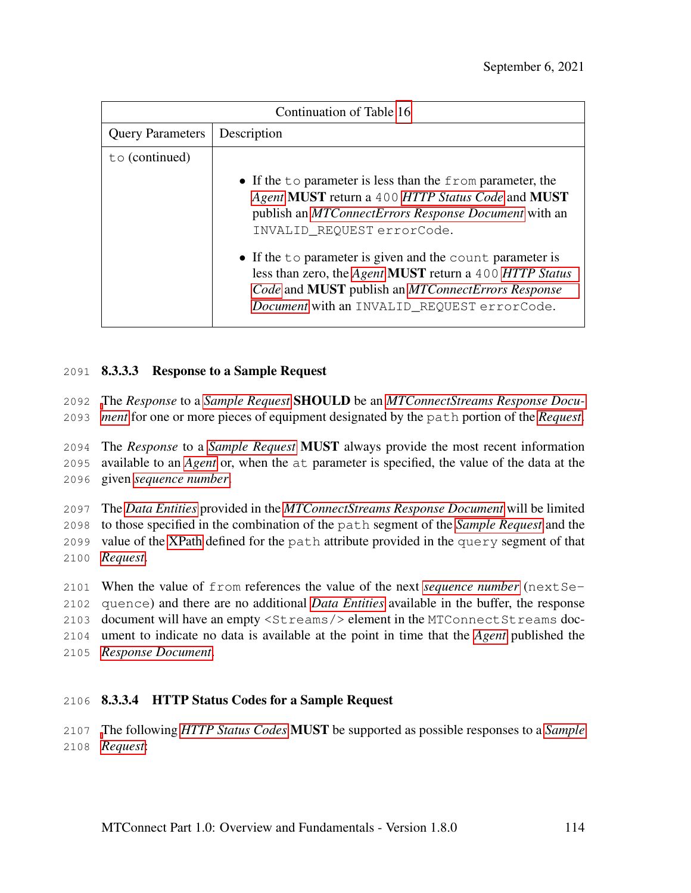| Continuation of Table 16 |                                                                                                                                                                                                                                                                                                                                                                                                                                                                         |  |
|--------------------------|-------------------------------------------------------------------------------------------------------------------------------------------------------------------------------------------------------------------------------------------------------------------------------------------------------------------------------------------------------------------------------------------------------------------------------------------------------------------------|--|
| <b>Query Parameters</b>  | Description                                                                                                                                                                                                                                                                                                                                                                                                                                                             |  |
| $\circ$ (continued)      | • If the $\pm$ o parameter is less than the $\pm$ rom parameter, the<br>Agent MUST return a 400 HTTP Status Code and MUST<br>publish an MTConnectErrors Response Document with an<br>INVALID REQUEST errorCode.<br>• If the to parameter is given and the count parameter is<br>less than zero, the <i>Agent</i> <b>MUST</b> return a 400 HTTP Status<br>Code and <b>MUST</b> publish an <i>MTConnectErrors Response</i><br>Document with an INVALID_REQUEST errorCode. |  |

### 2091 8.3.3.3 Response to a Sample Request

2092 [T](#page-28-0)he *Response* to a *[Sample Request](#page-32-0)* SHOULD be an *[MTConnectStreams Response Docu-](#page-28-0)*2093 *[ment](#page-28-0)* for one or more pieces of equipment designated by the path portion of the *[Request](#page-30-0)*.

2094 The *Response* to a *[Sample Request](#page-32-0)* MUST always provide the most recent information 2095 available to an *[Agent](#page-16-0)* or, when the at parameter is specified, the value of the data at the 2096 given *[sequence number](#page-33-0)*.

 The *[Data Entities](#page-20-1)* provided in the *[MTConnectStreams Response Document](#page-28-0)* will be limited to those specified in the combination of the path segment of the *[Sample Request](#page-32-0)* and the value of the [XPath](#page-16-1) defined for the path attribute provided in the query segment of that 2100 *[Request](#page-30-0)*.

 When the value of from references the value of the next *[sequence number](#page-33-0)* (nextSe- quence) and there are no additional *[Data Entities](#page-20-1)* available in the buffer, the response document will have an empty <Streams/> element in the MTConnectStreams doc- ument to indicate no data is available at the point in time that the *[Agent](#page-16-0)* published the *[Response Document](#page-31-0)*.

### 2106 8.3.3.4 HTTP Status Codes for a Sample Request

<span id="page-120-0"></span>2107 [T](#page-32-0)he following *[HTTP Status Codes](#page-24-1)* MUST be supported as possible responses to a *[Sample](#page-32-0)* 2108 *[Request](#page-32-0)*: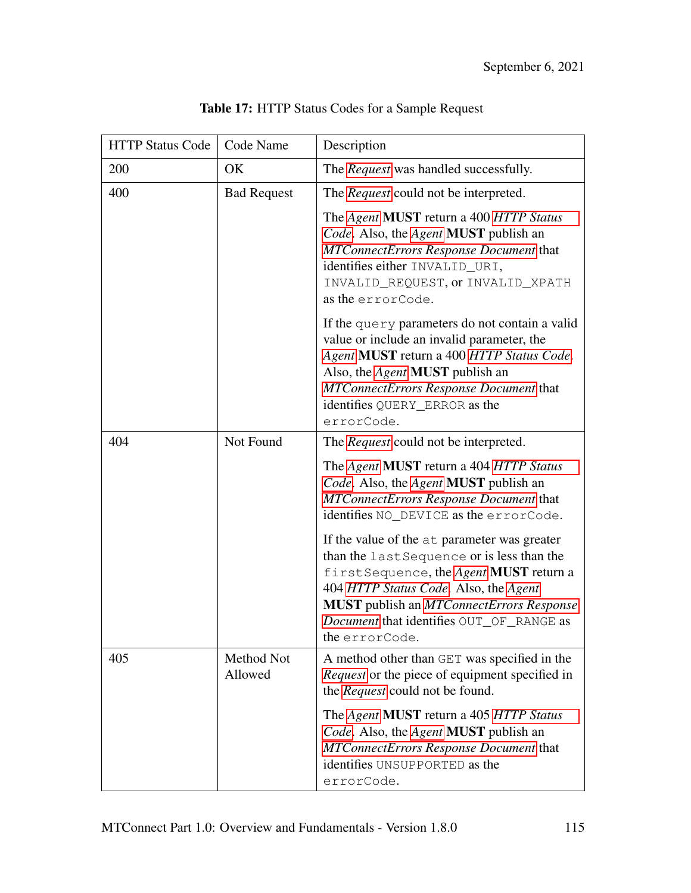| <b>HTTP Status Code</b> | Code Name             | Description                                                                                                                                                                                                                                                                                                                                                                                                                                                                                 |
|-------------------------|-----------------------|---------------------------------------------------------------------------------------------------------------------------------------------------------------------------------------------------------------------------------------------------------------------------------------------------------------------------------------------------------------------------------------------------------------------------------------------------------------------------------------------|
| 200                     | OK                    | The <i>Request</i> was handled successfully.                                                                                                                                                                                                                                                                                                                                                                                                                                                |
| 400                     | <b>Bad Request</b>    | The <i>Request</i> could not be interpreted.                                                                                                                                                                                                                                                                                                                                                                                                                                                |
|                         |                       | The Agent MUST return a 400 HTTP Status<br>Code. Also, the Agent MUST publish an<br><b>MTConnectErrors Response Document that</b><br>identifies either INVALID_URI,<br>INVALID_REQUEST, or INVALID_XPATH<br>as the errorCode.                                                                                                                                                                                                                                                               |
|                         |                       | If the query parameters do not contain a valid<br>value or include an invalid parameter, the<br>Agent MUST return a 400 HTTP Status Code.<br>Also, the <i>Agent</i> <b>MUST</b> publish an<br><b>MTConnectErrors Response Document that</b><br>identifies QUERY_ERROR as the<br>errorCode.                                                                                                                                                                                                  |
| 404                     | Not Found             | The <i>Request</i> could not be interpreted.                                                                                                                                                                                                                                                                                                                                                                                                                                                |
|                         |                       | The Agent MUST return a 404 HTTP Status<br>Code. Also, the Agent <b>MUST</b> publish an<br><b>MTConnectErrors Response Document that</b><br>identifies NO_DEVICE as the errorCode.<br>If the value of the at parameter was greater<br>than the last Sequence or is less than the<br>firstSequence, the Agent MUST return a<br>404 HTTP Status Code. Also, the Agent<br><b>MUST</b> publish an <i>MTConnectErrors Response</i><br>Document that identifies OUT_OF_RANGE as<br>the errorCode. |
| 405                     | Method Not<br>Allowed | A method other than GET was specified in the<br><i>Request</i> or the piece of equipment specified in<br>the <i>Request</i> could not be found.                                                                                                                                                                                                                                                                                                                                             |
|                         |                       | The Agent MUST return a 405 HTTP Status<br>Code. Also, the Agent <b>MUST</b> publish an<br>MTConnectErrors Response Document that<br>identifies UNSUPPORTED as the<br>errorCode.                                                                                                                                                                                                                                                                                                            |

Table 17: HTTP Status Codes for a Sample Request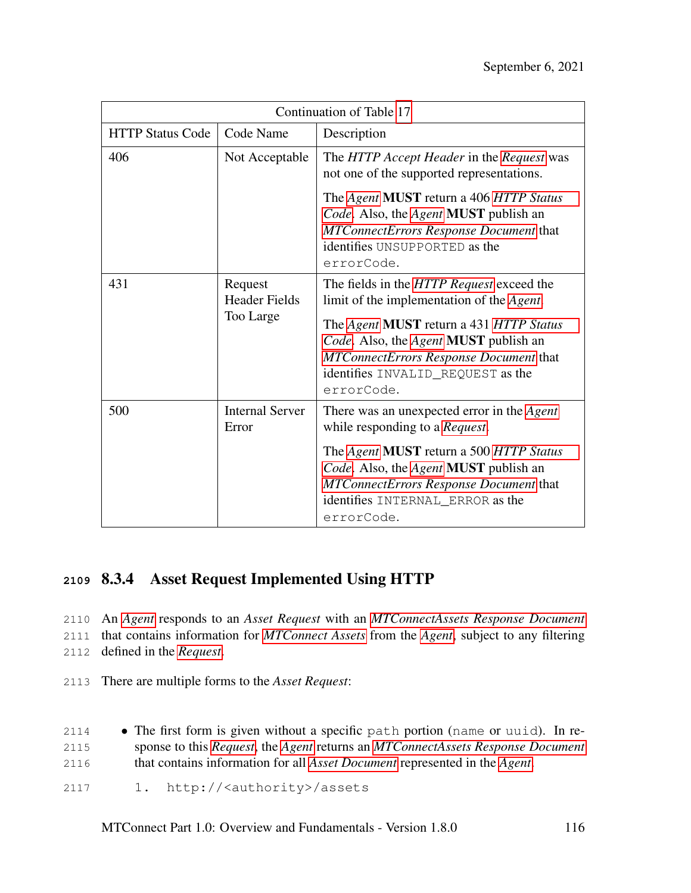| Continuation of Table 17 |                                              |                                                                                                                                                                                                                                                                                        |
|--------------------------|----------------------------------------------|----------------------------------------------------------------------------------------------------------------------------------------------------------------------------------------------------------------------------------------------------------------------------------------|
| <b>HTTP Status Code</b>  | Code Name                                    | Description                                                                                                                                                                                                                                                                            |
| 406                      | Not Acceptable                               | The HTTP Accept Header in the Request was<br>not one of the supported representations.                                                                                                                                                                                                 |
|                          |                                              | The Agent <b>MUST</b> return a 406 HTTP Status<br>Code. Also, the Agent <b>MUST</b> publish an<br><b>MTConnectErrors Response Document that</b><br>identifies UNSUPPORTED as the<br>errorCode.                                                                                         |
| 431                      | Request<br><b>Header Fields</b><br>Too Large | The fields in the <i>HTTP Request</i> exceed the<br>limit of the implementation of the <i>Agent</i> .<br>The Agent MUST return a 431 HTTP Status<br>Code. Also, the Agent MUST publish an<br>MTConnectErrors Response Document that<br>identifies INVALID_REQUEST as the<br>errorCode. |
| 500                      | <b>Internal Server</b><br>Error              | There was an unexpected error in the <i>Agent</i><br>while responding to a Request.<br>The Agent MUST return a 500 HTTP Status<br>Code. Also, the Agent <b>MUST</b> publish an<br>MTConnectErrors Response Document that<br>identifies INTERNAL_ERROR as the<br>errorCode.             |

# **<sup>2109</sup>** 8.3.4 Asset Request Implemented Using HTTP

2110 An *[Agent](#page-16-0)* responds to an *Asset Request* with an *[MTConnectAssets Response Document](#page-27-0)*

2111 that contains information for *[MTConnect Assets](#page-26-2)* from the *[Agent](#page-16-0)*, subject to any filtering

- 2112 defined in the *[Request](#page-30-0)*.
- 2113 There are multiple forms to the *Asset Request*:
- 2114 The first form is given without a specific path portion (name or uuid). In re-2115 sponse to this *[Request](#page-30-0)*, the *[Agent](#page-16-0)* returns an *[MTConnectAssets Response Document](#page-27-0)* 2116 that contains information for all *[Asset Document](#page-17-0)* represented in the *[Agent](#page-16-0)*.
- 2117 1. http://<authority>/assets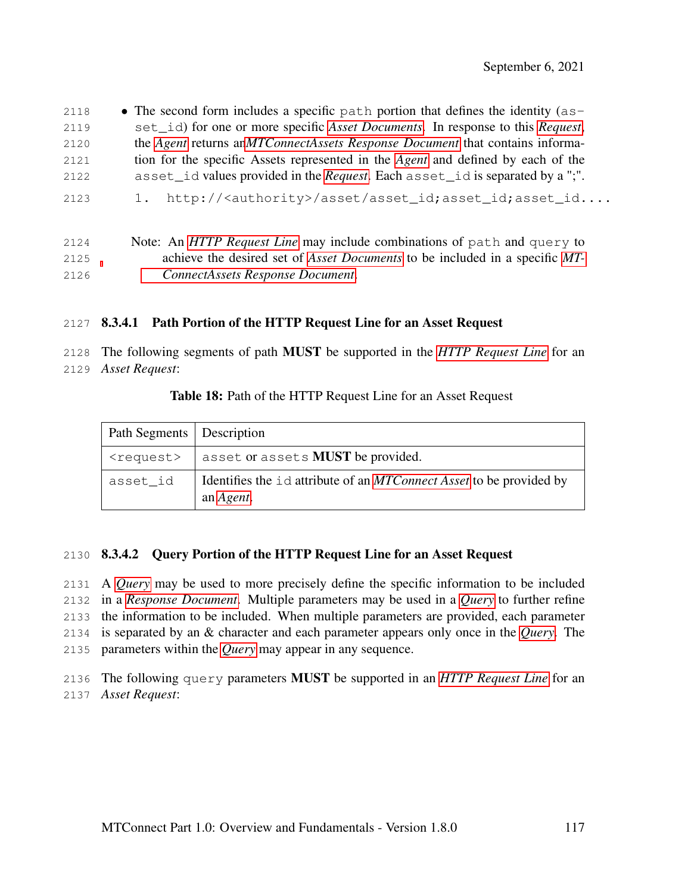- 2118 The second form includes a specific path portion that defines the identity  $(as -)$  set\_id) for one or more specific *[Asset Documents](#page-17-0)*. In response to this *[Request](#page-30-0)*, the *[Agent](#page-16-0)* returns an*[MTConnectAssets Response Document](#page-27-0)* that contains informa- tion for the specific Assets represented in the *[Agent](#page-16-0)* and defined by each of the asset\_id values provided in the *[Request](#page-30-0)*. Each asset\_id is separated by a ";". 2123 1. http://<authority>/asset/asset\_id;asset\_id;asset\_id.... Note: An *[HTTP Request Line](#page-24-0)* may include combinations of path and query to
- achieve the desired set of *[Asset Documents](#page-17-0)* to be included in a specific *[MT-](#page-27-0)[ConnectAssets Response Document](#page-27-0)*.

#### 8.3.4.1 Path Portion of the HTTP Request Line for an Asset Request

 The following segments of path MUST be supported in the *[HTTP Request Line](#page-24-0)* for an *Asset Request*:

| Path Segments   Description |                                                                                                 |
|-----------------------------|-------------------------------------------------------------------------------------------------|
| <request></request>         | asset or assets <b>MUST</b> be provided.                                                        |
| asset_id                    | Identifies the id attribute of an <i>MTConnect Asset</i> to be provided by<br>an <i>Agent</i> . |

Table 18: Path of the HTTP Request Line for an Asset Request

#### 8.3.4.2 Query Portion of the HTTP Request Line for an Asset Request

 A *[Query](#page-30-1)* may be used to more precisely define the specific information to be included in a *[Response Document](#page-31-0)*. Multiple parameters may be used in a *[Query](#page-30-1)* to further refine the information to be included. When multiple parameters are provided, each parameter is separated by an & character and each parameter appears only once in the *[Query](#page-30-1)*. The parameters within the *[Query](#page-30-1)* may appear in any sequence.

 The following query parameters MUST be supported in an *[HTTP Request Line](#page-24-0)* for an *Asset Request*: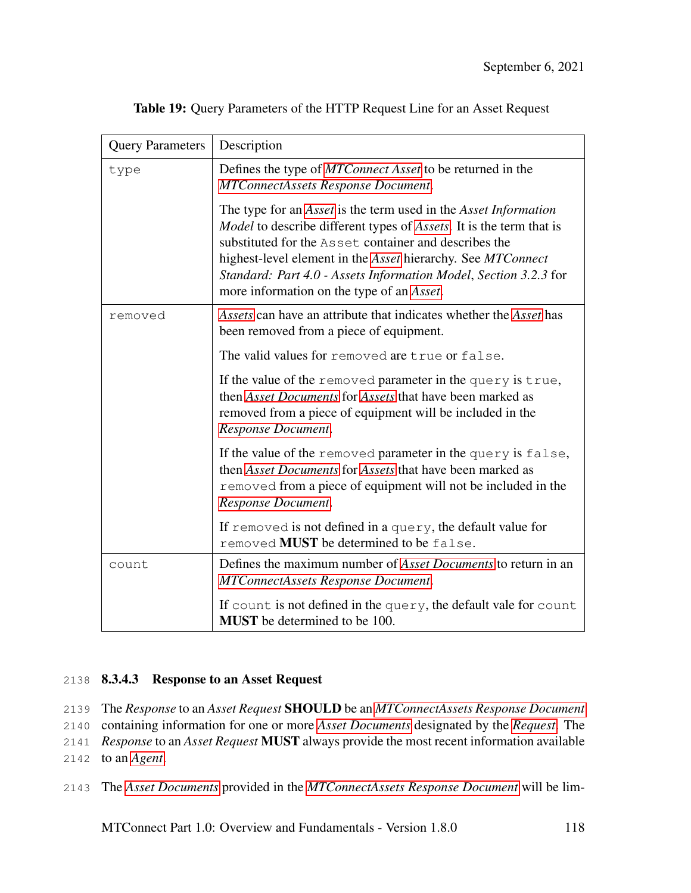| <b>Query Parameters</b> | Description                                                                                                                                                                                                                                                                                                                                                                                           |
|-------------------------|-------------------------------------------------------------------------------------------------------------------------------------------------------------------------------------------------------------------------------------------------------------------------------------------------------------------------------------------------------------------------------------------------------|
| type                    | Defines the type of <i>MTConnect Asset</i> to be returned in the<br><b>MTConnectAssets Response Document.</b>                                                                                                                                                                                                                                                                                         |
|                         | The type for an <i>Asset</i> is the term used in the <i>Asset Information</i><br>Model to describe different types of Assets. It is the term that is<br>substituted for the Asset container and describes the<br>highest-level element in the Asset hierarchy. See MTConnect<br>Standard: Part 4.0 - Assets Information Model, Section 3.2.3 for<br>more information on the type of an <i>Asset</i> . |
| removed                 | Assets can have an attribute that indicates whether the Asset has<br>been removed from a piece of equipment.                                                                                                                                                                                                                                                                                          |
|                         | The valid values for removed are true or false.                                                                                                                                                                                                                                                                                                                                                       |
|                         | If the value of the removed parameter in the query is true,<br>then Asset Documents for Assets that have been marked as<br>removed from a piece of equipment will be included in the<br>Response Document.                                                                                                                                                                                            |
|                         | If the value of the removed parameter in the query is false,<br>then Asset Documents for Assets that have been marked as<br>removed from a piece of equipment will not be included in the<br>Response Document.                                                                                                                                                                                       |
|                         | If removed is not defined in a query, the default value for<br>removed <b>MUST</b> be determined to be false.                                                                                                                                                                                                                                                                                         |
| count                   | Defines the maximum number of <i>Asset Documents</i> to return in an<br><b>MTConnectAssets Response Document.</b>                                                                                                                                                                                                                                                                                     |
|                         | If count is not defined in the query, the default vale for count<br><b>MUST</b> be determined to be 100.                                                                                                                                                                                                                                                                                              |

Table 19: Query Parameters of the HTTP Request Line for an Asset Request

### 2138 8.3.4.3 Response to an Asset Request

2139 The *Response* to an *Asset Request* SHOULD be an *[MTConnectAssets Response Document](#page-27-0)*

2140 containing information for one or more *[Asset Documents](#page-17-0)* designated by the *[Request](#page-30-0)*. The

2141 *Response* to an *Asset Request* MUST always provide the most recent information available

2142 to an *[Agent](#page-16-0)*.

2143 The *[Asset Documents](#page-17-0)* provided in the *[MTConnectAssets Response Document](#page-27-0)* will be lim-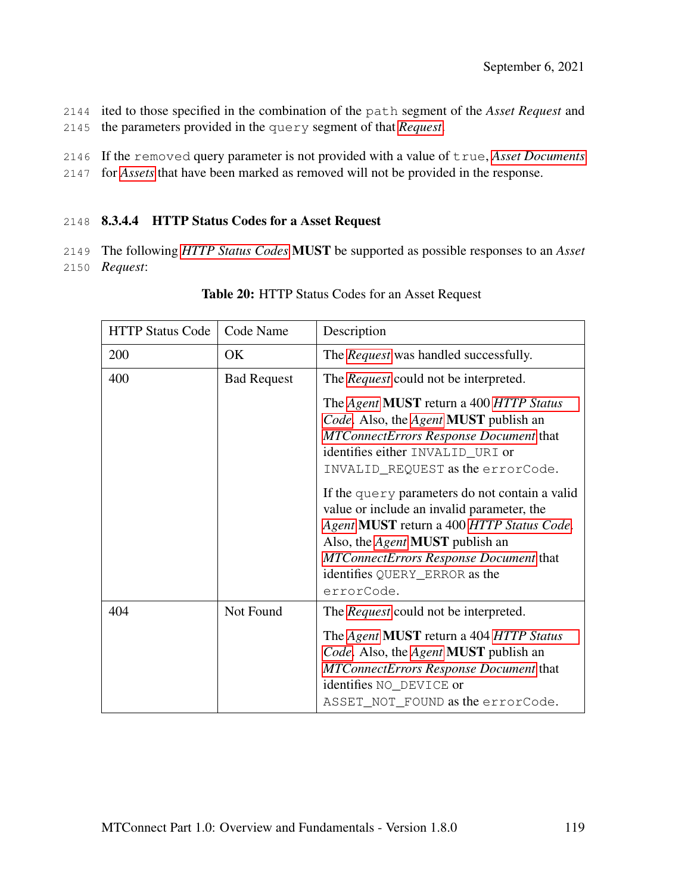- 2144 ited to those specified in the combination of the path segment of the *Asset Request* and 2145 the parameters provided in the query segment of that *[Request](#page-30-0)*.
- 2146 If the removed query parameter is not provided with a value of true, *[Asset Documents](#page-17-0)*
- 2147 for *[Assets](#page-17-1)* that have been marked as removed will not be provided in the response.

#### 2148 8.3.4.4 HTTP Status Codes for a Asset Request

2149 The following *[HTTP Status Codes](#page-24-1)* MUST be supported as possible responses to an *Asset* 2150 *Request*:

<span id="page-125-0"></span>

| <b>HTTP Status Code</b> | Code Name          | Description                                                                                                                                                                                                                                                            |
|-------------------------|--------------------|------------------------------------------------------------------------------------------------------------------------------------------------------------------------------------------------------------------------------------------------------------------------|
| 200                     | <b>OK</b>          | The <i>Request</i> was handled successfully.                                                                                                                                                                                                                           |
| 400                     | <b>Bad Request</b> | The <i>Request</i> could not be interpreted.                                                                                                                                                                                                                           |
|                         |                    | The Agent <b>MUST</b> return a 400 HTTP Status<br>Code. Also, the Agent MUST publish an<br><b>MTConnectErrors Response Document that</b><br>identifies either INVALID_URI or<br>INVALID_REQUEST as the errorCode.<br>If the query parameters do not contain a valid    |
|                         |                    | value or include an invalid parameter, the<br>Agent MUST return a 400 HTTP Status Code.<br>Also, the <i>Agent</i> <b>MUST</b> publish an<br><b>MTConnectErrors Response Document that</b><br>identifies QUERY_ERROR as the<br>errorCode.                               |
| 404                     | Not Found          | The <i>Request</i> could not be interpreted.<br>The Agent <b>MUST</b> return a 404 HTTP Status<br>Code. Also, the <i>Agent</i> <b>MUST</b> publish an<br><b>MTConnectErrors Response Document that</b><br>identifies NO_DEVICE or<br>ASSET_NOT_FOUND as the errorCode. |

#### Table 20: HTTP Status Codes for an Asset Request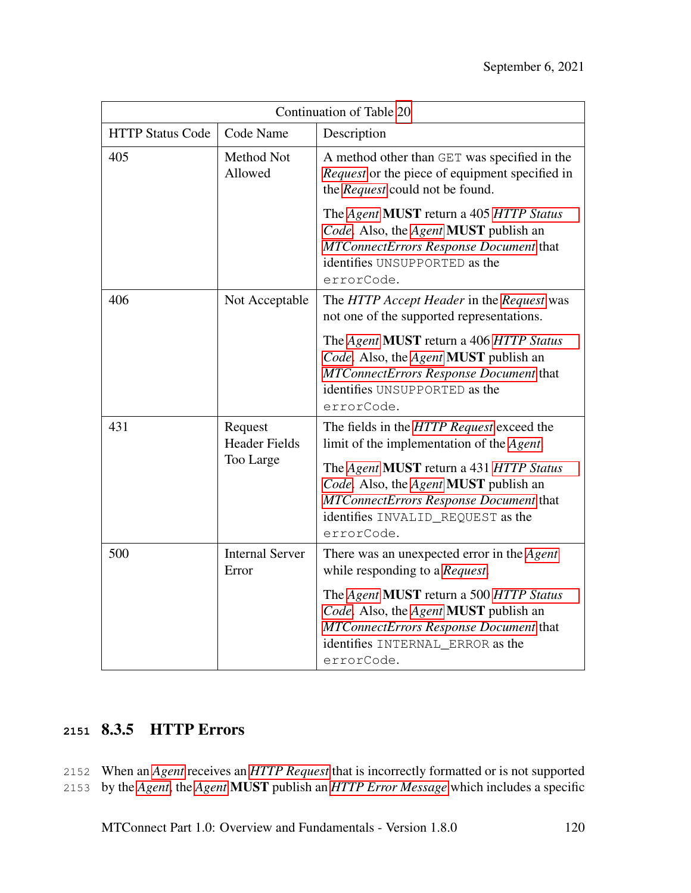| Continuation of Table 20 |                                 |                                                                                                                                                                               |  |
|--------------------------|---------------------------------|-------------------------------------------------------------------------------------------------------------------------------------------------------------------------------|--|
| <b>HTTP Status Code</b>  | Code Name                       | Description                                                                                                                                                                   |  |
| 405                      | Method Not<br>Allowed           | A method other than GET was specified in the<br><i>Request</i> or the piece of equipment specified in<br>the Request could not be found.                                      |  |
|                          |                                 | The Agent MUST return a 405 HTTP Status<br>Code. Also, the Agent MUST publish an<br>MTConnectErrors Response Document that<br>identifies UNSUPPORTED as the<br>errorCode.     |  |
| 406                      | Not Acceptable                  | The HTTP Accept Header in the Request was<br>not one of the supported representations.                                                                                        |  |
|                          |                                 | The Agent MUST return a 406 HTTP Status<br>Code. Also, the Agent MUST publish an<br>MTConnectErrors Response Document that<br>identifies UNSUPPORTED as the<br>errorCode.     |  |
| 431                      | Request<br><b>Header Fields</b> | The fields in the HTTP Request exceed the<br>limit of the implementation of the Agent.                                                                                        |  |
|                          | Too Large                       | The Agent MUST return a 431 HTTP Status<br>Code. Also, the Agent MUST publish an<br>MTConnectErrors Response Document that<br>identifies INVALID_REQUEST as the<br>errorCode. |  |
| 500                      | <b>Internal Server</b><br>Error | There was an unexpected error in the <i>Agent</i><br>while responding to a Request.                                                                                           |  |
|                          |                                 | The Agent MUST return a 500 HTTP Status<br>Code. Also, the Agent MUST publish an<br>MTConnectErrors Response Document that<br>identifies INTERNAL_ERROR as the<br>errorCode.  |  |

# **<sup>2151</sup>** 8.3.5 HTTP Errors

2152 When an *[Agent](#page-16-0)* receives an *[HTTP Request](#page-24-2)* that is incorrectly formatted or is not supported

2153 by the *[Agent](#page-16-0)*, the *[Agent](#page-16-0)* MUST publish an *[HTTP Error Message](#page-23-1)* which includes a specific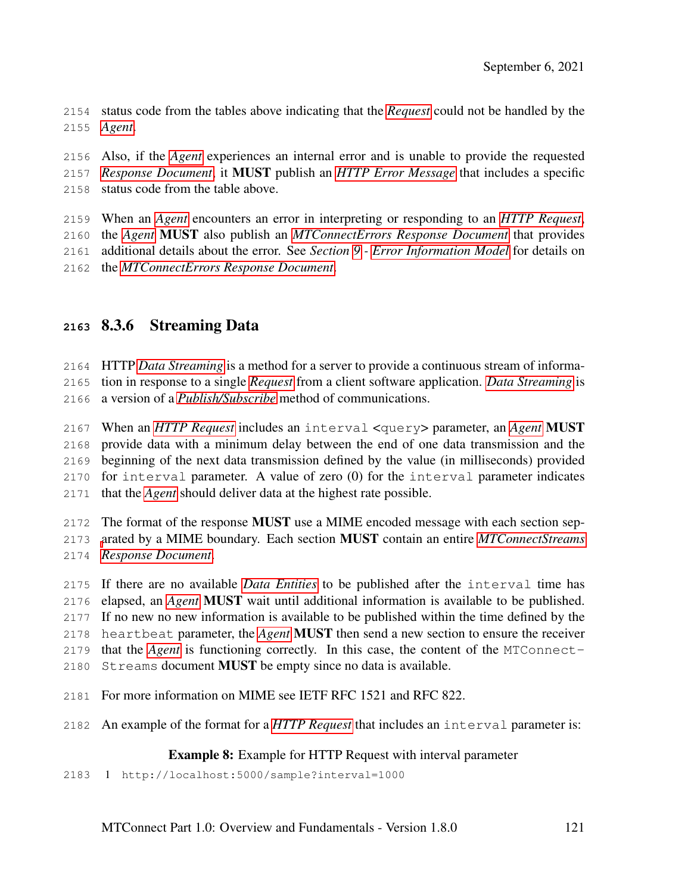status code from the tables above indicating that the *[Request](#page-30-0)* could not be handled by the *[Agent](#page-16-0)*.

 Also, if the *[Agent](#page-16-0)* experiences an internal error and is unable to provide the requested *[Response Document](#page-31-0)*, it MUST publish an *[HTTP Error Message](#page-23-1)* that includes a specific status code from the table above.

When an *[Agent](#page-16-0)* encounters an error in interpreting or responding to an *[HTTP Request](#page-24-2)*,

the *[Agent](#page-16-0)* MUST also publish an *[MTConnectErrors Response Document](#page-28-1)* that provides

additional details about the error. See *Section [9](#page-129-0) - [Error Information Model](#page-129-0)* for details on

the *[MTConnectErrors Response Document](#page-28-1)*.

### 8.3.6 Streaming Data

HTTP *[Data Streaming](#page-21-1)* is a method for a server to provide a continuous stream of informa-

tion in response to a single *[Request](#page-30-0)* from a client software application. *[Data Streaming](#page-21-1)* is

a version of a *[Publish/Subscribe](#page-29-0)* method of communications.

 When an *[HTTP Request](#page-24-2)* includes an interval <query> parameter, an *[Agent](#page-16-0)* MUST provide data with a minimum delay between the end of one data transmission and the beginning of the next data transmission defined by the value (in milliseconds) provided for interval parameter. A value of zero (0) for the interval parameter indicates that the *[Agent](#page-16-0)* should deliver data at the highest rate possible.

 The format of the response MUST use a MIME encoded message with each section sep- [a](#page-28-0)rated by a MIME boundary. Each section MUST contain an entire *[MTConnectStreams](#page-28-0) [Response Document](#page-28-0)*.

 If there are no available *[Data Entities](#page-20-1)* to be published after the interval time has elapsed, an *[Agent](#page-16-0)* MUST wait until additional information is available to be published. If no new no new information is available to be published within the time defined by the heartbeat parameter, the *[Agent](#page-16-0)* MUST then send a new section to ensure the receiver that the *[Agent](#page-16-0)* is functioning correctly. In this case, the content of the MTConnect-

- Streams document MUST be empty since no data is available.
- For more information on MIME see IETF RFC 1521 and RFC 822.
- An example of the format for a *[HTTP Request](#page-24-2)* that includes an interval parameter is:

### Example 8: Example for HTTP Request with interval parameter

1 http://localhost:5000/sample?interval=1000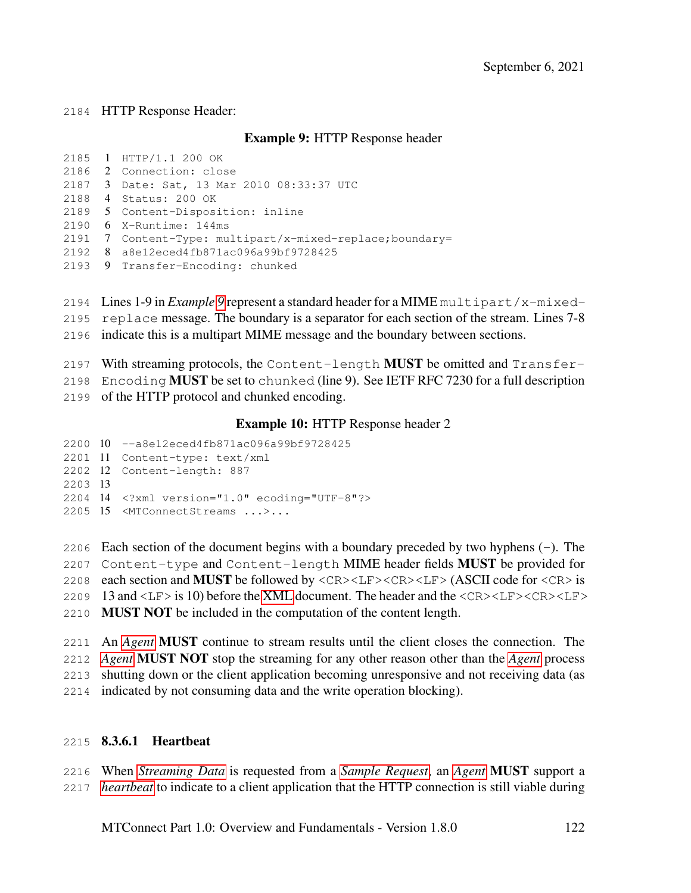<span id="page-128-0"></span>HTTP Response Header:

#### Example 9: HTTP Response header

|  | 2185 1 HTTP/1.1 200 OK                                    |
|--|-----------------------------------------------------------|
|  | 2186 2 Connection: close                                  |
|  | 2187 3 Date: Sat, 13 Mar 2010 08:33:37 UTC                |
|  | 2188 4 Status: 200 OK                                     |
|  | 2189 5 Content-Disposition: inline                        |
|  | $2190$ 6 X-Runtime: 144ms                                 |
|  | 2191 7 Content-Type: multipart/x-mixed-replace; boundary= |
|  | 2192 8 a8e12eced4fb871ac096a99bf9728425                   |
|  | 2193 9 Transfer-Encoding: chunked                         |

- Lines 1-9 in *Example [9](#page-128-0)* represent a standard header for a MIME multipart/x-mixed-
- replace message. The boundary is a separator for each section of the stream. Lines 7-8 indicate this is a multipart MIME message and the boundary between sections.
- 2197 With streaming protocols, the Content-length **MUST** be omitted and  $\text{Transformer}$
- 2198 Encoding **MUST** be set to chunked (line 9). See IETF RFC 7230 for a full description
- of the HTTP protocol and chunked encoding.

#### Example 10: HTTP Response header 2

```
2200 10 --a8e12eced4fb871ac096a99bf9728425
2201 11 Content-type: text/xml
2202 12 Content-length: 887
2203 13
2204 14 <?xml version="1.0" ecoding="UTF-8"?>
2205 15 <MTConnectStreams ...>...
```
2206 Each section of the document begins with a boundary preceded by two hyphens  $(-)$ . The Content-type and Content-length MIME header fields MUST be provided for 2208 each section and **MUST** be followed by  $\langle CR \rangle \langle LR \rangle \langle LR \rangle$  (ASCII code for  $\langle CR \rangle$  is 2209 13 and  $\langle$ LF $>$  is 10) before the [XML](#page-15-0) document. The header and the  $\langle$ CR $>$  $\langle$ LF $>$  $\langle$ CR $>$  $\langle$ LF $>$ MUST NOT be included in the computation of the content length.

 An *[Agent](#page-16-0)* MUST continue to stream results until the client closes the connection. The *[Agent](#page-16-0)* MUST NOT stop the streaming for any other reason other than the *[Agent](#page-16-0)* process shutting down or the client application becoming unresponsive and not receiving data (as indicated by not consuming data and the write operation blocking).

#### 8.3.6.1 Heartbeat

 When *[Streaming Data](#page-34-0)* is requested from a *[Sample Request](#page-32-0)*, an *[Agent](#page-16-0)* MUST support a *[heartbeat](#page-23-0)* to indicate to a client application that the HTTP connection is still viable during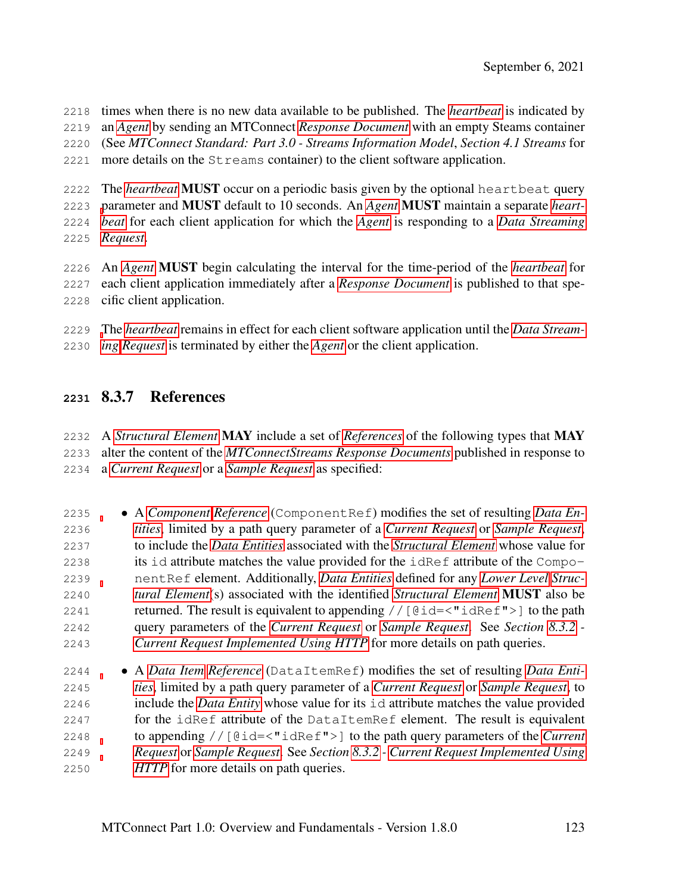times when there is no new data available to be published. The *[heartbeat](#page-23-0)* is indicated by

an *[Agent](#page-16-0)* by sending an MTConnect *[Response Document](#page-31-0)* with an empty Steams container

(See *MTConnect Standard: Part 3.0 - Streams Information Model*, *Section 4.1 Streams* for

more details on the Streams container) to the client software application.

 The *[heartbeat](#page-23-0)* MUST occur on a periodic basis given by the optional heartbeat query [p](#page-23-0)arameter and MUST default to 10 seconds. An *[Agent](#page-16-0)* MUST maintain a separate *[heart-](#page-23-0) [beat](#page-23-0)* for each client application for which the *[Agent](#page-16-0)* is responding to a *[Data Streaming](#page-21-1) [Request](#page-30-0)*.

 An *[Agent](#page-16-0)* MUST begin calculating the interval for the time-period of the *[heartbeat](#page-23-0)* for each client application immediately after a *[Response Document](#page-31-0)* is published to that spe-cific client application.

[T](#page-21-1)he *[heartbeat](#page-23-0)* remains in effect for each client software application until the *[Data Stream-](#page-21-1)*

*[ing](#page-21-1) [Request](#page-30-0)* is terminated by either the *[Agent](#page-16-0)* or the client application.

# 8.3.7 References

 A *[Structural Element](#page-34-1)* MAY include a set of *[References](#page-30-2)* of the following types that MAY alter the content of the *[MTConnectStreams Response Documents](#page-28-0)* published in response to a *[Current Request](#page-20-0)* or a *[Sample Request](#page-32-0)* as specified:

 • A *[Component](#page-18-1) [Reference](#page-30-2)* (ComponentRef) modifies the set of resulting *[Data En-](#page-20-1) [tities](#page-20-1)*, limited by a path query parameter of a *[Current Request](#page-20-0)* or *[Sample Request](#page-32-0)*, to include the *[Data Entities](#page-20-1)* associated with the *[Structural Element](#page-34-1)* whose value for 2238 its id attribute matches the value provided for the idRef attribute of the Compo- nentRef element. Additionally, *[Data Entities](#page-20-1)* defined for any *[Lower Level](#page-26-1) [Struc-](#page-34-1) [tural Element](#page-34-1)*(s) associated with the identified *[Structural Element](#page-34-1)* MUST also be 2241 returned. The result is equivalent to appending  $//$  [ $@id = < "idRef" >]$  to the path query parameters of the *[Current Request](#page-20-0)* or *[Sample Request](#page-32-0)*. See *Section [8.3.2](#page-108-0) - [Current Request Implemented Using HTTP](#page-108-0)* for more details on path queries.

<span id="page-129-0"></span> • A *[Data Item](#page-20-2) [Reference](#page-30-2)* (DataItemRef) modifies the set of resulting *[Data Enti-](#page-20-1) [ties](#page-20-1)*, limited by a path query parameter of a *[Current Request](#page-20-0)* or *[Sample Request](#page-32-0)*, to include the *[Data Entity](#page-20-1)* whose value for its id attribute matches the value provided for the idRef attribute of the DataItemRef element. The result is equivalent to appending //[@id=<"idRef">] to the path query parameters of the *[Current](#page-20-0) [Request](#page-20-0)* or *[Sample Request](#page-32-0)*. See *Section [8.3.2](#page-108-0) - [Current Request Implemented Using](#page-108-0) [HTTP](#page-108-0)* for more details on path queries.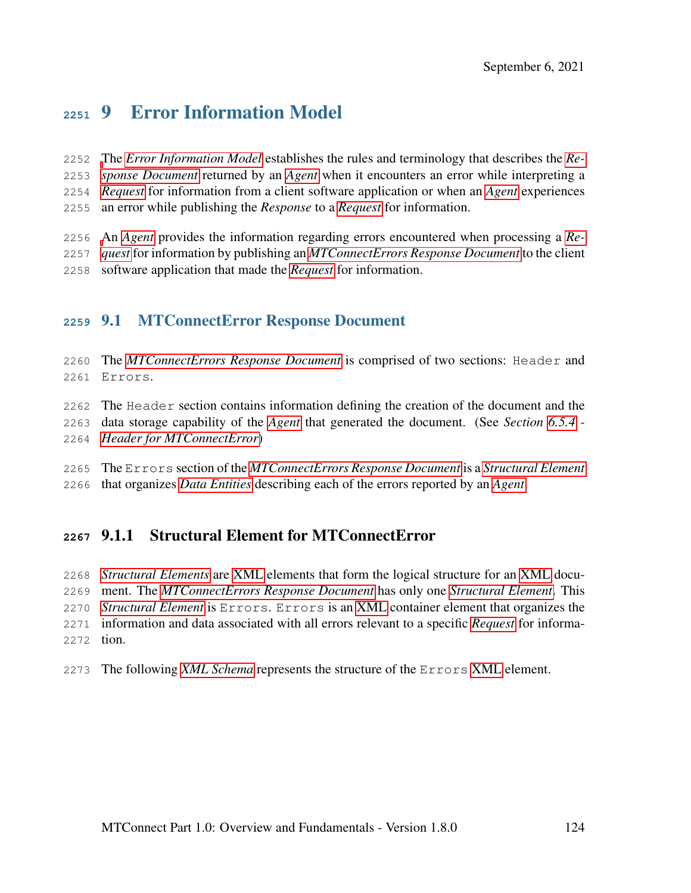# 9 Error Information Model

- [T](#page-31-0)he *[Error Information Model](#page-22-1)* establishes the rules and terminology that describes the *[Re-](#page-31-0) [sponse Document](#page-31-0)* returned by an *[Agent](#page-16-0)* when it encounters an error while interpreting a *[Request](#page-30-0)* for information from a client software application or when an *[Agent](#page-16-0)* experiences an error while publishing the *Response* to a *[Request](#page-30-0)* for information.
- [A](#page-30-0)n *[Agent](#page-16-0)* provides the information regarding errors encountered when processing a *[Re-](#page-30-0)*
- *[quest](#page-30-0)* for information by publishing an *[MTConnectErrors Response Document](#page-28-1)* to the client
- software application that made the *[Request](#page-30-0)* for information.

### 9.1 MTConnectError Response Document

 The *[MTConnectErrors Response Document](#page-28-1)* is comprised of two sections: Header and Errors.

The Header section contains information defining the creation of the document and the

- data storage capability of the *[Agent](#page-16-0)* that generated the document. (See *Section [6.5.4](#page-91-0) - [Header for MTConnectError](#page-91-0)*)
- The Errors section of the *[MTConnectErrors Response Document](#page-28-1)* is a *[Structural Element](#page-34-1)*
- that organizes *[Data Entities](#page-20-1)* describing each of the errors reported by an *[Agent](#page-16-0)*.

### 9.1.1 Structural Element for MTConnectError

- *[Structural Elements](#page-34-1)* are [XML](#page-15-0) elements that form the logical structure for an [XML](#page-15-0) docu- ment. The *[MTConnectErrors Response Document](#page-28-1)* has only one *[Structural Element](#page-34-1)*. This *[Structural Element](#page-34-1)* is Errors. Errors is an [XML](#page-15-0) container element that organizes the information and data associated with all errors relevant to a specific *[Request](#page-30-0)* for informa-tion.
- The following *[XML Schema](#page-37-0)* represents the structure of the Errors [XML](#page-15-0) element.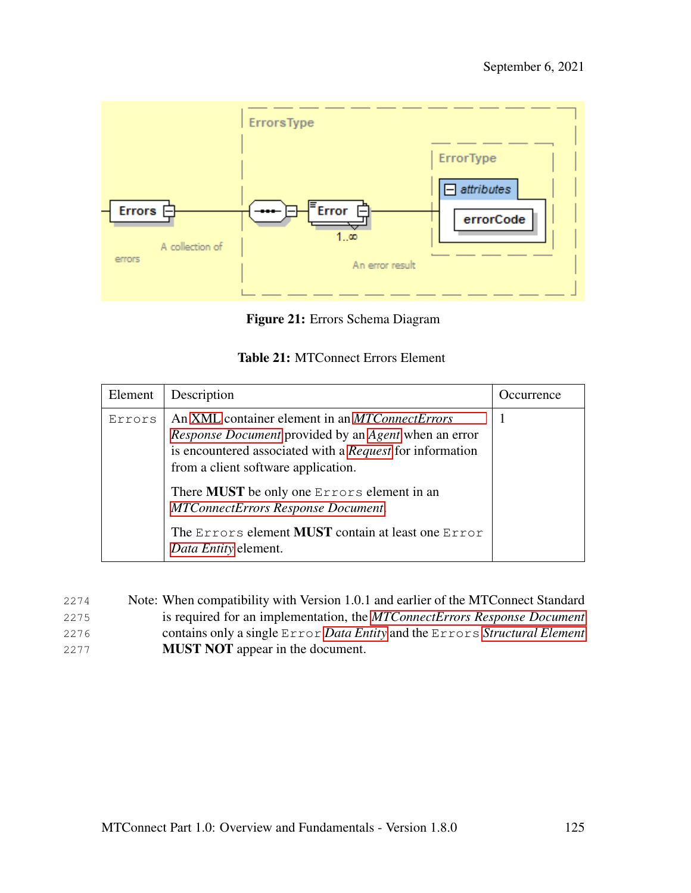

Figure 21: Errors Schema Diagram

| <b>Table 21: MTConnect Errors Element</b> |
|-------------------------------------------|
|                                           |

| Element | Description                                                                                                                                                                                                                                                                                                                                                                                       | <b>C</b> currence |
|---------|---------------------------------------------------------------------------------------------------------------------------------------------------------------------------------------------------------------------------------------------------------------------------------------------------------------------------------------------------------------------------------------------------|-------------------|
| Errors  | An XML container element in an <i>MTConnectErrors</i><br>Response Document provided by an Agent when an error<br>is encountered associated with a Request for information<br>from a client software application.<br>There MUST be only one Errors element in an<br><b>MTConnectErrors Response Document.</b><br>The Errors element <b>MUST</b> contain at least one Error<br>Data Entity element. |                   |

| 2274 | Note: When compatibility with Version 1.0.1 and earlier of the MTConnect Standard |
|------|-----------------------------------------------------------------------------------|
| 2275 | is required for an implementation, the MTConnectErrors Response Document          |
| 2276 | contains only a single Error Data Entity and the Errors Structural Element        |
| 2277 | <b>MUST NOT</b> appear in the document.                                           |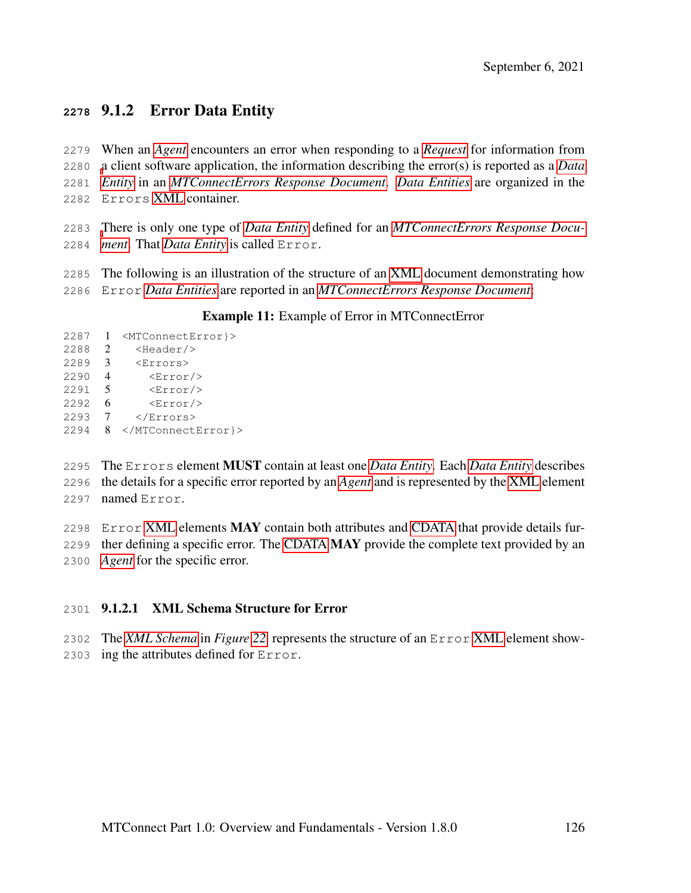# 9.1.2 Error Data Entity

 When an *[Agent](#page-16-0)* encounters an error when responding to a *[Request](#page-30-0)* for information from [a](#page-20-1) client software application, the information describing the error(s) is reported as a *[Data](#page-20-1) [Entity](#page-20-1)* in an *[MTConnectErrors Response Document](#page-28-1)*. *[Data Entities](#page-20-1)* are organized in the Errors [XML](#page-15-0) container.

 [T](#page-28-1)here is only one type of *[Data Entity](#page-20-1)* defined for an *[MTConnectErrors Response Docu-](#page-28-1)[ment](#page-28-1)*. That *[Data Entity](#page-20-1)* is called Error.

 The following is an illustration of the structure of an [XML](#page-15-0) document demonstrating how Error *[Data Entities](#page-20-1)* are reported in an *[MTConnectErrors Response Document](#page-28-1)*:

Example 11: Example of Error in MTConnectError

```
2287 1 <MTConnectError}>
2288 2 <Header/>
2289 3 <Errors>
2290 4 <Error/>
2291 5 <Error/>
2292 6 <Error/><br>2293 7 </Errors>
        </Errors>
2294 8 </MTConnectError}>
```
 The Errors element MUST contain at least one *[Data Entity](#page-20-1)*. Each *[Data Entity](#page-20-1)* describes the details for a specific error reported by an *[Agent](#page-16-0)* and is represented by the [XML](#page-15-0) element named Error.

2298 Error [XML](#page-15-0) elements MAY contain both attributes and [CDATA](#page-14-0) that provide details fur-2299 ther defining a specific error. The [CDATA](#page-14-0) MAY provide the complete text provided by an *[Agent](#page-16-0)* for the specific error.

#### 9.1.2.1 XML Schema Structure for Error

The *[XML Schema](#page-37-0)* in *Figure [22](#page-133-0)* represents the structure of an Error [XML](#page-15-0) element show-

ing the attributes defined for Error.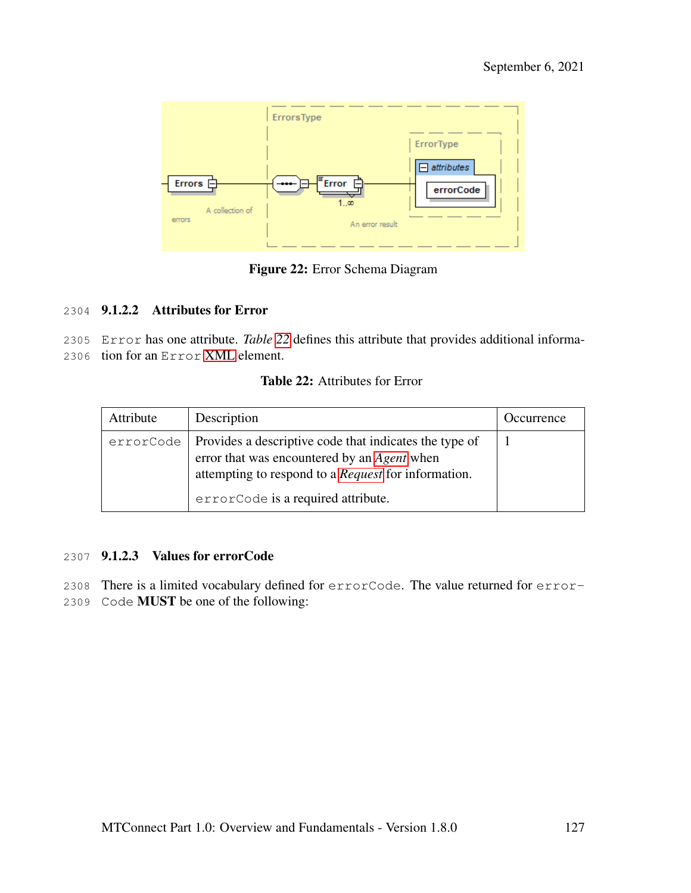<span id="page-133-0"></span>

Figure 22: Error Schema Diagram

### 2304 9.1.2.2 Attributes for Error

2305 Error has one attribute. *Table [22](#page-133-1)* defines this attribute that provides additional informa-2306 tion for an Error [XML](#page-15-0) element.

#### Table 22: Attributes for Error

<span id="page-133-1"></span>

| Attribute | Description                                                                                                                                                                                               | Occurrence |
|-----------|-----------------------------------------------------------------------------------------------------------------------------------------------------------------------------------------------------------|------------|
| errorCode | Provides a descriptive code that indicates the type of<br>error that was encountered by an Agent when<br>attempting to respond to a <i>Request</i> for information.<br>errorCode is a required attribute. |            |

### 2307 9.1.2.3 Values for errorCode

2308 There is a limited vocabulary defined for errorCode. The value returned for error-2309 Code MUST be one of the following: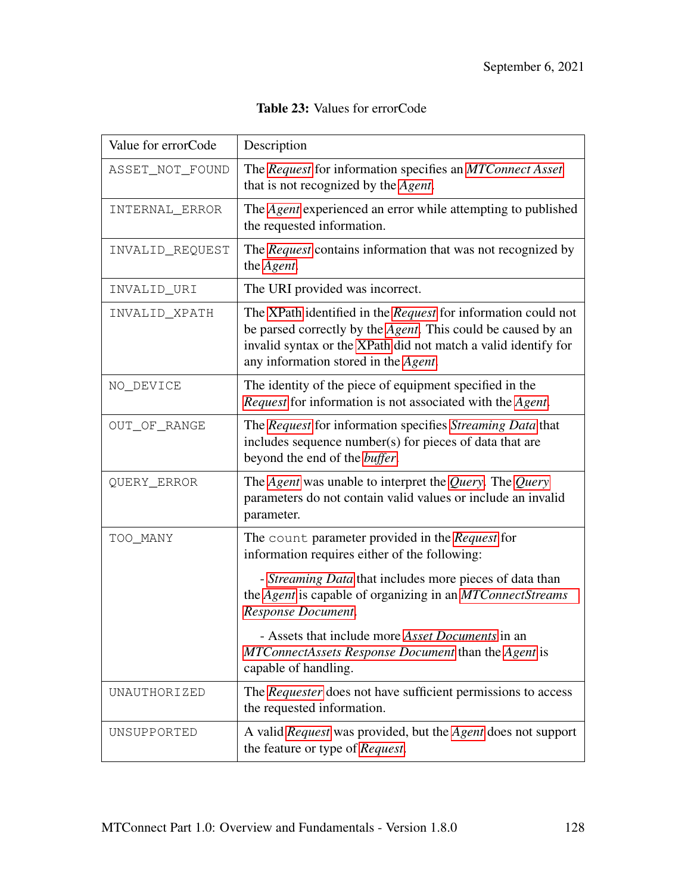| Value for errorCode | Description                                                                                                                                                                                                                             |
|---------------------|-----------------------------------------------------------------------------------------------------------------------------------------------------------------------------------------------------------------------------------------|
| ASSET_NOT_FOUND     | The Request for information specifies an MTConnect Asset<br>that is not recognized by the <i>Agent</i> .                                                                                                                                |
| INTERNAL_ERROR      | The <i>Agent</i> experienced an error while attempting to published<br>the requested information.                                                                                                                                       |
| INVALID_REQUEST     | The Request contains information that was not recognized by<br>the Agent.                                                                                                                                                               |
| INVALID_URI         | The URI provided was incorrect.                                                                                                                                                                                                         |
| INVALID_XPATH       | The XPath identified in the Request for information could not<br>be parsed correctly by the Agent. This could be caused by an<br>invalid syntax or the XPath did not match a valid identify for<br>any information stored in the Agent. |
| NO_DEVICE           | The identity of the piece of equipment specified in the<br>Request for information is not associated with the Agent.                                                                                                                    |
| OUT_OF_RANGE        | The Request for information specifies Streaming Data that<br>includes sequence number(s) for pieces of data that are<br>beyond the end of the buffer.                                                                                   |
| QUERY_ERROR         | The Agent was unable to interpret the Query. The Query<br>parameters do not contain valid values or include an invalid<br>parameter.                                                                                                    |
| TOO_MANY            | The count parameter provided in the Request for<br>information requires either of the following:                                                                                                                                        |
|                     | - Streaming Data that includes more pieces of data than<br>the Agent is capable of organizing in an MTConnectStreams<br>Response Document.                                                                                              |
|                     | - Assets that include more <i>Asset Documents</i> in an<br>MTConnectAssets Response Document than the Agent is<br>capable of handling.                                                                                                  |
| UNAUTHORIZED        | The <i>Requester</i> does not have sufficient permissions to access<br>the requested information.                                                                                                                                       |
| UNSUPPORTED         | A valid Request was provided, but the Agent does not support<br>the feature or type of Request.                                                                                                                                         |

# Table 23: Values for errorCode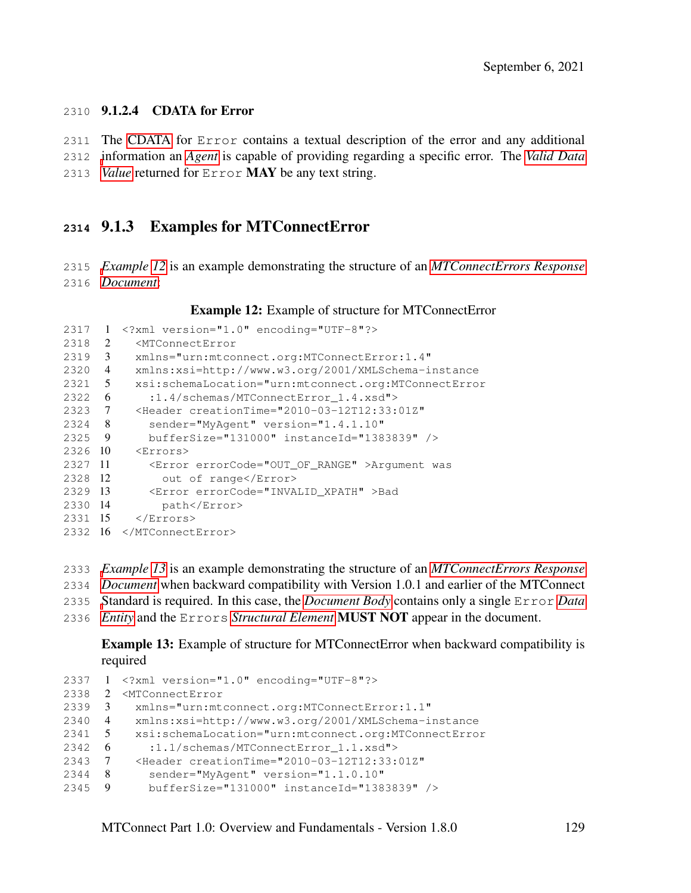#### 9.1.2.4 CDATA for Error

 The [CDATA](#page-14-0) for Error contains a textual description of the error and any additional [i](#page-36-0)nformation an *[Agent](#page-16-0)* is capable of providing regarding a specific error. The *[Valid Data](#page-36-0) [Value](#page-36-0)* returned for Error MAY be any text string.

### 9.1.3 Examples for MTConnectError

 *[E](#page-28-1)xample [12](#page-135-0)* is an example demonstrating the structure of an *[MTConnectErrors Response](#page-28-1) [Document](#page-28-1)*:

#### Example 12: Example of structure for MTConnectError

```
2317 1 <?xml version="1.0" encoding="UTF-8"?>
2318 2 <MTConnectError
2319 3 xmlns="urn:mtconnect.org:MTConnectError:1.4"
2320 4 xmlns:xsi=http://www.w3.org/2001/XMLSchema-instance
2321 5 xsi:schemaLocation="urn:mtconnect.org:MTConnectError
2322 6 :1.4/schemas/MTConnectError_1.4.xsd">
2323 7 <Header creationTime="2010-03-12T12:33:01Z"
2324 8 sender="MyAgent" version="1.4.1.10"
2325 9 bufferSize="131000" instanceId="1383839" />
2326 10 <Errors>
2327 11 <Error errorCode="OUT_OF_RANGE" >Argument was
2328 12 out of range</Error>
2329 13 <Error errorCode="INVALID_XPATH" >Bad
2330 14 path</Error>
2331 15 </Errors>
2332 16 </MTConnectError>
```
<span id="page-135-1"></span>Example 13: Example of structure for MTConnectError when backward compatibility is required

```
2337 1 <?xml version="1.0" encoding="UTF-8"?>
2338 2 <MTConnectError
2339 3 xmlns="urn:mtconnect.org:MTConnectError:1.1"
2340 4 xmlns:xsi=http://www.w3.org/2001/XMLSchema-instance
2341 5 xsi:schemaLocation="urn:mtconnect.org:MTConnectError
2342 6 :1.1/schemas/MTConnectError 1.1.xsd">
2343 7 <Header creationTime="2010-03-12T12:33:01Z"
2344 8 sender="MyAgent" version="1.1.0.10"
2345 9 bufferSize="131000" instanceId="1383839" />
```
 *[E](#page-28-1)xample [13](#page-135-1)* is an example demonstrating the structure of an *[MTConnectErrors Response](#page-28-1) [Document](#page-28-1)* when backward compatibility with Version 1.0.1 and earlier of the MTConnect [S](#page-20-1)tandard is required. In this case, the *[Document Body](#page-21-2)* contains only a single Error *[Data](#page-20-1) [Entity](#page-20-1)* and the Errors *[Structural Element](#page-34-1)* MUST NOT appear in the document.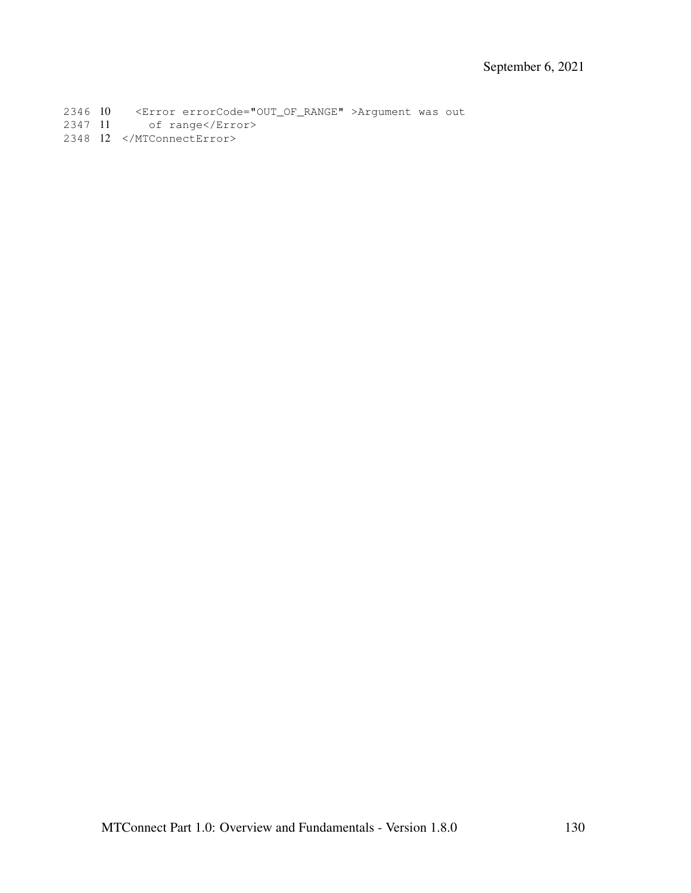2346 10 <Error errorCode="OUT\_OF\_RANGE" >Argument was out

2347 11 of range</Error>

2348 12 </MTConnectError>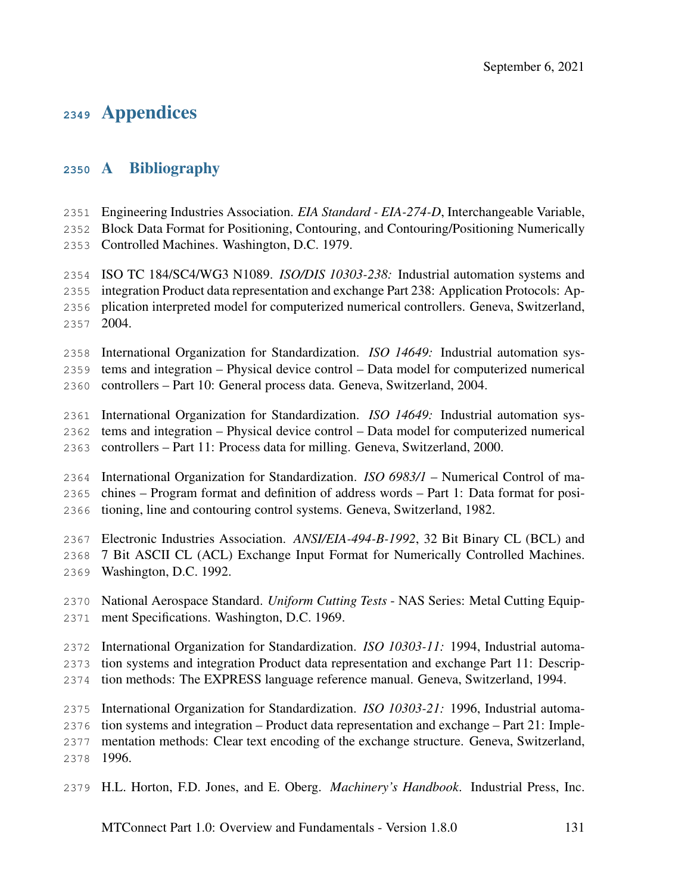# Appendices

# A Bibliography

- Engineering Industries Association. *EIA Standard EIA-274-D*, Interchangeable Variable,
- Block Data Format for Positioning, Contouring, and Contouring/Positioning Numerically
- Controlled Machines. Washington, D.C. 1979.

 ISO TC 184/SC4/WG3 N1089. *ISO/DIS 10303-238:* Industrial automation systems and integration Product data representation and exchange Part 238: Application Protocols: Ap- plication interpreted model for computerized numerical controllers. Geneva, Switzerland, 2004.

 International Organization for Standardization. *ISO 14649:* Industrial automation sys-tems and integration – Physical device control – Data model for computerized numerical

controllers – Part 10: General process data. Geneva, Switzerland, 2004.

 International Organization for Standardization. *ISO 14649:* Industrial automation sys- tems and integration – Physical device control – Data model for computerized numerical controllers – Part 11: Process data for milling. Geneva, Switzerland, 2000.

 International Organization for Standardization. *ISO 6983/1* – Numerical Control of ma- chines – Program format and definition of address words – Part 1: Data format for posi-tioning, line and contouring control systems. Geneva, Switzerland, 1982.

Electronic Industries Association. *ANSI/EIA-494-B-1992*, 32 Bit Binary CL (BCL) and

- 7 Bit ASCII CL (ACL) Exchange Input Format for Numerically Controlled Machines.
- Washington, D.C. 1992.
- National Aerospace Standard. *Uniform Cutting Tests* NAS Series: Metal Cutting Equip-ment Specifications. Washington, D.C. 1969.

International Organization for Standardization. *ISO 10303-11:* 1994, Industrial automa-

- tion systems and integration Product data representation and exchange Part 11: Descrip-
- tion methods: The EXPRESS language reference manual. Geneva, Switzerland, 1994.

 International Organization for Standardization. *ISO 10303-21:* 1996, Industrial automa- tion systems and integration – Product data representation and exchange – Part 21: Imple- mentation methods: Clear text encoding of the exchange structure. Geneva, Switzerland, 1996.

H.L. Horton, F.D. Jones, and E. Oberg. *Machinery's Handbook*. Industrial Press, Inc.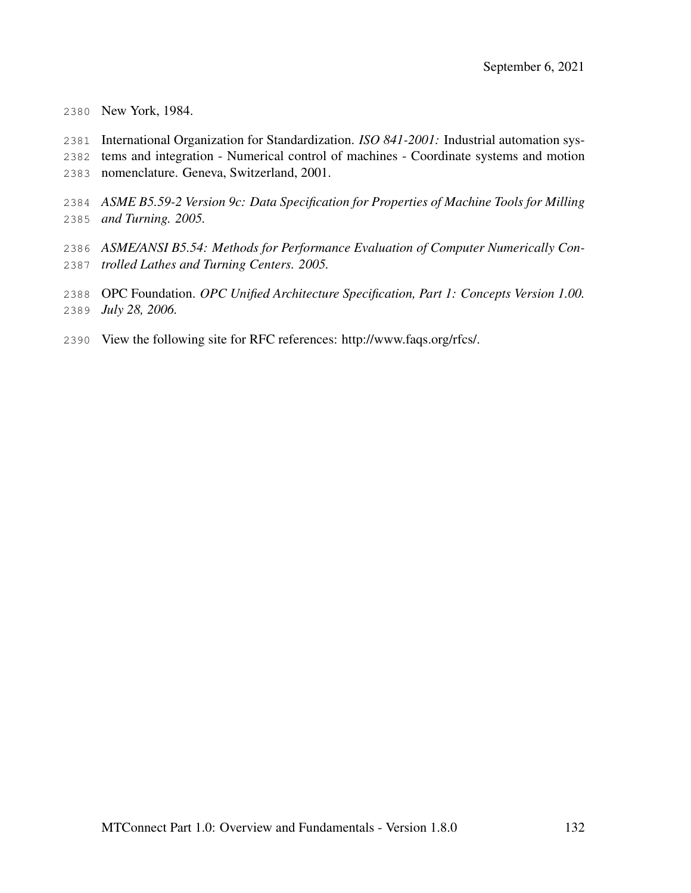New York, 1984.

 International Organization for Standardization. *ISO 841-2001:* Industrial automation sys- tems and integration - Numerical control of machines - Coordinate systems and motion nomenclature. Geneva, Switzerland, 2001.

- *ASME B5.59-2 Version 9c: Data Specification for Properties of Machine Tools for Milling and Turning. 2005.*
- *ASME/ANSI B5.54: Methods for Performance Evaluation of Computer Numerically Con-trolled Lathes and Turning Centers. 2005.*
- OPC Foundation. *OPC Unified Architecture Specification, Part 1: Concepts Version 1.00. July 28, 2006.*
- View the following site for RFC references: http://www.faqs.org/rfcs/.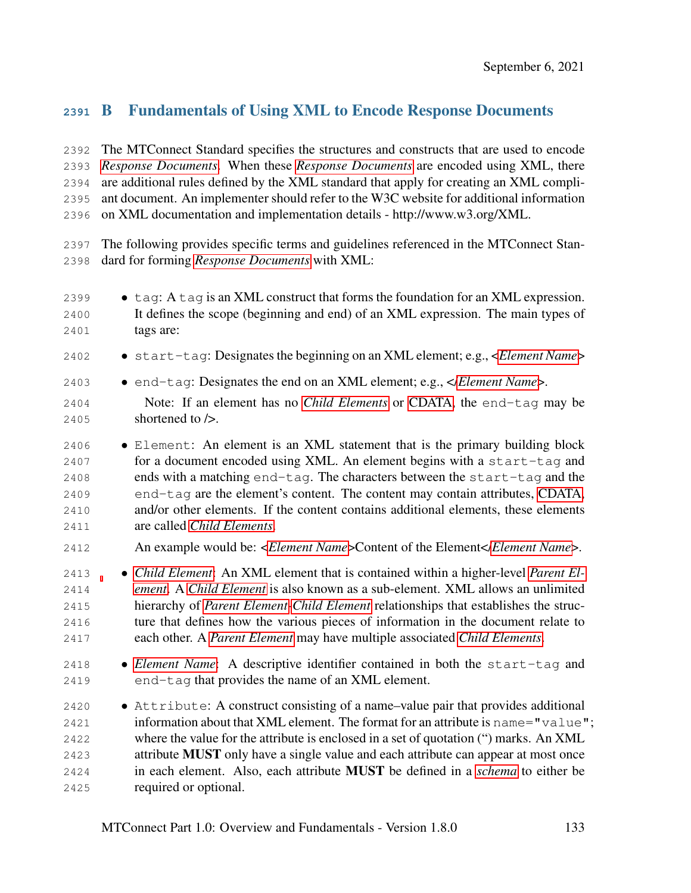# B Fundamentals of Using XML to Encode Response Documents

 The MTConnect Standard specifies the structures and constructs that are used to encode *[Response Documents](#page-31-0)*. When these *[Response Documents](#page-31-0)* are encoded using XML, there are additional rules defined by the XML standard that apply for creating an XML compli- ant document. An implementer should refer to the W3C website for additional information on XML documentation and implementation details - http://www.w3.org/XML.

 The following provides specific terms and guidelines referenced in the MTConnect Stan-dard for forming *[Response Documents](#page-31-0)* with XML:

2399 • tag: A tag is an XML construct that forms the foundation for an XML expression. It defines the scope (beginning and end) of an XML expression. The main types of tags are: • start-tag: Designates the beginning on an XML element; e.g., <*[Element Name](#page-22-2)*> • end-tag: Designates the end on an XML element; e.g., </*[Element Name](#page-22-2)*>. Note: If an element has no *[Child Elements](#page-18-2)* or [CDATA,](#page-14-0) the end-tag may be 2405 shortened to  $\geq$ . • Element: An element is an XML statement that is the primary building block for a document encoded using XML. An element begins with a start-tag and ends with a matching end-tag. The characters between the start-tag and the end-tag are the element's content. The content may contain attributes, [CDATA,](#page-14-0) and/or other elements. If the content contains additional elements, these elements are called *[Child Elements](#page-18-2)*. An example would be: <*[Element Name](#page-22-2)*>Content of the Element</*[Element Name](#page-22-2)*>. • *[Child Element](#page-18-2)*: An XML element that is contained within a higher-level *[Parent El-](#page-29-1) [ement](#page-29-1)*. A *[Child Element](#page-18-2)* is also known as a sub-element. XML allows an unlimited hierarchy of *[Parent Element](#page-29-1)*-*[Child Element](#page-18-2)* relationships that establishes the struc- ture that defines how the various pieces of information in the document relate to each other. A *[Parent Element](#page-29-1)* may have multiple associated *[Child Elements](#page-18-2)*. • *[Element Name](#page-22-2)*: A descriptive identifier contained in both the start-tag and end-tag that provides the name of an XML element. • Attribute: A construct consisting of a name–value pair that provides additional information about that XML element. The format for an attribute is name="value"; where the value for the attribute is enclosed in a set of quotation (") marks. An XML 2423 attribute **MUST** only have a single value and each attribute can appear at most once in each element. Also, each attribute MUST be defined in a *[schema](#page-32-1)* to either be required or optional.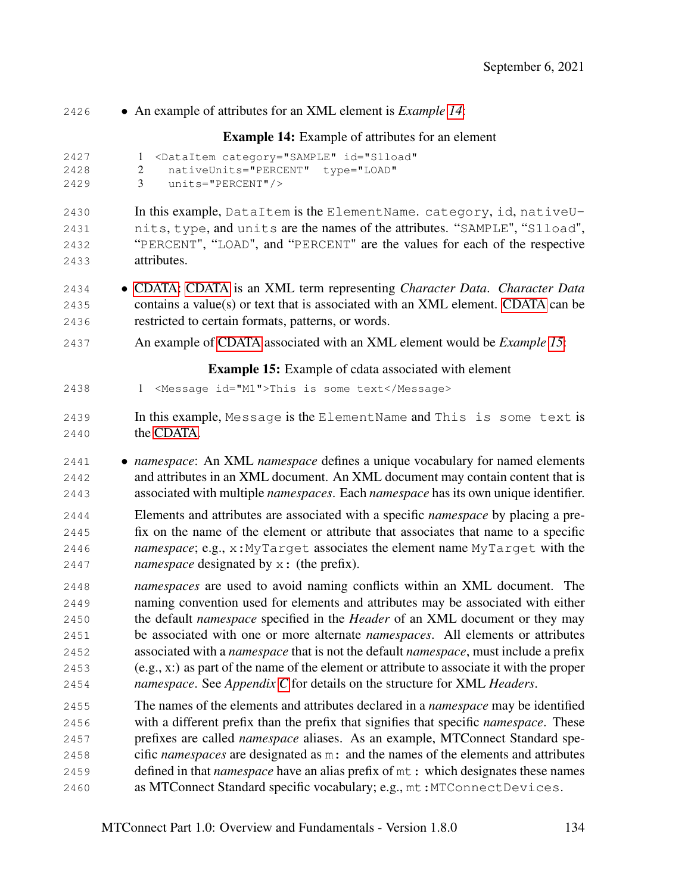<span id="page-140-1"></span><span id="page-140-0"></span>

| 2426 | • An example of attributes for an XML element is <i>Example 14</i> :                                |
|------|-----------------------------------------------------------------------------------------------------|
|      | <b>Example 14:</b> Example of attributes for an element                                             |
| 2427 | <dataitem <br="" category="SAMPLE" id="S1load">1</dataitem>                                         |
| 2428 | nativeUnits="PERCENT" type="LOAD"<br>2                                                              |
| 2429 | 3<br>$units="PERCENT"/>$                                                                            |
| 2430 | In this example, DataItem is the ElementName. category, id, nativeU-                                |
| 2431 | nits, type, and units are the names of the attributes. "SAMPLE", "S1load",                          |
| 2432 | "PERCENT", "LOAD", and "PERCENT" are the values for each of the respective                          |
| 2433 | attributes.                                                                                         |
| 2434 | • CDATA: CDATA is an XML term representing Character Data. Character Data                           |
| 2435 | contains a value(s) or text that is associated with an XML element. CDATA can be                    |
| 2436 | restricted to certain formats, patterns, or words.                                                  |
| 2437 | An example of CDATA associated with an XML element would be <i>Example 15</i> :                     |
|      | <b>Example 15:</b> Example of cdata associated with element                                         |
| 2438 | <message id="M1">This is some text</message><br>$\mathbf{1}$                                        |
| 2439 | In this example, Message is the Element Name and This is some text is                               |
| 2440 | the CDATA.                                                                                          |
| 2441 | • <i>namespace</i> : An XML <i>namespace</i> defines a unique vocabulary for named elements         |
| 2442 | and attributes in an XML document. An XML document may contain content that is                      |
| 2443 | associated with multiple namespaces. Each namespace has its own unique identifier.                  |
| 2444 | Elements and attributes are associated with a specific <i>namespace</i> by placing a pre-           |
| 2445 | fix on the name of the element or attribute that associates that name to a specific                 |
| 2446 | namespace; e.g., x: MyTarget associates the element name MyTarget with the                          |
| 2447 | <i>namespace</i> designated by $x$ : (the prefix).                                                  |
| 2448 | namespaces are used to avoid naming conflicts within an XML document. The                           |
| 2449 | naming convention used for elements and attributes may be associated with either                    |
| 2450 | the default <i>namespace</i> specified in the <i>Header</i> of an XML document or they may          |
| 2451 | be associated with one or more alternate <i>namespaces</i> . All elements or attributes             |
| 2452 | associated with a <i>namespace</i> that is not the default <i>namespace</i> , must include a prefix |
| 2453 | $(e.g., x.)$ as part of the name of the element or attribute to associate it with the proper        |
| 2454 | namespace. See Appendix C for details on the structure for XML Headers.                             |
| 2455 | The names of the elements and attributes declared in a <i>namespace</i> may be identified           |
| 2456 | with a different prefix than the prefix that signifies that specific <i>namespace</i> . These       |
| 2457 | prefixes are called <i>namespace</i> aliases. As an example, MTConnect Standard spe-                |
| 2458 | cific <i>namespaces</i> are designated as $m$ : and the names of the elements and attributes        |
| 2459 | defined in that <i>namespace</i> have an alias prefix of $m$ t: which designates these names        |
| 2460 | as MTConnect Standard specific vocabulary; e.g., mt: MTConnectDevices.                              |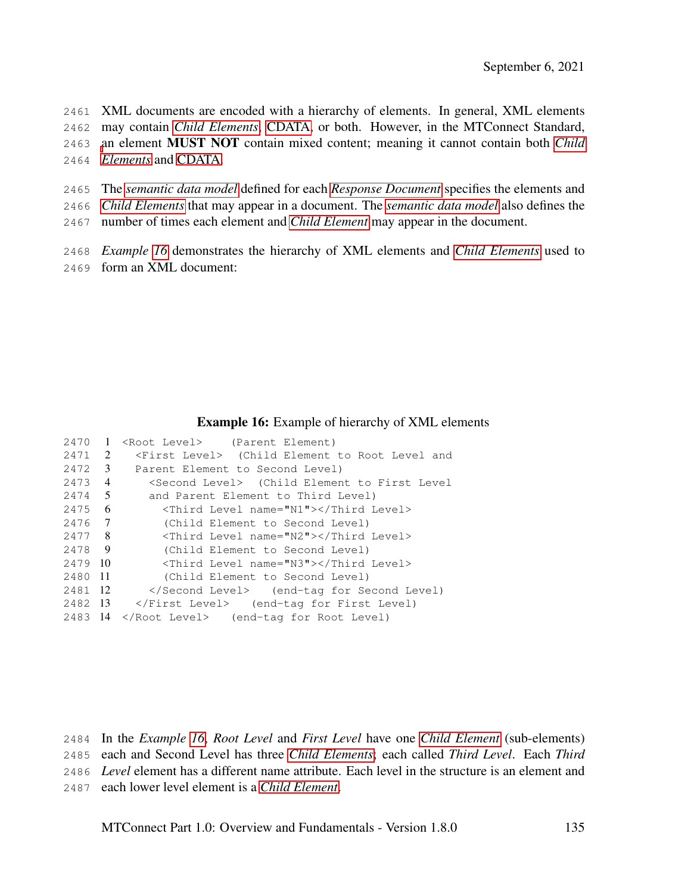XML documents are encoded with a hierarchy of elements. In general, XML elements may contain *[Child Elements](#page-18-2)*, [CDATA,](#page-14-0) or both. However, in the MTConnect Standard, [a](#page-18-2)n element MUST NOT contain mixed content; meaning it cannot contain both *[Child](#page-18-2) [Elements](#page-18-2)* and [CDATA.](#page-14-0)

 The *[semantic data model](#page-32-2)* defined for each *[Response Document](#page-31-0)* specifies the elements and *[Child Elements](#page-18-2)* that may appear in a document. The *[semantic data model](#page-32-2)* also defines the

number of times each element and *[Child Element](#page-18-2)* may appear in the document.

 *Example [16](#page-141-0)* demonstrates the hierarchy of XML elements and *[Child Elements](#page-18-2)* used to form an XML document:

#### Example 16: Example of hierarchy of XML elements

<span id="page-141-0"></span>

| 2470 1  | <root level=""> (Parent Element)</root>                   |
|---------|-----------------------------------------------------------|
| 2471 2  | <first level=""> (Child Element to Root Level and</first> |
| 2472 3  | Parent Element to Second Level)                           |
| 2473 4  | <second level=""> (Child Element to First Level</second>  |
| 2474 5  | and Parent Element to Third Level)                        |
| 2475 6  | <third level="" name="N1"></third>                        |
| 2476 7  | (Child Element to Second Level)                           |
| 2477 8  | <third level="" name="N2"></third>                        |
| 2478 9  | (Child Element to Second Level)                           |
| 2479 10 | <third level="" name="N3"></third>                        |
|         | 2480 11 (Child Element to Second Level)                   |
| 2481 12 | (end-tag for Second Level)                                |
|         | 2482 13  (end-tag for First Level)                        |
|         | 2483 14  (end-tag for Root Level)                         |

 In the *Example [16](#page-141-0)*, *Root Level* and *First Level* have one *[Child Element](#page-18-2)* (sub-elements) each and Second Level has three *[Child Elements](#page-18-2)*; each called *Third Level*. Each *Third Level* element has a different name attribute. Each level in the structure is an element and each lower level element is a *[Child Element](#page-18-2)*.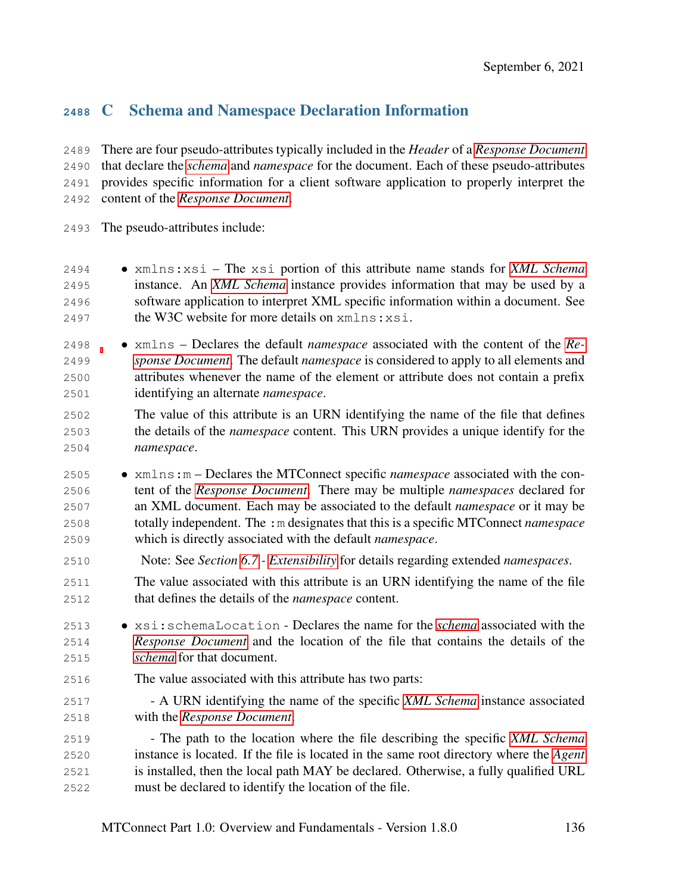# <span id="page-142-0"></span>C Schema and Namespace Declaration Information

 There are four pseudo-attributes typically included in the *Header* of a *[Response Document](#page-31-0)* that declare the *[schema](#page-32-1)* and *namespace* for the document. Each of these pseudo-attributes provides specific information for a client software application to properly interpret the content of the *[Response Document](#page-31-0)*.

The pseudo-attributes include:

- xmlns:xsi The xsi portion of this attribute name stands for *[XML Schema](#page-37-0)* instance. An *[XML Schema](#page-37-0)* instance provides information that may be used by a software application to interpret XML specific information within a document. See 2497 the W3C website for more details on xmlns: xsi.
- xmlns Declares the default *namespace* associated with the content of the *[Re-](#page-31-0) [sponse Document](#page-31-0)*. The default *namespace* is considered to apply to all elements and attributes whenever the name of the element or attribute does not contain a prefix identifying an alternate *namespace*.
- The value of this attribute is an URN identifying the name of the file that defines the details of the *namespace* content. This URN provides a unique identify for the *namespace*.
- xmlns:m Declares the MTConnect specific *namespace* associated with the con- tent of the *[Response Document](#page-31-0)*. There may be multiple *namespaces* declared for an XML document. Each may be associated to the default *namespace* or it may be totally independent. The :m designates that this is a specific MTConnect *namespace* which is directly associated with the default *namespace*.
- Note: See *Section [6.7](#page-97-0) - [Extensibility](#page-97-0)* for details regarding extended *namespaces*.
- The value associated with this attribute is an URN identifying the name of the file that defines the details of the *namespace* content.
- xsi:schemaLocation Declares the name for the *[schema](#page-32-1)* associated with the *[Response Document](#page-31-0)* and the location of the file that contains the details of the *[schema](#page-32-1)* for that document.
- The value associated with this attribute has two parts:
- A URN identifying the name of the specific *[XML Schema](#page-37-0)* instance associated with the *[Response Document](#page-31-0)*.
- The path to the location where the file describing the specific *[XML Schema](#page-37-0)* instance is located. If the file is located in the same root directory where the *[Agent](#page-16-0)* is installed, then the local path MAY be declared. Otherwise, a fully qualified URL must be declared to identify the location of the file.